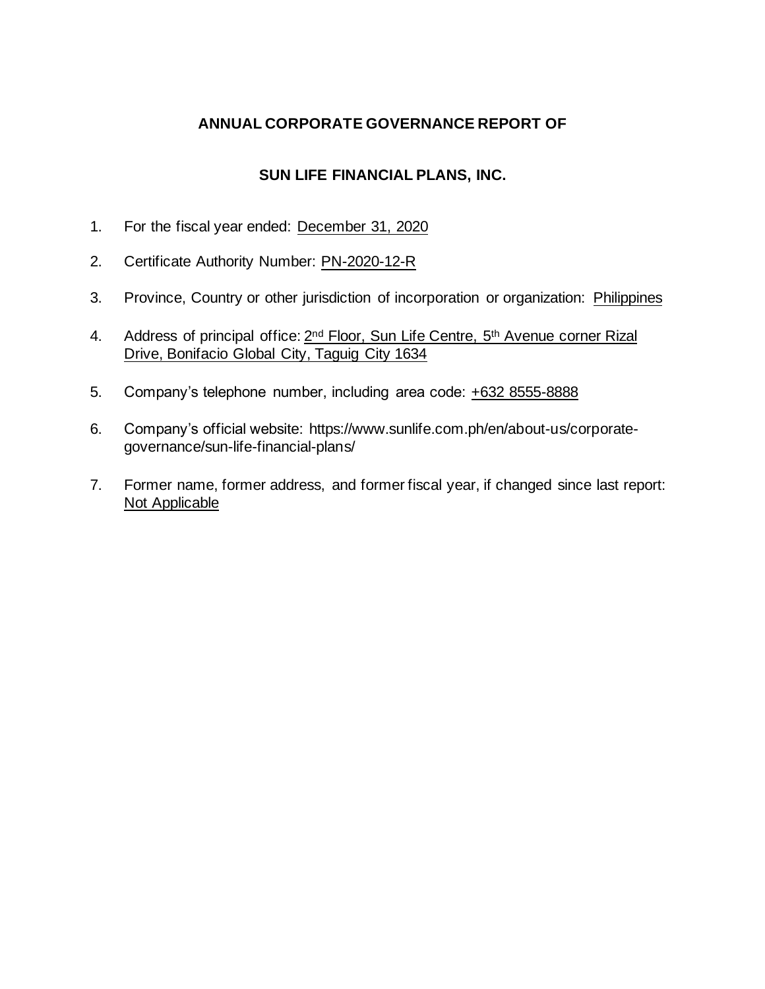## **ANNUAL CORPORATE GOVERNANCE REPORT OF**

## **SUN LIFE FINANCIAL PLANS, INC.**

- 1. For the fiscal year ended: December 31, 2020
- 2. Certificate Authority Number: PN-2020-12-R
- 3. Province, Country or other jurisdiction of incorporation or organization: Philippines
- 4. Address of principal office: 2<sup>nd</sup> Floor, Sun Life Centre, 5<sup>th</sup> Avenue corner Rizal Drive, Bonifacio Global City, Taguig City 1634
- 5. Company's telephone number, including area code: +632 8555-8888
- 6. Company's official website: https://www.sunlife.com.ph/en/about-us/corporategovernance/sun-life-financial-plans/
- 7. Former name, former address, and former fiscal year, if changed since last report: Not Applicable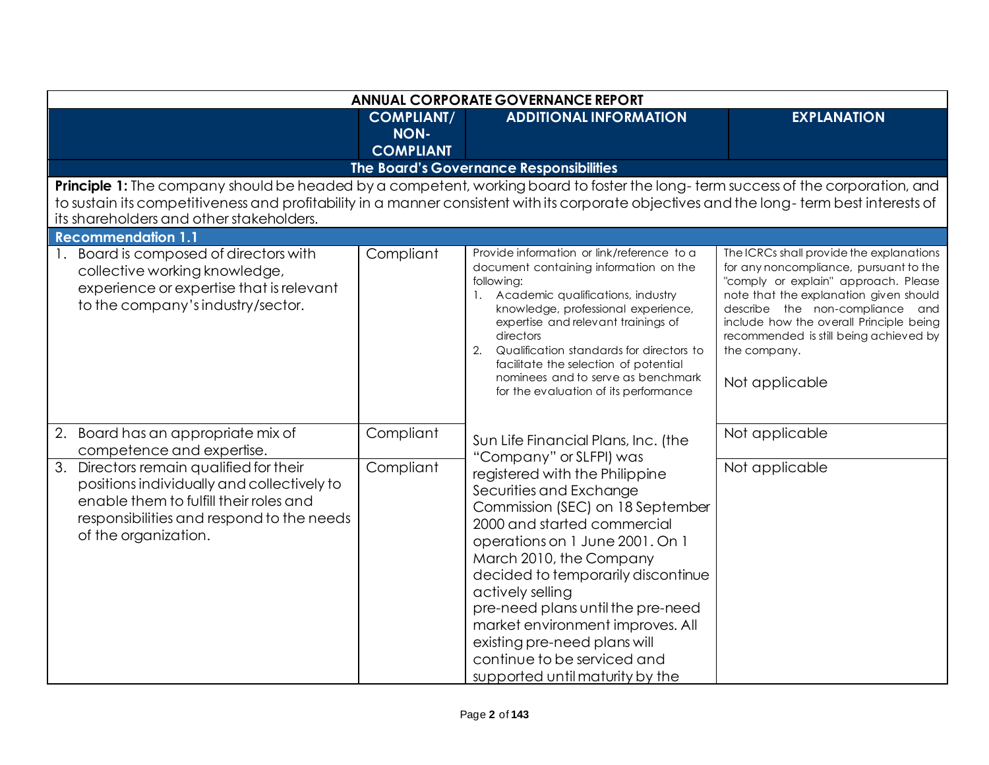|                                                                                                                                                                                                                       |                                                                                                                                                                                                                                                                              | <b>ANNUAL CORPORATE GOVERNANCE REPORT</b>                                                                                                                                                                                                                                                                                                                                                                                                                  |                                                                                                                                                                                                                                                                                                                                |  |
|-----------------------------------------------------------------------------------------------------------------------------------------------------------------------------------------------------------------------|------------------------------------------------------------------------------------------------------------------------------------------------------------------------------------------------------------------------------------------------------------------------------|------------------------------------------------------------------------------------------------------------------------------------------------------------------------------------------------------------------------------------------------------------------------------------------------------------------------------------------------------------------------------------------------------------------------------------------------------------|--------------------------------------------------------------------------------------------------------------------------------------------------------------------------------------------------------------------------------------------------------------------------------------------------------------------------------|--|
|                                                                                                                                                                                                                       | <b>COMPLIANT/</b><br><b>NON-</b><br><b>COMPLIANT</b>                                                                                                                                                                                                                         | <b>ADDITIONAL INFORMATION</b>                                                                                                                                                                                                                                                                                                                                                                                                                              | <b>EXPLANATION</b>                                                                                                                                                                                                                                                                                                             |  |
|                                                                                                                                                                                                                       |                                                                                                                                                                                                                                                                              | The Board's Governance Responsibilities                                                                                                                                                                                                                                                                                                                                                                                                                    |                                                                                                                                                                                                                                                                                                                                |  |
| its shareholders and other stakeholders.                                                                                                                                                                              | Principle 1: The company should be headed by a competent, working board to foster the long-term success of the corporation, and<br>to sustain its competitiveness and profitability in a manner consistent with its corporate objectives and the long-term best interests of |                                                                                                                                                                                                                                                                                                                                                                                                                                                            |                                                                                                                                                                                                                                                                                                                                |  |
| <b>Recommendation 1.1</b>                                                                                                                                                                                             |                                                                                                                                                                                                                                                                              |                                                                                                                                                                                                                                                                                                                                                                                                                                                            |                                                                                                                                                                                                                                                                                                                                |  |
| 1. Board is composed of directors with<br>collective working knowledge,<br>experience or expertise that is relevant<br>to the company's industry/sector.                                                              | Compliant                                                                                                                                                                                                                                                                    | Provide information or link/reference to a<br>document containing information on the<br>following:<br>1. Academic qualifications, industry<br>knowledge, professional experience,<br>expertise and relevant trainings of<br>directors<br>2.<br>Qualification standards for directors to<br>facilitate the selection of potential<br>nominees and to serve as benchmark<br>for the evaluation of its performance                                            | The ICRCs shall provide the explanations<br>for any noncompliance, pursuant to the<br>"comply or explain" approach. Please<br>note that the explanation given should<br>describe the non-compliance and<br>include how the overall Principle being<br>recommended is still being achieved by<br>the company.<br>Not applicable |  |
| 2.<br>Board has an appropriate mix of<br>competence and expertise.                                                                                                                                                    | Compliant                                                                                                                                                                                                                                                                    | Sun Life Financial Plans, Inc. (the                                                                                                                                                                                                                                                                                                                                                                                                                        | Not applicable                                                                                                                                                                                                                                                                                                                 |  |
| $\overline{3}$ .<br>Directors remain qualified for their<br>positions individually and collectively to<br>enable them to fulfill their roles and<br>responsibilities and respond to the needs<br>of the organization. | Compliant                                                                                                                                                                                                                                                                    | "Company" or SLFPI) was<br>registered with the Philippine<br>Securities and Exchange<br>Commission (SEC) on 18 September<br>2000 and started commercial<br>operations on 1 June 2001. On 1<br>March 2010, the Company<br>decided to temporarily discontinue<br>actively selling<br>pre-need plans until the pre-need<br>market environment improves. All<br>existing pre-need plans will<br>continue to be serviced and<br>supported until maturity by the | Not applicable                                                                                                                                                                                                                                                                                                                 |  |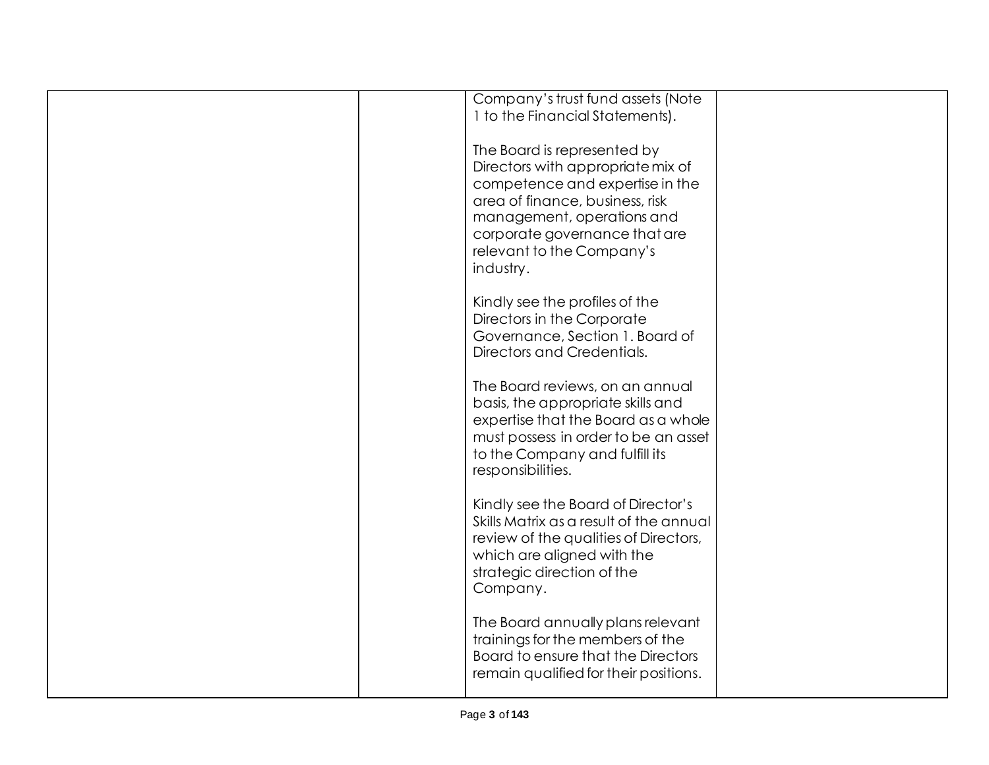|  | Company's trust fund assets (Note       |  |
|--|-----------------------------------------|--|
|  | 1 to the Financial Statements).         |  |
|  |                                         |  |
|  |                                         |  |
|  | The Board is represented by             |  |
|  |                                         |  |
|  | Directors with appropriate mix of       |  |
|  | competence and expertise in the         |  |
|  | area of finance, business, risk         |  |
|  |                                         |  |
|  | management, operations and              |  |
|  | corporate governance that are           |  |
|  |                                         |  |
|  | relevant to the Company's               |  |
|  | industry.                               |  |
|  |                                         |  |
|  |                                         |  |
|  | Kindly see the profiles of the          |  |
|  | Directors in the Corporate              |  |
|  | Governance, Section 1. Board of         |  |
|  |                                         |  |
|  | Directors and Credentials.              |  |
|  |                                         |  |
|  | The Board reviews, on an annual         |  |
|  |                                         |  |
|  | basis, the appropriate skills and       |  |
|  | expertise that the Board as a whole     |  |
|  | must possess in order to be an asset    |  |
|  |                                         |  |
|  | to the Company and fulfill its          |  |
|  | responsibilities.                       |  |
|  |                                         |  |
|  |                                         |  |
|  | Kindly see the Board of Director's      |  |
|  | Skills Matrix as a result of the annual |  |
|  | review of the qualities of Directors,   |  |
|  |                                         |  |
|  | which are aligned with the              |  |
|  | strategic direction of the              |  |
|  | Company.                                |  |
|  |                                         |  |
|  |                                         |  |
|  | The Board annually plans relevant       |  |
|  | trainings for the members of the        |  |
|  |                                         |  |
|  | Board to ensure that the Directors      |  |
|  | remain qualified for their positions.   |  |
|  |                                         |  |
|  |                                         |  |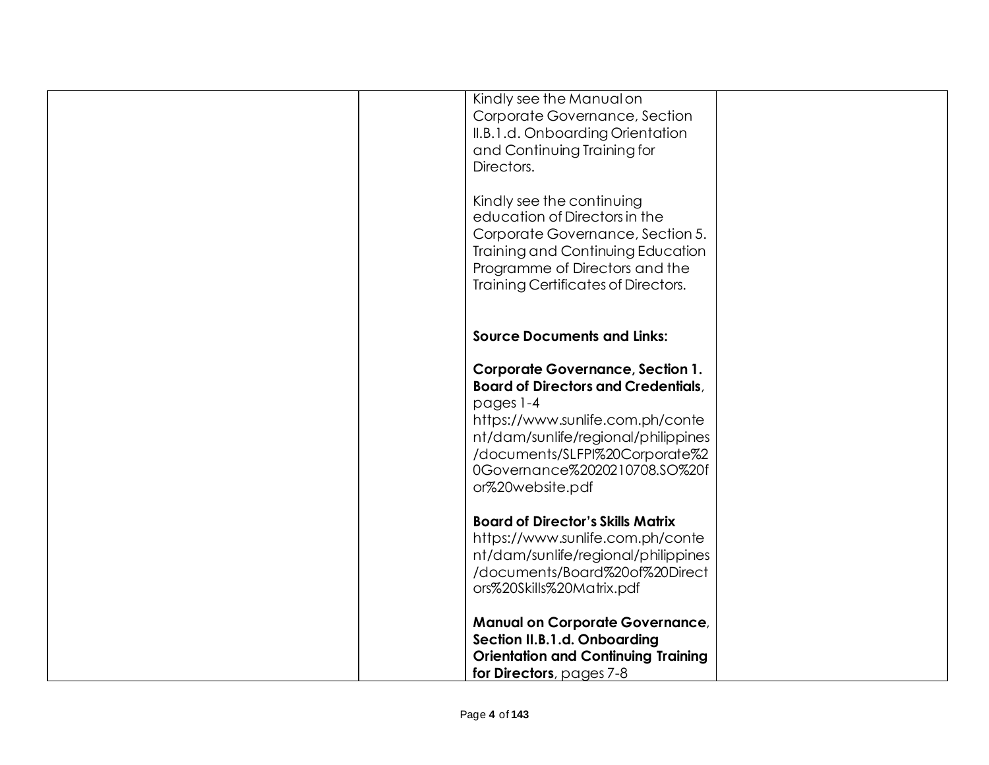| Kindly see the Manual on<br>Corporate Governance, Section<br>II.B.1.d. Onboarding Orientation<br>and Continuing Training for<br>Directors.<br>Kindly see the continuing<br>education of Directors in the<br>Corporate Governance, Section 5.<br>Training and Continuing Education<br>Programme of Directors and the<br>Training Certificates of Directors. |  |
|------------------------------------------------------------------------------------------------------------------------------------------------------------------------------------------------------------------------------------------------------------------------------------------------------------------------------------------------------------|--|
| <b>Source Documents and Links:</b>                                                                                                                                                                                                                                                                                                                         |  |
| <b>Corporate Governance, Section 1.</b><br><b>Board of Directors and Credentials,</b><br>pages 1-4<br>https://www.sunlife.com.ph/conte<br>nt/dam/sunlife/regional/philippines<br>/documents/SLFPI%20Corporate%2<br>0Governance%2020210708.SO%20f<br>or%20website.pdf                                                                                       |  |
| <b>Board of Director's Skills Matrix</b><br>https://www.sunlife.com.ph/conte<br>nt/dam/sunlife/regional/philippines<br>/documents/Board%20of%20Direct<br>ors%20Skills%20Matrix.pdf                                                                                                                                                                         |  |
| <b>Manual on Corporate Governance,</b><br>Section II.B.1.d. Onboarding<br><b>Orientation and Continuing Training</b><br>for Directors, pages 7-8                                                                                                                                                                                                           |  |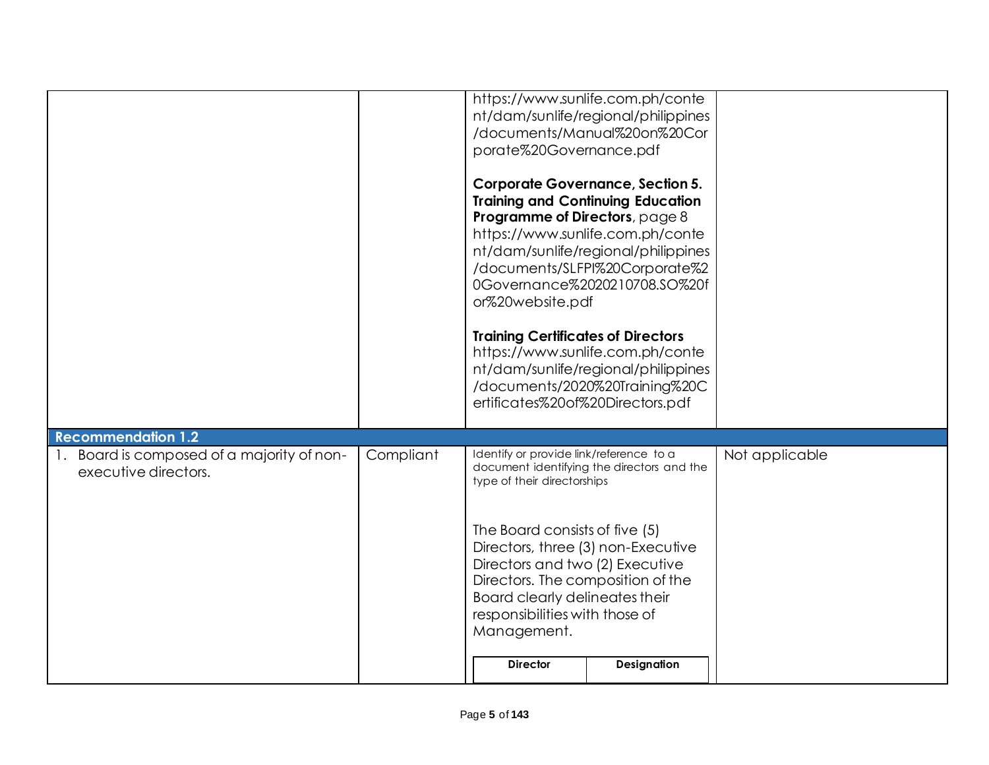|                                                                                              |           | porate%20Governance.pdf<br>Programme of Directors, page 8<br>or%20website.pdf<br><b>Training Certificates of Directors</b><br>ertificates%20of%20Directors.pdf                                                                                                                                                               | https://www.sunlife.com.ph/conte<br>nt/dam/sunlife/regional/philippines<br>/documents/Manual%20on%20Cor<br><b>Corporate Governance, Section 5.</b><br><b>Training and Continuing Education</b><br>https://www.sunlife.com.ph/conte<br>nt/dam/sunlife/regional/philippines<br>/documents/SLFPI%20Corporate%2<br>0Governance%2020210708.SO%20f<br>https://www.sunlife.com.ph/conte<br>nt/dam/sunlife/regional/philippines<br>/documents/2020%20Training%20C |                |
|----------------------------------------------------------------------------------------------|-----------|------------------------------------------------------------------------------------------------------------------------------------------------------------------------------------------------------------------------------------------------------------------------------------------------------------------------------|-----------------------------------------------------------------------------------------------------------------------------------------------------------------------------------------------------------------------------------------------------------------------------------------------------------------------------------------------------------------------------------------------------------------------------------------------------------|----------------|
| <b>Recommendation 1.2</b><br>Board is composed of a majority of non-<br>executive directors. | Compliant | Identify or provide link/reference to a<br>type of their directorships<br>The Board consists of five (5)<br>Directors, three (3) non-Executive<br>Directors and two (2) Executive<br>Directors. The composition of the<br>Board clearly delineates their<br>responsibilities with those of<br>Management.<br><b>Director</b> | document identifying the directors and the<br>Designation                                                                                                                                                                                                                                                                                                                                                                                                 | Not applicable |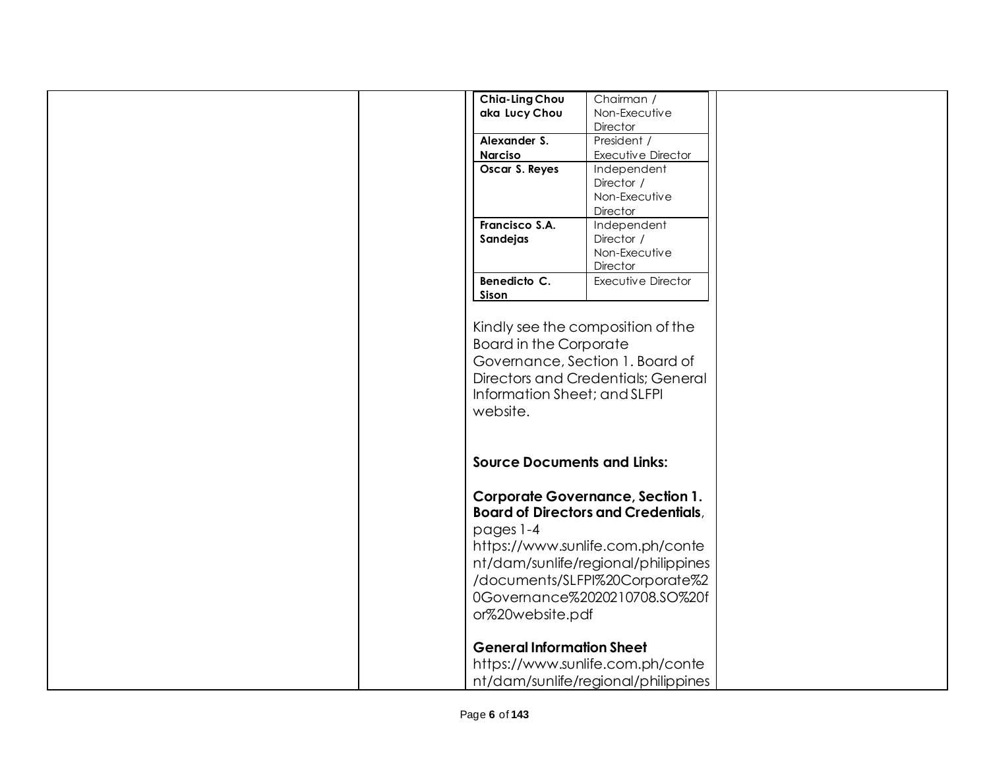| Chia-Ling Chou                     | Chairman /                                 |  |
|------------------------------------|--------------------------------------------|--|
| aka Lucy Chou                      | Non-Executive                              |  |
|                                    | Director                                   |  |
| Alexander S.                       | President /                                |  |
| <b>Narciso</b>                     | Executive Director                         |  |
| Oscar S. Reyes                     | Independent                                |  |
|                                    | Director /                                 |  |
|                                    | Non-Executive                              |  |
|                                    | Director                                   |  |
| Francisco S.A.                     | Independent                                |  |
| Sandejas                           | Director /                                 |  |
|                                    | Non-Executive                              |  |
|                                    | Director                                   |  |
| Benedicto C.                       | Executive Director                         |  |
|                                    |                                            |  |
| Sison                              |                                            |  |
|                                    |                                            |  |
|                                    | Kindly see the composition of the          |  |
| <b>Board in the Corporate</b>      |                                            |  |
|                                    | Governance, Section 1. Board of            |  |
|                                    | Directors and Credentials; General         |  |
|                                    |                                            |  |
| Information Sheet; and SLFPI       |                                            |  |
| website.                           |                                            |  |
|                                    |                                            |  |
|                                    |                                            |  |
|                                    |                                            |  |
| <b>Source Documents and Links:</b> |                                            |  |
|                                    |                                            |  |
|                                    | <b>Corporate Governance, Section 1.</b>    |  |
|                                    | <b>Board of Directors and Credentials,</b> |  |
| pages 1-4                          |                                            |  |
|                                    |                                            |  |
|                                    | https://www.sunlife.com.ph/conte           |  |
|                                    | nt/dam/sunlife/regional/philippines        |  |
|                                    | /documents/SLFPI%20Corporate%2             |  |
|                                    | 0Governance%2020210708.SO%20f              |  |
|                                    |                                            |  |
| or%20website.pdf                   |                                            |  |
|                                    |                                            |  |
| <b>General Information Sheet</b>   |                                            |  |
|                                    | https://www.sunlife.com.ph/conte           |  |
|                                    |                                            |  |
|                                    | nt/dam/sunlife/regional/philippines        |  |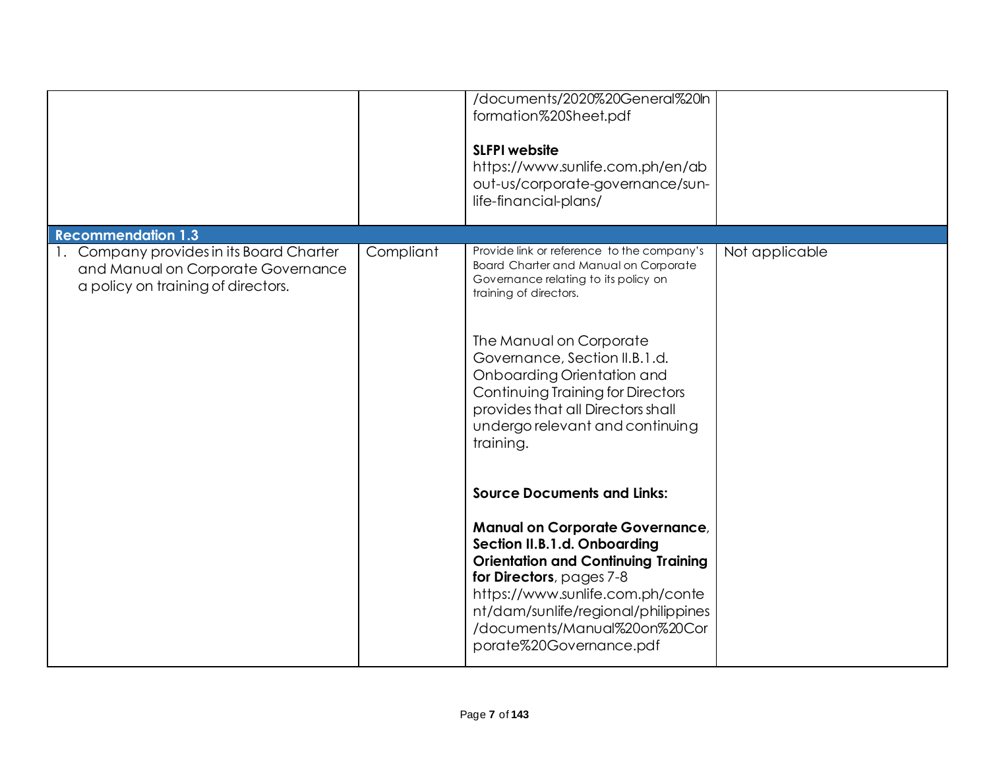|                                                                                                                      |           | /documents/2020%20General%20ln<br>formation%20Sheet.pdf<br><b>SLFPI website</b><br>https://www.sunlife.com.ph/en/ab<br>out-us/corporate-governance/sun-<br>life-financial-plans/                                                                                                                                                                                                                                                                                                                                                                                                                                                                                                                                 |                |
|----------------------------------------------------------------------------------------------------------------------|-----------|------------------------------------------------------------------------------------------------------------------------------------------------------------------------------------------------------------------------------------------------------------------------------------------------------------------------------------------------------------------------------------------------------------------------------------------------------------------------------------------------------------------------------------------------------------------------------------------------------------------------------------------------------------------------------------------------------------------|----------------|
| <b>Recommendation 1.3</b>                                                                                            |           |                                                                                                                                                                                                                                                                                                                                                                                                                                                                                                                                                                                                                                                                                                                  |                |
| 1. Company provides in its Board Charter<br>and Manual on Corporate Governance<br>a policy on training of directors. | Compliant | Provide link or reference to the company's<br>Board Charter and Manual on Corporate<br>Governance relating to its policy on<br>training of directors.<br>The Manual on Corporate<br>Governance, Section II.B.1.d.<br>Onboarding Orientation and<br><b>Continuing Training for Directors</b><br>provides that all Directors shall<br>undergo relevant and continuing<br>training.<br><b>Source Documents and Links:</b><br><b>Manual on Corporate Governance,</b><br>Section II.B.1.d. Onboarding<br><b>Orientation and Continuing Training</b><br>for Directors, pages 7-8<br>https://www.sunlife.com.ph/conte<br>nt/dam/sunlife/regional/philippines<br>/documents/Manual%20on%20Cor<br>porate%20Governance.pdf | Not applicable |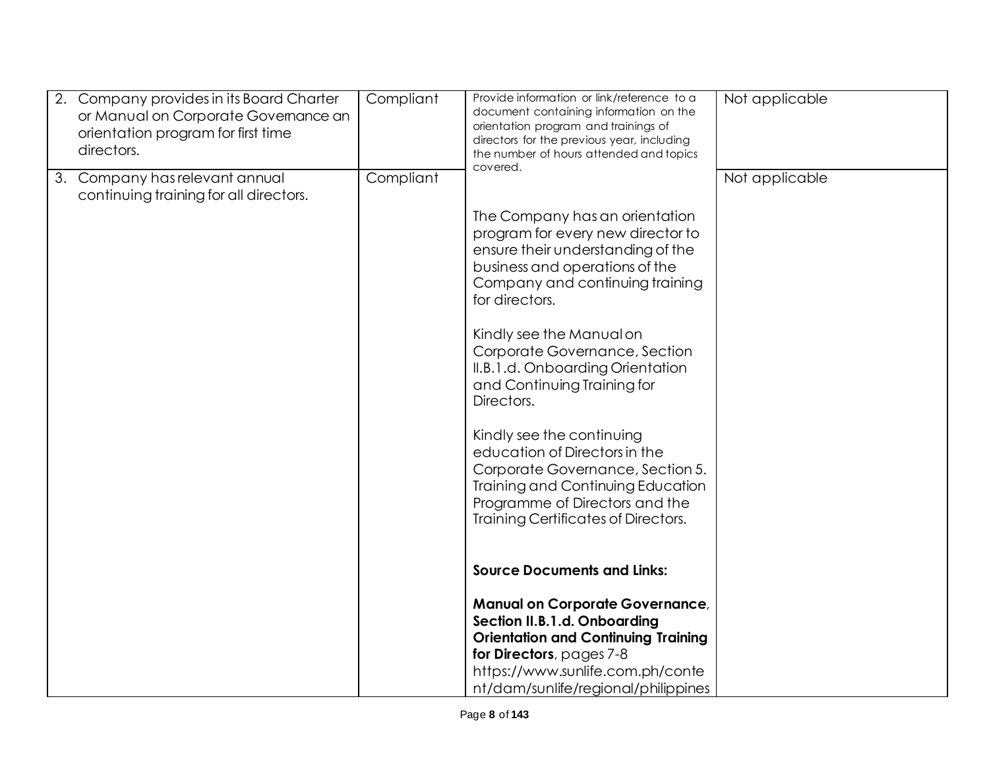| 2.<br>Company provides in its Board Charter<br>or Manual on Corporate Governance an<br>orientation program for first time<br>directors. | Compliant | Provide information or link/reference to a<br>document containing information on the<br>orientation program and trainings of<br>directors for the previous year, including<br>the number of hours attended and topics<br>covered. | Not applicable |
|-----------------------------------------------------------------------------------------------------------------------------------------|-----------|-----------------------------------------------------------------------------------------------------------------------------------------------------------------------------------------------------------------------------------|----------------|
| Company has relevant annual<br>3.<br>continuing training for all directors.                                                             | Compliant | The Company has an orientation                                                                                                                                                                                                    | Not applicable |
|                                                                                                                                         |           | program for every new director to<br>ensure their understanding of the<br>business and operations of the<br>Company and continuing training<br>for directors.                                                                     |                |
|                                                                                                                                         |           | Kindly see the Manual on<br>Corporate Governance, Section<br>II.B.1.d. Onboarding Orientation<br>and Continuing Training for<br>Directors.                                                                                        |                |
|                                                                                                                                         |           | Kindly see the continuing<br>education of Directors in the<br>Corporate Governance, Section 5.<br>Training and Continuing Education<br>Programme of Directors and the<br>Training Certificates of Directors.                      |                |
|                                                                                                                                         |           | <b>Source Documents and Links:</b>                                                                                                                                                                                                |                |
|                                                                                                                                         |           | <b>Manual on Corporate Governance,</b><br>Section II.B.1.d. Onboarding<br><b>Orientation and Continuing Training</b>                                                                                                              |                |
|                                                                                                                                         |           | for Directors, pages 7-8<br>https://www.sunlife.com.ph/conte<br>nt/dam/sunlife/regional/philippines                                                                                                                               |                |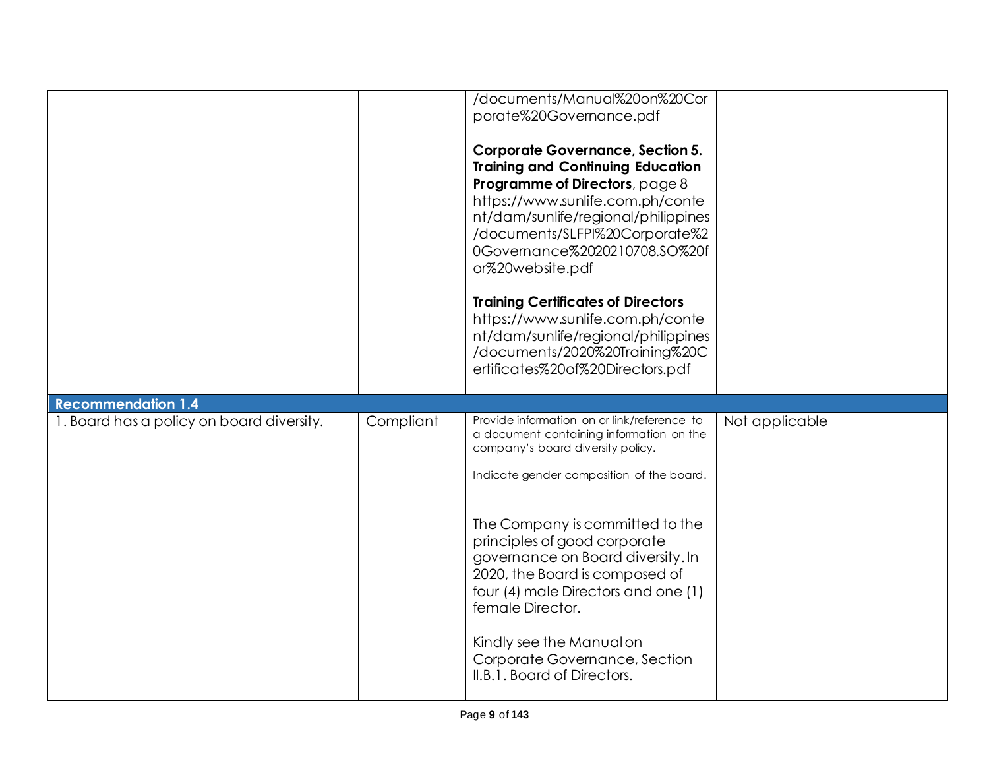|                                           |           | /documents/Manual%20on%20Cor<br>porate%20Governance.pdf<br><b>Corporate Governance, Section 5.</b><br><b>Training and Continuing Education</b><br>Programme of Directors, page 8<br>https://www.sunlife.com.ph/conte<br>nt/dam/sunlife/regional/philippines<br>/documents/SLFPI%20Corporate%2<br>0Governance%2020210708.SO%20f<br>or%20website.pdf |                |
|-------------------------------------------|-----------|----------------------------------------------------------------------------------------------------------------------------------------------------------------------------------------------------------------------------------------------------------------------------------------------------------------------------------------------------|----------------|
|                                           |           | <b>Training Certificates of Directors</b><br>https://www.sunlife.com.ph/conte<br>nt/dam/sunlife/regional/philippines<br>/documents/2020%20Training%20C<br>ertificates%20of%20Directors.pdf                                                                                                                                                         |                |
| <b>Recommendation 1.4</b>                 |           |                                                                                                                                                                                                                                                                                                                                                    |                |
| 1. Board has a policy on board diversity. | Compliant | Provide information on or link/reference to                                                                                                                                                                                                                                                                                                        | Not applicable |
|                                           |           | a document containing information on the<br>company's board diversity policy.<br>Indicate gender composition of the board.<br>The Company is committed to the                                                                                                                                                                                      |                |
|                                           |           | principles of good corporate<br>governance on Board diversity. In<br>2020, the Board is composed of<br>four (4) male Directors and one (1)<br>female Director.<br>Kindly see the Manual on                                                                                                                                                         |                |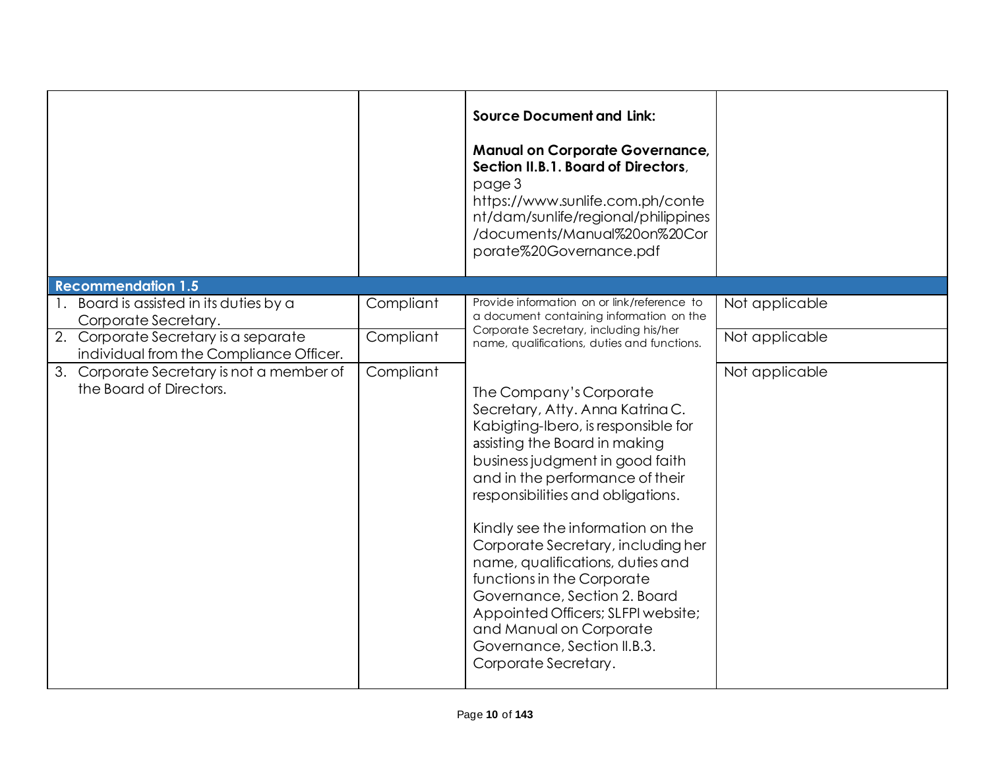|                                                                                 |           | <b>Source Document and Link:</b><br><b>Manual on Corporate Governance,</b><br>Section II.B.1. Board of Directors,<br>page 3<br>https://www.sunlife.com.ph/conte<br>nt/dam/sunlife/regional/philippines<br>/documents/Manual%20on%20Cor<br>porate%20Governance.pdf                                                                                                                                                                                                                                                                                   |                |
|---------------------------------------------------------------------------------|-----------|-----------------------------------------------------------------------------------------------------------------------------------------------------------------------------------------------------------------------------------------------------------------------------------------------------------------------------------------------------------------------------------------------------------------------------------------------------------------------------------------------------------------------------------------------------|----------------|
| <b>Recommendation 1.5</b>                                                       |           |                                                                                                                                                                                                                                                                                                                                                                                                                                                                                                                                                     |                |
| 1. Board is assisted in its duties by a<br>Corporate Secretary.                 | Compliant | Provide information on or link/reference to<br>a document containing information on the                                                                                                                                                                                                                                                                                                                                                                                                                                                             | Not applicable |
| 2. Corporate Secretary is a separate<br>individual from the Compliance Officer. | Compliant | Corporate Secretary, including his/her<br>name, qualifications, duties and functions.                                                                                                                                                                                                                                                                                                                                                                                                                                                               | Not applicable |
| 3. Corporate Secretary is not a member of<br>the Board of Directors.            | Compliant | The Company's Corporate<br>Secretary, Atty. Anna Katrina C.<br>Kabigting-Ibero, is responsible for<br>assisting the Board in making<br>business judgment in good faith<br>and in the performance of their<br>responsibilities and obligations.<br>Kindly see the information on the<br>Corporate Secretary, including her<br>name, qualifications, duties and<br>functions in the Corporate<br>Governance, Section 2. Board<br>Appointed Officers; SLFPI website;<br>and Manual on Corporate<br>Governance, Section II.B.3.<br>Corporate Secretary. | Not applicable |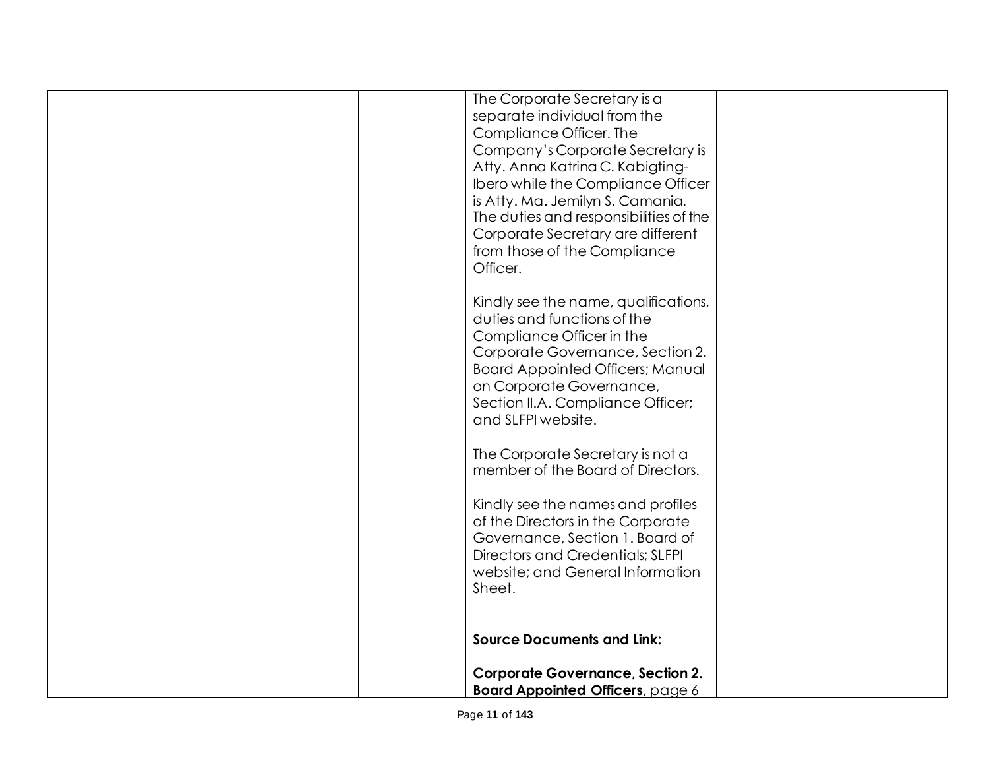| The Corporate Secretary is a<br>separate individual from the<br>Compliance Officer. The<br>Company's Corporate Secretary is<br>Atty. Anna Katrina C. Kabigting-<br>Ibero while the Compliance Officer<br>is Atty. Ma. Jemilyn S. Camania.<br>The duties and responsibilities of the<br>Corporate Secretary are different<br>from those of the Compliance<br>Officer. |
|----------------------------------------------------------------------------------------------------------------------------------------------------------------------------------------------------------------------------------------------------------------------------------------------------------------------------------------------------------------------|
| Kindly see the name, qualifications,<br>duties and functions of the<br>Compliance Officer in the<br>Corporate Governance, Section 2.<br><b>Board Appointed Officers; Manual</b><br>on Corporate Governance,<br>Section II.A. Compliance Officer;<br>and SLFPI website.                                                                                               |
| The Corporate Secretary is not a<br>member of the Board of Directors.<br>Kindly see the names and profiles<br>of the Directors in the Corporate<br>Governance, Section 1. Board of<br>Directors and Credentials; SLFPI<br>website; and General Information<br>Sheet.                                                                                                 |
| <b>Source Documents and Link:</b><br><b>Corporate Governance, Section 2.</b><br><b>Board Appointed Officers, page 6</b>                                                                                                                                                                                                                                              |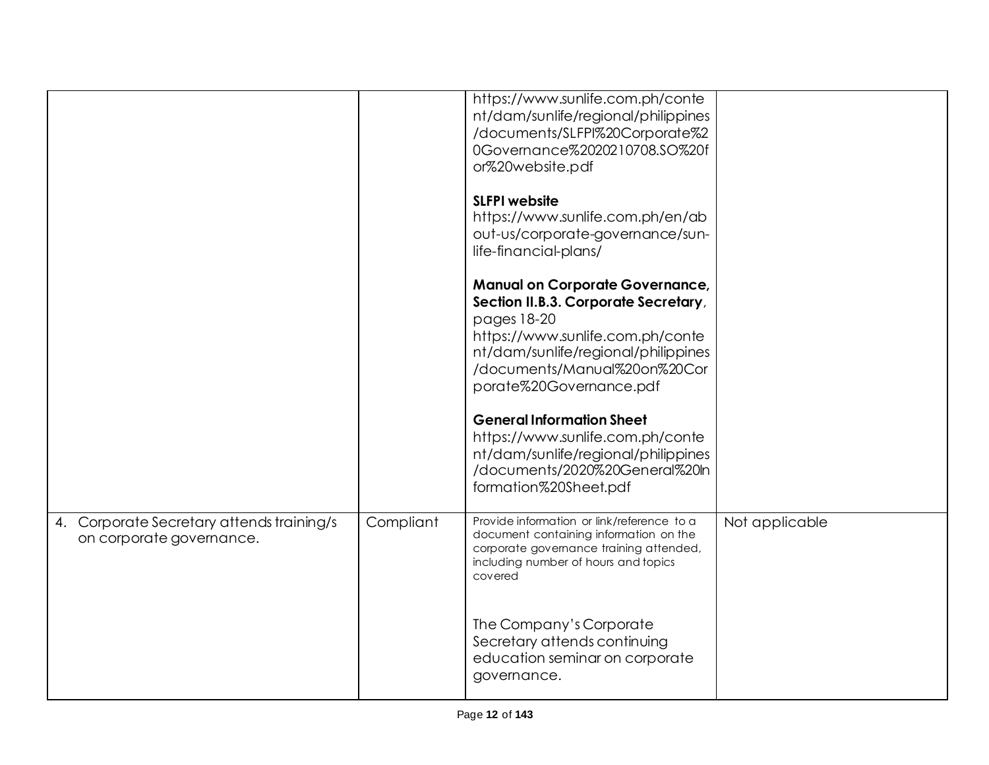|                                                                       |           | https://www.sunlife.com.ph/conte<br>nt/dam/sunlife/regional/philippines<br>/documents/SLFPI%20Corporate%2<br>0Governance%2020210708.SO%20f<br>or%20website.pdf<br><b>SLFPI</b> website                                              |                |
|-----------------------------------------------------------------------|-----------|-------------------------------------------------------------------------------------------------------------------------------------------------------------------------------------------------------------------------------------|----------------|
|                                                                       |           | https://www.sunlife.com.ph/en/ab<br>out-us/corporate-governance/sun-<br>life-financial-plans/                                                                                                                                       |                |
|                                                                       |           | <b>Manual on Corporate Governance,</b><br>Section II.B.3. Corporate Secretary,<br>pages 18-20<br>https://www.sunlife.com.ph/conte<br>nt/dam/sunlife/regional/philippines<br>/documents/Manual%20on%20Cor<br>porate%20Governance.pdf |                |
|                                                                       |           | <b>General Information Sheet</b><br>https://www.sunlife.com.ph/conte<br>nt/dam/sunlife/regional/philippines<br>/documents/2020%20General%20ln<br>formation%20Sheet.pdf                                                              |                |
| 4. Corporate Secretary attends training/s<br>on corporate governance. | Compliant | Provide information or link/reference to a<br>document containing information on the<br>corporate governance training attended,<br>including number of hours and topics<br>covered                                                  | Not applicable |
|                                                                       |           | The Company's Corporate<br>Secretary attends continuing<br>education seminar on corporate<br>governance.                                                                                                                            |                |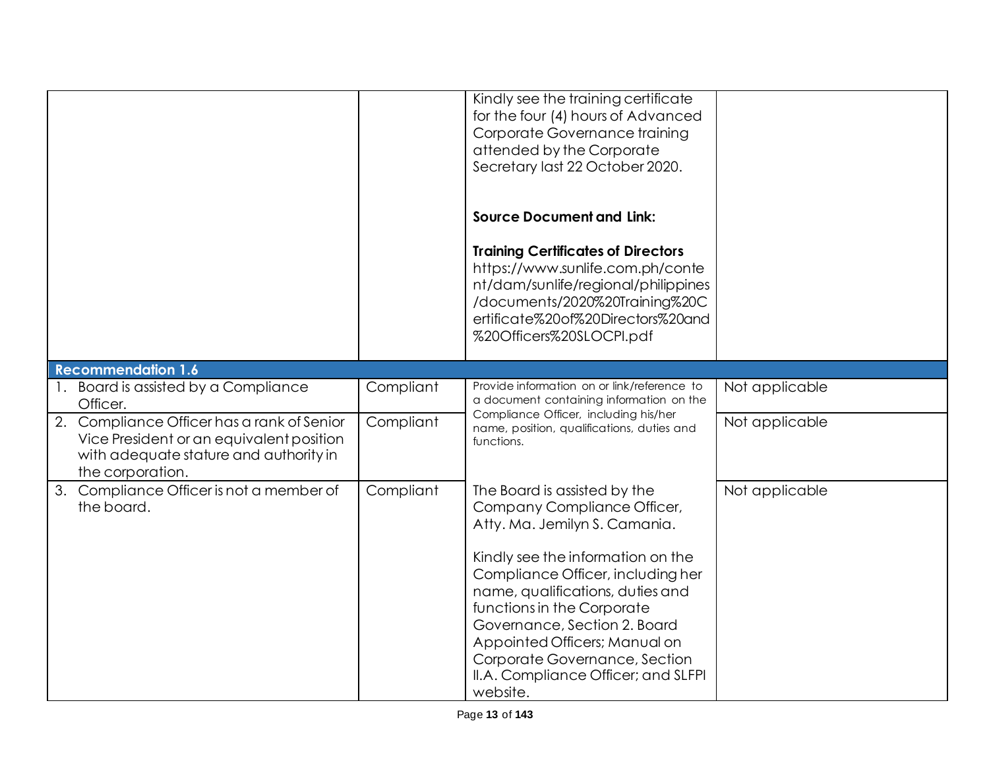|                                                                                                                                                      |           | Kindly see the training certificate<br>for the four (4) hours of Advanced<br>Corporate Governance training<br>attended by the Corporate<br>Secretary last 22 October 2020.                                                                                                                    |                |
|------------------------------------------------------------------------------------------------------------------------------------------------------|-----------|-----------------------------------------------------------------------------------------------------------------------------------------------------------------------------------------------------------------------------------------------------------------------------------------------|----------------|
|                                                                                                                                                      |           | <b>Source Document and Link:</b>                                                                                                                                                                                                                                                              |                |
|                                                                                                                                                      |           | <b>Training Certificates of Directors</b><br>https://www.sunlife.com.ph/conte<br>nt/dam/sunlife/regional/philippines<br>/documents/2020%20Training%20C<br>ertificate%20of%20Directors%20and<br>%20Officers%20SLOCPI.pdf                                                                       |                |
| <b>Recommendation 1.6</b>                                                                                                                            |           |                                                                                                                                                                                                                                                                                               |                |
| Board is assisted by a Compliance<br>Officer.                                                                                                        | Compliant | Provide information on or link/reference to<br>a document containing information on the                                                                                                                                                                                                       | Not applicable |
| 2. Compliance Officer has a rank of Senior<br>Vice President or an equivalent position<br>with adequate stature and authority in<br>the corporation. | Compliant | Compliance Officer, including his/her<br>name, position, qualifications, duties and<br>functions.                                                                                                                                                                                             | Not applicable |
| 3. Compliance Officer is not a member of<br>the board.                                                                                               | Compliant | The Board is assisted by the<br>Company Compliance Officer,<br>Atty. Ma. Jemilyn S. Camania.                                                                                                                                                                                                  | Not applicable |
|                                                                                                                                                      |           | Kindly see the information on the<br>Compliance Officer, including her<br>name, qualifications, duties and<br>functions in the Corporate<br>Governance, Section 2. Board<br>Appointed Officers; Manual on<br>Corporate Governance, Section<br>II.A. Compliance Officer; and SLFPI<br>website. |                |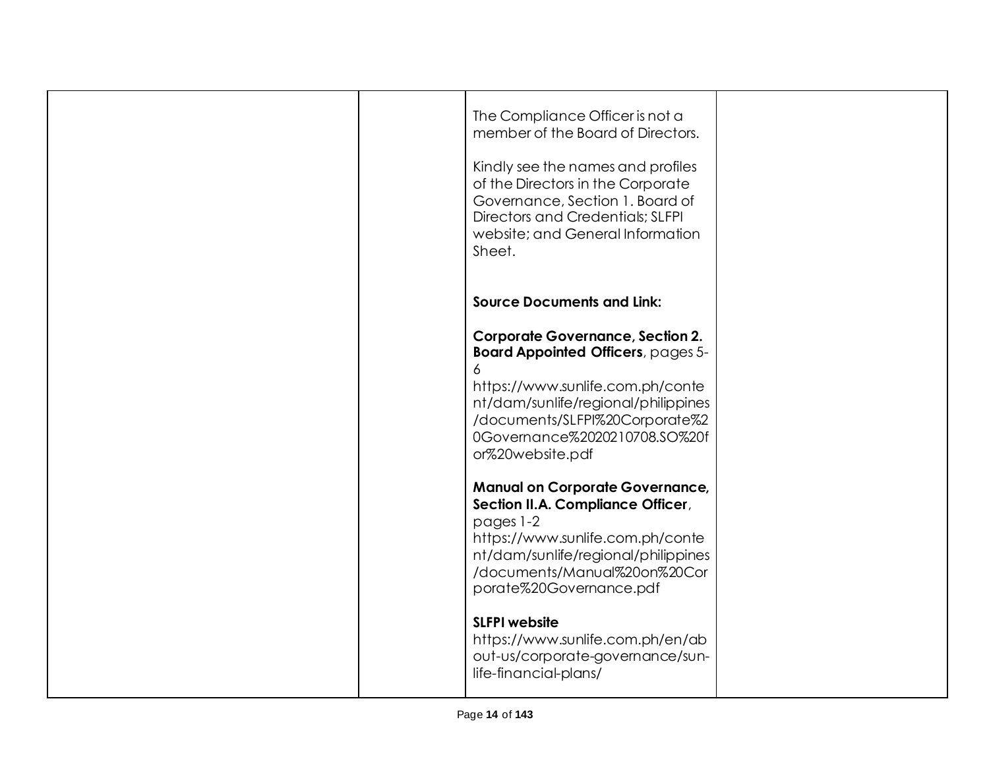|  | The Compliance Officer is not a<br>member of the Board of Directors.<br>Kindly see the names and profiles<br>of the Directors in the Corporate<br>Governance, Section 1. Board of<br>Directors and Credentials; SLFPI<br>website; and General Information<br>Sheet. |  |
|--|---------------------------------------------------------------------------------------------------------------------------------------------------------------------------------------------------------------------------------------------------------------------|--|
|  | <b>Source Documents and Link:</b>                                                                                                                                                                                                                                   |  |
|  | <b>Corporate Governance, Section 2.</b><br><b>Board Appointed Officers, pages 5-</b><br>6<br>https://www.sunlife.com.ph/conte<br>nt/dam/sunlife/regional/philippines<br>/documents/SLFPI%20Corporate%2<br>0Governance%2020210708.SO%20f<br>or%20website.pdf         |  |
|  | <b>Manual on Corporate Governance,</b><br>Section II.A. Compliance Officer,<br>pages 1-2<br>https://www.sunlife.com.ph/conte<br>nt/dam/sunlife/regional/philippines<br>/documents/Manual%20on%20Cor<br>porate%20Governance.pdf                                      |  |
|  | <b>SLFPI</b> website<br>https://www.sunlife.com.ph/en/ab<br>out-us/corporate-governance/sun-<br>life-financial-plans/                                                                                                                                               |  |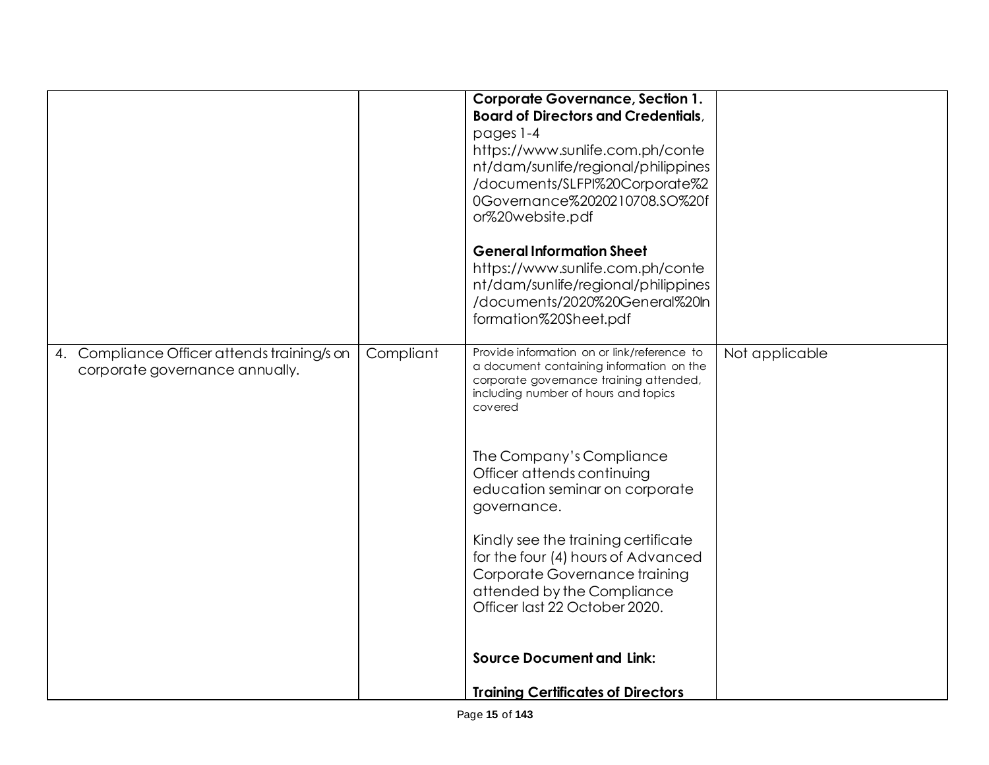|                                                                                  |           | <b>Corporate Governance, Section 1.</b><br><b>Board of Directors and Credentials,</b><br>pages 1-4<br>https://www.sunlife.com.ph/conte<br>nt/dam/sunlife/regional/philippines<br>/documents/SLFPI%20Corporate%2<br>0Governance%2020210708.SO%20f<br>or%20website.pdf<br><b>General Information Sheet</b><br>https://www.sunlife.com.ph/conte<br>nt/dam/sunlife/regional/philippines<br>/documents/2020%20General%20ln<br>formation%20Sheet.pdf                                                                    |                |
|----------------------------------------------------------------------------------|-----------|-------------------------------------------------------------------------------------------------------------------------------------------------------------------------------------------------------------------------------------------------------------------------------------------------------------------------------------------------------------------------------------------------------------------------------------------------------------------------------------------------------------------|----------------|
| Compliance Officer attends training/s on<br>4.<br>corporate governance annually. | Compliant | Provide information on or link/reference to<br>a document containing information on the<br>corporate governance training attended,<br>including number of hours and topics<br>covered<br>The Company's Compliance<br>Officer attends continuing<br>education seminar on corporate<br>governance.<br>Kindly see the training certificate<br>for the four (4) hours of Advanced<br>Corporate Governance training<br>attended by the Compliance<br>Officer last 22 October 2020.<br><b>Source Document and Link:</b> | Not applicable |
|                                                                                  |           | <b>Training Certificates of Directors</b>                                                                                                                                                                                                                                                                                                                                                                                                                                                                         |                |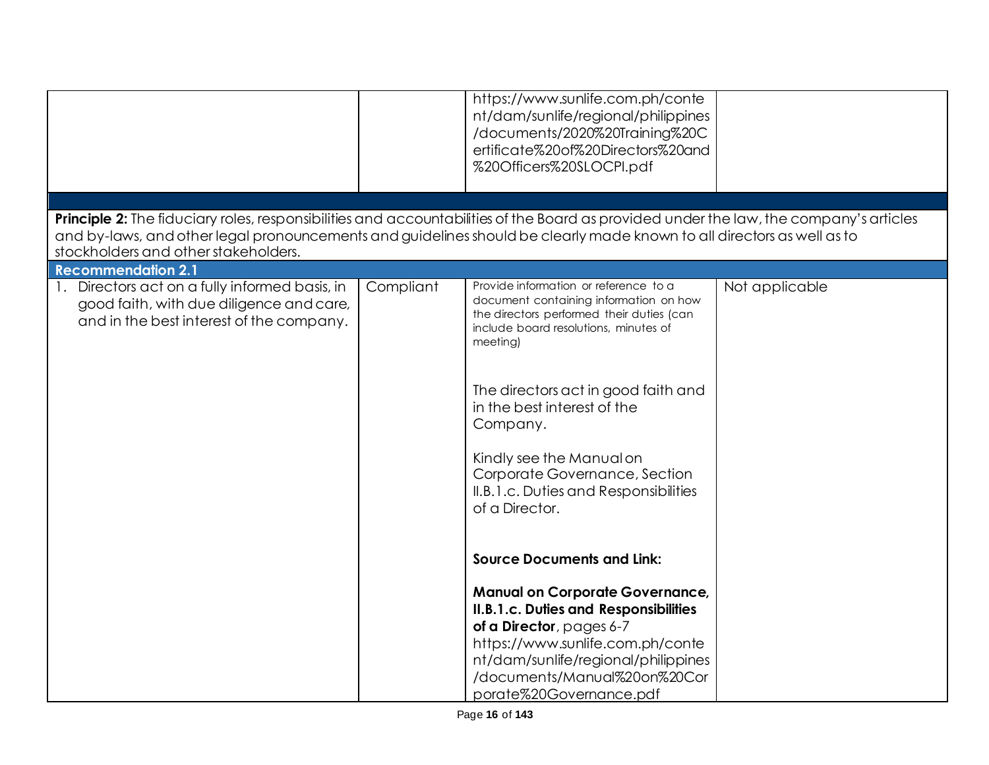|                                                                                                                                                                |           | https://www.sunlife.com.ph/conte<br>nt/dam/sunlife/regional/philippines<br>/documents/2020%20Training%20C<br>ertificate%20of%20Directors%20and<br>%20Officers%20SLOCPI.pdf                                                                                                                                                                                                                                                       |                |
|----------------------------------------------------------------------------------------------------------------------------------------------------------------|-----------|----------------------------------------------------------------------------------------------------------------------------------------------------------------------------------------------------------------------------------------------------------------------------------------------------------------------------------------------------------------------------------------------------------------------------------|----------------|
| Principle 2: The fiduciary roles, responsibilities and accountabilities of the Board as provided under the law, the company's articles                         |           |                                                                                                                                                                                                                                                                                                                                                                                                                                  |                |
| and by-laws, and other legal pronouncements and guidelines should be clearly made known to all directors as well as to<br>stockholders and other stakeholders. |           |                                                                                                                                                                                                                                                                                                                                                                                                                                  |                |
| <b>Recommendation 2.1</b>                                                                                                                                      |           |                                                                                                                                                                                                                                                                                                                                                                                                                                  |                |
| Directors act on a fully informed basis, in<br>good faith, with due diligence and care,<br>and in the best interest of the company.                            | Compliant | Provide information or reference to a<br>document containing information on how<br>the directors performed their duties (can<br>include board resolutions, minutes of<br>meeting)<br>The directors act in good faith and<br>in the best interest of the<br>Company.<br>Kindly see the Manual on<br>Corporate Governance, Section<br>II.B.1.c. Duties and Responsibilities<br>of a Director.<br><b>Source Documents and Link:</b> | Not applicable |
|                                                                                                                                                                |           | <b>Manual on Corporate Governance,</b>                                                                                                                                                                                                                                                                                                                                                                                           |                |
|                                                                                                                                                                |           | II.B.1.c. Duties and Responsibilities                                                                                                                                                                                                                                                                                                                                                                                            |                |
|                                                                                                                                                                |           | of a Director, pages 6-7                                                                                                                                                                                                                                                                                                                                                                                                         |                |
|                                                                                                                                                                |           | https://www.sunlife.com.ph/conte<br>nt/dam/sunlife/regional/philippines                                                                                                                                                                                                                                                                                                                                                          |                |
|                                                                                                                                                                |           | /documents/Manual%20on%20Cor<br>porate%20Governance.pdf                                                                                                                                                                                                                                                                                                                                                                          |                |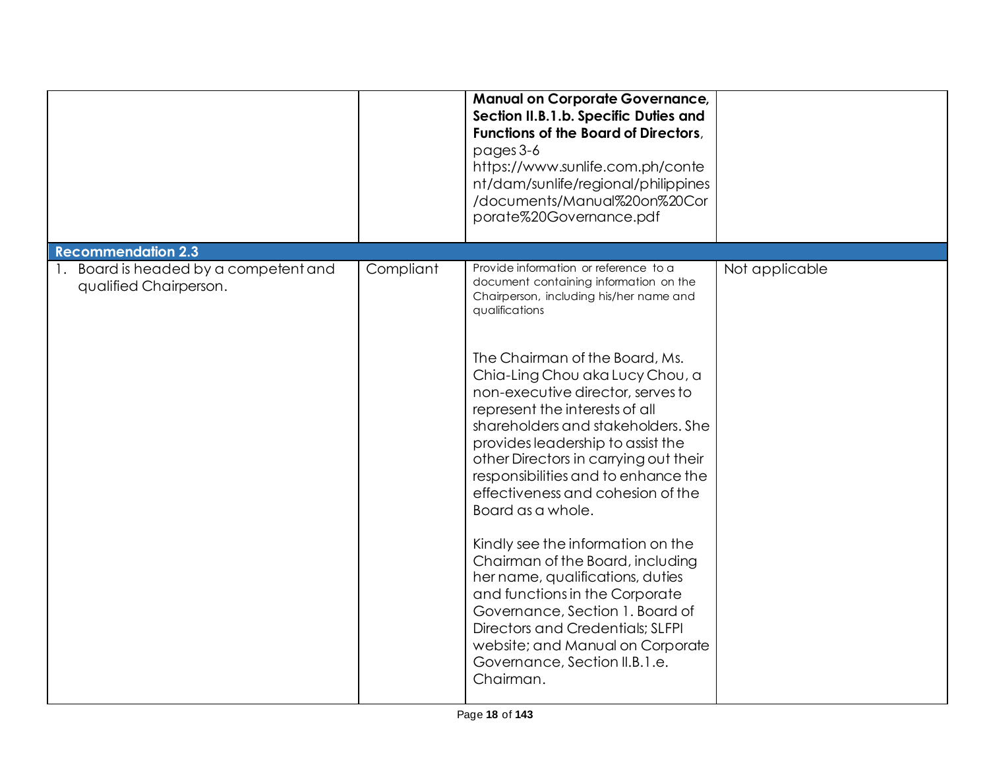|                                                                                              |           | <b>Manual on Corporate Governance,</b><br>Section II.B.1.b. Specific Duties and<br><b>Functions of the Board of Directors,</b><br>pages 3-6<br>https://www.sunlife.com.ph/conte<br>nt/dam/sunlife/regional/philippines<br>/documents/Manual%20on%20Cor<br>porate%20Governance.pdf                                                                                                                                                                                                                                                                                                                                                                                                               |                |
|----------------------------------------------------------------------------------------------|-----------|-------------------------------------------------------------------------------------------------------------------------------------------------------------------------------------------------------------------------------------------------------------------------------------------------------------------------------------------------------------------------------------------------------------------------------------------------------------------------------------------------------------------------------------------------------------------------------------------------------------------------------------------------------------------------------------------------|----------------|
| <b>Recommendation 2.3</b><br>1. Board is headed by a competent and<br>qualified Chairperson. | Compliant | Provide information or reference to a<br>document containing information on the<br>Chairperson, including his/her name and<br>qualifications<br>The Chairman of the Board, Ms.<br>Chia-Ling Chou aka Lucy Chou, a<br>non-executive director, serves to<br>represent the interests of all<br>shareholders and stakeholders. She<br>provides leadership to assist the<br>other Directors in carrying out their<br>responsibilities and to enhance the<br>effectiveness and cohesion of the<br>Board as a whole.<br>Kindly see the information on the<br>Chairman of the Board, including<br>her name, qualifications, duties<br>and functions in the Corporate<br>Governance, Section 1. Board of | Not applicable |
|                                                                                              |           | Directors and Credentials; SLFPI<br>website; and Manual on Corporate<br>Governance, Section II.B.1.e.<br>Chairman.                                                                                                                                                                                                                                                                                                                                                                                                                                                                                                                                                                              |                |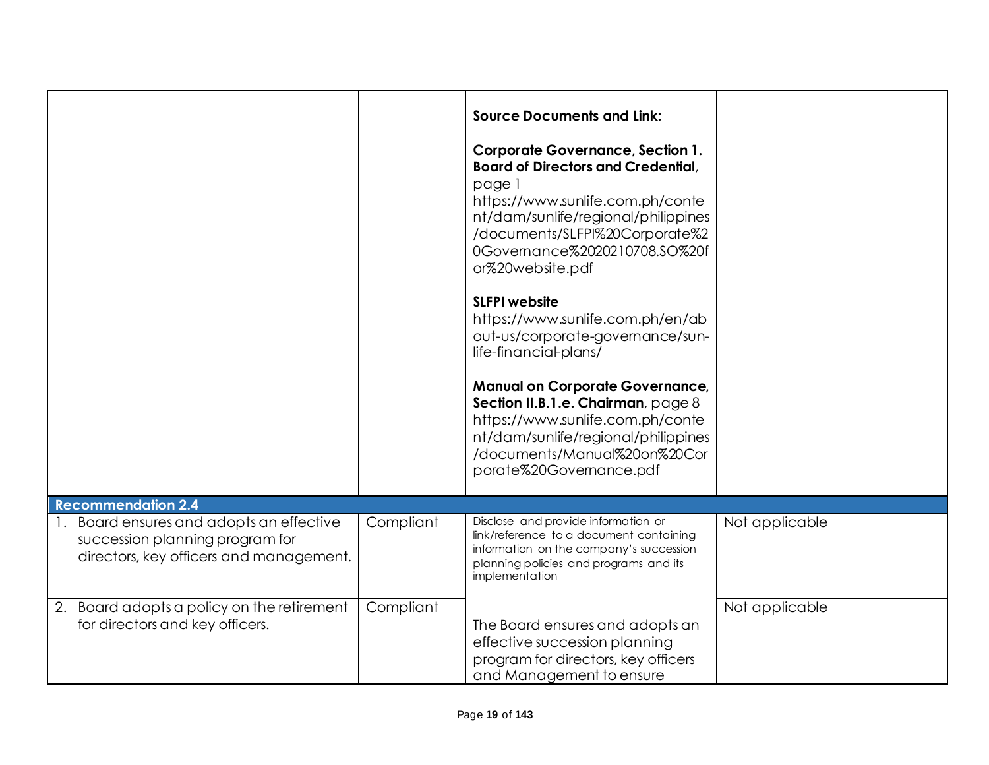|                                                                                                                     |           | <b>Source Documents and Link:</b>                                                                                                                                                                                                                                |                |
|---------------------------------------------------------------------------------------------------------------------|-----------|------------------------------------------------------------------------------------------------------------------------------------------------------------------------------------------------------------------------------------------------------------------|----------------|
|                                                                                                                     |           | <b>Corporate Governance, Section 1.</b><br><b>Board of Directors and Credential,</b><br>page 1<br>https://www.sunlife.com.ph/conte<br>nt/dam/sunlife/regional/philippines<br>/documents/SLFPI%20Corporate%2<br>0Governance%2020210708.SO%20f<br>or%20website.pdf |                |
|                                                                                                                     |           | <b>SLFPI</b> website<br>https://www.sunlife.com.ph/en/ab<br>out-us/corporate-governance/sun-<br>life-financial-plans/                                                                                                                                            |                |
|                                                                                                                     |           | <b>Manual on Corporate Governance,</b><br>Section II.B.1.e. Chairman, page 8<br>https://www.sunlife.com.ph/conte<br>nt/dam/sunlife/regional/philippines<br>/documents/Manual%20on%20Cor<br>porate%20Governance.pdf                                               |                |
| <b>Recommendation 2.4</b>                                                                                           |           |                                                                                                                                                                                                                                                                  |                |
| Board ensures and adopts an effective<br>succession planning program for<br>directors, key officers and management. | Compliant | Disclose and provide information or<br>link/reference to a document containing<br>information on the company's succession<br>planning policies and programs and its<br>implementation                                                                            | Not applicable |
| 2. Board adopts a policy on the retirement<br>for directors and key officers.                                       | Compliant | The Board ensures and adopts an<br>effective succession planning<br>program for directors, key officers<br>and Management to ensure                                                                                                                              | Not applicable |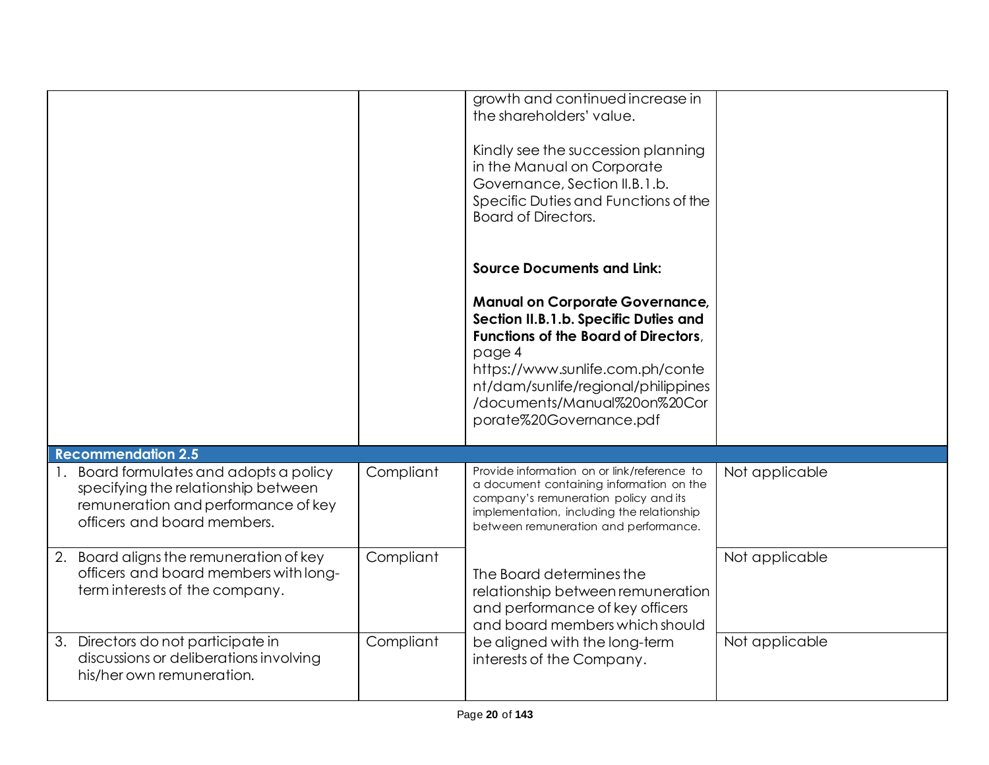|                                                                                                                                                   |           | growth and continued increase in<br>the shareholders' value.<br>Kindly see the succession planning<br>in the Manual on Corporate<br>Governance, Section II.B.1.b.<br>Specific Duties and Functions of the<br><b>Board of Directors.</b>                                        |                |
|---------------------------------------------------------------------------------------------------------------------------------------------------|-----------|--------------------------------------------------------------------------------------------------------------------------------------------------------------------------------------------------------------------------------------------------------------------------------|----------------|
|                                                                                                                                                   |           | <b>Source Documents and Link:</b>                                                                                                                                                                                                                                              |                |
|                                                                                                                                                   |           | <b>Manual on Corporate Governance,</b><br>Section II.B.1.b. Specific Duties and<br><b>Functions of the Board of Directors.</b><br>page 4<br>https://www.sunlife.com.ph/conte<br>nt/dam/sunlife/regional/philippines<br>/documents/Manual%20on%20Cor<br>porate%20Governance.pdf |                |
| <b>Recommendation 2.5</b>                                                                                                                         |           |                                                                                                                                                                                                                                                                                |                |
| Board formulates and adopts a policy<br>specifying the relationship between<br>remuneration and performance of key<br>officers and board members. | Compliant | Provide information on or link/reference to<br>a document containing information on the<br>company's remuneration policy and its<br>implementation, including the relationship<br>between remuneration and performance.                                                        | Not applicable |
| Board aligns the remuneration of key<br>2.<br>officers and board members with long-<br>term interests of the company.                             | Compliant | The Board determines the<br>relationship between remuneration<br>and performance of key officers<br>and board members which should                                                                                                                                             | Not applicable |
| 3. Directors do not participate in<br>discussions or deliberations involving<br>his/her own remuneration.                                         | Compliant | be aligned with the long-term<br>interests of the Company.                                                                                                                                                                                                                     | Not applicable |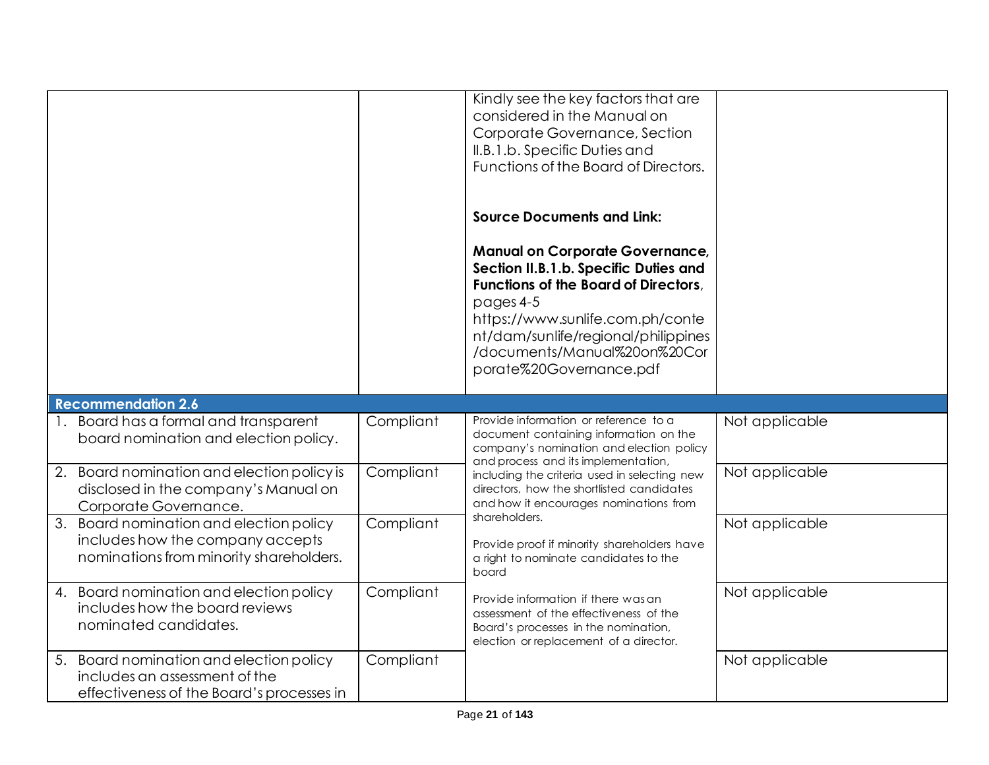|                                                                                                                           |           | Kindly see the key factors that are<br>considered in the Manual on<br>Corporate Governance, Section<br>II.B.1.b. Specific Duties and<br>Functions of the Board of Directors.                                                                                                                                           |                |
|---------------------------------------------------------------------------------------------------------------------------|-----------|------------------------------------------------------------------------------------------------------------------------------------------------------------------------------------------------------------------------------------------------------------------------------------------------------------------------|----------------|
|                                                                                                                           |           | <b>Source Documents and Link:</b><br><b>Manual on Corporate Governance,</b><br>Section II.B.1.b. Specific Duties and<br><b>Functions of the Board of Directors.</b><br>pages 4-5<br>https://www.sunlife.com.ph/conte<br>nt/dam/sunlife/regional/philippines<br>/documents/Manual%20on%20Cor<br>porate%20Governance.pdf |                |
| <b>Recommendation 2.6</b>                                                                                                 |           |                                                                                                                                                                                                                                                                                                                        |                |
| Board has a formal and transparent<br>$\mathbf{L}$<br>board nomination and election policy.                               | Compliant | Provide information or reference to a<br>document containing information on the<br>company's nomination and election policy<br>and process and its implementation,                                                                                                                                                     | Not applicable |
| Board nomination and election policy is<br>2.<br>disclosed in the company's Manual on<br>Corporate Governance.            | Compliant | including the criteria used in selecting new<br>directors, how the shortlisted candidates<br>and how it encourages nominations from                                                                                                                                                                                    | Not applicable |
| 3.<br>Board nomination and election policy<br>includes how the company accepts<br>nominations from minority shareholders. | Compliant | shareholders.<br>Provide proof if minority shareholders have<br>a right to nominate candidates to the<br>board                                                                                                                                                                                                         | Not applicable |
| Board nomination and election policy<br>4.<br>includes how the board reviews<br>nominated candidates.                     | Compliant | Provide information if there was an<br>assessment of the effectiveness of the<br>Board's processes in the nomination,<br>election or replacement of a director.                                                                                                                                                        | Not applicable |
| Board nomination and election policy<br>5.<br>includes an assessment of the<br>effectiveness of the Board's processes in  | Compliant |                                                                                                                                                                                                                                                                                                                        | Not applicable |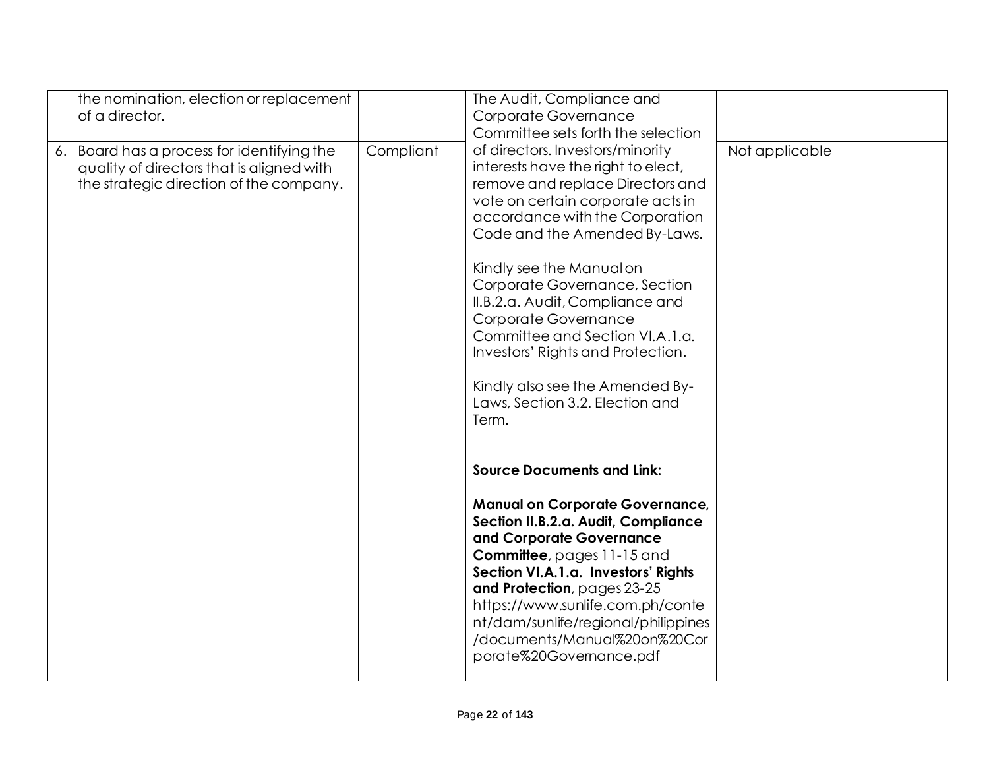| the nomination, election or replacement<br>of a director.                                                                          |           | The Audit, Compliance and<br>Corporate Governance<br>Committee sets forth the selection                                                                                                                                                                                                                                                                                                                                                                                                            |                |
|------------------------------------------------------------------------------------------------------------------------------------|-----------|----------------------------------------------------------------------------------------------------------------------------------------------------------------------------------------------------------------------------------------------------------------------------------------------------------------------------------------------------------------------------------------------------------------------------------------------------------------------------------------------------|----------------|
| 6. Board has a process for identifying the<br>quality of directors that is aligned with<br>the strategic direction of the company. | Compliant | of directors. Investors/minority<br>interests have the right to elect,<br>remove and replace Directors and<br>vote on certain corporate acts in<br>accordance with the Corporation<br>Code and the Amended By-Laws.<br>Kindly see the Manual on<br>Corporate Governance, Section<br>II.B.2.a. Audit, Compliance and<br>Corporate Governance<br>Committee and Section VI.A.1.a.<br>Investors' Rights and Protection.<br>Kindly also see the Amended By-<br>Laws, Section 3.2. Election and<br>Term. | Not applicable |
|                                                                                                                                    |           | <b>Source Documents and Link:</b><br><b>Manual on Corporate Governance,</b><br>Section II.B.2.a. Audit, Compliance<br>and Corporate Governance<br><b>Committee</b> , pages 11-15 and<br>Section VI.A.1.a. Investors' Rights<br>and Protection, pages 23-25<br>https://www.sunlife.com.ph/conte<br>nt/dam/sunlife/regional/philippines<br>/documents/Manual%20on%20Cor<br>porate%20Governance.pdf                                                                                                   |                |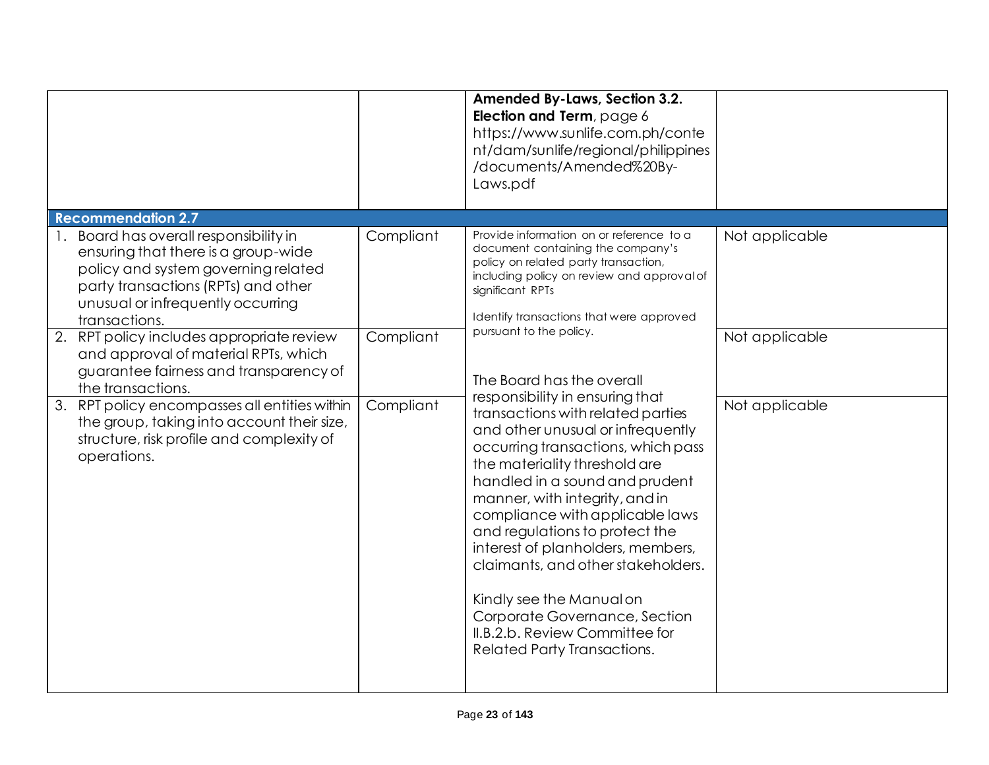|                                                                                                                                                                                                                                                                                                                                                                                                                                                                                                                               |                                     | <b>Amended By-Laws, Section 3.2.</b><br>Election and Term, page 6<br>https://www.sunlife.com.ph/conte<br>nt/dam/sunlife/regional/philippines<br>/documents/Amended%20By-<br>Laws.pdf                                                                                                                                                                                                                                                                                                                                                                                                                                                                                                                                                                                                                                                     |                                                    |
|-------------------------------------------------------------------------------------------------------------------------------------------------------------------------------------------------------------------------------------------------------------------------------------------------------------------------------------------------------------------------------------------------------------------------------------------------------------------------------------------------------------------------------|-------------------------------------|------------------------------------------------------------------------------------------------------------------------------------------------------------------------------------------------------------------------------------------------------------------------------------------------------------------------------------------------------------------------------------------------------------------------------------------------------------------------------------------------------------------------------------------------------------------------------------------------------------------------------------------------------------------------------------------------------------------------------------------------------------------------------------------------------------------------------------------|----------------------------------------------------|
| <b>Recommendation 2.7</b>                                                                                                                                                                                                                                                                                                                                                                                                                                                                                                     |                                     |                                                                                                                                                                                                                                                                                                                                                                                                                                                                                                                                                                                                                                                                                                                                                                                                                                          |                                                    |
| Board has overall responsibility in<br>ensuring that there is a group-wide<br>policy and system governing related<br>party transactions (RPTs) and other<br>unusual or infrequently occurring<br>transactions.<br>2. RPT policy includes appropriate review<br>and approval of material RPTs, which<br>guarantee fairness and transparency of<br>the transactions.<br>3. RPT policy encompasses all entities within<br>the group, taking into account their size,<br>structure, risk profile and complexity of<br>operations. | Compliant<br>Compliant<br>Compliant | Provide information on or reference to a<br>document containing the company's<br>policy on related party transaction,<br>including policy on review and approval of<br>significant RPTs<br>Identify transactions that were approved<br>pursuant to the policy.<br>The Board has the overall<br>responsibility in ensuring that<br>transactions with related parties<br>and other unusual or infrequently<br>occurring transactions, which pass<br>the materiality threshold are<br>handled in a sound and prudent<br>manner, with integrity, and in<br>compliance with applicable laws<br>and regulations to protect the<br>interest of planholders, members,<br>claimants, and other stakeholders.<br>Kindly see the Manual on<br>Corporate Governance, Section<br>II.B.2.b. Review Committee for<br><b>Related Party Transactions.</b> | Not applicable<br>Not applicable<br>Not applicable |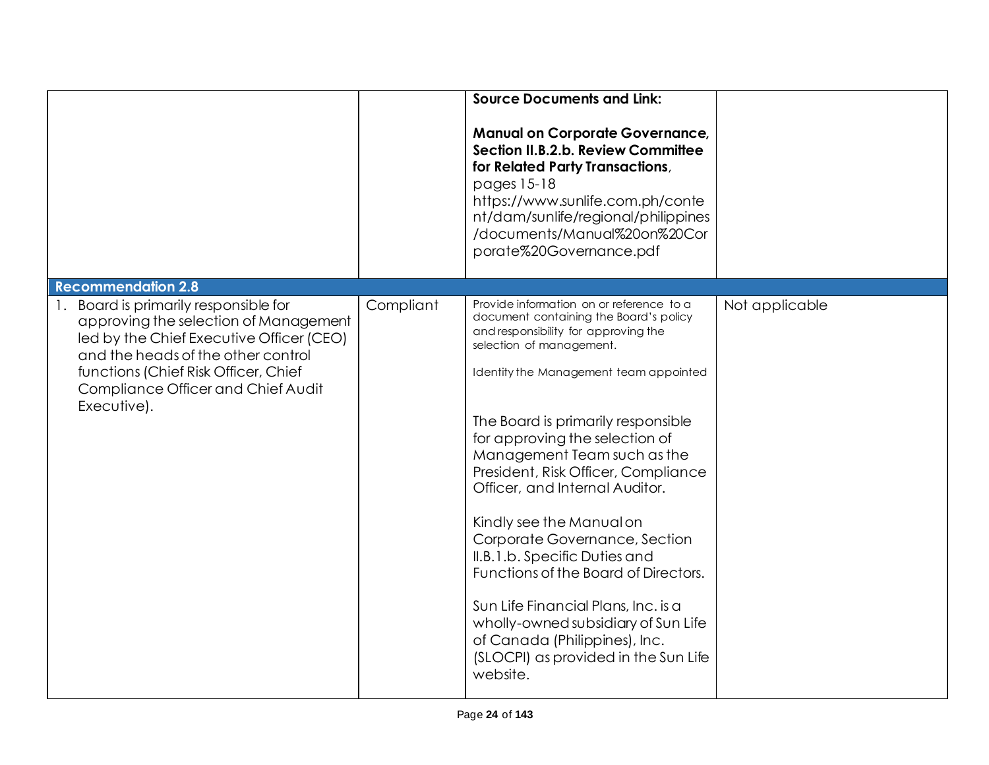|                                                                                                                                                                                                                                                                                         |           | <b>Source Documents and Link:</b><br><b>Manual on Corporate Governance,</b><br>Section II.B.2.b. Review Committee<br>for Related Party Transactions,<br>pages 15-18<br>https://www.sunlife.com.ph/conte<br>nt/dam/sunlife/regional/philippines<br>/documents/Manual%20on%20Cor<br>porate%20Governance.pdf                                                                                                                                                                                                                                                                                                                                                                                 |                |
|-----------------------------------------------------------------------------------------------------------------------------------------------------------------------------------------------------------------------------------------------------------------------------------------|-----------|-------------------------------------------------------------------------------------------------------------------------------------------------------------------------------------------------------------------------------------------------------------------------------------------------------------------------------------------------------------------------------------------------------------------------------------------------------------------------------------------------------------------------------------------------------------------------------------------------------------------------------------------------------------------------------------------|----------------|
| <b>Recommendation 2.8</b><br>Board is primarily responsible for<br>approving the selection of Management<br>led by the Chief Executive Officer (CEO)<br>and the heads of the other control<br>functions (Chief Risk Officer, Chief<br>Compliance Officer and Chief Audit<br>Executive). | Compliant | Provide information on or reference to a<br>document containing the Board's policy<br>and responsibility for approving the<br>selection of management.<br>Identity the Management team appointed<br>The Board is primarily responsible<br>for approving the selection of<br>Management Team such as the<br>President, Risk Officer, Compliance<br>Officer, and Internal Auditor.<br>Kindly see the Manual on<br>Corporate Governance, Section<br>II.B.1.b. Specific Duties and<br>Functions of the Board of Directors.<br>Sun Life Financial Plans, Inc. is a<br>wholly-owned subsidiary of Sun Life<br>of Canada (Philippines), Inc.<br>(SLOCPI) as provided in the Sun Life<br>website. | Not applicable |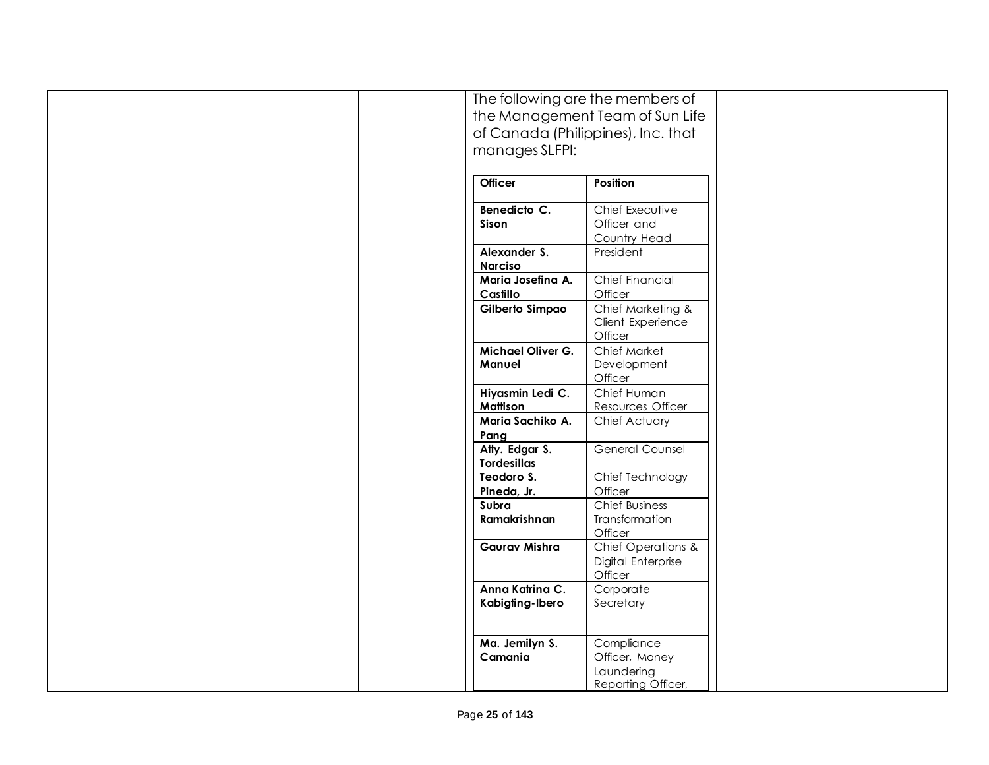|                      | The following are the members of   |  |
|----------------------|------------------------------------|--|
|                      | the Management Team of Sun Life    |  |
|                      |                                    |  |
|                      | of Canada (Philippines), Inc. that |  |
| manages SLFPI:       |                                    |  |
|                      |                                    |  |
| <b>Officer</b>       | Position                           |  |
|                      |                                    |  |
| Benedicto C.         | Chief Executive                    |  |
| <b>Sison</b>         | Officer and                        |  |
|                      | Country Head                       |  |
| Alexander S.         | President                          |  |
| <b>Narciso</b>       |                                    |  |
| Maria Josefina A.    | Chief Financial                    |  |
| Castillo             | Officer                            |  |
| Gilberto Simpao      | Chief Marketing &                  |  |
|                      | Client Experience                  |  |
|                      | Officer                            |  |
| Michael Oliver G.    | Chief Market                       |  |
| Manuel               | Development                        |  |
|                      | Officer                            |  |
| Hiyasmin Ledi C.     | Chief Human                        |  |
| <b>Mattison</b>      | Resources Officer                  |  |
| Maria Sachiko A.     |                                    |  |
|                      | Chief Actuary                      |  |
| Pang                 |                                    |  |
| Atty. Edgar S.       | General Counsel                    |  |
| <b>Tordesillas</b>   |                                    |  |
| Teodoro S.           | Chief Technology                   |  |
| Pineda, Jr.          | Officer                            |  |
| Subra                | <b>Chief Business</b>              |  |
| Ramakrishnan         | Transformation                     |  |
|                      | Officer                            |  |
| <b>Gaurav Mishra</b> | Chief Operations &                 |  |
|                      | Digital Enterprise                 |  |
|                      | Officer                            |  |
| Anna Katrina C.      | Corporate                          |  |
| Kabigting-Ibero      | Secretary                          |  |
|                      |                                    |  |
|                      |                                    |  |
| Ma. Jemilyn S.       | Compliance                         |  |
| Camania              | Officer, Money                     |  |
|                      | Laundering                         |  |
|                      | Reporting Officer,                 |  |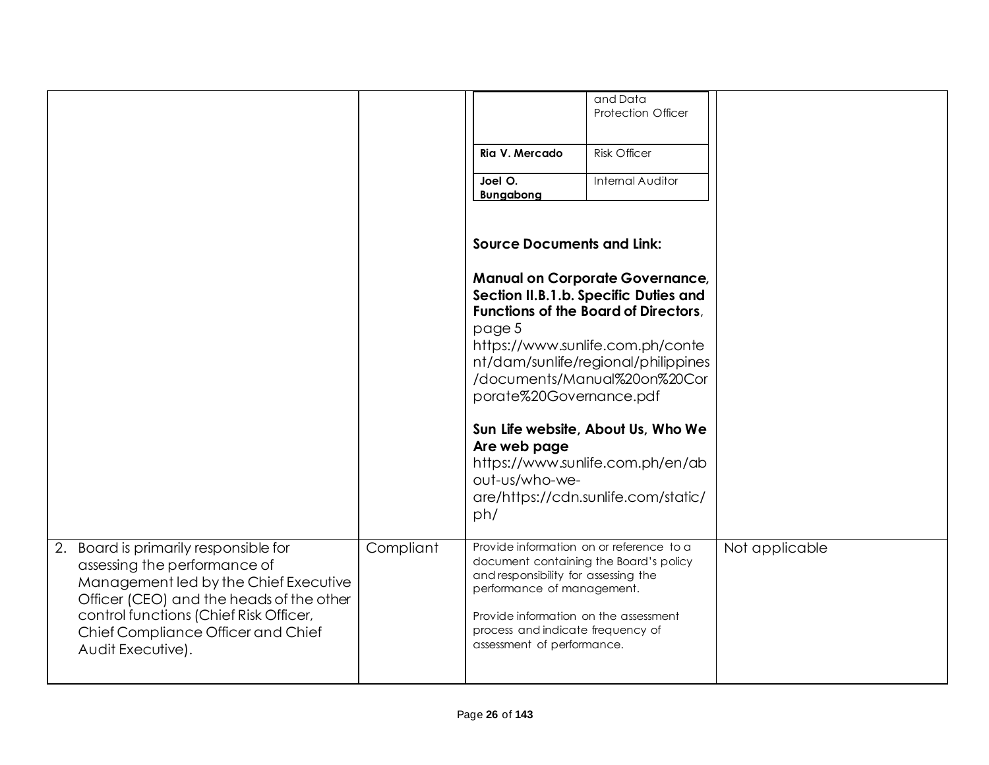|                                                                                                                                                                                                                                                                 |           | Ria V. Mercado<br>Joel O.<br><b>Bungabong</b>                                                                                                                                                                                                                        | and Data<br><b>Protection Officer</b><br><b>Risk Officer</b><br><b>Internal Auditor</b>                                                                                                                                                                                                                                                             |                |
|-----------------------------------------------------------------------------------------------------------------------------------------------------------------------------------------------------------------------------------------------------------------|-----------|----------------------------------------------------------------------------------------------------------------------------------------------------------------------------------------------------------------------------------------------------------------------|-----------------------------------------------------------------------------------------------------------------------------------------------------------------------------------------------------------------------------------------------------------------------------------------------------------------------------------------------------|----------------|
|                                                                                                                                                                                                                                                                 |           | <b>Source Documents and Link:</b><br>page 5<br>porate%20Governance.pdf<br>Are web page<br>out-us/who-we-<br>ph/                                                                                                                                                      | <b>Manual on Corporate Governance,</b><br>Section II.B.1.b. Specific Duties and<br>Functions of the Board of Directors,<br>https://www.sunlife.com.ph/conte<br>nt/dam/sunlife/regional/philippines<br>/documents/Manual%20on%20Cor<br>Sun Life website, About Us, Who We<br>https://www.sunlife.com.ph/en/ab<br>are/https://cdn.sunlife.com/static/ |                |
| 2. Board is primarily responsible for<br>assessing the performance of<br>Management led by the Chief Executive<br>Officer (CEO) and the heads of the other<br>control functions (Chief Risk Officer,<br>Chief Compliance Officer and Chief<br>Audit Executive). | Compliant | Provide information on or reference to a<br>document containing the Board's policy<br>and responsibility for assessing the<br>performance of management.<br>Provide information on the assessment<br>process and indicate frequency of<br>assessment of performance. |                                                                                                                                                                                                                                                                                                                                                     | Not applicable |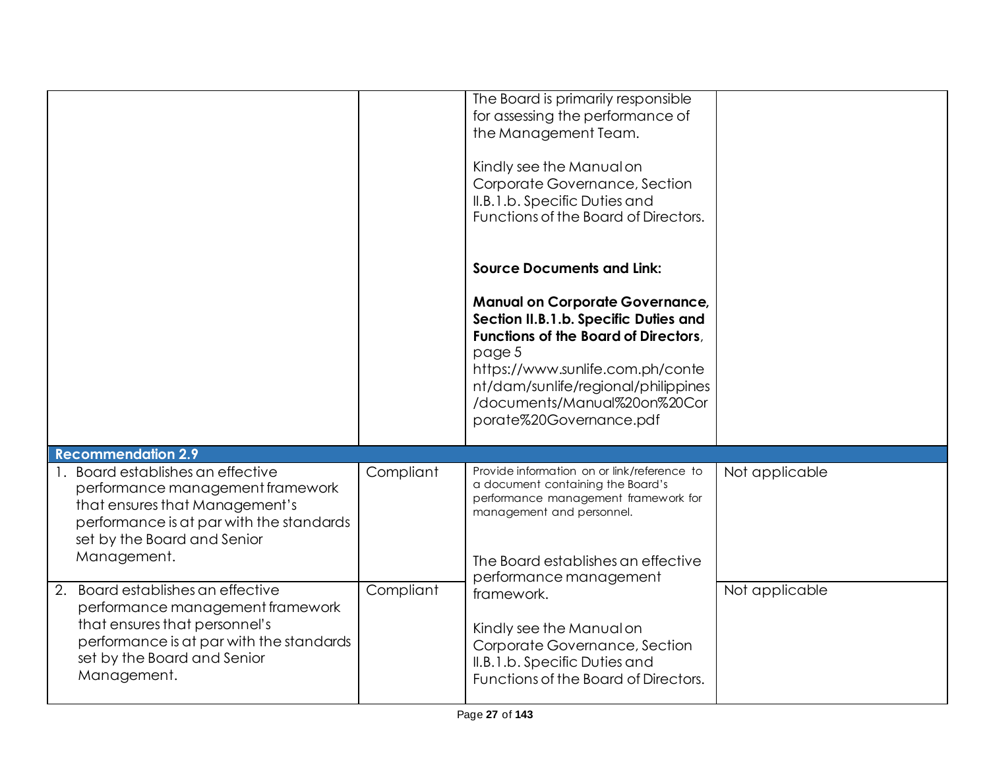|                                                                                                                                                                                                     |           | The Board is primarily responsible<br>for assessing the performance of<br>the Management Team.<br>Kindly see the Manual on<br>Corporate Governance, Section<br>II.B.1.b. Specific Duties and<br>Functions of the Board of Directors.                                                                         |                |
|-----------------------------------------------------------------------------------------------------------------------------------------------------------------------------------------------------|-----------|--------------------------------------------------------------------------------------------------------------------------------------------------------------------------------------------------------------------------------------------------------------------------------------------------------------|----------------|
|                                                                                                                                                                                                     |           | <b>Source Documents and Link:</b><br><b>Manual on Corporate Governance,</b><br>Section II.B.1.b. Specific Duties and<br>Functions of the Board of Directors,<br>page 5<br>https://www.sunlife.com.ph/conte<br>nt/dam/sunlife/regional/philippines<br>/documents/Manual%20on%20Cor<br>porate%20Governance.pdf |                |
| <b>Recommendation 2.9</b>                                                                                                                                                                           |           |                                                                                                                                                                                                                                                                                                              |                |
| 1. Board establishes an effective<br>performance management framework<br>that ensures that Management's<br>performance is at par with the standards<br>set by the Board and Senior<br>Management.   | Compliant | Provide information on or link/reference to<br>a document containing the Board's<br>performance management framework for<br>management and personnel.<br>The Board establishes an effective<br>performance management                                                                                        | Not applicable |
| Board establishes an effective<br>2.<br>performance management framework<br>that ensures that personnel's<br>performance is at par with the standards<br>set by the Board and Senior<br>Management. | Compliant | framework.<br>Kindly see the Manual on<br>Corporate Governance, Section<br>II.B.1.b. Specific Duties and<br>Functions of the Board of Directors.                                                                                                                                                             | Not applicable |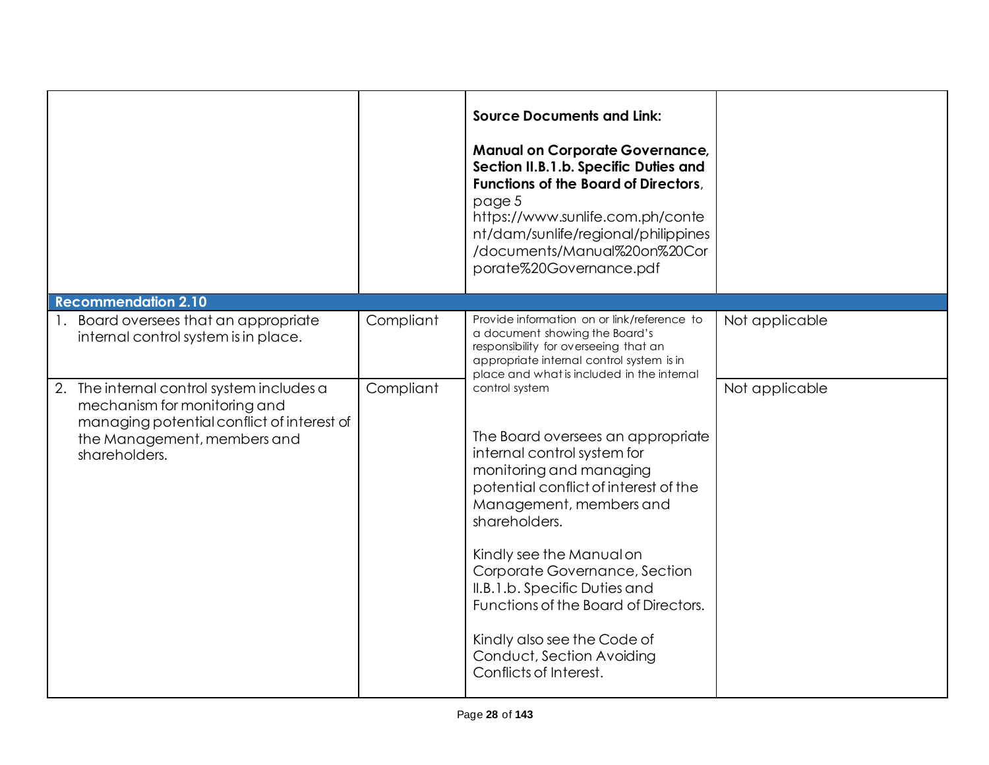|                                                                                                                                                                         |           | <b>Source Documents and Link:</b><br><b>Manual on Corporate Governance,</b><br>Section II.B.1.b. Specific Duties and<br>Functions of the Board of Directors,<br>page 5<br>https://www.sunlife.com.ph/conte<br>nt/dam/sunlife/regional/philippines<br>/documents/Manual%20on%20Cor<br>porate%20Governance.pdf                                                                                                                   |                |
|-------------------------------------------------------------------------------------------------------------------------------------------------------------------------|-----------|--------------------------------------------------------------------------------------------------------------------------------------------------------------------------------------------------------------------------------------------------------------------------------------------------------------------------------------------------------------------------------------------------------------------------------|----------------|
| <b>Recommendation 2.10</b>                                                                                                                                              |           |                                                                                                                                                                                                                                                                                                                                                                                                                                |                |
| Board oversees that an appropriate<br>internal control system is in place.                                                                                              | Compliant | Provide information on or link/reference to<br>a document showing the Board's<br>responsibility for overseeing that an<br>appropriate internal control system is in<br>place and what is included in the internal                                                                                                                                                                                                              | Not applicable |
| 2. The internal control system includes a<br>mechanism for monitoring and<br>managing potential conflict of interest of<br>the Management, members and<br>shareholders. | Compliant | control system<br>The Board oversees an appropriate<br>internal control system for<br>monitoring and managing<br>potential conflict of interest of the<br>Management, members and<br>shareholders.<br>Kindly see the Manual on<br>Corporate Governance, Section<br>II.B.1.b. Specific Duties and<br>Functions of the Board of Directors.<br>Kindly also see the Code of<br>Conduct, Section Avoiding<br>Conflicts of Interest. | Not applicable |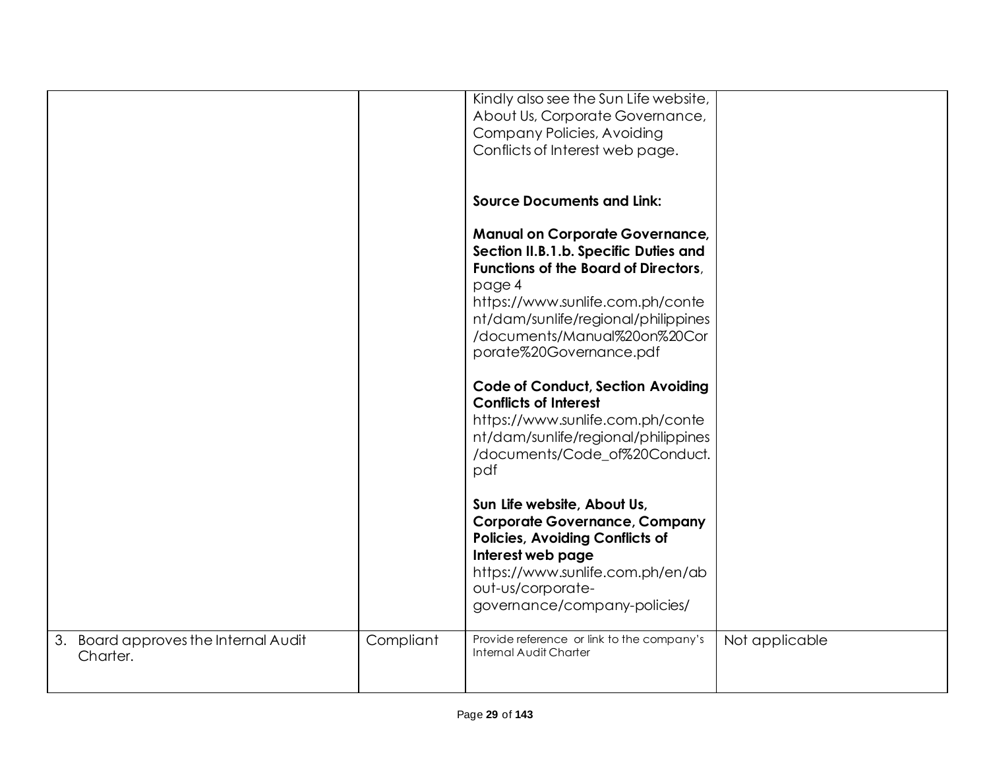|                                                     |           | Kindly also see the Sun Life website,<br>About Us, Corporate Governance,<br><b>Company Policies, Avoiding</b><br>Conflicts of Interest web page.                                                                                                                               |                |
|-----------------------------------------------------|-----------|--------------------------------------------------------------------------------------------------------------------------------------------------------------------------------------------------------------------------------------------------------------------------------|----------------|
|                                                     |           | <b>Source Documents and Link:</b>                                                                                                                                                                                                                                              |                |
|                                                     |           | <b>Manual on Corporate Governance,</b><br>Section II.B.1.b. Specific Duties and<br><b>Functions of the Board of Directors.</b><br>page 4<br>https://www.sunlife.com.ph/conte<br>nt/dam/sunlife/regional/philippines<br>/documents/Manual%20on%20Cor<br>porate%20Governance.pdf |                |
|                                                     |           | <b>Code of Conduct, Section Avoiding</b><br><b>Conflicts of Interest</b><br>https://www.sunlife.com.ph/conte<br>nt/dam/sunlife/regional/philippines<br>/documents/Code_of%20Conduct.<br>pdf                                                                                    |                |
|                                                     |           | Sun Life website, About Us,<br><b>Corporate Governance, Company</b><br><b>Policies, Avoiding Conflicts of</b><br>Interest web page<br>https://www.sunlife.com.ph/en/ab<br>out-us/corporate-<br>governance/company-policies/                                                    |                |
| Board approves the Internal Audit<br>3.<br>Charter. | Compliant | Provide reference or link to the company's<br>Internal Audit Charter                                                                                                                                                                                                           | Not applicable |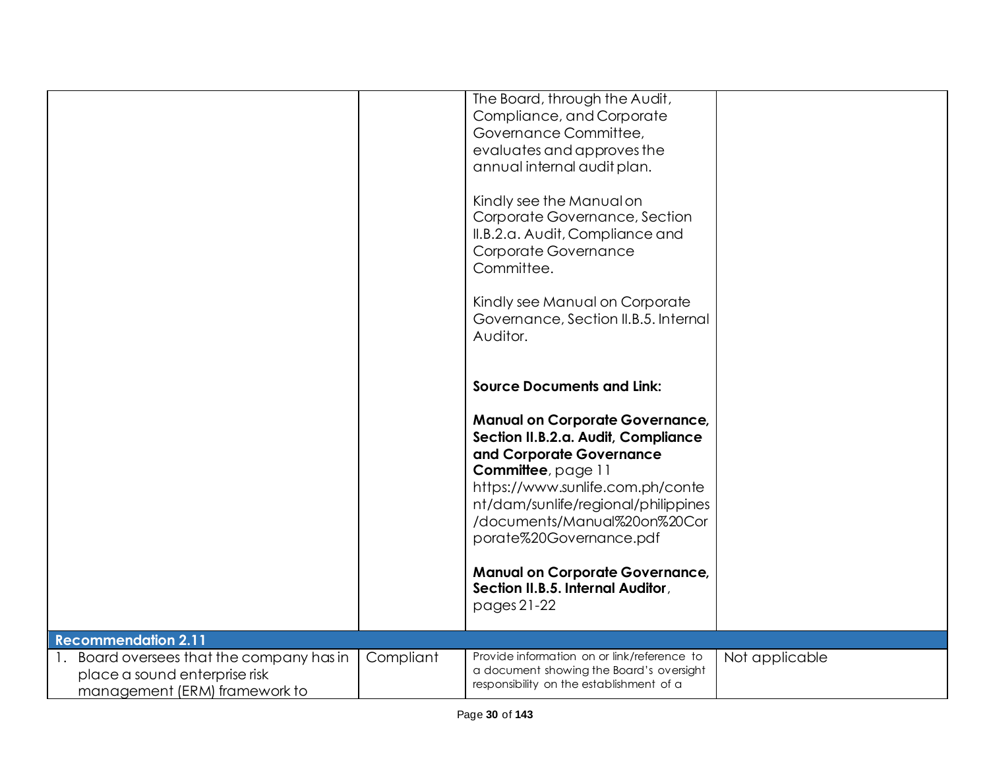|                                                                                                             |           | The Board, through the Audit,<br>Compliance, and Corporate<br>Governance Committee,<br>evaluates and approves the<br>annual internal audit plan.<br>Kindly see the Manual on<br>Corporate Governance, Section<br>II.B.2.a. Audit, Compliance and<br>Corporate Governance<br>Committee.<br>Kindly see Manual on Corporate<br>Governance, Section II.B.5. Internal |                |
|-------------------------------------------------------------------------------------------------------------|-----------|------------------------------------------------------------------------------------------------------------------------------------------------------------------------------------------------------------------------------------------------------------------------------------------------------------------------------------------------------------------|----------------|
|                                                                                                             |           | Auditor.<br><b>Source Documents and Link:</b><br><b>Manual on Corporate Governance,</b><br>Section II.B.2.a. Audit, Compliance<br>and Corporate Governance                                                                                                                                                                                                       |                |
|                                                                                                             |           | Committee, page 11<br>https://www.sunlife.com.ph/conte<br>nt/dam/sunlife/regional/philippines<br>/documents/Manual%20on%20Cor<br>porate%20Governance.pdf<br><b>Manual on Corporate Governance,</b><br>Section II.B.5. Internal Auditor,                                                                                                                          |                |
| <b>Recommendation 2.11</b>                                                                                  |           | pages 21-22                                                                                                                                                                                                                                                                                                                                                      |                |
| 1. Board oversees that the company has in<br>place a sound enterprise risk<br>management (ERM) framework to | Compliant | Provide information on or link/reference to<br>a document showing the Board's oversight<br>responsibility on the establishment of a                                                                                                                                                                                                                              | Not applicable |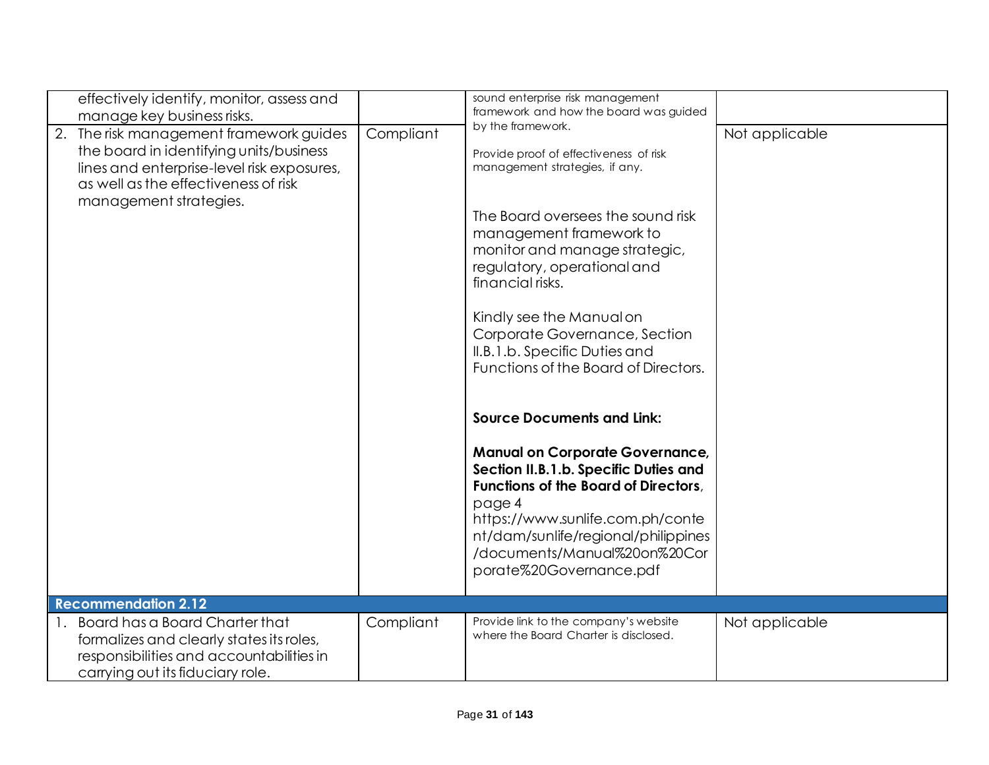| effectively identify, monitor, assess and                                                                                                                                                          |           | sound enterprise risk management                                                                                                                                                                                                                                                                                                                                                          |                |
|----------------------------------------------------------------------------------------------------------------------------------------------------------------------------------------------------|-----------|-------------------------------------------------------------------------------------------------------------------------------------------------------------------------------------------------------------------------------------------------------------------------------------------------------------------------------------------------------------------------------------------|----------------|
| manage key business risks.                                                                                                                                                                         |           |                                                                                                                                                                                                                                                                                                                                                                                           |                |
| 2. The risk management framework guides<br>the board in identifying units/business<br>lines and enterprise-level risk exposures,<br>as well as the effectiveness of risk<br>management strategies. | Compliant | framework and how the board was guided<br>by the framework.<br>Provide proof of effectiveness of risk<br>management strategies, if any.<br>The Board oversees the sound risk<br>management framework to<br>monitor and manage strategic,<br>regulatory, operational and<br>financial risks.<br>Kindly see the Manual on<br>Corporate Governance, Section<br>II.B.1.b. Specific Duties and | Not applicable |
|                                                                                                                                                                                                    |           | Functions of the Board of Directors.<br><b>Source Documents and Link:</b><br><b>Manual on Corporate Governance,</b><br>Section II.B.1.b. Specific Duties and<br><b>Functions of the Board of Directors,</b><br>page 4<br>https://www.sunlife.com.ph/conte<br>nt/dam/sunlife/regional/philippines<br>/documents/Manual%20on%20Cor<br>porate%20Governance.pdf                               |                |
|                                                                                                                                                                                                    |           |                                                                                                                                                                                                                                                                                                                                                                                           |                |
| <b>Recommendation 2.12</b>                                                                                                                                                                         |           |                                                                                                                                                                                                                                                                                                                                                                                           |                |
| Board has a Board Charter that<br>formalizes and clearly states its roles,<br>responsibilities and accountabilities in<br>carrying out its fiduciary role.                                         | Compliant | Provide link to the company's website<br>where the Board Charter is disclosed.                                                                                                                                                                                                                                                                                                            | Not applicable |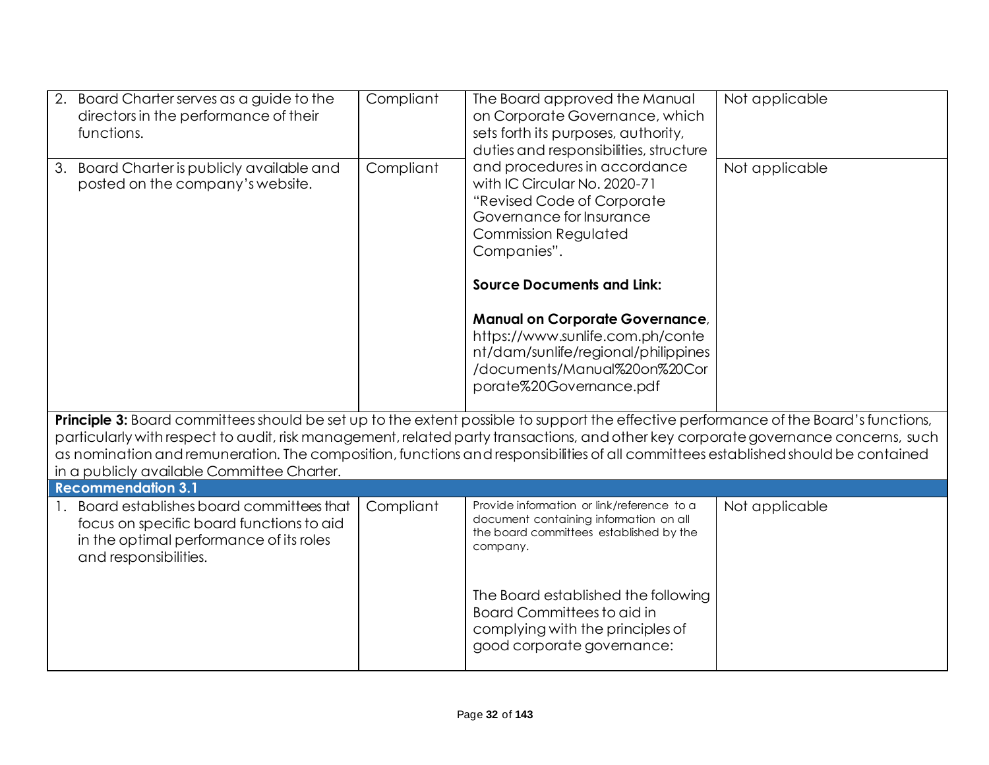| 2.<br>Board Charter serves as a guide to the<br>directors in the performance of their<br>functions.                                                                                                                                                                                                                                                                                                                                                           | Compliant | The Board approved the Manual<br>on Corporate Governance, which<br>sets forth its purposes, authority,<br>duties and responsibilities, structure                                                          | Not applicable |
|---------------------------------------------------------------------------------------------------------------------------------------------------------------------------------------------------------------------------------------------------------------------------------------------------------------------------------------------------------------------------------------------------------------------------------------------------------------|-----------|-----------------------------------------------------------------------------------------------------------------------------------------------------------------------------------------------------------|----------------|
| Board Charter is publicly available and<br>3.<br>posted on the company's website.                                                                                                                                                                                                                                                                                                                                                                             | Compliant | and procedures in accordance<br>with IC Circular No. 2020-71<br>"Revised Code of Corporate<br>Governance for Insurance<br><b>Commission Regulated</b><br>Companies".<br><b>Source Documents and Link:</b> | Not applicable |
|                                                                                                                                                                                                                                                                                                                                                                                                                                                               |           | <b>Manual on Corporate Governance,</b><br>https://www.sunlife.com.ph/conte<br>nt/dam/sunlife/regional/philippines<br>/documents/Manual%20on%20Cor<br>porate%20Governance.pdf                              |                |
| Principle 3: Board committees should be set up to the extent possible to support the effective performance of the Board's functions,<br>particularly with respect to audit, risk management, related party transactions, and other key corporate governance concerns, such<br>as nomination and remuneration. The composition, functions and responsibilities of all committees established should be contained<br>in a publicly available Committee Charter. |           |                                                                                                                                                                                                           |                |
| <b>Recommendation 3.1</b>                                                                                                                                                                                                                                                                                                                                                                                                                                     |           |                                                                                                                                                                                                           |                |
| Board establishes board committees that<br>focus on specific board functions to aid<br>in the optimal performance of its roles<br>and responsibilities.                                                                                                                                                                                                                                                                                                       | Compliant | Provide information or link/reference to a<br>document containing information on all<br>the board committees established by the<br>company.                                                               | Not applicable |
|                                                                                                                                                                                                                                                                                                                                                                                                                                                               |           | The Board established the following<br>Board Committees to aid in<br>complying with the principles of<br>good corporate governance:                                                                       |                |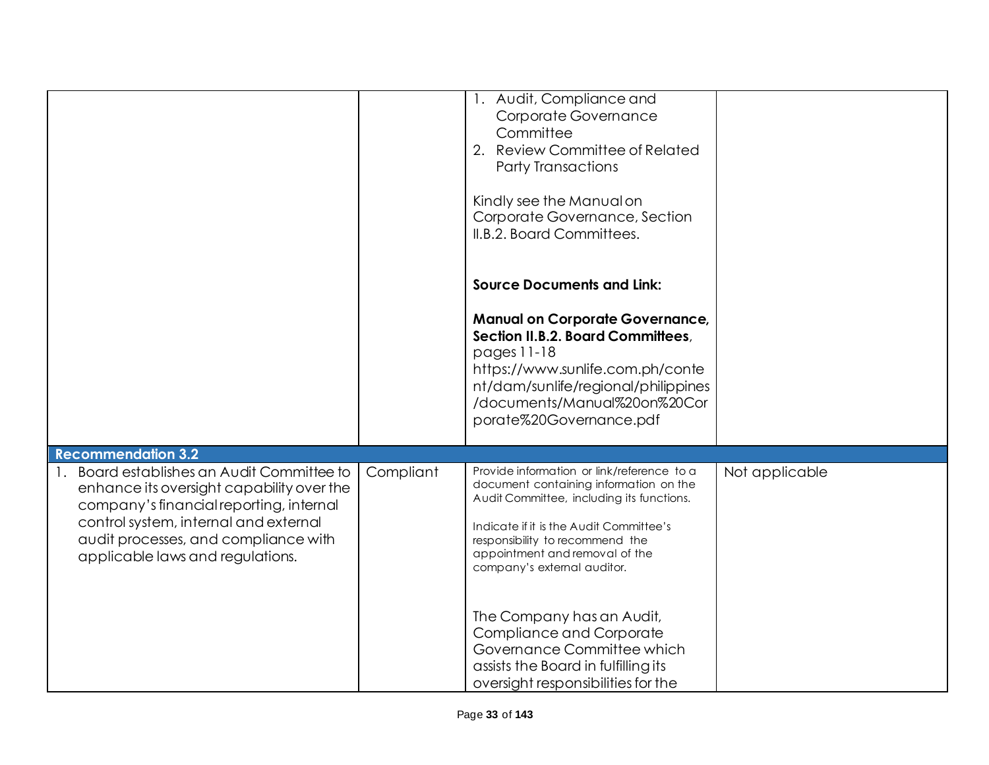|                                                                          |           | 1. Audit, Compliance and<br>Corporate Governance                                     |                |
|--------------------------------------------------------------------------|-----------|--------------------------------------------------------------------------------------|----------------|
|                                                                          |           | Committee                                                                            |                |
|                                                                          |           | 2. Review Committee of Related                                                       |                |
|                                                                          |           | <b>Party Transactions</b>                                                            |                |
|                                                                          |           |                                                                                      |                |
|                                                                          |           | Kindly see the Manual on                                                             |                |
|                                                                          |           | Corporate Governance, Section                                                        |                |
|                                                                          |           | II.B.2. Board Committees.                                                            |                |
|                                                                          |           |                                                                                      |                |
|                                                                          |           | <b>Source Documents and Link:</b>                                                    |                |
|                                                                          |           | <b>Manual on Corporate Governance,</b>                                               |                |
|                                                                          |           | Section II.B.2. Board Committees,<br>pages 11-18                                     |                |
|                                                                          |           | https://www.sunlife.com.ph/conte                                                     |                |
|                                                                          |           | nt/dam/sunlife/regional/philippines                                                  |                |
|                                                                          |           | /documents/Manual%20on%20Cor                                                         |                |
|                                                                          |           | porate%20Governance.pdf                                                              |                |
|                                                                          |           |                                                                                      |                |
| <b>Recommendation 3.2</b>                                                |           |                                                                                      |                |
| Board establishes an Audit Committee to                                  | Compliant | Provide information or link/reference to a<br>document containing information on the | Not applicable |
| enhance its oversight capability over the                                |           | Audit Committee, including its functions.                                            |                |
| company's financial reporting, internal                                  |           |                                                                                      |                |
| control system, internal and external                                    |           | Indicate if it is the Audit Committee's                                              |                |
| audit processes, and compliance with<br>applicable laws and regulations. |           | responsibility to recommend the<br>appointment and removal of the                    |                |
|                                                                          |           | company's external auditor.                                                          |                |
|                                                                          |           |                                                                                      |                |
|                                                                          |           |                                                                                      |                |
|                                                                          |           | The Company has an Audit,                                                            |                |
|                                                                          |           | <b>Compliance and Corporate</b><br>Governance Committee which                        |                |
|                                                                          |           | assists the Board in fulfilling its                                                  |                |
|                                                                          |           | oversight responsibilities for the                                                   |                |
|                                                                          |           |                                                                                      |                |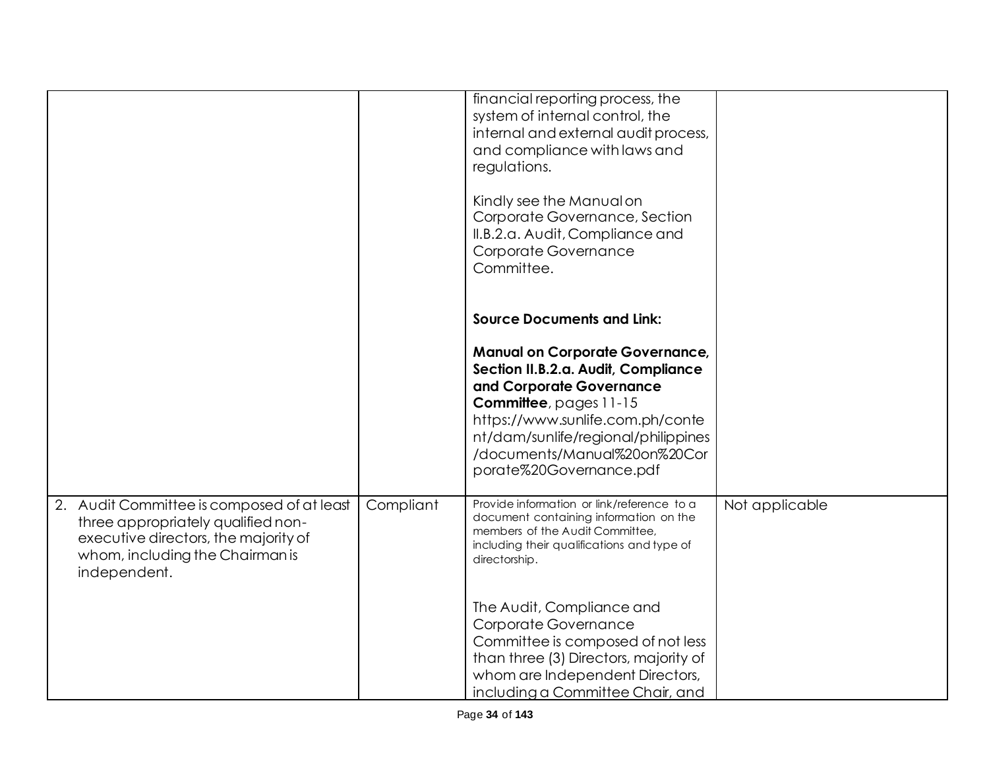|                                                                                                                                                                             |           | financial reporting process, the<br>system of internal control, the<br>internal and external audit process,<br>and compliance with laws and<br>regulations.<br>Kindly see the Manual on<br>Corporate Governance, Section<br>II.B.2.a. Audit, Compliance and<br>Corporate Governance<br>Committee.                      |                |
|-----------------------------------------------------------------------------------------------------------------------------------------------------------------------------|-----------|------------------------------------------------------------------------------------------------------------------------------------------------------------------------------------------------------------------------------------------------------------------------------------------------------------------------|----------------|
|                                                                                                                                                                             |           | <b>Source Documents and Link:</b><br><b>Manual on Corporate Governance,</b><br>Section II.B.2.a. Audit, Compliance<br>and Corporate Governance<br><b>Committee</b> , pages 11-15<br>https://www.sunlife.com.ph/conte<br>nt/dam/sunlife/regional/philippines<br>/documents/Manual%20on%20Cor<br>porate%20Governance.pdf |                |
| 2. Audit Committee is composed of at least<br>three appropriately qualified non-<br>executive directors, the majority of<br>whom, including the Chairman is<br>independent. | Compliant | Provide information or link/reference to a<br>document containing information on the<br>members of the Audit Committee,<br>including their qualifications and type of<br>directorship.                                                                                                                                 | Not applicable |
|                                                                                                                                                                             |           | The Audit, Compliance and<br>Corporate Governance<br>Committee is composed of not less<br>than three (3) Directors, majority of<br>whom are Independent Directors,<br>including a Committee Chair, and                                                                                                                 |                |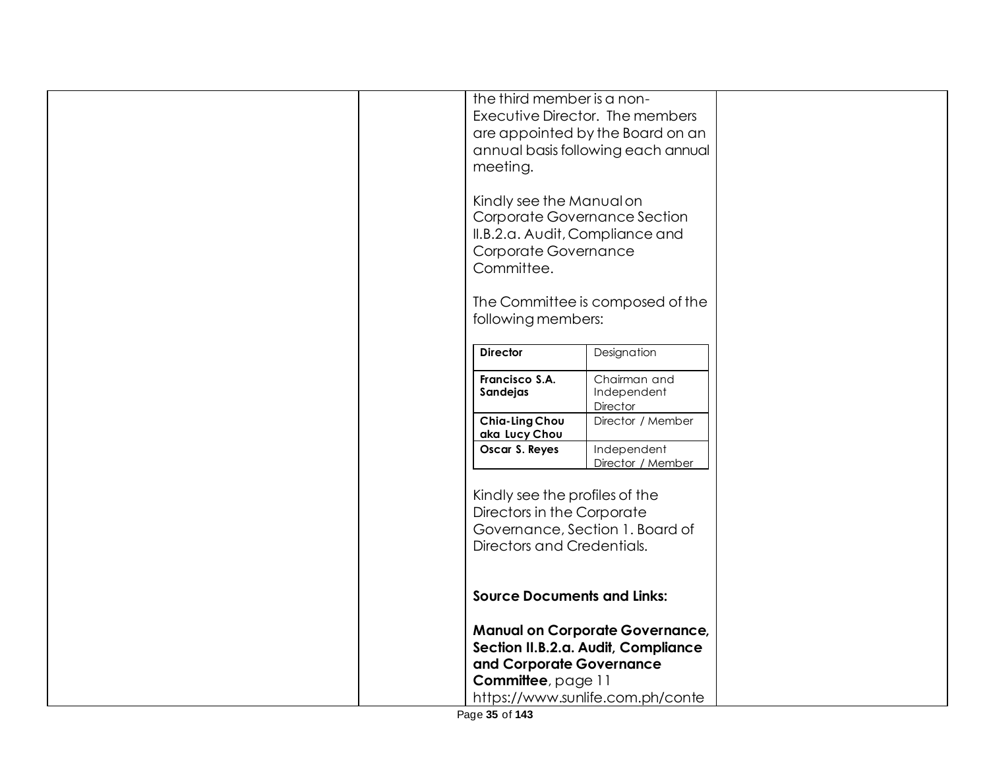| the third member is a non-<br>Executive Director. The members |                                        |  |
|---------------------------------------------------------------|----------------------------------------|--|
|                                                               | are appointed by the Board on an       |  |
|                                                               | annual basis following each annual     |  |
| meeting.                                                      |                                        |  |
|                                                               |                                        |  |
| Kindly see the Manual on                                      |                                        |  |
| Corporate Governance Section                                  |                                        |  |
| II.B.2.a. Audit, Compliance and                               |                                        |  |
| Corporate Governance                                          |                                        |  |
| Committee.                                                    |                                        |  |
|                                                               |                                        |  |
| following members:                                            | The Committee is composed of the       |  |
|                                                               |                                        |  |
| <b>Director</b>                                               | Designation                            |  |
| Francisco S.A.                                                | Chairman and                           |  |
| Sandejas                                                      | Independent                            |  |
|                                                               | Director                               |  |
| Chia-Ling Chou<br>aka Lucy Chou                               | Director / Member                      |  |
| Oscar S. Reyes                                                | Independent                            |  |
|                                                               | Director / Member                      |  |
| Kindly see the profiles of the                                |                                        |  |
| Directors in the Corporate                                    |                                        |  |
| Governance, Section 1. Board of                               |                                        |  |
| Directors and Credentials.                                    |                                        |  |
|                                                               |                                        |  |
| <b>Source Documents and Links:</b>                            |                                        |  |
|                                                               |                                        |  |
|                                                               | <b>Manual on Corporate Governance,</b> |  |
|                                                               | Section II.B.2.a. Audit, Compliance    |  |
| and Corporate Governance                                      |                                        |  |
| Committee, page 11                                            |                                        |  |
|                                                               | https://www.sunlife.com.ph/conte       |  |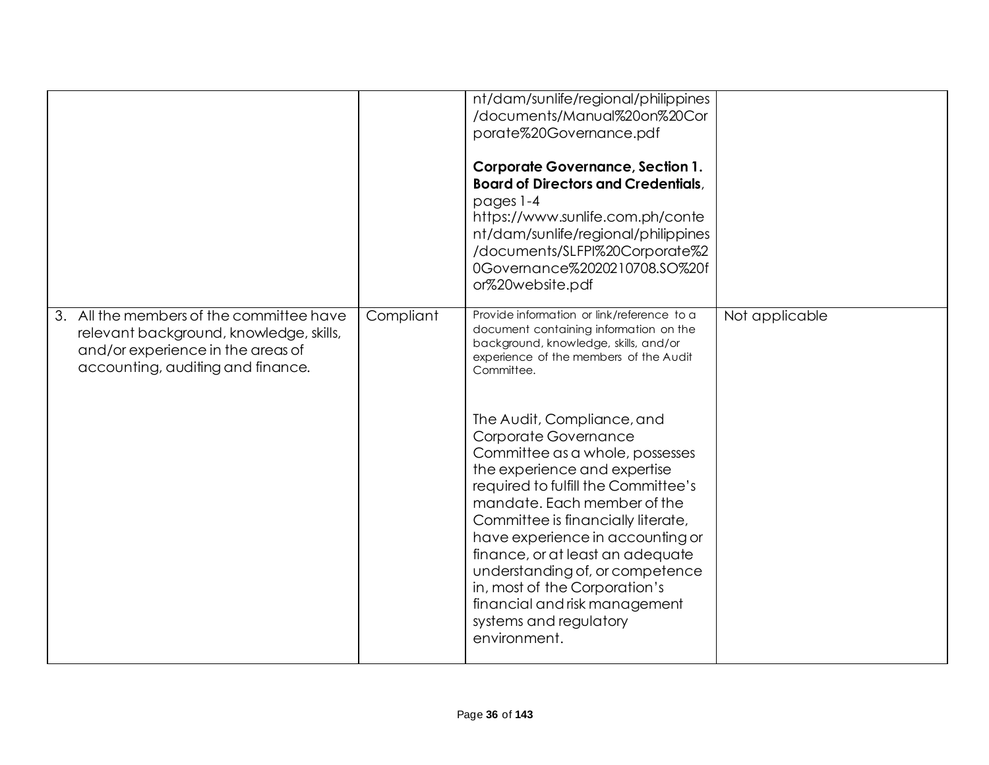|                                                                                                                                                               |           | nt/dam/sunlife/regional/philippines<br>/documents/Manual%20on%20Cor<br>porate%20Governance.pdf<br><b>Corporate Governance, Section 1.</b><br><b>Board of Directors and Credentials,</b><br>pages 1-4<br>https://www.sunlife.com.ph/conte<br>nt/dam/sunlife/regional/philippines<br>/documents/SLFPI%20Corporate%2<br>0Governance%2020210708.SO%20f<br>or%20website.pdf                                                                                                                                                                                                                                                                            |                |
|---------------------------------------------------------------------------------------------------------------------------------------------------------------|-----------|---------------------------------------------------------------------------------------------------------------------------------------------------------------------------------------------------------------------------------------------------------------------------------------------------------------------------------------------------------------------------------------------------------------------------------------------------------------------------------------------------------------------------------------------------------------------------------------------------------------------------------------------------|----------------|
| 3. All the members of the committee have<br>relevant background, knowledge, skills,<br>and/or experience in the areas of<br>accounting, auditing and finance. | Compliant | Provide information or link/reference to a<br>document containing information on the<br>background, knowledge, skills, and/or<br>experience of the members of the Audit<br>Committee.<br>The Audit, Compliance, and<br>Corporate Governance<br>Committee as a whole, possesses<br>the experience and expertise<br>required to fulfill the Committee's<br>mandate. Each member of the<br>Committee is financially literate,<br>have experience in accounting or<br>finance, or at least an adequate<br>understanding of, or competence<br>in, most of the Corporation's<br>financial and risk management<br>systems and regulatory<br>environment. | Not applicable |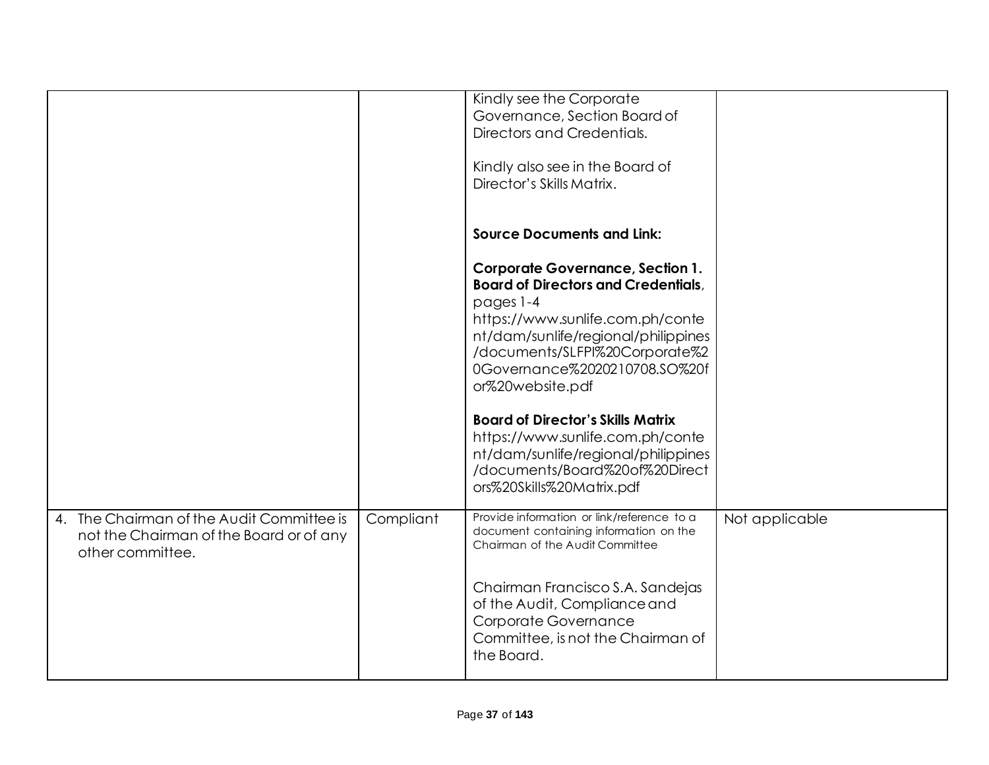|                                                                                         |           | Kindly see the Corporate<br>Governance, Section Board of<br>Directors and Credentials.<br>Kindly also see in the Board of<br>Director's Skills Matrix.                                                                                                                                                                                                                                                                                                     |                |
|-----------------------------------------------------------------------------------------|-----------|------------------------------------------------------------------------------------------------------------------------------------------------------------------------------------------------------------------------------------------------------------------------------------------------------------------------------------------------------------------------------------------------------------------------------------------------------------|----------------|
|                                                                                         |           | <b>Source Documents and Link:</b>                                                                                                                                                                                                                                                                                                                                                                                                                          |                |
|                                                                                         |           | <b>Corporate Governance, Section 1.</b><br><b>Board of Directors and Credentials,</b><br>pages 1-4<br>https://www.sunlife.com.ph/conte<br>nt/dam/sunlife/regional/philippines<br>/documents/SLFPI%20Corporate%2<br>0Governance%2020210708.SO%20f<br>or%20website.pdf<br><b>Board of Director's Skills Matrix</b><br>https://www.sunlife.com.ph/conte<br>nt/dam/sunlife/regional/philippines<br>/documents/Board%20of%20Direct<br>ors%20Skills%20Matrix.pdf |                |
| The Chairman of the Audit Committee is<br>4.<br>not the Chairman of the Board or of any | Compliant | Provide information or link/reference to a<br>document containing information on the                                                                                                                                                                                                                                                                                                                                                                       | Not applicable |
| other committee.                                                                        |           | Chairman of the Audit Committee                                                                                                                                                                                                                                                                                                                                                                                                                            |                |
|                                                                                         |           | Chairman Francisco S.A. Sandejas<br>of the Audit, Compliance and<br>Corporate Governance<br>Committee, is not the Chairman of<br>the Board.                                                                                                                                                                                                                                                                                                                |                |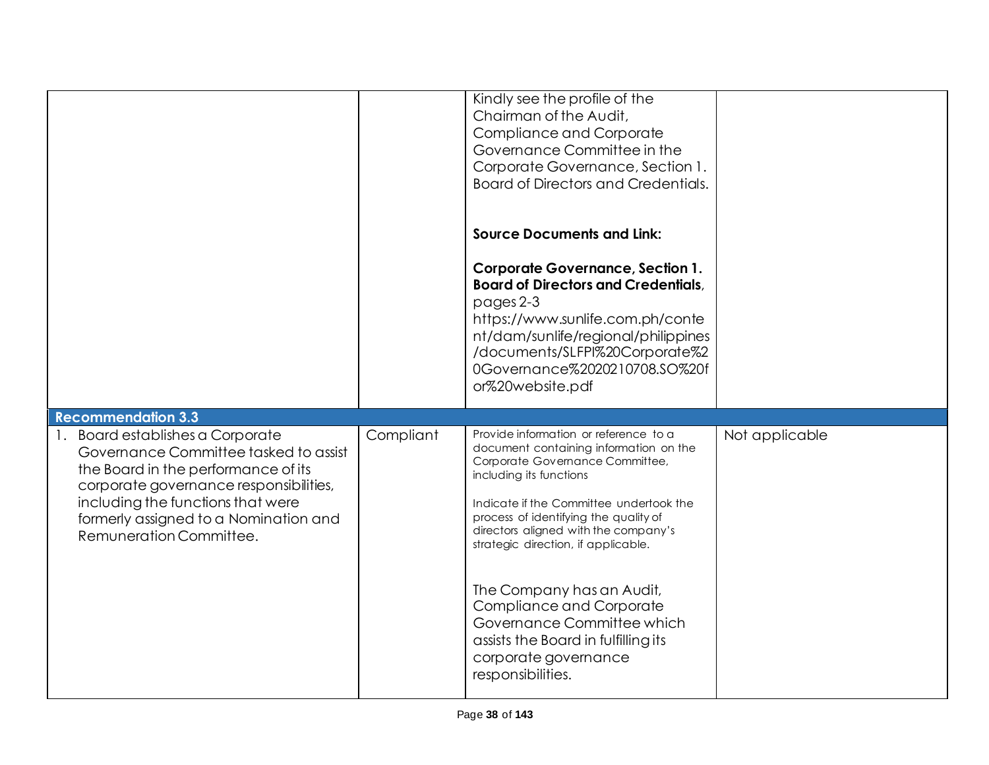|                                                                                                                                                                                                                                                                  |           | Kindly see the profile of the<br>Chairman of the Audit,<br>Compliance and Corporate<br>Governance Committee in the<br>Corporate Governance, Section 1.<br><b>Board of Directors and Credentials.</b>                                                                                                             |                |
|------------------------------------------------------------------------------------------------------------------------------------------------------------------------------------------------------------------------------------------------------------------|-----------|------------------------------------------------------------------------------------------------------------------------------------------------------------------------------------------------------------------------------------------------------------------------------------------------------------------|----------------|
|                                                                                                                                                                                                                                                                  |           | <b>Source Documents and Link:</b>                                                                                                                                                                                                                                                                                |                |
|                                                                                                                                                                                                                                                                  |           | <b>Corporate Governance, Section 1.</b><br><b>Board of Directors and Credentials,</b><br>pages 2-3<br>https://www.sunlife.com.ph/conte<br>nt/dam/sunlife/regional/philippines<br>/documents/SLFPI%20Corporate%2<br>0Governance%2020210708.SO%20f<br>or%20website.pdf                                             |                |
| <b>Recommendation 3.3</b>                                                                                                                                                                                                                                        |           |                                                                                                                                                                                                                                                                                                                  |                |
| Board establishes a Corporate<br>Governance Committee tasked to assist<br>the Board in the performance of its<br>corporate governance responsibilities,<br>including the functions that were<br>formerly assigned to a Nomination and<br>Remuneration Committee. | Compliant | Provide information or reference to a<br>document containing information on the<br>Corporate Governance Committee,<br>including its functions<br>Indicate if the Committee undertook the<br>process of identifying the quality of<br>directors aligned with the company's<br>strategic direction, if applicable. | Not applicable |
|                                                                                                                                                                                                                                                                  |           | The Company has an Audit,<br>Compliance and Corporate<br>Governance Committee which<br>assists the Board in fulfilling its<br>corporate governance<br>responsibilities.                                                                                                                                          |                |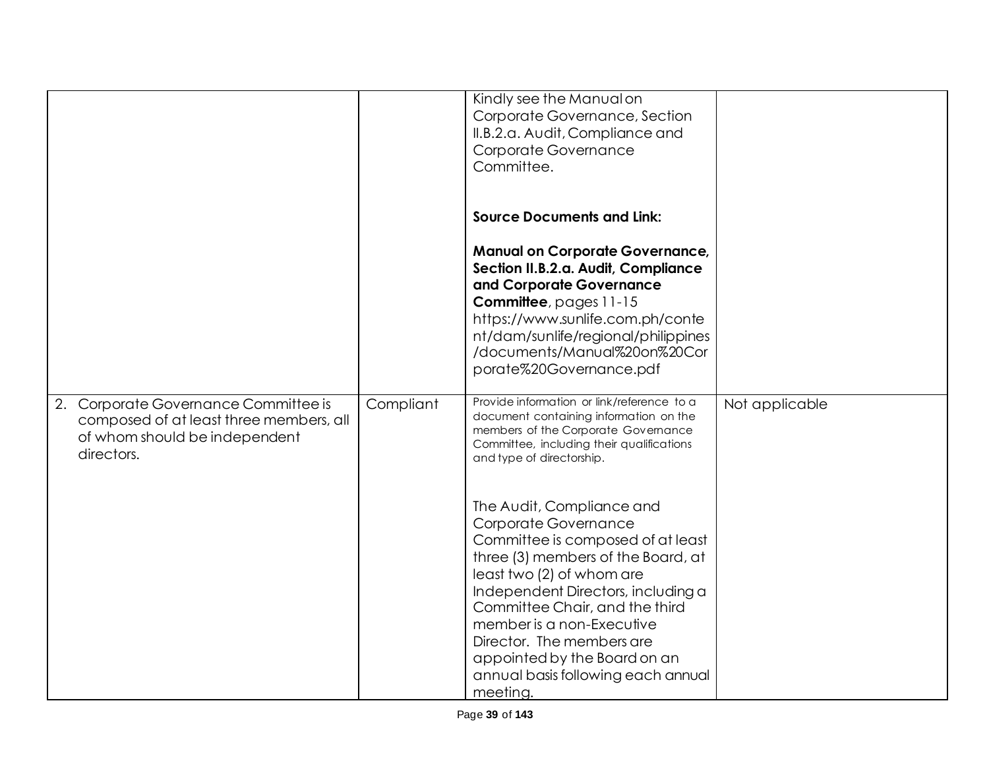|                                                                                                                                   |           | Kindly see the Manual on<br>Corporate Governance, Section<br>II.B.2.a. Audit, Compliance and<br>Corporate Governance<br>Committee.                                                                                                                                                                                                                                            |                |
|-----------------------------------------------------------------------------------------------------------------------------------|-----------|-------------------------------------------------------------------------------------------------------------------------------------------------------------------------------------------------------------------------------------------------------------------------------------------------------------------------------------------------------------------------------|----------------|
|                                                                                                                                   |           | <b>Source Documents and Link:</b><br><b>Manual on Corporate Governance,</b><br>Section II.B.2.a. Audit, Compliance<br>and Corporate Governance<br>Committee, pages 11-15<br>https://www.sunlife.com.ph/conte<br>nt/dam/sunlife/regional/philippines<br>/documents/Manual%20on%20Cor<br>porate%20Governance.pdf                                                                |                |
| Corporate Governance Committee is<br>2.<br>composed of at least three members, all<br>of whom should be independent<br>directors. | Compliant | Provide information or link/reference to a<br>document containing information on the<br>members of the Corporate Governance<br>Committee, including their qualifications<br>and type of directorship.                                                                                                                                                                         | Not applicable |
|                                                                                                                                   |           | The Audit, Compliance and<br>Corporate Governance<br>Committee is composed of at least<br>three (3) members of the Board, at<br>least two (2) of whom are<br>Independent Directors, including a<br>Committee Chair, and the third<br>member is a non-Executive<br>Director. The members are<br>appointed by the Board on an<br>annual basis following each annual<br>meeting. |                |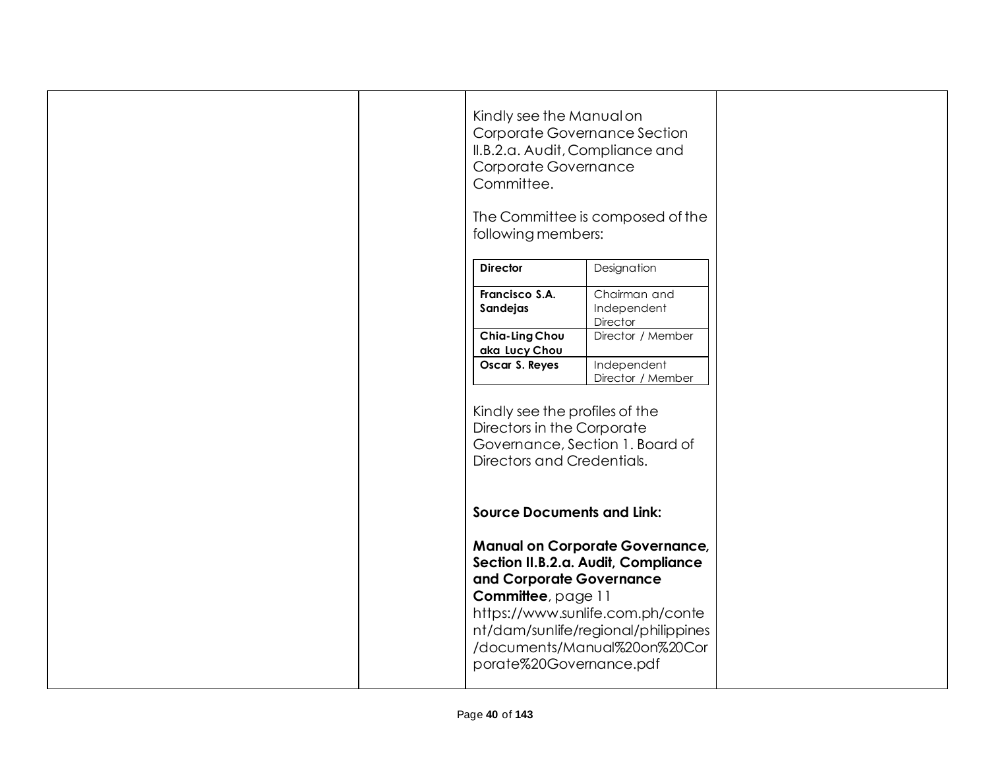|  | Kindly see the Manual on<br>Corporate Governance Section<br>II.B.2.a. Audit, Compliance and<br>Corporate Governance<br>Committee.<br>following members: | The Committee is composed of the                                                                                                                                                         |  |
|--|---------------------------------------------------------------------------------------------------------------------------------------------------------|------------------------------------------------------------------------------------------------------------------------------------------------------------------------------------------|--|
|  | <b>Director</b>                                                                                                                                         | Designation                                                                                                                                                                              |  |
|  | Francisco S.A.<br>Sandejas                                                                                                                              | Chairman and<br>Independent<br>Director                                                                                                                                                  |  |
|  | Chia-Ling Chou                                                                                                                                          | Director / Member                                                                                                                                                                        |  |
|  | aka Lucy Chou<br>Oscar S. Reyes                                                                                                                         | Independent<br>Director / Member                                                                                                                                                         |  |
|  | Kindly see the profiles of the<br>Directors in the Corporate<br>Directors and Credentials.                                                              | Governance, Section 1. Board of                                                                                                                                                          |  |
|  | <b>Source Documents and Link:</b>                                                                                                                       |                                                                                                                                                                                          |  |
|  | and Corporate Governance<br>Committee, page 11<br>porate%20Governance.pdf                                                                               | <b>Manual on Corporate Governance,</b><br>Section II.B.2.a. Audit, Compliance<br>https://www.sunlife.com.ph/conte<br>nt/dam/sunlife/regional/philippines<br>/documents/Manual%20on%20Cor |  |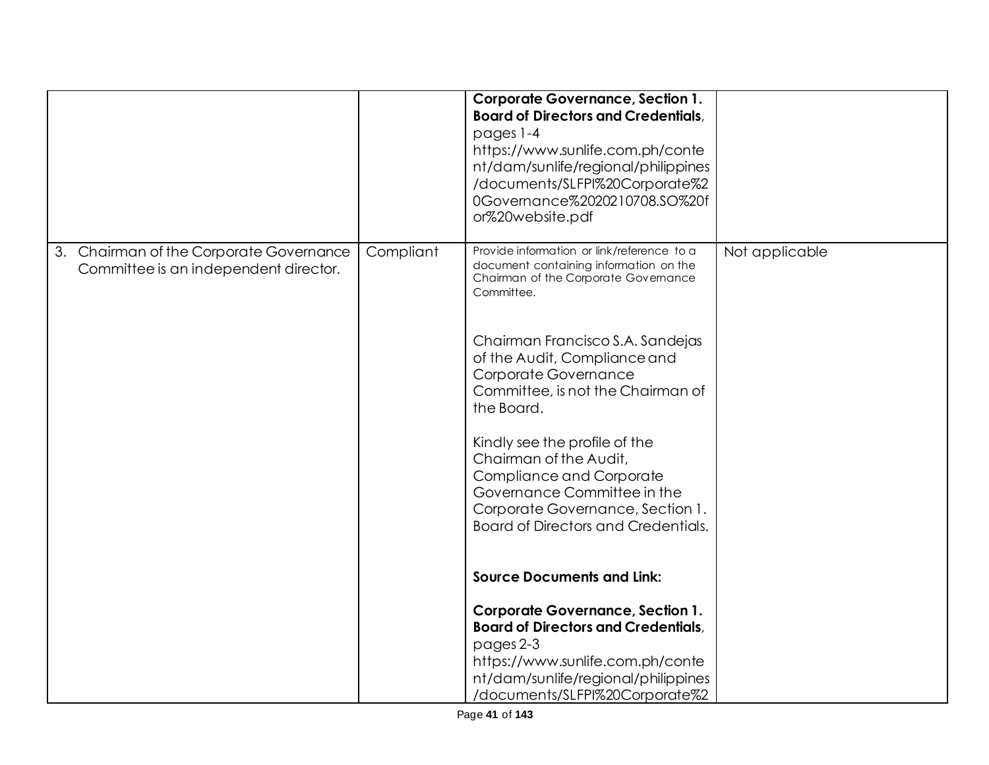|                                                                                  |           | <b>Corporate Governance, Section 1.</b><br><b>Board of Directors and Credentials,</b><br>pages 1-4<br>https://www.sunlife.com.ph/conte<br>nt/dam/sunlife/regional/philippines<br>/documents/SLFPI%20Corporate%2<br>0Governance%2020210708.SO%20f<br>or%20website.pdf                                                                                                                                                                                                                                                                                                                                                                                                                                                                                      |                |
|----------------------------------------------------------------------------------|-----------|-----------------------------------------------------------------------------------------------------------------------------------------------------------------------------------------------------------------------------------------------------------------------------------------------------------------------------------------------------------------------------------------------------------------------------------------------------------------------------------------------------------------------------------------------------------------------------------------------------------------------------------------------------------------------------------------------------------------------------------------------------------|----------------|
| 3. Chairman of the Corporate Governance<br>Committee is an independent director. | Compliant | Provide information or link/reference to a<br>document containing information on the<br>Chairman of the Corporate Governance<br>Committee.<br>Chairman Francisco S.A. Sandejas<br>of the Audit, Compliance and<br>Corporate Governance<br>Committee, is not the Chairman of<br>the Board.<br>Kindly see the profile of the<br>Chairman of the Audit,<br>Compliance and Corporate<br>Governance Committee in the<br>Corporate Governance, Section 1.<br><b>Board of Directors and Credentials.</b><br><b>Source Documents and Link:</b><br><b>Corporate Governance, Section 1.</b><br><b>Board of Directors and Credentials,</b><br>pages 2-3<br>https://www.sunlife.com.ph/conte<br>nt/dam/sunlife/regional/philippines<br>/documents/SLFPI%20Corporate%2 | Not applicable |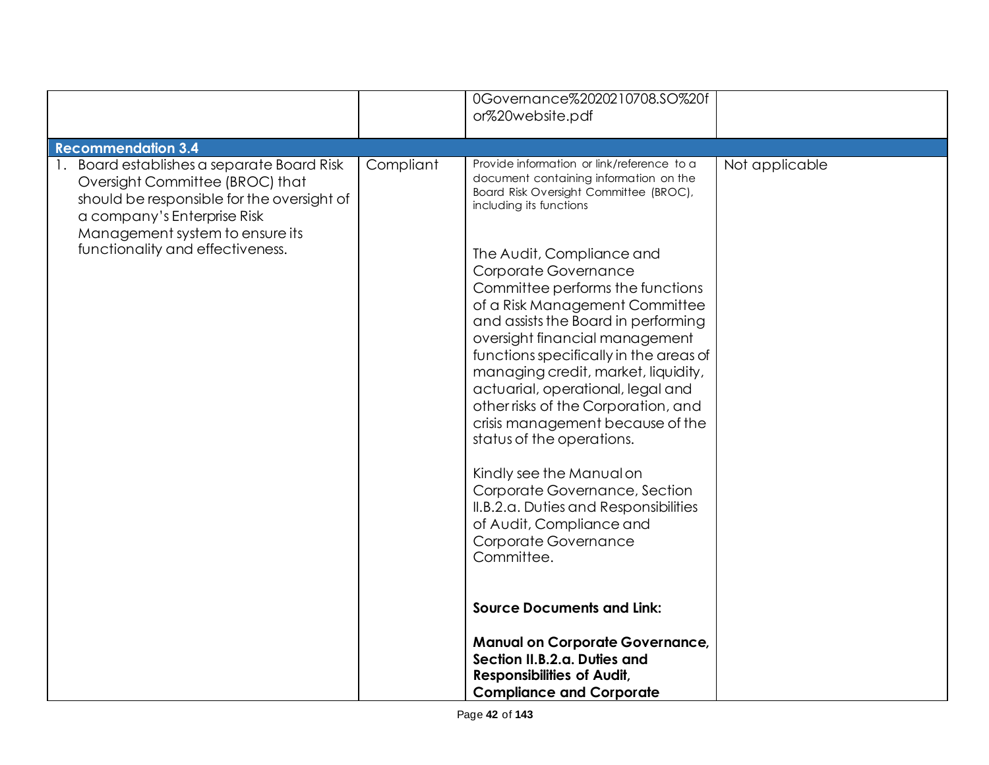|                                                                                                                                                                                                                                   |           | 0Governance%2020210708.SO%20f<br>or%20website.pdf                                                                                                                                                                                                                                                                                                                                                                                                                                                                                                                                                                                                                                                                                                                                                                                                                                                                                                          |                |
|-----------------------------------------------------------------------------------------------------------------------------------------------------------------------------------------------------------------------------------|-----------|------------------------------------------------------------------------------------------------------------------------------------------------------------------------------------------------------------------------------------------------------------------------------------------------------------------------------------------------------------------------------------------------------------------------------------------------------------------------------------------------------------------------------------------------------------------------------------------------------------------------------------------------------------------------------------------------------------------------------------------------------------------------------------------------------------------------------------------------------------------------------------------------------------------------------------------------------------|----------------|
| <b>Recommendation 3.4</b>                                                                                                                                                                                                         |           |                                                                                                                                                                                                                                                                                                                                                                                                                                                                                                                                                                                                                                                                                                                                                                                                                                                                                                                                                            |                |
| 1. Board establishes a separate Board Risk<br>Oversight Committee (BROC) that<br>should be responsible for the oversight of<br>a company's Enterprise Risk<br>Management system to ensure its<br>functionality and effectiveness. | Compliant | Provide information or link/reference to a<br>document containing information on the<br>Board Risk Oversight Committee (BROC),<br>including its functions<br>The Audit, Compliance and<br>Corporate Governance<br>Committee performs the functions<br>of a Risk Management Committee<br>and assists the Board in performing<br>oversight financial management<br>functions specifically in the areas of<br>managing credit, market, liquidity,<br>actuarial, operational, legal and<br>other risks of the Corporation, and<br>crisis management because of the<br>status of the operations.<br>Kindly see the Manual on<br>Corporate Governance, Section<br>II.B.2.a. Duties and Responsibilities<br>of Audit, Compliance and<br>Corporate Governance<br>Committee.<br><b>Source Documents and Link:</b><br><b>Manual on Corporate Governance,</b><br>Section II.B.2.a. Duties and<br><b>Responsibilities of Audit,</b><br><b>Compliance and Corporate</b> | Not applicable |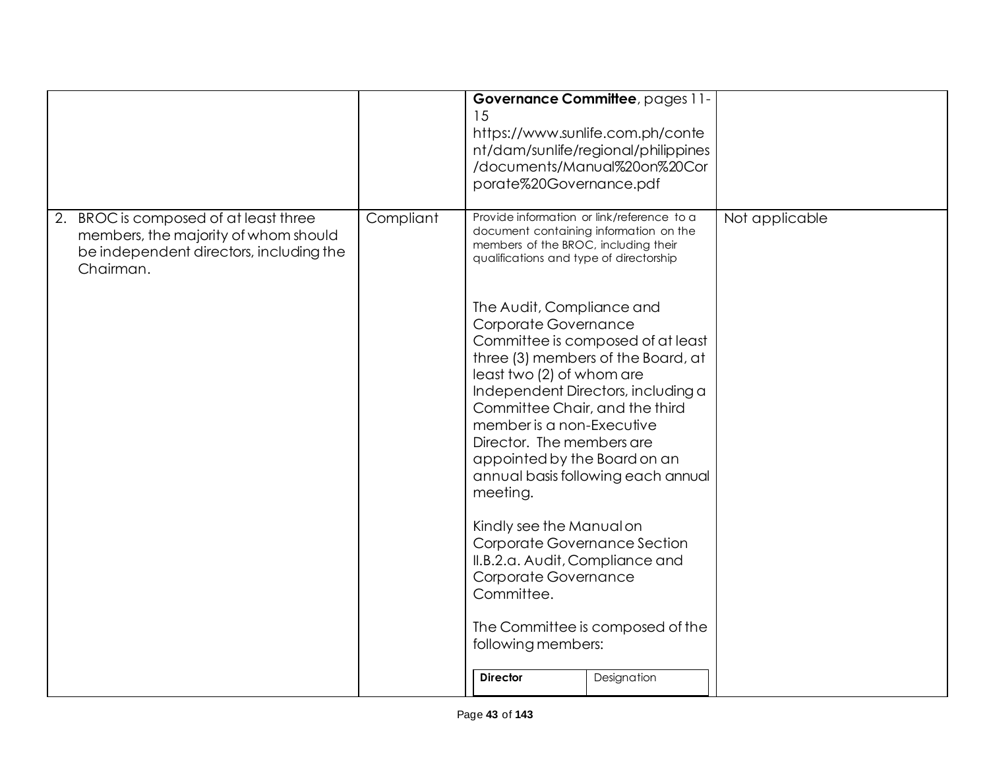|                                                                                                                                       |           | 15<br>porate%20Governance.pdf                                                                                                                                                                                                                                                                                                                                                                                                                                                                                                                                                   | Governance Committee, pages 11-<br>https://www.sunlife.com.ph/conte<br>nt/dam/sunlife/regional/philippines<br>/documents/Manual%20on%20Cor                                                             |                |
|---------------------------------------------------------------------------------------------------------------------------------------|-----------|---------------------------------------------------------------------------------------------------------------------------------------------------------------------------------------------------------------------------------------------------------------------------------------------------------------------------------------------------------------------------------------------------------------------------------------------------------------------------------------------------------------------------------------------------------------------------------|--------------------------------------------------------------------------------------------------------------------------------------------------------------------------------------------------------|----------------|
| 2. BROC is composed of at least three<br>members, the majority of whom should<br>be independent directors, including the<br>Chairman. | Compliant | Provide information or link/reference to a<br>document containing information on the<br>members of the BROC, including their<br>qualifications and type of directorship<br>The Audit, Compliance and<br>Corporate Governance<br>least two (2) of whom are<br>Committee Chair, and the third<br>member is a non-Executive<br>Director. The members are<br>appointed by the Board on an<br>meeting.<br>Kindly see the Manual on<br>Corporate Governance Section<br>II.B.2.a. Audit, Compliance and<br>Corporate Governance<br>Committee.<br>following members:<br><b>Director</b> | Committee is composed of at least<br>three (3) members of the Board, at<br>Independent Directors, including a<br>annual basis following each annual<br>The Committee is composed of the<br>Designation | Not applicable |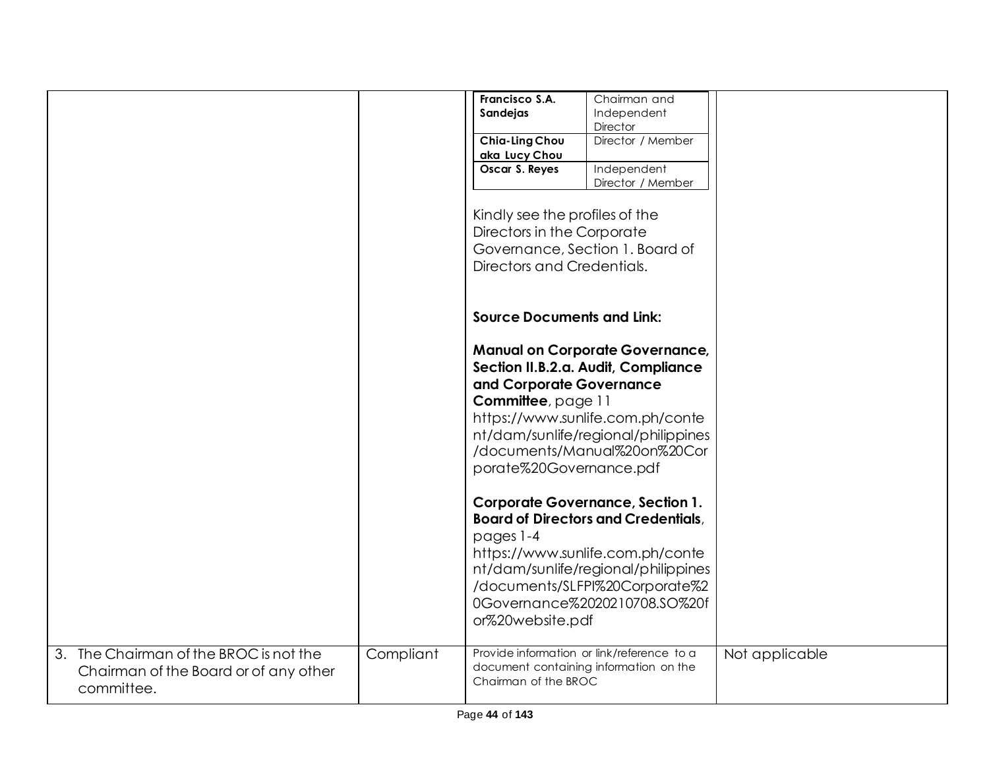|                                        |           | Francisco S.A.                    | Chairman and                               |                |
|----------------------------------------|-----------|-----------------------------------|--------------------------------------------|----------------|
|                                        |           | Sandejas                          | Independent                                |                |
|                                        |           |                                   | Director                                   |                |
|                                        |           | Chia-Ling Chou                    | Director / Member                          |                |
|                                        |           | aka Lucy Chou                     |                                            |                |
|                                        |           | Oscar S. Reyes                    | Independent                                |                |
|                                        |           |                                   | Director / Member                          |                |
|                                        |           |                                   |                                            |                |
|                                        |           | Kindly see the profiles of the    |                                            |                |
|                                        |           | Directors in the Corporate        |                                            |                |
|                                        |           |                                   |                                            |                |
|                                        |           |                                   | Governance, Section 1. Board of            |                |
|                                        |           | Directors and Credentials.        |                                            |                |
|                                        |           |                                   |                                            |                |
|                                        |           |                                   |                                            |                |
|                                        |           | <b>Source Documents and Link:</b> |                                            |                |
|                                        |           |                                   |                                            |                |
|                                        |           |                                   | <b>Manual on Corporate Governance,</b>     |                |
|                                        |           |                                   |                                            |                |
|                                        |           |                                   | Section II.B.2.a. Audit, Compliance        |                |
|                                        |           | and Corporate Governance          |                                            |                |
|                                        |           | Committee, page 11                |                                            |                |
|                                        |           |                                   | https://www.sunlife.com.ph/conte           |                |
|                                        |           |                                   | nt/dam/sunlife/regional/philippines        |                |
|                                        |           |                                   | /documents/Manual%20on%20Cor               |                |
|                                        |           | porate%20Governance.pdf           |                                            |                |
|                                        |           |                                   |                                            |                |
|                                        |           |                                   |                                            |                |
|                                        |           |                                   | <b>Corporate Governance, Section 1.</b>    |                |
|                                        |           |                                   | <b>Board of Directors and Credentials,</b> |                |
|                                        |           | pages 1-4                         |                                            |                |
|                                        |           |                                   | https://www.sunlife.com.ph/conte           |                |
|                                        |           |                                   | nt/dam/sunlife/regional/philippines        |                |
|                                        |           |                                   |                                            |                |
|                                        |           |                                   | /documents/SLFPI%20Corporate%2             |                |
|                                        |           |                                   | 0Governance%2020210708.SO%20f              |                |
|                                        |           | or%20website.pdf                  |                                            |                |
|                                        |           |                                   |                                            |                |
| 3. The Chairman of the BROC is not the | Compliant |                                   | Provide information or link/reference to a | Not applicable |
| Chairman of the Board or of any other  |           |                                   | document containing information on the     |                |
|                                        |           | Chairman of the BROC              |                                            |                |
| committee.                             |           |                                   |                                            |                |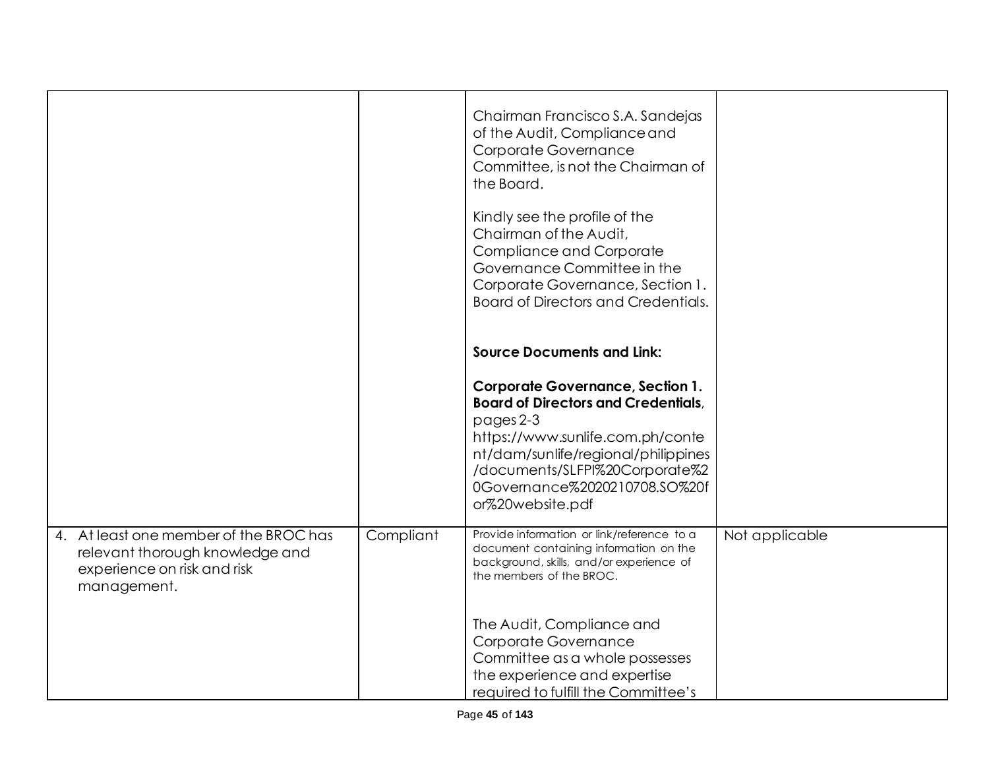|                                                                                                                         |           | Chairman Francisco S.A. Sandejas<br>of the Audit, Compliance and<br>Corporate Governance<br>Committee, is not the Chairman of<br>the Board.                                                                                                                          |                |
|-------------------------------------------------------------------------------------------------------------------------|-----------|----------------------------------------------------------------------------------------------------------------------------------------------------------------------------------------------------------------------------------------------------------------------|----------------|
|                                                                                                                         |           | Kindly see the profile of the<br>Chairman of the Audit,<br>Compliance and Corporate<br>Governance Committee in the<br>Corporate Governance, Section 1.<br>Board of Directors and Credentials.                                                                        |                |
|                                                                                                                         |           | <b>Source Documents and Link:</b>                                                                                                                                                                                                                                    |                |
|                                                                                                                         |           | <b>Corporate Governance, Section 1.</b><br><b>Board of Directors and Credentials,</b><br>pages 2-3<br>https://www.sunlife.com.ph/conte<br>nt/dam/sunlife/regional/philippines<br>/documents/SLFPI%20Corporate%2<br>0Governance%2020210708.SO%20f<br>or%20website.pdf |                |
| 4. At least one member of the BROC has<br>relevant thorough knowledge and<br>experience on risk and risk<br>management. | Compliant | Provide information or link/reference to a<br>document containing information on the<br>background, skills, and/or experience of<br>the members of the BROC.                                                                                                         | Not applicable |
|                                                                                                                         |           | The Audit, Compliance and<br>Corporate Governance<br>Committee as a whole possesses<br>the experience and expertise<br>required to fulfill the Committee's                                                                                                           |                |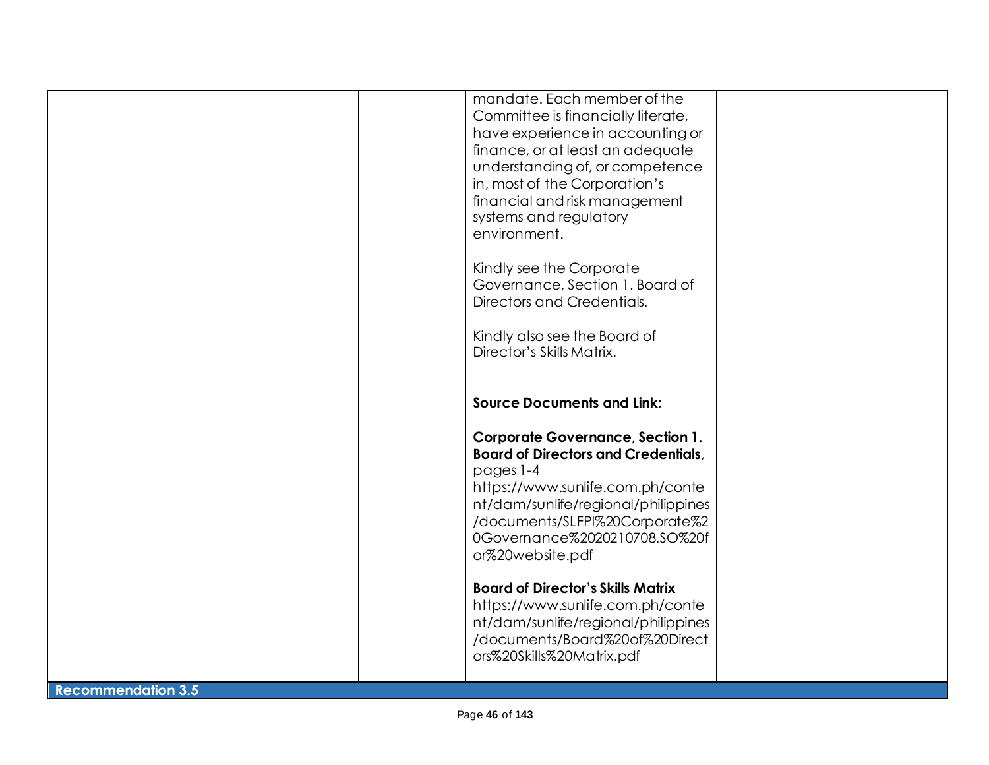|                           | mandate. Each member of the<br>Committee is financially literate,<br>have experience in accounting or<br>finance, or at least an adequate<br>understanding of, or competence<br>in, most of the Corporation's<br>financial and risk management<br>systems and regulatory<br>environment. |  |
|---------------------------|------------------------------------------------------------------------------------------------------------------------------------------------------------------------------------------------------------------------------------------------------------------------------------------|--|
|                           | Kindly see the Corporate<br>Governance, Section 1. Board of<br>Directors and Credentials.<br>Kindly also see the Board of<br>Director's Skills Matrix.                                                                                                                                   |  |
|                           | <b>Source Documents and Link:</b><br><b>Corporate Governance, Section 1.</b><br><b>Board of Directors and Credentials,</b><br>pages 1-4<br>https://www.sunlife.com.ph/conte<br>nt/dam/sunlife/regional/philippines                                                                       |  |
|                           | /documents/SLFPI%20Corporate%2<br>0Governance%2020210708.SO%20f<br>or%20website.pdf<br><b>Board of Director's Skills Matrix</b><br>https://www.sunlife.com.ph/conte<br>nt/dam/sunlife/regional/philippines<br>/documents/Board%20of%20Direct<br>ors%20Skills%20Matrix.pdf                |  |
| <b>Recommendation 3.5</b> |                                                                                                                                                                                                                                                                                          |  |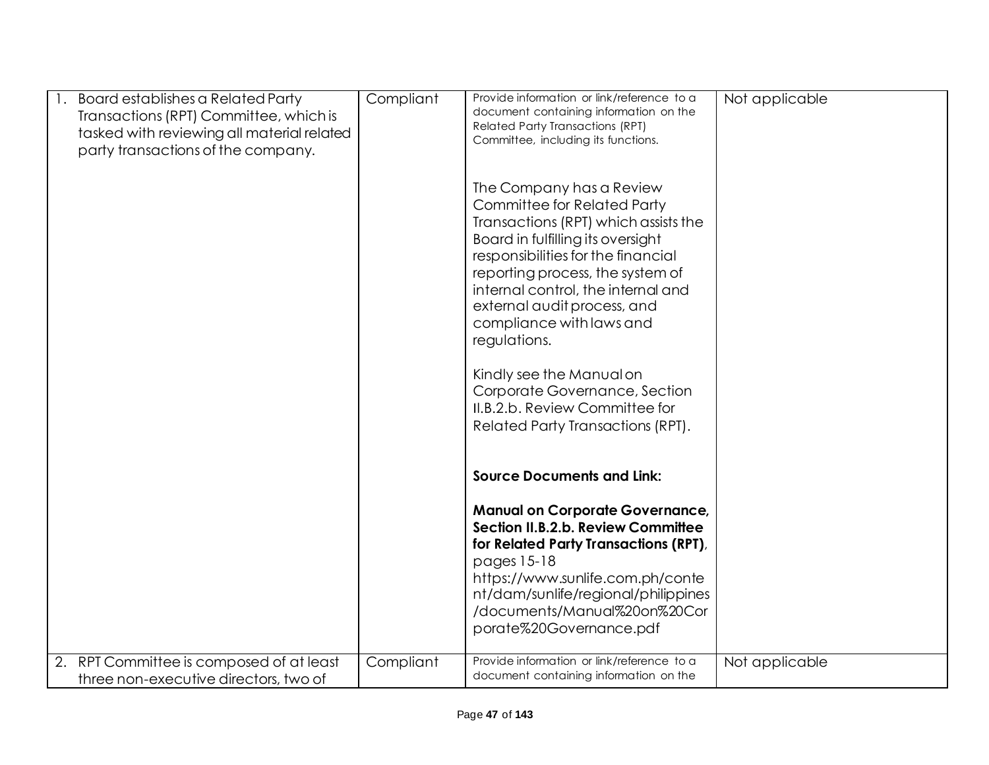| Board establishes a Related Party<br>Transactions (RPT) Committee, which is<br>tasked with reviewing all material related<br>party transactions of the company. | Compliant | Provide information or link/reference to a<br>document containing information on the<br><b>Related Party Transactions (RPT)</b><br>Committee, including its functions.<br>The Company has a Review<br><b>Committee for Related Party</b><br>Transactions (RPT) which assists the<br>Board in fulfilling its oversight<br>responsibilities for the financial<br>reporting process, the system of<br>internal control, the internal and<br>external audit process, and<br>compliance with laws and<br>regulations.<br>Kindly see the Manual on<br>Corporate Governance, Section<br>II.B.2.b. Review Committee for<br>Related Party Transactions (RPT). | Not applicable |
|-----------------------------------------------------------------------------------------------------------------------------------------------------------------|-----------|------------------------------------------------------------------------------------------------------------------------------------------------------------------------------------------------------------------------------------------------------------------------------------------------------------------------------------------------------------------------------------------------------------------------------------------------------------------------------------------------------------------------------------------------------------------------------------------------------------------------------------------------------|----------------|
|                                                                                                                                                                 |           | <b>Source Documents and Link:</b>                                                                                                                                                                                                                                                                                                                                                                                                                                                                                                                                                                                                                    |                |
|                                                                                                                                                                 |           | <b>Manual on Corporate Governance,</b><br>Section II.B.2.b. Review Committee<br>for Related Party Transactions (RPT),<br>pages 15-18<br>https://www.sunlife.com.ph/conte<br>nt/dam/sunlife/regional/philippines<br>/documents/Manual%20on%20Cor<br>porate%20Governance.pdf                                                                                                                                                                                                                                                                                                                                                                           |                |
| RPT Committee is composed of at least<br>2.<br>three non-executive directors, two of                                                                            | Compliant | Provide information or link/reference to a<br>document containing information on the                                                                                                                                                                                                                                                                                                                                                                                                                                                                                                                                                                 | Not applicable |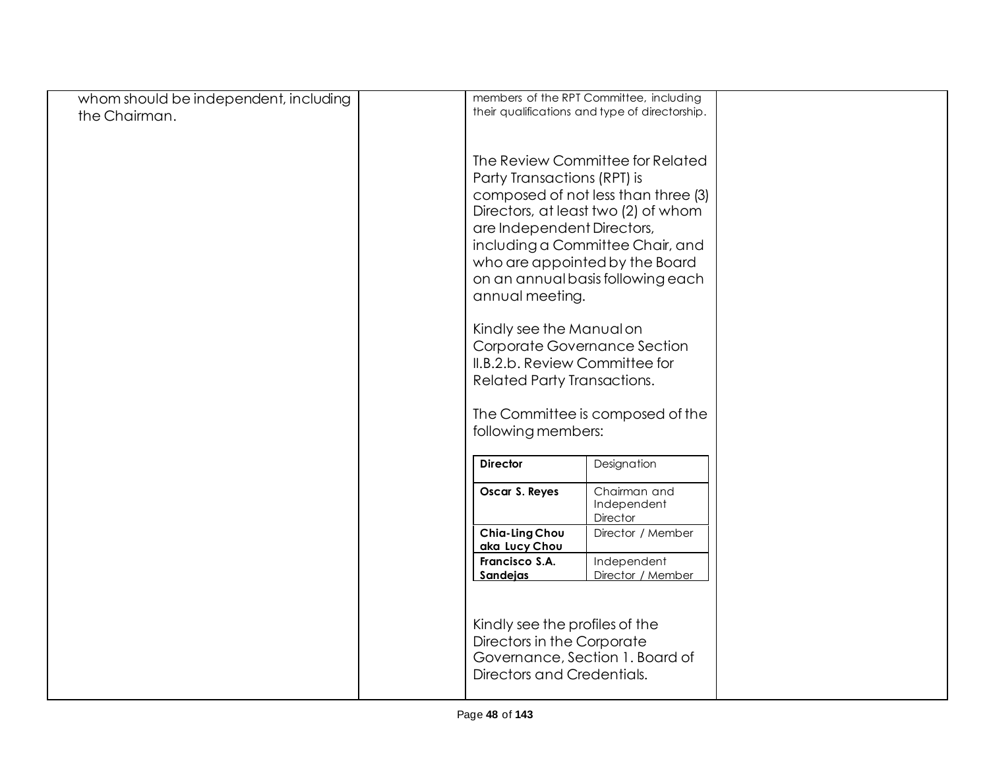| whom should be independent, including |                                 | members of the RPT Committee, including        |  |
|---------------------------------------|---------------------------------|------------------------------------------------|--|
| the Chairman.                         |                                 | their qualifications and type of directorship. |  |
|                                       |                                 |                                                |  |
|                                       |                                 |                                                |  |
|                                       |                                 | The Review Committee for Related               |  |
|                                       |                                 | Party Transactions (RPT) is                    |  |
|                                       |                                 | composed of not less than three (3)            |  |
|                                       |                                 | Directors, at least two (2) of whom            |  |
|                                       |                                 | are Independent Directors,                     |  |
|                                       |                                 | including a Committee Chair, and               |  |
|                                       |                                 | who are appointed by the Board                 |  |
|                                       |                                 | on an annual basis following each              |  |
|                                       | annual meeting.                 |                                                |  |
|                                       |                                 | Kindly see the Manual on                       |  |
|                                       |                                 | Corporate Governance Section                   |  |
|                                       |                                 | II.B.2.b. Review Committee for                 |  |
|                                       |                                 | <b>Related Party Transactions.</b>             |  |
|                                       |                                 |                                                |  |
|                                       |                                 | The Committee is composed of the               |  |
|                                       | following members:              |                                                |  |
|                                       | <b>Director</b>                 | Designation                                    |  |
|                                       | Oscar S. Reyes                  | Chairman and                                   |  |
|                                       |                                 | Independent                                    |  |
|                                       |                                 | <b>Director</b>                                |  |
|                                       | Chia-Ling Chou<br>aka Lucy Chou | Director / Member                              |  |
|                                       | Francisco S.A.                  | Independent                                    |  |
|                                       | Sandejas                        | Director / Member                              |  |
|                                       |                                 |                                                |  |
|                                       |                                 | Kindly see the profiles of the                 |  |
|                                       |                                 | Directors in the Corporate                     |  |
|                                       |                                 | Governance, Section 1. Board of                |  |
|                                       |                                 | Directors and Credentials.                     |  |
|                                       |                                 |                                                |  |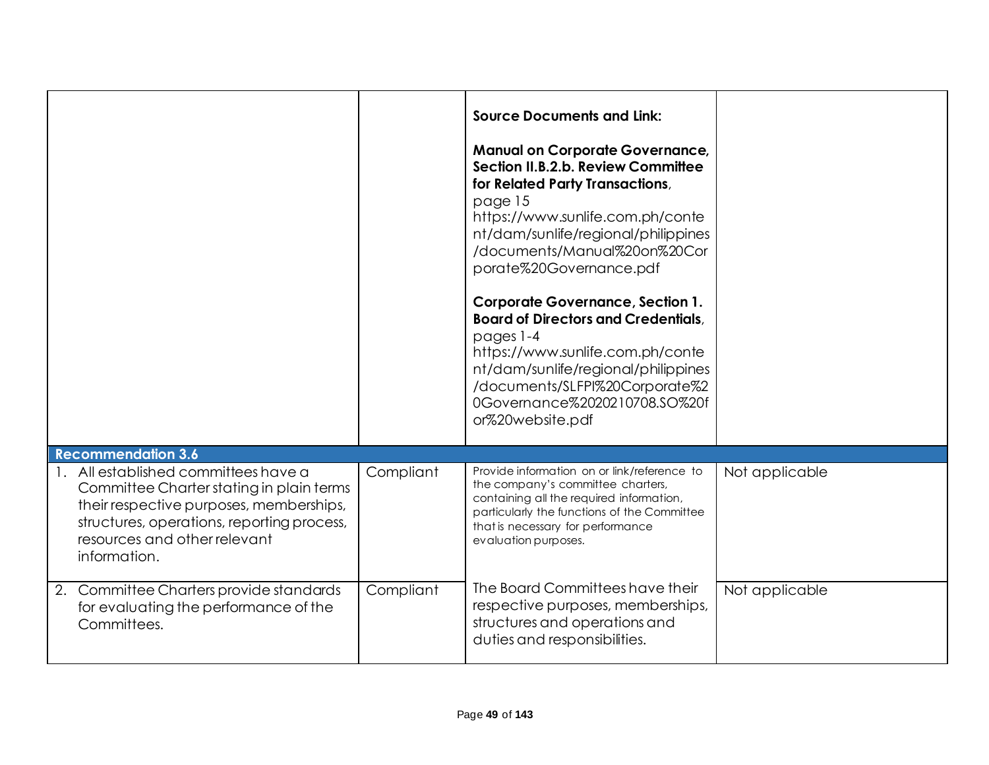|                                                                                                                                                                                                                        |           | <b>Source Documents and Link:</b><br><b>Manual on Corporate Governance,</b><br>Section II.B.2.b. Review Committee<br>for Related Party Transactions,<br>page 15<br>https://www.sunlife.com.ph/conte<br>nt/dam/sunlife/regional/philippines<br>/documents/Manual%20on%20Cor<br>porate%20Governance.pdf<br><b>Corporate Governance, Section 1.</b><br><b>Board of Directors and Credentials.</b><br>pages 1-4<br>https://www.sunlife.com.ph/conte<br>nt/dam/sunlife/regional/philippines<br>/documents/SLFPI%20Corporate%2<br>0Governance%2020210708.SO%20f<br>or%20website.pdf |                |
|------------------------------------------------------------------------------------------------------------------------------------------------------------------------------------------------------------------------|-----------|-------------------------------------------------------------------------------------------------------------------------------------------------------------------------------------------------------------------------------------------------------------------------------------------------------------------------------------------------------------------------------------------------------------------------------------------------------------------------------------------------------------------------------------------------------------------------------|----------------|
| <b>Recommendation 3.6</b>                                                                                                                                                                                              |           |                                                                                                                                                                                                                                                                                                                                                                                                                                                                                                                                                                               |                |
| All established committees have a<br>Committee Charter stating in plain terms<br>their respective purposes, memberships,<br>structures, operations, reporting process,<br>resources and other relevant<br>information. | Compliant | Provide information on or link/reference to<br>the company's committee charters,<br>containing all the required information,<br>particularly the functions of the Committee<br>that is necessary for performance<br>evaluation purposes.                                                                                                                                                                                                                                                                                                                                      | Not applicable |
| 2. Committee Charters provide standards<br>for evaluating the performance of the<br>Committees.                                                                                                                        | Compliant | The Board Committees have their<br>respective purposes, memberships,<br>structures and operations and<br>duties and responsibilities.                                                                                                                                                                                                                                                                                                                                                                                                                                         | Not applicable |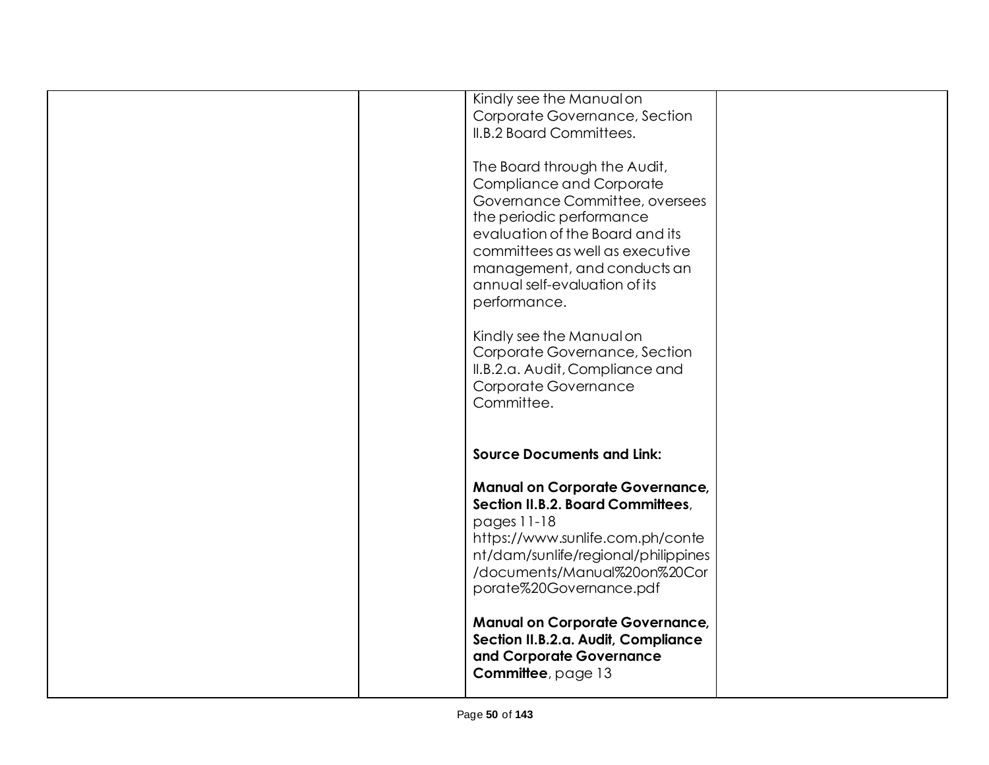|  | Kindly see the Manual on               |  |
|--|----------------------------------------|--|
|  | Corporate Governance, Section          |  |
|  | II.B.2 Board Committees.               |  |
|  |                                        |  |
|  | The Board through the Audit,           |  |
|  | Compliance and Corporate               |  |
|  |                                        |  |
|  | Governance Committee, oversees         |  |
|  | the periodic performance               |  |
|  | evaluation of the Board and its        |  |
|  | committees as well as executive        |  |
|  | management, and conducts an            |  |
|  | annual self-evaluation of its          |  |
|  | performance.                           |  |
|  |                                        |  |
|  | Kindly see the Manual on               |  |
|  | Corporate Governance, Section          |  |
|  |                                        |  |
|  | II.B.2.a. Audit, Compliance and        |  |
|  | Corporate Governance                   |  |
|  | Committee.                             |  |
|  |                                        |  |
|  |                                        |  |
|  | <b>Source Documents and Link:</b>      |  |
|  |                                        |  |
|  | <b>Manual on Corporate Governance,</b> |  |
|  | Section II.B.2. Board Committees,      |  |
|  | pages 11-18                            |  |
|  |                                        |  |
|  | https://www.sunlife.com.ph/conte       |  |
|  | nt/dam/sunlife/regional/philippines    |  |
|  | /documents/Manual%20on%20Cor           |  |
|  | porate%20Governance.pdf                |  |
|  |                                        |  |
|  | <b>Manual on Corporate Governance,</b> |  |
|  | Section II.B.2.a. Audit, Compliance    |  |
|  |                                        |  |
|  |                                        |  |
|  | and Corporate Governance               |  |
|  | Committee, page 13                     |  |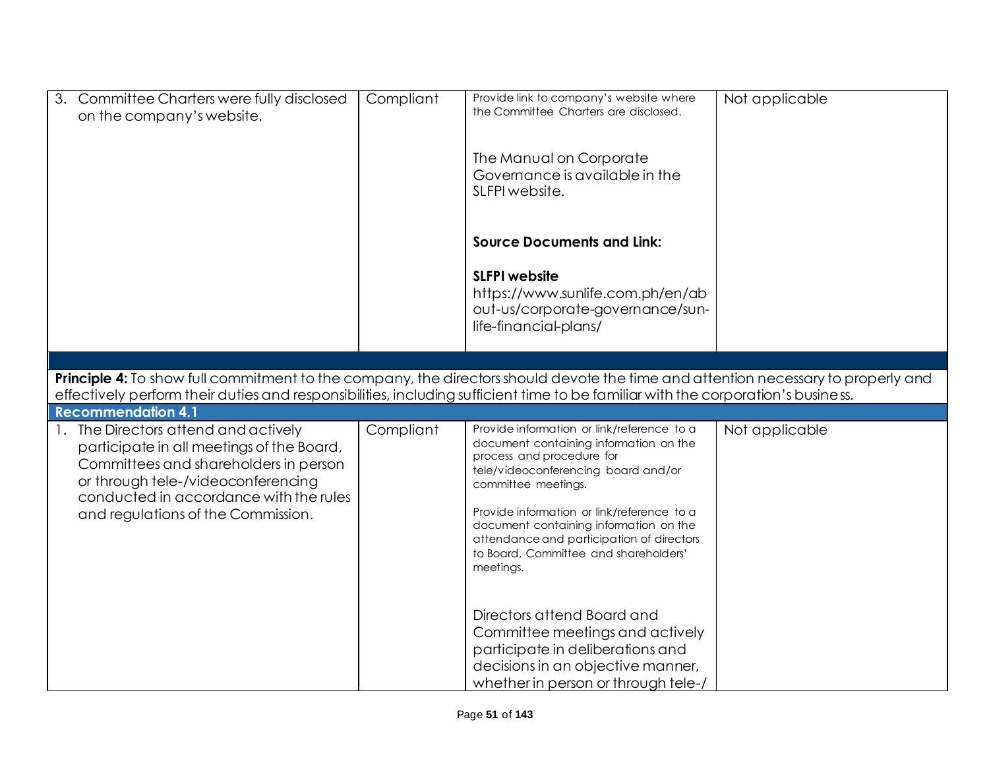| 3. Committee Charters were fully disclosed<br>on the company's website.                                                                                                                                                                                               | Compliant | Provide link to company's website where<br>the Committee Charters are disclosed.<br>The Manual on Corporate<br>Governance is available in the<br>SLFPI website.                                                                                                                                                                                                            | Not applicable |
|-----------------------------------------------------------------------------------------------------------------------------------------------------------------------------------------------------------------------------------------------------------------------|-----------|----------------------------------------------------------------------------------------------------------------------------------------------------------------------------------------------------------------------------------------------------------------------------------------------------------------------------------------------------------------------------|----------------|
|                                                                                                                                                                                                                                                                       |           | <b>Source Documents and Link:</b><br><b>SLFPI website</b><br>https://www.sunlife.com.ph/en/ab<br>out-us/corporate-governance/sun-<br>life-financial-plans/                                                                                                                                                                                                                 |                |
|                                                                                                                                                                                                                                                                       |           |                                                                                                                                                                                                                                                                                                                                                                            |                |
| Principle 4: To show full commitment to the company, the directors should devote the time and attention necessary to properly and<br>effectively perform their duties and responsibilities, including sufficient time to be familiar with the corporation's business. |           |                                                                                                                                                                                                                                                                                                                                                                            |                |
| <b>Recommendation 4.1</b>                                                                                                                                                                                                                                             |           |                                                                                                                                                                                                                                                                                                                                                                            |                |
| 1. The Directors attend and actively<br>participate in all meetings of the Board,<br>Committees and shareholders in person<br>or through tele-/videoconferencing<br>conducted in accordance with the rules<br>and regulations of the Commission.                      | Compliant | Provide information or link/reference to a<br>document containing information on the<br>process and procedure for<br>tele/videoconferencing board and/or<br>committee meetings.<br>Provide information or link/reference to a<br>document containing information on the<br>attendance and participation of directors<br>to Board, Committee and shareholders'<br>meetings. | Not applicable |
|                                                                                                                                                                                                                                                                       |           | Directors attend Board and<br>Committee meetings and actively<br>participate in deliberations and<br>decisions in an objective manner,<br>whether in person or through tele-                                                                                                                                                                                               |                |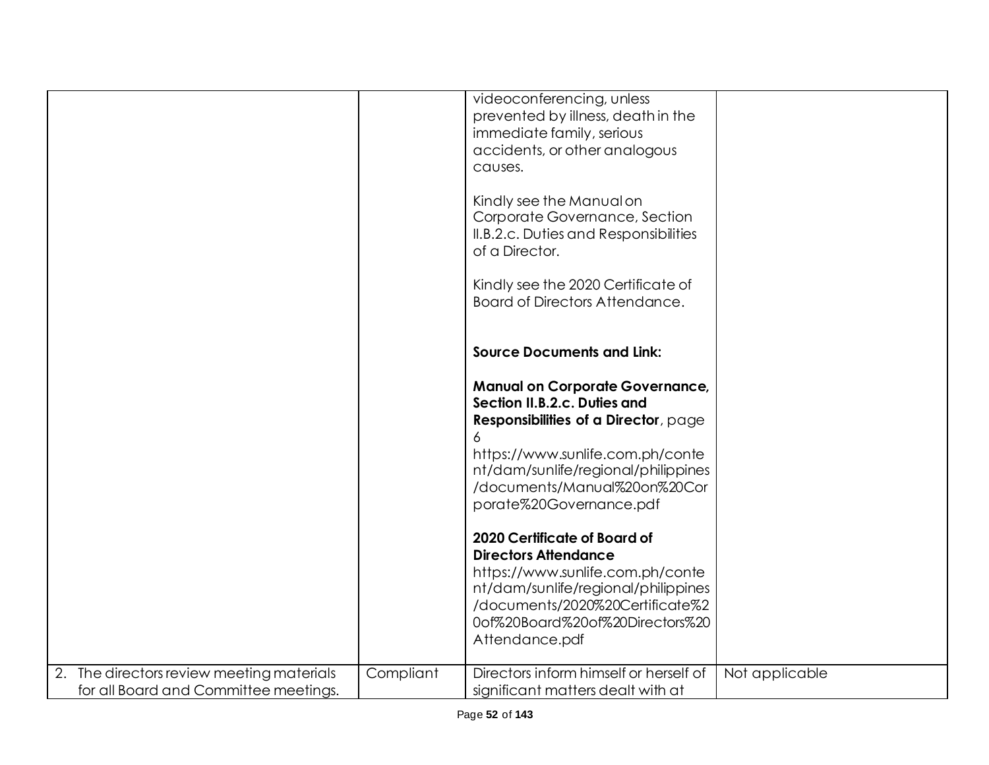|                                                                                    |           | videoconferencing, unless<br>prevented by illness, death in the<br>immediate family, serious<br>accidents, or other analogous<br>causes.<br>Kindly see the Manual on<br>Corporate Governance, Section<br>II.B.2.c. Duties and Responsibilities<br>of a Director.<br>Kindly see the 2020 Certificate of<br>Board of Directors Attendance.<br><b>Source Documents and Link:</b><br><b>Manual on Corporate Governance,</b><br>Section II.B.2.c. Duties and<br>Responsibilities of a Director, page<br>https://www.sunlife.com.ph/conte |                |
|------------------------------------------------------------------------------------|-----------|-------------------------------------------------------------------------------------------------------------------------------------------------------------------------------------------------------------------------------------------------------------------------------------------------------------------------------------------------------------------------------------------------------------------------------------------------------------------------------------------------------------------------------------|----------------|
|                                                                                    |           | nt/dam/sunlife/regional/philippines<br>/documents/Manual%20on%20Cor<br>porate%20Governance.pdf                                                                                                                                                                                                                                                                                                                                                                                                                                      |                |
|                                                                                    |           | 2020 Certificate of Board of<br><b>Directors Attendance</b><br>https://www.sunlife.com.ph/conte                                                                                                                                                                                                                                                                                                                                                                                                                                     |                |
|                                                                                    |           | nt/dam/sunlife/regional/philippines<br>/documents/2020%20Certificate%2<br>0of%20Board%20of%20Directors%20<br>Attendance.pdf                                                                                                                                                                                                                                                                                                                                                                                                         |                |
| 2. The directors review meeting materials<br>for all Board and Committee meetings. | Compliant | Directors inform himself or herself of<br>significant matters dealt with at                                                                                                                                                                                                                                                                                                                                                                                                                                                         | Not applicable |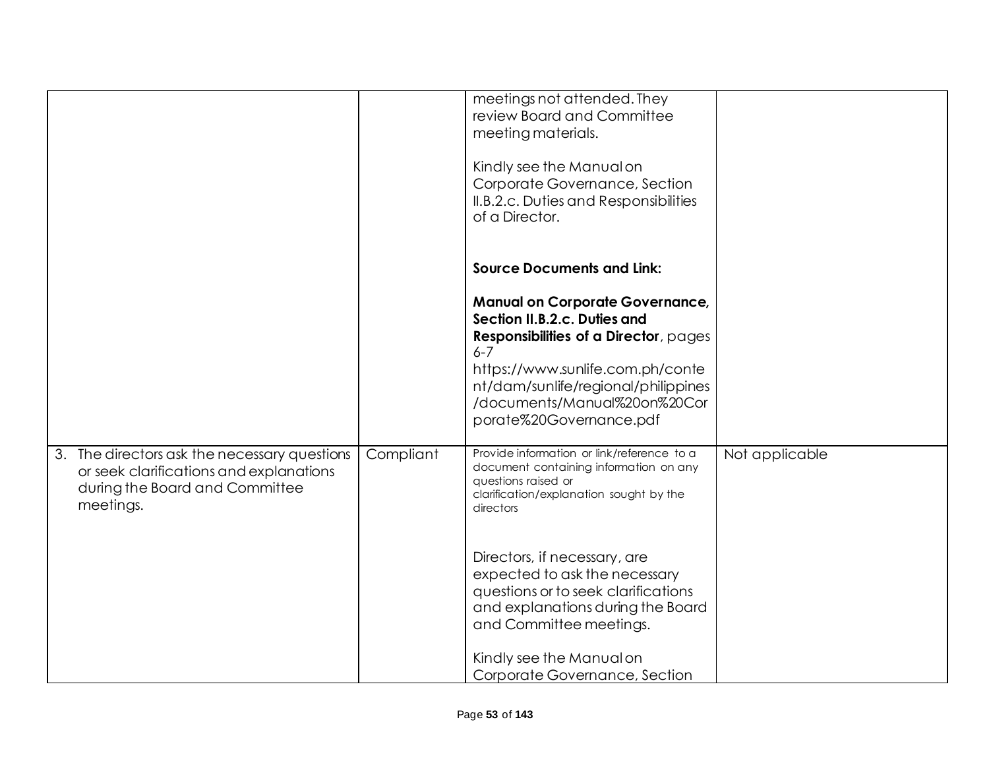|                                                                                                                                        |           | meetings not attended. They<br>review Board and Committee<br>meeting materials.<br>Kindly see the Manual on<br>Corporate Governance, Section<br>II.B.2.c. Duties and Responsibilities<br>of a Director.                                                                                                                                                                                                  |                |
|----------------------------------------------------------------------------------------------------------------------------------------|-----------|----------------------------------------------------------------------------------------------------------------------------------------------------------------------------------------------------------------------------------------------------------------------------------------------------------------------------------------------------------------------------------------------------------|----------------|
|                                                                                                                                        |           | <b>Source Documents and Link:</b><br><b>Manual on Corporate Governance,</b><br>Section II.B.2.c. Duties and<br>Responsibilities of a Director, pages<br>$6 - 7$<br>https://www.sunlife.com.ph/conte<br>nt/dam/sunlife/regional/philippines<br>/documents/Manual%20on%20Cor<br>porate%20Governance.pdf                                                                                                    |                |
| 3. The directors ask the necessary questions<br>or seek clarifications and explanations<br>during the Board and Committee<br>meetings. | Compliant | Provide information or link/reference to a<br>document containing information on any<br>questions raised or<br>clarification/explanation sought by the<br>directors<br>Directors, if necessary, are<br>expected to ask the necessary<br>questions or to seek clarifications<br>and explanations during the Board<br>and Committee meetings.<br>Kindly see the Manual on<br>Corporate Governance, Section | Not applicable |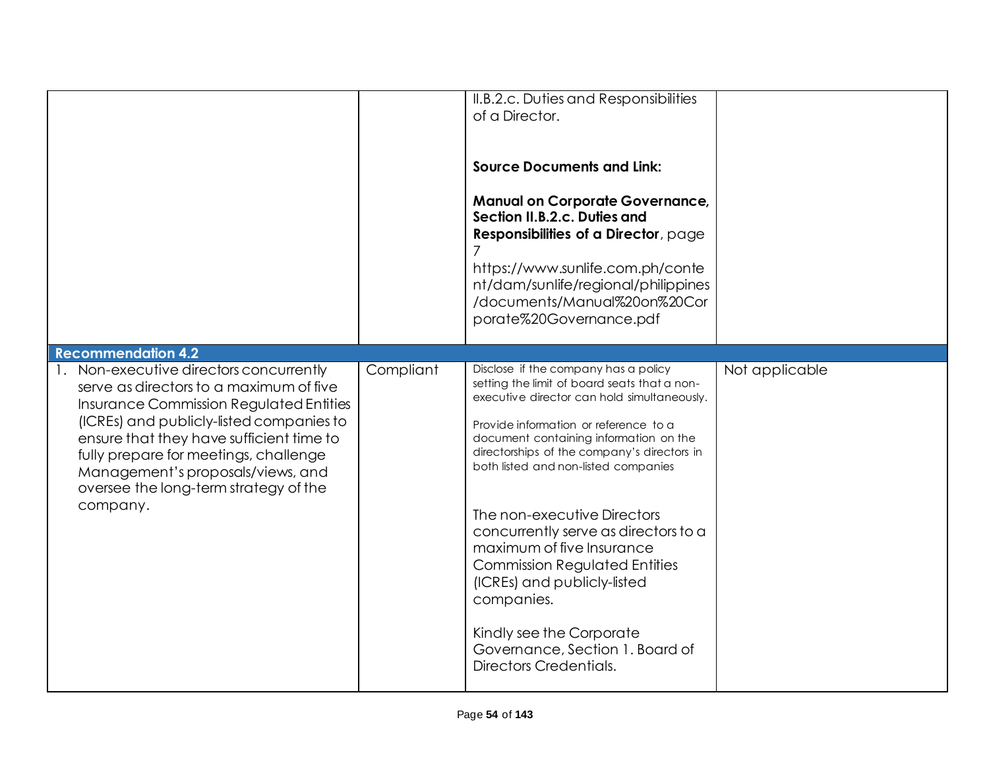|                                                                                                                                                                                                                                                                                                                                                          |           | II.B.2.c. Duties and Responsibilities<br>of a Director.                                                                                                                                                                                                                                                                                                                                                                                                                                                                                                                                         |                |
|----------------------------------------------------------------------------------------------------------------------------------------------------------------------------------------------------------------------------------------------------------------------------------------------------------------------------------------------------------|-----------|-------------------------------------------------------------------------------------------------------------------------------------------------------------------------------------------------------------------------------------------------------------------------------------------------------------------------------------------------------------------------------------------------------------------------------------------------------------------------------------------------------------------------------------------------------------------------------------------------|----------------|
|                                                                                                                                                                                                                                                                                                                                                          |           | <b>Source Documents and Link:</b>                                                                                                                                                                                                                                                                                                                                                                                                                                                                                                                                                               |                |
|                                                                                                                                                                                                                                                                                                                                                          |           | <b>Manual on Corporate Governance,</b><br>Section II.B.2.c. Duties and<br>Responsibilities of a Director, page                                                                                                                                                                                                                                                                                                                                                                                                                                                                                  |                |
|                                                                                                                                                                                                                                                                                                                                                          |           | https://www.sunlife.com.ph/conte<br>nt/dam/sunlife/regional/philippines<br>/documents/Manual%20on%20Cor<br>porate%20Governance.pdf                                                                                                                                                                                                                                                                                                                                                                                                                                                              |                |
| <b>Recommendation 4.2</b>                                                                                                                                                                                                                                                                                                                                |           |                                                                                                                                                                                                                                                                                                                                                                                                                                                                                                                                                                                                 |                |
| 1. Non-executive directors concurrently<br>serve as directors to a maximum of five<br>Insurance Commission Regulated Entities<br>(ICREs) and publicly-listed companies to<br>ensure that they have sufficient time to<br>fully prepare for meetings, challenge<br>Management's proposals/views, and<br>oversee the long-term strategy of the<br>company. | Compliant | Disclose if the company has a policy<br>setting the limit of board seats that a non-<br>executive director can hold simultaneously.<br>Provide information or reference to a<br>document containing information on the<br>directorships of the company's directors in<br>both listed and non-listed companies<br>The non-executive Directors<br>concurrently serve as directors to a<br>maximum of five Insurance<br><b>Commission Regulated Entities</b><br>(ICREs) and publicly-listed<br>companies.<br>Kindly see the Corporate<br>Governance, Section 1, Board of<br>Directors Credentials. | Not applicable |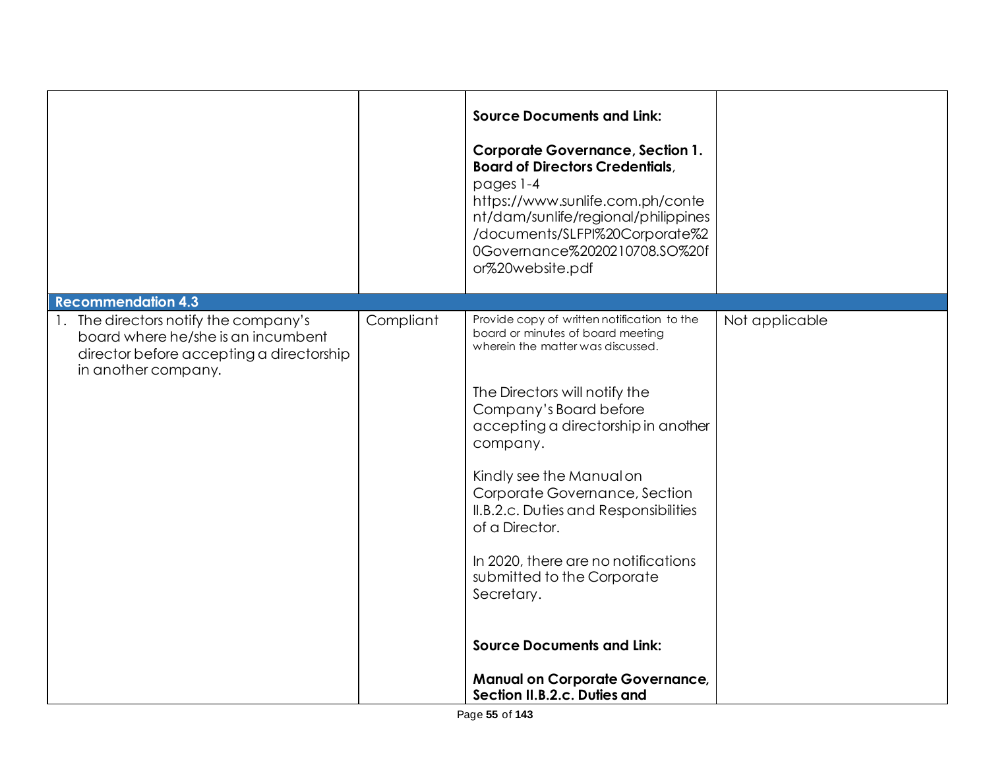|                                                                                                       |           | <b>Source Documents and Link:</b><br><b>Corporate Governance, Section 1.</b><br><b>Board of Directors Credentials,</b><br>pages 1-4<br>https://www.sunlife.com.ph/conte<br>nt/dam/sunlife/regional/philippines<br>/documents/SLFPI%20Corporate%2<br>0Governance%2020210708.SO%20f<br>or%20website.pdf |                |
|-------------------------------------------------------------------------------------------------------|-----------|-------------------------------------------------------------------------------------------------------------------------------------------------------------------------------------------------------------------------------------------------------------------------------------------------------|----------------|
| <b>Recommendation 4.3</b><br>1. The directors notify the company's                                    | Compliant | Provide copy of written notification to the                                                                                                                                                                                                                                                           | Not applicable |
| board where he/she is an incumbent<br>director before accepting a directorship<br>in another company. |           | board or minutes of board meeting<br>wherein the matter was discussed.                                                                                                                                                                                                                                |                |
|                                                                                                       |           | The Directors will notify the                                                                                                                                                                                                                                                                         |                |
|                                                                                                       |           | Company's Board before<br>accepting a directorship in another<br>company.                                                                                                                                                                                                                             |                |
|                                                                                                       |           | Kindly see the Manual on                                                                                                                                                                                                                                                                              |                |
|                                                                                                       |           | Corporate Governance, Section<br>II.B.2.c. Duties and Responsibilities<br>of a Director.                                                                                                                                                                                                              |                |
|                                                                                                       |           | In 2020, there are no notifications<br>submitted to the Corporate<br>Secretary.                                                                                                                                                                                                                       |                |
|                                                                                                       |           | <b>Source Documents and Link:</b>                                                                                                                                                                                                                                                                     |                |
|                                                                                                       |           | <b>Manual on Corporate Governance,</b><br>Section II.B.2.c. Duties and                                                                                                                                                                                                                                |                |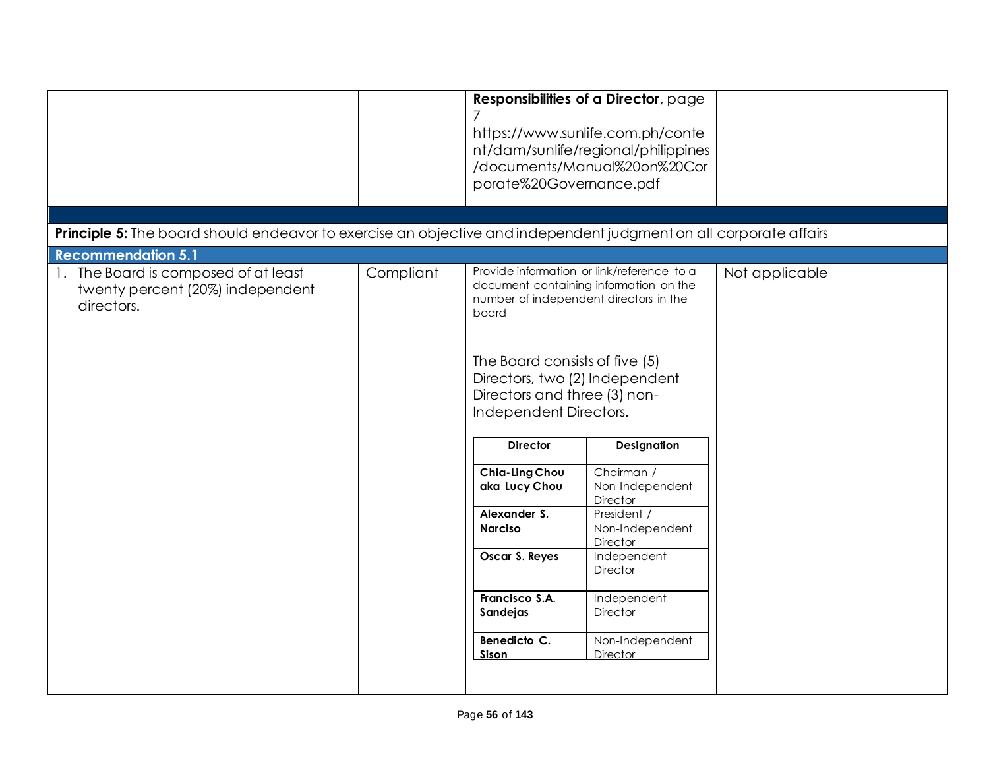|                                                                                                                   |           | porate%20Governance.pdf                                                                                                                                                                                                                                                                                                                        | Responsibilities of a Director, page<br>https://www.sunlife.com.ph/conte<br>nt/dam/sunlife/regional/philippines<br>/documents/Manual%20on%20Cor                                                                                                                                                          |                |
|-------------------------------------------------------------------------------------------------------------------|-----------|------------------------------------------------------------------------------------------------------------------------------------------------------------------------------------------------------------------------------------------------------------------------------------------------------------------------------------------------|----------------------------------------------------------------------------------------------------------------------------------------------------------------------------------------------------------------------------------------------------------------------------------------------------------|----------------|
|                                                                                                                   |           |                                                                                                                                                                                                                                                                                                                                                |                                                                                                                                                                                                                                                                                                          |                |
| Principle 5: The board should endeavor to exercise an objective and independent judgment on all corporate affairs |           |                                                                                                                                                                                                                                                                                                                                                |                                                                                                                                                                                                                                                                                                          |                |
| <b>Recommendation 5.1</b>                                                                                         |           |                                                                                                                                                                                                                                                                                                                                                |                                                                                                                                                                                                                                                                                                          |                |
| 1. The Board is composed of at least<br>twenty percent (20%) independent<br>directors.                            | Compliant | number of independent directors in the<br>board<br>The Board consists of five (5)<br>Directors, two (2) Independent<br>Directors and three (3) non-<br>Independent Directors.<br><b>Director</b><br>Chia-Ling Chou<br>aka Lucy Chou<br>Alexander S.<br><b>Narciso</b><br>Oscar S. Reyes<br>Francisco S.A.<br>Sandejas<br>Benedicto C.<br>Sison | Provide information or link/reference to a<br>document containing information on the<br>Designation<br>Chairman /<br>Non-Independent<br>Director<br>President /<br>Non-Independent<br>Director<br>Independent<br><b>Director</b><br>Independent<br><b>Director</b><br>Non-Independent<br><b>Director</b> | Not applicable |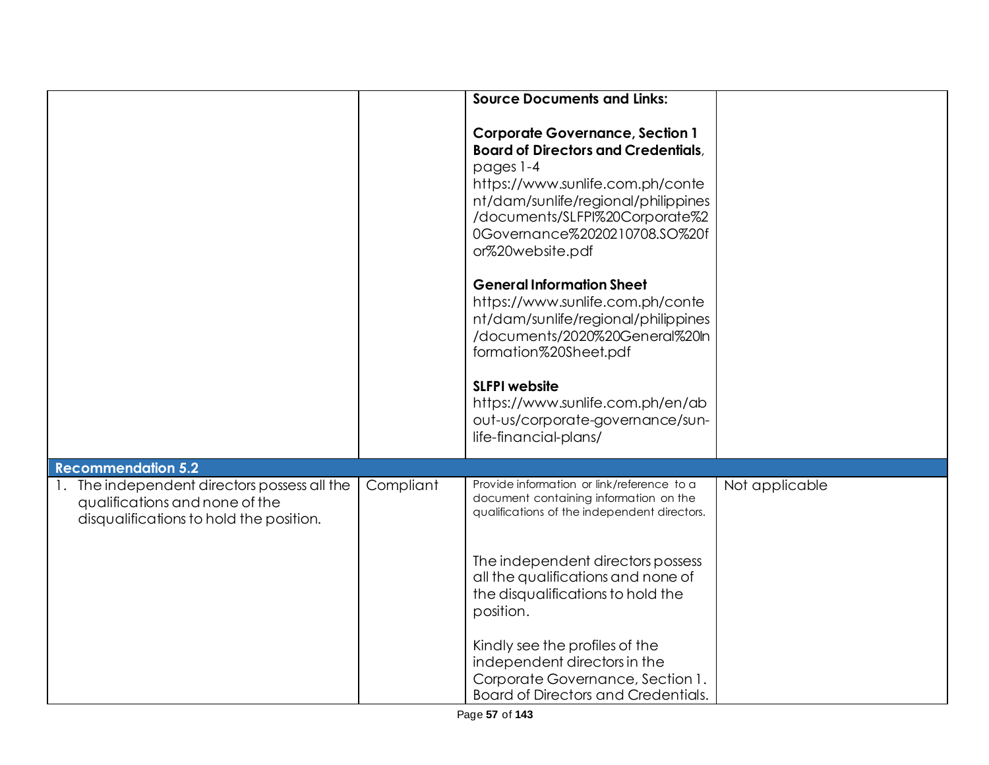|                                                                                                                                                        |           | <b>Source Documents and Links:</b>                                                                                                                                                                                                                                     |                |
|--------------------------------------------------------------------------------------------------------------------------------------------------------|-----------|------------------------------------------------------------------------------------------------------------------------------------------------------------------------------------------------------------------------------------------------------------------------|----------------|
|                                                                                                                                                        |           | <b>Corporate Governance, Section 1</b><br><b>Board of Directors and Credentials,</b><br>pages 1-4<br>https://www.sunlife.com.ph/conte<br>nt/dam/sunlife/regional/philippines<br>/documents/SLFPI%20Corporate%2<br>0Governance%2020210708.SO%20f<br>or%20website.pdf    |                |
|                                                                                                                                                        |           | <b>General Information Sheet</b><br>https://www.sunlife.com.ph/conte<br>nt/dam/sunlife/regional/philippines<br>/documents/2020%20General%20ln<br>formation%20Sheet.pdf<br><b>SLFPI</b> website<br>https://www.sunlife.com.ph/en/ab<br>out-us/corporate-governance/sun- |                |
|                                                                                                                                                        |           | life-financial-plans/                                                                                                                                                                                                                                                  |                |
| <b>Recommendation 5.2</b><br>1. The independent directors possess all the<br>qualifications and none of the<br>disqualifications to hold the position. | Compliant | Provide information or link/reference to a<br>document containing information on the<br>qualifications of the independent directors.                                                                                                                                   | Not applicable |
|                                                                                                                                                        |           | The independent directors possess<br>all the qualifications and none of<br>the disqualifications to hold the<br>position.                                                                                                                                              |                |
|                                                                                                                                                        |           | Kindly see the profiles of the<br>independent directors in the<br>Corporate Governance, Section 1.<br>Board of Directors and Credentials.                                                                                                                              |                |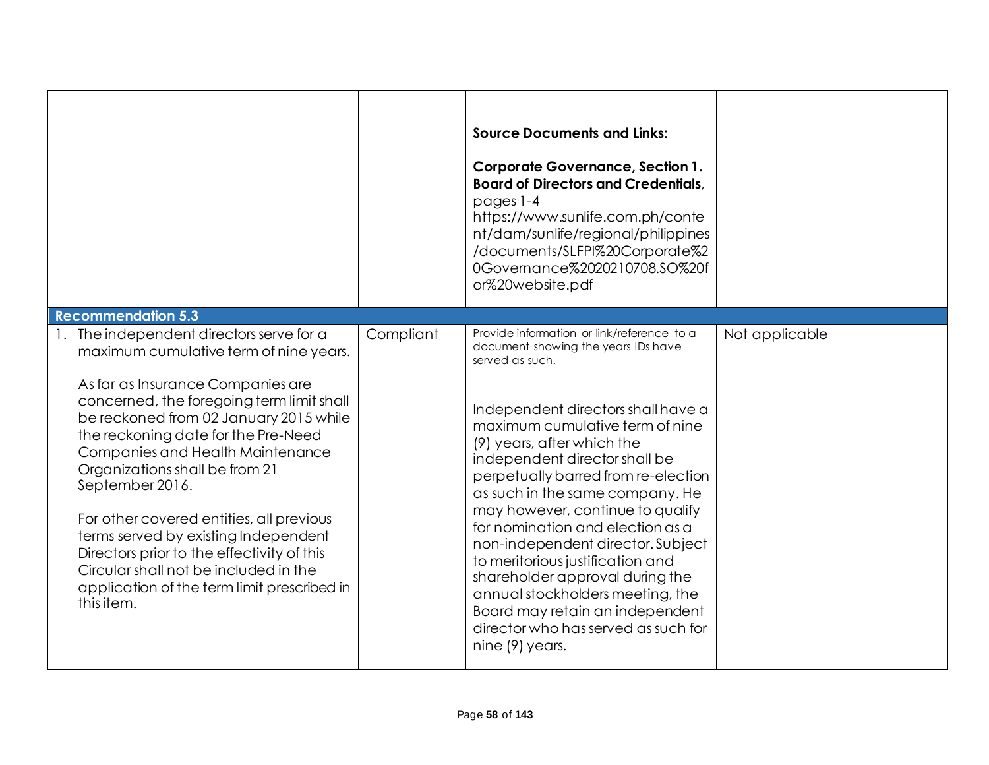| <b>Recommendation 5.3</b>                                                                                                                                                                                                                                                                                                                                                                                                                                                                                                                                                              |           | <b>Source Documents and Links:</b><br><b>Corporate Governance, Section 1.</b><br><b>Board of Directors and Credentials.</b><br>pages 1-4<br>https://www.sunlife.com.ph/conte<br>nt/dam/sunlife/regional/philippines<br>/documents/SLFPI%20Corporate%2<br>0Governance%2020210708.SO%20f<br>or%20website.pdf                                                                                                                                                                                                                                                                                                                                  |                |
|----------------------------------------------------------------------------------------------------------------------------------------------------------------------------------------------------------------------------------------------------------------------------------------------------------------------------------------------------------------------------------------------------------------------------------------------------------------------------------------------------------------------------------------------------------------------------------------|-----------|---------------------------------------------------------------------------------------------------------------------------------------------------------------------------------------------------------------------------------------------------------------------------------------------------------------------------------------------------------------------------------------------------------------------------------------------------------------------------------------------------------------------------------------------------------------------------------------------------------------------------------------------|----------------|
| 1. The independent directors serve for a<br>maximum cumulative term of nine years.<br>As far as Insurance Companies are<br>concerned, the foregoing term limit shall<br>be reckoned from 02 January 2015 while<br>the reckoning date for the Pre-Need<br>Companies and Health Maintenance<br>Organizations shall be from 21<br>September 2016.<br>For other covered entities, all previous<br>terms served by existing Independent<br>Directors prior to the effectivity of this<br>Circular shall not be included in the<br>application of the term limit prescribed in<br>this item. | Compliant | Provide information or link/reference to a<br>document showing the years IDs have<br>served as such.<br>Independent directors shall have a<br>maximum cumulative term of nine<br>(9) years, after which the<br>independent director shall be<br>perpetually barred from re-election<br>as such in the same company. He<br>may however, continue to qualify<br>for nomination and election as a<br>non-independent director. Subject<br>to meritorious justification and<br>shareholder approval during the<br>annual stockholders meeting, the<br>Board may retain an independent<br>director who has served as such for<br>nine (9) years. | Not applicable |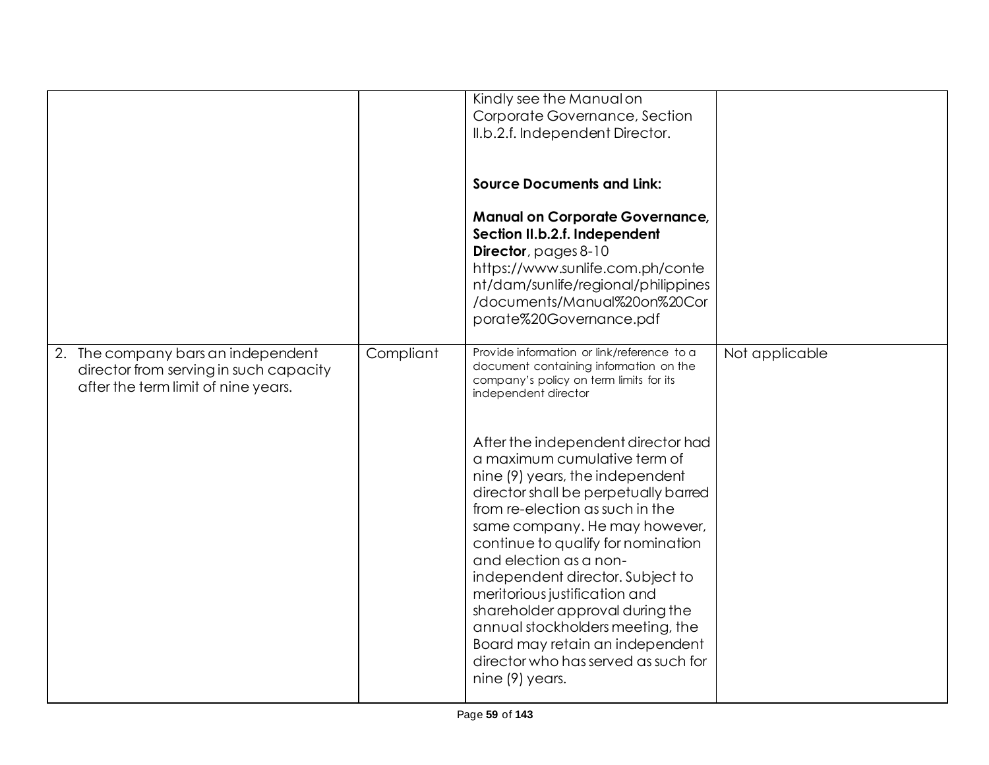|                                        |           | Kindly see the Manual on                   |                |
|----------------------------------------|-----------|--------------------------------------------|----------------|
|                                        |           |                                            |                |
|                                        |           | Corporate Governance, Section              |                |
|                                        |           | II.b.2.f. Independent Director.            |                |
|                                        |           |                                            |                |
|                                        |           |                                            |                |
|                                        |           | <b>Source Documents and Link:</b>          |                |
|                                        |           |                                            |                |
|                                        |           |                                            |                |
|                                        |           | <b>Manual on Corporate Governance,</b>     |                |
|                                        |           | Section II.b.2.f. Independent              |                |
|                                        |           | <b>Director</b> , pages 8-10               |                |
|                                        |           | https://www.sunlife.com.ph/conte           |                |
|                                        |           | nt/dam/sunlife/regional/philippines        |                |
|                                        |           |                                            |                |
|                                        |           | /documents/Manual%20on%20Cor               |                |
|                                        |           | porate%20Governance.pdf                    |                |
|                                        |           |                                            |                |
| 2. The company bars an independent     | Compliant | Provide information or link/reference to a | Not applicable |
| director from serving in such capacity |           | document containing information on the     |                |
| after the term limit of nine years.    |           | company's policy on term limits for its    |                |
|                                        |           | independent director                       |                |
|                                        |           |                                            |                |
|                                        |           |                                            |                |
|                                        |           | After the independent director had         |                |
|                                        |           | a maximum cumulative term of               |                |
|                                        |           |                                            |                |
|                                        |           | nine (9) years, the independent            |                |
|                                        |           | director shall be perpetually barred       |                |
|                                        |           | from re-election as such in the            |                |
|                                        |           | same company. He may however,              |                |
|                                        |           | continue to qualify for nomination         |                |
|                                        |           | and election as a non-                     |                |
|                                        |           |                                            |                |
|                                        |           | independent director. Subject to           |                |
|                                        |           | meritorious justification and              |                |
|                                        |           | shareholder approval during the            |                |
|                                        |           | annual stockholders meeting, the           |                |
|                                        |           | Board may retain an independent            |                |
|                                        |           | director who has served as such for        |                |
|                                        |           |                                            |                |
|                                        |           | nine (9) years.                            |                |
|                                        |           |                                            |                |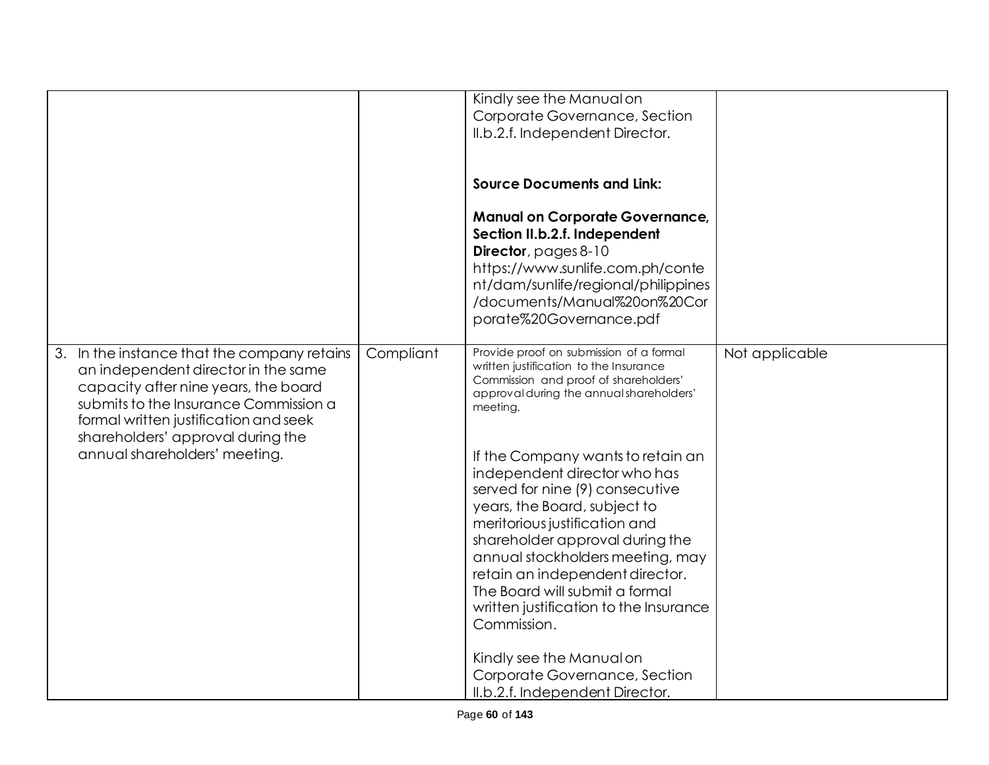|                                             |           | Kindly see the Manual on                 |                |
|---------------------------------------------|-----------|------------------------------------------|----------------|
|                                             |           | Corporate Governance, Section            |                |
|                                             |           | II.b.2.f. Independent Director.          |                |
|                                             |           |                                          |                |
|                                             |           |                                          |                |
|                                             |           |                                          |                |
|                                             |           | <b>Source Documents and Link:</b>        |                |
|                                             |           |                                          |                |
|                                             |           | <b>Manual on Corporate Governance,</b>   |                |
|                                             |           |                                          |                |
|                                             |           | Section II.b.2.f. Independent            |                |
|                                             |           | Director, pages 8-10                     |                |
|                                             |           | https://www.sunlife.com.ph/conte         |                |
|                                             |           | nt/dam/sunlife/regional/philippines      |                |
|                                             |           | /documents/Manual%20on%20Cor             |                |
|                                             |           |                                          |                |
|                                             |           | porate%20Governance.pdf                  |                |
|                                             |           |                                          |                |
| 3. In the instance that the company retains | Compliant | Provide proof on submission of a formal  | Not applicable |
| an independent director in the same         |           | written justification to the Insurance   |                |
| capacity after nine years, the board        |           | Commission and proof of shareholders'    |                |
|                                             |           | approval during the annual shareholders' |                |
| submits to the Insurance Commission a       |           | meeting.                                 |                |
| formal written justification and seek       |           |                                          |                |
| shareholders' approval during the           |           |                                          |                |
| annual shareholders' meeting.               |           | If the Company wants to retain an        |                |
|                                             |           | independent director who has             |                |
|                                             |           |                                          |                |
|                                             |           | served for nine (9) consecutive          |                |
|                                             |           | years, the Board, subject to             |                |
|                                             |           | meritorious justification and            |                |
|                                             |           | shareholder approval during the          |                |
|                                             |           | annual stockholders meeting, may         |                |
|                                             |           |                                          |                |
|                                             |           | retain an independent director.          |                |
|                                             |           | The Board will submit a formal           |                |
|                                             |           | written justification to the Insurance   |                |
|                                             |           | Commission.                              |                |
|                                             |           |                                          |                |
|                                             |           | Kindly see the Manual on                 |                |
|                                             |           |                                          |                |
|                                             |           | Corporate Governance, Section            |                |
|                                             |           | II.b.2.f. Independent Director.          |                |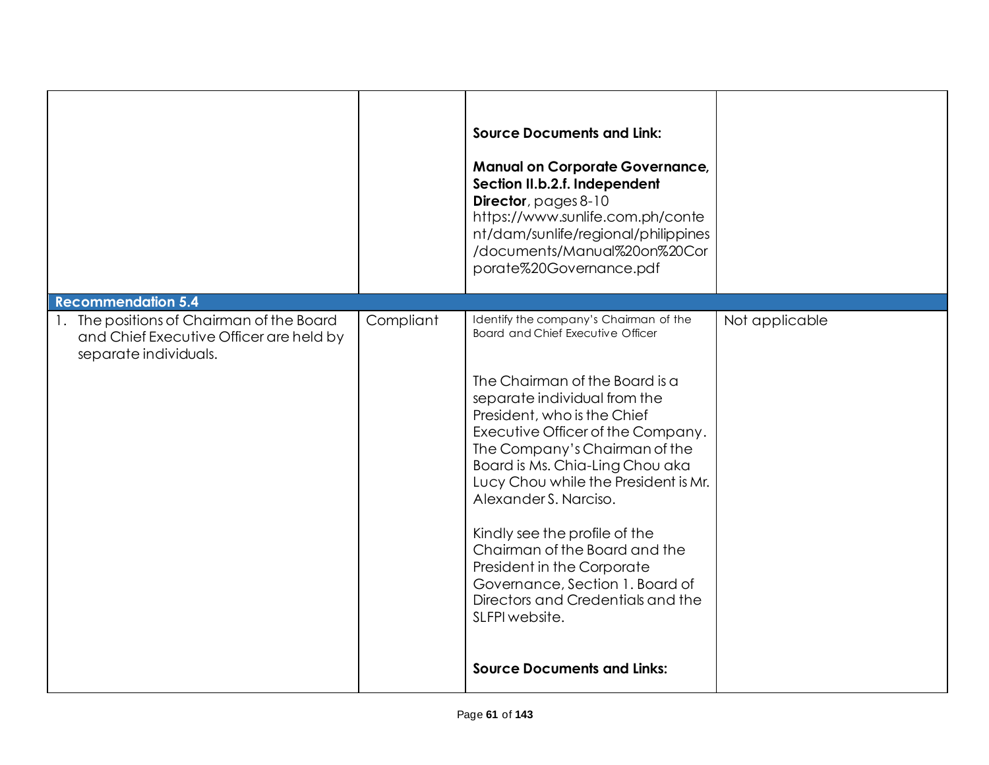|                                                                                                                                            |           | <b>Source Documents and Link:</b><br><b>Manual on Corporate Governance,</b><br>Section II.b.2.f. Independent<br>Director, pages 8-10<br>https://www.sunlife.com.ph/conte<br>nt/dam/sunlife/regional/philippines<br>/documents/Manual%20on%20Cor<br>porate%20Governance.pdf                                                                                                                                                                                                                                                                                                                    |                |
|--------------------------------------------------------------------------------------------------------------------------------------------|-----------|-----------------------------------------------------------------------------------------------------------------------------------------------------------------------------------------------------------------------------------------------------------------------------------------------------------------------------------------------------------------------------------------------------------------------------------------------------------------------------------------------------------------------------------------------------------------------------------------------|----------------|
| <b>Recommendation 5.4</b><br>1. The positions of Chairman of the Board<br>and Chief Executive Officer are held by<br>separate individuals. | Compliant | Identify the company's Chairman of the<br><b>Board and Chief Executive Officer</b><br>The Chairman of the Board is a<br>separate individual from the<br>President, who is the Chief<br>Executive Officer of the Company.<br>The Company's Chairman of the<br>Board is Ms. Chia-Ling Chou aka<br>Lucy Chou while the President is Mr.<br>Alexander S. Narciso.<br>Kindly see the profile of the<br>Chairman of the Board and the<br>President in the Corporate<br>Governance, Section 1. Board of<br>Directors and Credentials and the<br>SLFPI website.<br><b>Source Documents and Links:</b> | Not applicable |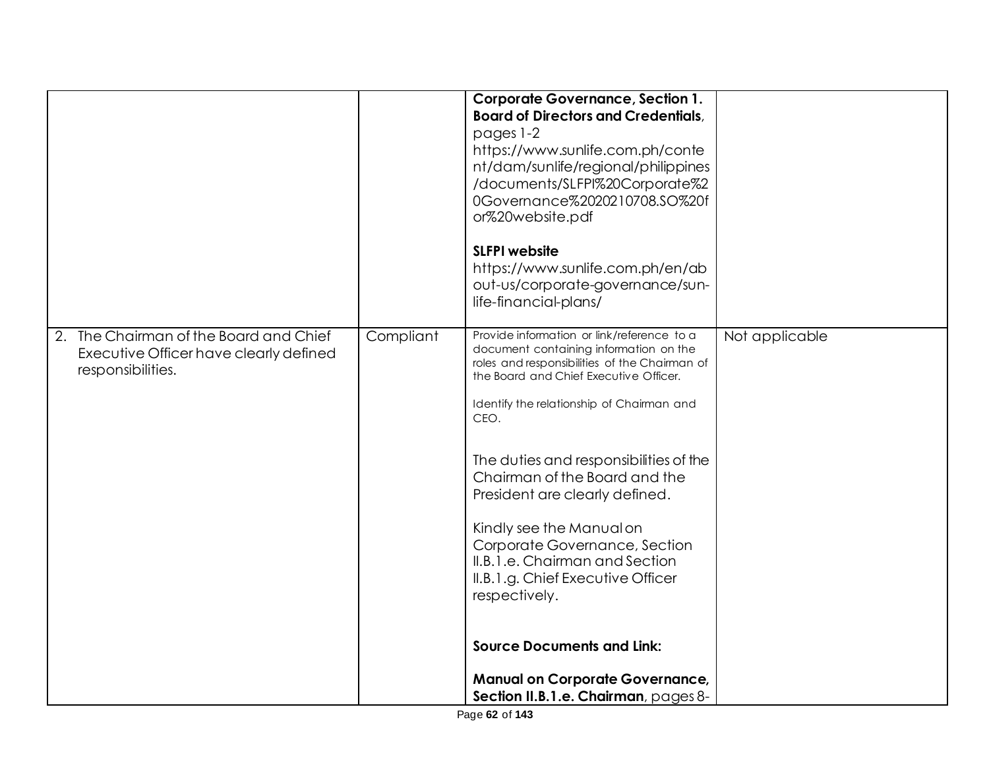|                                                                                                       |           | <b>Corporate Governance, Section 1.</b><br><b>Board of Directors and Credentials,</b><br>pages 1-2<br>https://www.sunlife.com.ph/conte<br>nt/dam/sunlife/regional/philippines<br>/documents/SLFPI%20Corporate%2<br>0Governance%2020210708.SO%20f<br>or%20website.pdf<br><b>SLFPI website</b><br>https://www.sunlife.com.ph/en/ab<br>out-us/corporate-governance/sun-<br>life-financial-plans/                                                                                                                                                                                                                                 |                |
|-------------------------------------------------------------------------------------------------------|-----------|-------------------------------------------------------------------------------------------------------------------------------------------------------------------------------------------------------------------------------------------------------------------------------------------------------------------------------------------------------------------------------------------------------------------------------------------------------------------------------------------------------------------------------------------------------------------------------------------------------------------------------|----------------|
| 2. The Chairman of the Board and Chief<br>Executive Officer have clearly defined<br>responsibilities. | Compliant | Provide information or link/reference to a<br>document containing information on the<br>roles and responsibilities of the Chairman of<br>the Board and Chief Executive Officer.<br>Identify the relationship of Chairman and<br>CEO.<br>The duties and responsibilities of the<br>Chairman of the Board and the<br>President are clearly defined.<br>Kindly see the Manual on<br>Corporate Governance, Section<br>II.B.1.e. Chairman and Section<br>II.B.1.g. Chief Executive Officer<br>respectively.<br><b>Source Documents and Link:</b><br><b>Manual on Corporate Governance,</b><br>Section II.B.1.e. Chairman, pages 8- | Not applicable |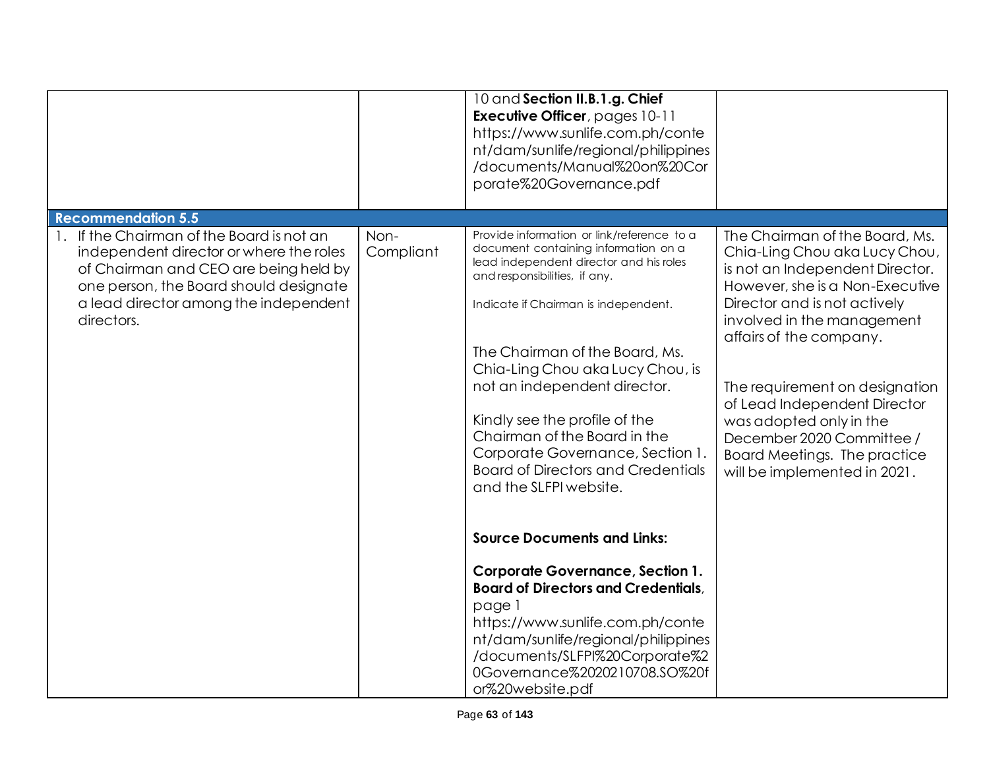|                                                                                                                                                                                                                                |                   | 10 and Section II.B.1.g. Chief<br><b>Executive Officer</b> , pages 10-11<br>https://www.sunlife.com.ph/conte<br>nt/dam/sunlife/regional/philippines<br>/documents/Manual%20on%20Cor<br>porate%20Governance.pdf                                                                                                                                                                                                                                                                                                                                                                                                                                                                                                                                                                                      |                                                                                                                                                                                                                                                                                                                                                                                                                          |
|--------------------------------------------------------------------------------------------------------------------------------------------------------------------------------------------------------------------------------|-------------------|-----------------------------------------------------------------------------------------------------------------------------------------------------------------------------------------------------------------------------------------------------------------------------------------------------------------------------------------------------------------------------------------------------------------------------------------------------------------------------------------------------------------------------------------------------------------------------------------------------------------------------------------------------------------------------------------------------------------------------------------------------------------------------------------------------|--------------------------------------------------------------------------------------------------------------------------------------------------------------------------------------------------------------------------------------------------------------------------------------------------------------------------------------------------------------------------------------------------------------------------|
| <b>Recommendation 5.5</b>                                                                                                                                                                                                      |                   |                                                                                                                                                                                                                                                                                                                                                                                                                                                                                                                                                                                                                                                                                                                                                                                                     |                                                                                                                                                                                                                                                                                                                                                                                                                          |
| 1. If the Chairman of the Board is not an<br>independent director or where the roles<br>of Chairman and CEO are being held by<br>one person, the Board should designate<br>a lead director among the independent<br>directors. | Non-<br>Compliant | Provide information or link/reference to a<br>document containing information on a<br>lead independent director and his roles<br>and responsibilities, if any.<br>Indicate if Chairman is independent.<br>The Chairman of the Board, Ms.<br>Chia-Ling Chou aka Lucy Chou, is<br>not an independent director.<br>Kindly see the profile of the<br>Chairman of the Board in the<br>Corporate Governance, Section 1.<br><b>Board of Directors and Credentials</b><br>and the SLFPI website.<br><b>Source Documents and Links:</b><br><b>Corporate Governance, Section 1.</b><br><b>Board of Directors and Credentials,</b><br>page 1<br>https://www.sunlife.com.ph/conte<br>nt/dam/sunlife/regional/philippines<br>/documents/SLFPI%20Corporate%2<br>0Governance%2020210708.SO%20f<br>or%20website.pdf | The Chairman of the Board, Ms.<br>Chia-Ling Chou aka Lucy Chou,<br>is not an Independent Director.<br>However, she is a Non-Executive<br>Director and is not actively<br>involved in the management<br>affairs of the company.<br>The requirement on designation<br>of Lead Independent Director<br>was adopted only in the<br>December 2020 Committee /<br>Board Meetings. The practice<br>will be implemented in 2021. |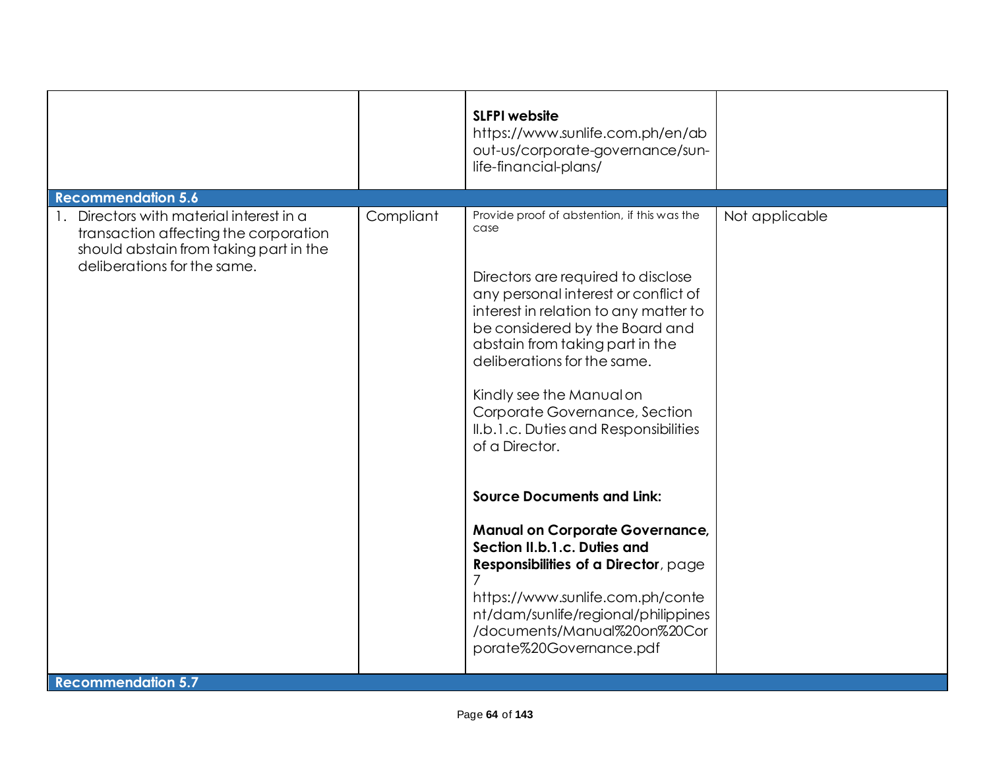| <b>Recommendation 5.6</b><br>Directors with material interest in a<br>Compliant<br>Provide proof of abstention, if this was the<br>$\mathbf{1}$ .<br>Not applicable<br>case<br>transaction affecting the corporation<br>should abstain from taking part in the<br>deliberations for the same.<br>Directors are required to disclose<br>any personal interest or conflict of<br>interest in relation to any matter to<br>be considered by the Board and<br>abstain from taking part in the<br>deliberations for the same.<br>Kindly see the Manual on<br>Corporate Governance, Section<br>II.b.1.c. Duties and Responsibilities<br>of a Director.<br><b>Source Documents and Link:</b><br><b>Manual on Corporate Governance,</b><br>Section II.b.1.c. Duties and<br>Responsibilities of a Director, page<br>https://www.sunlife.com.ph/conte<br>nt/dam/sunlife/regional/philippines<br>/documents/Manual%20on%20Cor<br>porate%20Governance.pdf |  | <b>SLFPI</b> website<br>https://www.sunlife.com.ph/en/ab<br>out-us/corporate-governance/sun-<br>life-financial-plans/ |  |
|-----------------------------------------------------------------------------------------------------------------------------------------------------------------------------------------------------------------------------------------------------------------------------------------------------------------------------------------------------------------------------------------------------------------------------------------------------------------------------------------------------------------------------------------------------------------------------------------------------------------------------------------------------------------------------------------------------------------------------------------------------------------------------------------------------------------------------------------------------------------------------------------------------------------------------------------------|--|-----------------------------------------------------------------------------------------------------------------------|--|
|                                                                                                                                                                                                                                                                                                                                                                                                                                                                                                                                                                                                                                                                                                                                                                                                                                                                                                                                               |  |                                                                                                                       |  |
| <b>Recommendation 5.7</b>                                                                                                                                                                                                                                                                                                                                                                                                                                                                                                                                                                                                                                                                                                                                                                                                                                                                                                                     |  |                                                                                                                       |  |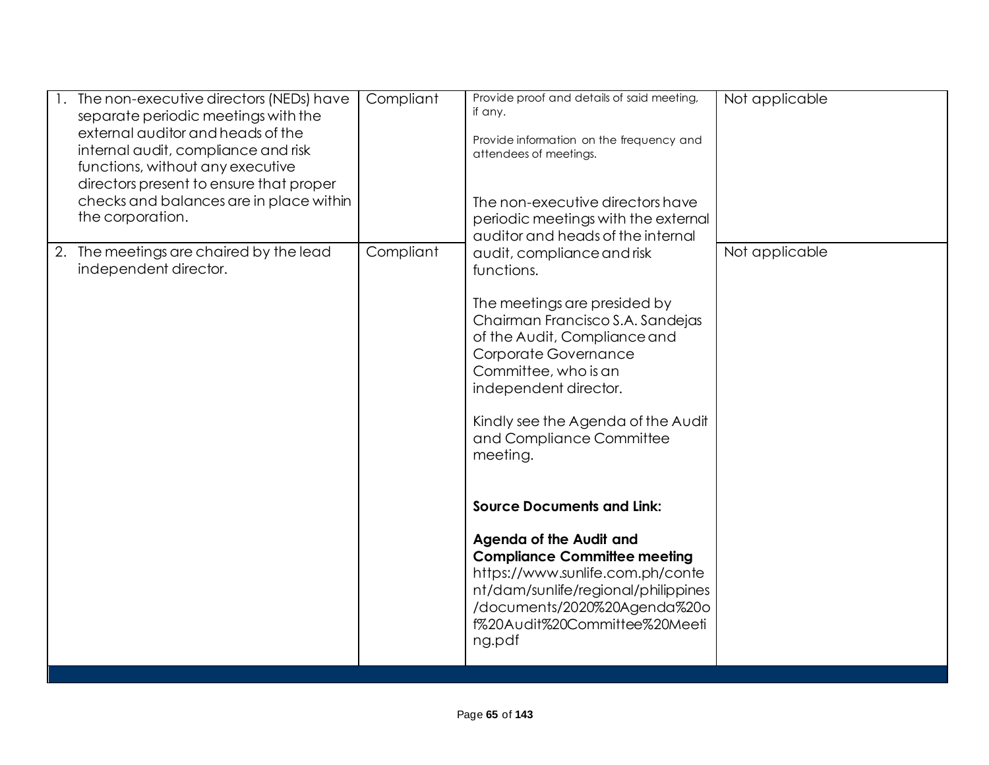| The non-executive directors (NEDs) have<br>separate periodic meetings with the<br>external auditor and heads of the<br>internal audit, compliance and risk<br>functions, without any executive<br>directors present to ensure that proper<br>checks and balances are in place within<br>the corporation. | Compliant | Provide proof and details of said meeting,<br>if any.<br>Provide information on the frequency and<br>attendees of meetings.<br>The non-executive directors have<br>periodic meetings with the external<br>auditor and heads of the internal                                                                                                                                                                                                                                                                                                                      | Not applicable |
|----------------------------------------------------------------------------------------------------------------------------------------------------------------------------------------------------------------------------------------------------------------------------------------------------------|-----------|------------------------------------------------------------------------------------------------------------------------------------------------------------------------------------------------------------------------------------------------------------------------------------------------------------------------------------------------------------------------------------------------------------------------------------------------------------------------------------------------------------------------------------------------------------------|----------------|
| 2. The meetings are chaired by the lead<br>independent director.                                                                                                                                                                                                                                         | Compliant | audit, compliance and risk<br>functions.<br>The meetings are presided by<br>Chairman Francisco S.A. Sandejas<br>of the Audit, Compliance and<br>Corporate Governance<br>Committee, who is an<br>independent director.<br>Kindly see the Agenda of the Audit<br>and Compliance Committee<br>meeting.<br><b>Source Documents and Link:</b><br>Agenda of the Audit and<br><b>Compliance Committee meeting</b><br>https://www.sunlife.com.ph/conte<br>nt/dam/sunlife/regional/philippines<br>/documents/2020%20Agenda%20o<br>f%20Audit%20Committee%20Meeti<br>ng.pdf | Not applicable |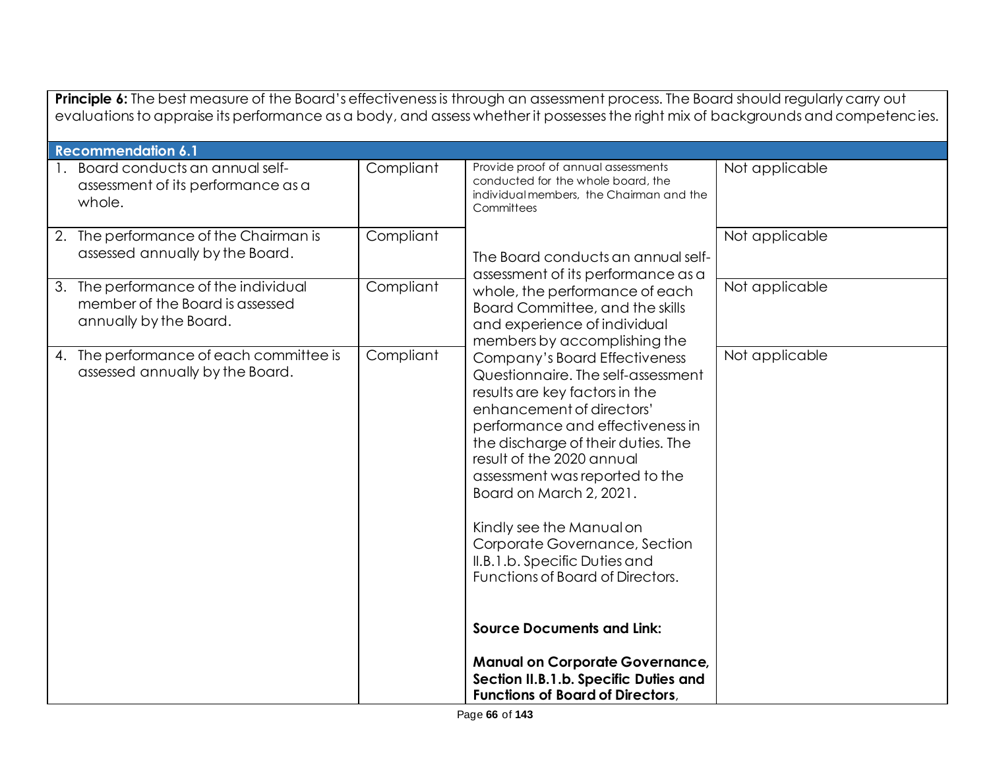| Principle 6: The best measure of the Board's effectiveness is through an assessment process. The Board should regularly carry out<br>evaluations to appraise its performance as a body, and assess whether it possesses the right mix of backgrounds and competencies. |           |                                                                                                                                                                                                                                                                                                                                                                                                                                          |                |  |
|------------------------------------------------------------------------------------------------------------------------------------------------------------------------------------------------------------------------------------------------------------------------|-----------|------------------------------------------------------------------------------------------------------------------------------------------------------------------------------------------------------------------------------------------------------------------------------------------------------------------------------------------------------------------------------------------------------------------------------------------|----------------|--|
| <b>Recommendation 6.1</b>                                                                                                                                                                                                                                              |           |                                                                                                                                                                                                                                                                                                                                                                                                                                          |                |  |
| 1. Board conducts an annual self-<br>assessment of its performance as a<br>whole.                                                                                                                                                                                      | Compliant | Provide proof of annual assessments<br>conducted for the whole board, the<br>individualmembers, the Chairman and the<br>Committees                                                                                                                                                                                                                                                                                                       | Not applicable |  |
| 2. The performance of the Chairman is<br>assessed annually by the Board.                                                                                                                                                                                               | Compliant | The Board conducts an annual self-<br>assessment of its performance as a<br>whole, the performance of each<br>Board Committee, and the skills<br>and experience of individual<br>members by accomplishing the                                                                                                                                                                                                                            | Not applicable |  |
| 3. The performance of the individual<br>member of the Board is assessed<br>annually by the Board.                                                                                                                                                                      | Compliant |                                                                                                                                                                                                                                                                                                                                                                                                                                          | Not applicable |  |
| 4. The performance of each committee is<br>assessed annually by the Board.                                                                                                                                                                                             | Compliant | Company's Board Effectiveness<br>Questionnaire. The self-assessment<br>results are key factors in the<br>enhancement of directors'<br>performance and effectiveness in<br>the discharge of their duties. The<br>result of the 2020 annual<br>assessment was reported to the<br>Board on March 2, 2021.<br>Kindly see the Manual on<br>Corporate Governance, Section<br>II.B.1.b. Specific Duties and<br>Functions of Board of Directors. | Not applicable |  |
|                                                                                                                                                                                                                                                                        |           | <b>Source Documents and Link:</b><br><b>Manual on Corporate Governance,</b><br>Section II.B.1.b. Specific Duties and<br><b>Functions of Board of Directors,</b>                                                                                                                                                                                                                                                                          |                |  |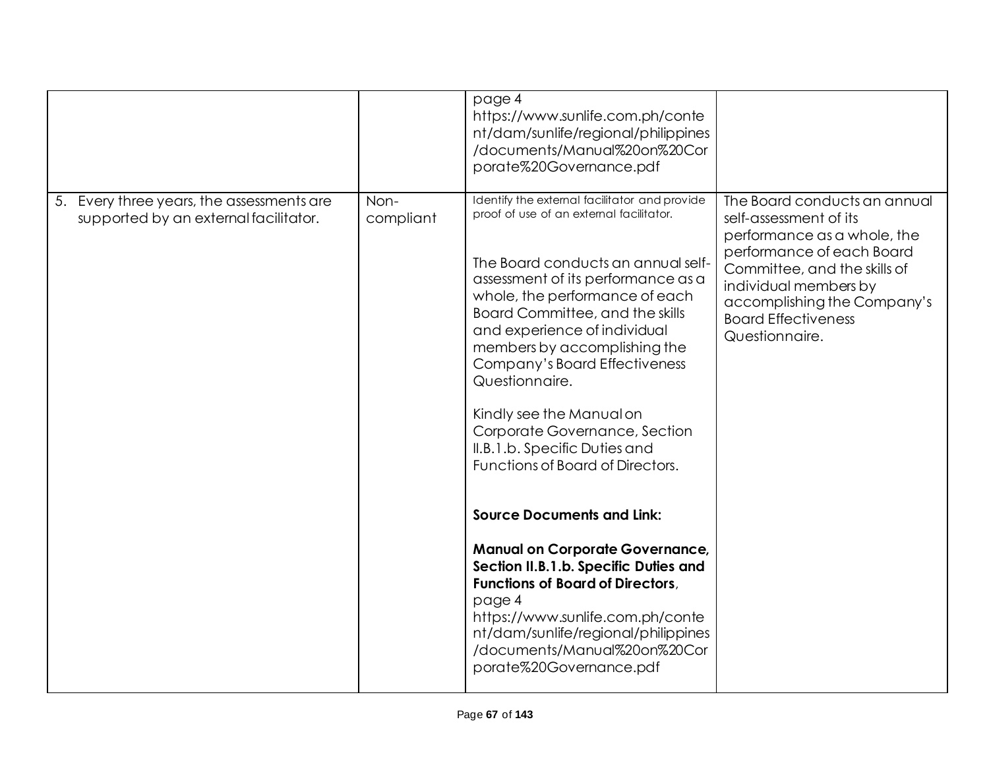|                                                                                    |                   | page 4<br>https://www.sunlife.com.ph/conte<br>nt/dam/sunlife/regional/philippines<br>/documents/Manual%20on%20Cor<br>porate%20Governance.pdf                                                                                                                                                                                                                                                                                                                                                    |                                                                                                                                                                                                                                                            |
|------------------------------------------------------------------------------------|-------------------|-------------------------------------------------------------------------------------------------------------------------------------------------------------------------------------------------------------------------------------------------------------------------------------------------------------------------------------------------------------------------------------------------------------------------------------------------------------------------------------------------|------------------------------------------------------------------------------------------------------------------------------------------------------------------------------------------------------------------------------------------------------------|
| 5. Every three years, the assessments are<br>supported by an external facilitator. | Non-<br>compliant | Identify the external facilitator and provide<br>proof of use of an external facilitator.<br>The Board conducts an annual self-<br>assessment of its performance as a<br>whole, the performance of each<br>Board Committee, and the skills<br>and experience of individual<br>members by accomplishing the<br>Company's Board Effectiveness<br>Questionnaire.<br>Kindly see the Manual on<br>Corporate Governance, Section<br>II.B.1.b. Specific Duties and<br>Functions of Board of Directors. | The Board conducts an annual<br>self-assessment of its<br>performance as a whole, the<br>performance of each Board<br>Committee, and the skills of<br>individual members by<br>accomplishing the Company's<br><b>Board Effectiveness</b><br>Questionnaire. |
|                                                                                    |                   | <b>Source Documents and Link:</b><br><b>Manual on Corporate Governance,</b><br>Section II.B.1.b. Specific Duties and<br><b>Functions of Board of Directors,</b><br>page 4<br>https://www.sunlife.com.ph/conte<br>nt/dam/sunlife/regional/philippines<br>/documents/Manual%20on%20Cor<br>porate%20Governance.pdf                                                                                                                                                                                 |                                                                                                                                                                                                                                                            |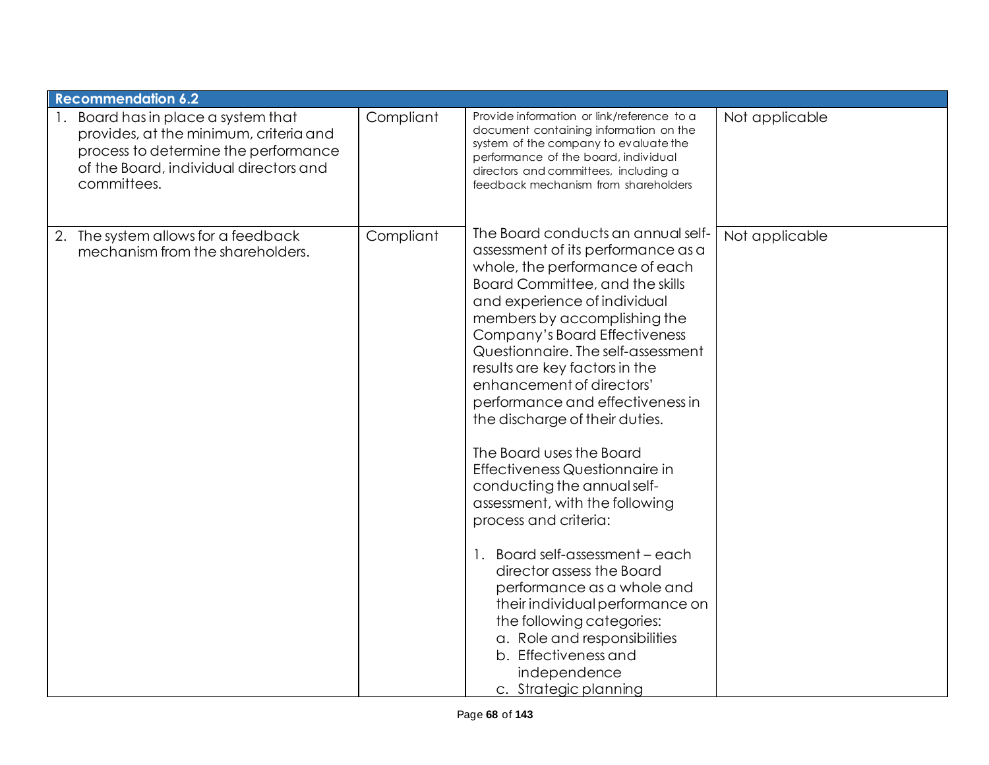| <b>Recommendation 6.2</b>                                                                                                                                                   |           |                                                                                                                                                                                                                                                                                                                                                                                                                                                                                                                                                                                                                                                                                                                                                                                                                                                  |                |
|-----------------------------------------------------------------------------------------------------------------------------------------------------------------------------|-----------|--------------------------------------------------------------------------------------------------------------------------------------------------------------------------------------------------------------------------------------------------------------------------------------------------------------------------------------------------------------------------------------------------------------------------------------------------------------------------------------------------------------------------------------------------------------------------------------------------------------------------------------------------------------------------------------------------------------------------------------------------------------------------------------------------------------------------------------------------|----------------|
| Board has in place a system that<br>provides, at the minimum, criteria and<br>process to determine the performance<br>of the Board, individual directors and<br>committees. | Compliant | Provide information or link/reference to a<br>document containing information on the<br>system of the company to evaluate the<br>performance of the board, individual<br>directors and committees, including a<br>feedback mechanism from shareholders                                                                                                                                                                                                                                                                                                                                                                                                                                                                                                                                                                                           | Not applicable |
| 2. The system allows for a feedback<br>mechanism from the shareholders.                                                                                                     | Compliant | The Board conducts an annual self-<br>assessment of its performance as a<br>whole, the performance of each<br>Board Committee, and the skills<br>and experience of individual<br>members by accomplishing the<br>Company's Board Effectiveness<br>Questionnaire. The self-assessment<br>results are key factors in the<br>enhancement of directors'<br>performance and effectiveness in<br>the discharge of their duties.<br>The Board uses the Board<br>Effectiveness Questionnaire in<br>conducting the annual self-<br>assessment, with the following<br>process and criteria:<br>1. Board self-assessment - each<br>director assess the Board<br>performance as a whole and<br>their individual performance on<br>the following categories:<br>a. Role and responsibilities<br>b. Effectiveness and<br>independence<br>c. Strategic planning | Not applicable |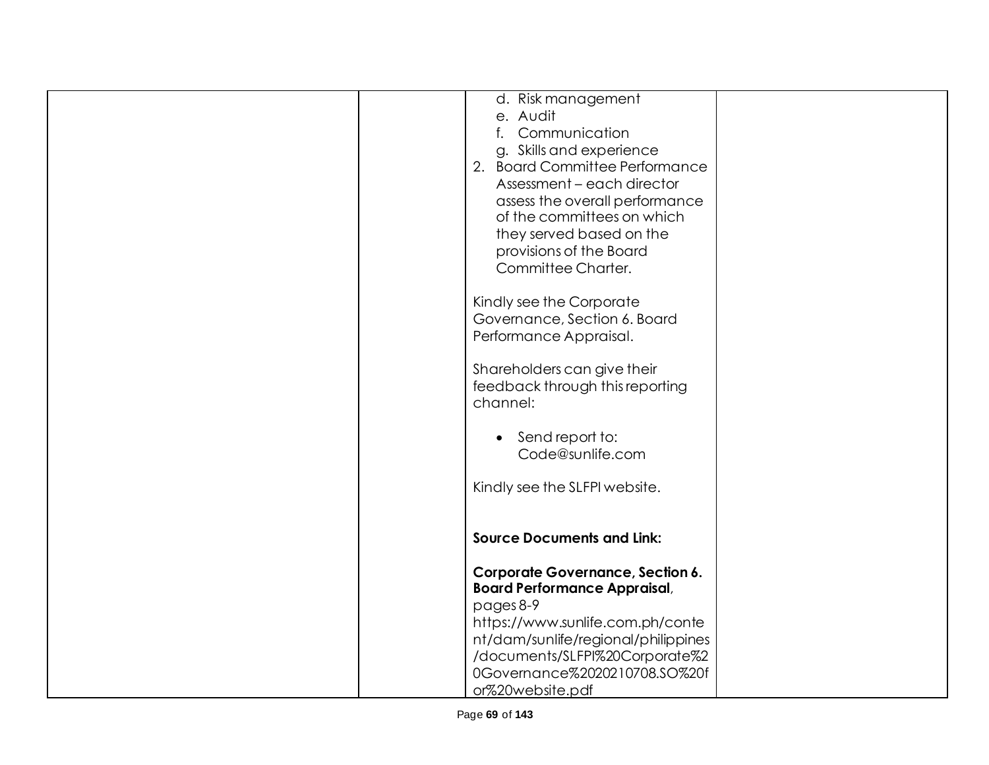| d. Risk management                      |
|-----------------------------------------|
|                                         |
| Communication                           |
| g. Skills and experience                |
| 2. Board Committee Performance          |
|                                         |
| Assessment - each director              |
| assess the overall performance          |
| of the committees on which              |
| they served based on the                |
| provisions of the Board                 |
| Committee Charter.                      |
|                                         |
|                                         |
| Kindly see the Corporate                |
| Governance, Section 6. Board            |
| Performance Appraisal.                  |
|                                         |
| Shareholders can give their             |
| feedback through this reporting         |
|                                         |
|                                         |
|                                         |
| Send report to:                         |
| Code@sunlife.com                        |
|                                         |
| Kindly see the SLFPI website.           |
|                                         |
|                                         |
| <b>Source Documents and Link:</b>       |
|                                         |
| <b>Corporate Governance, Section 6.</b> |
| <b>Board Performance Appraisal,</b>     |
|                                         |
|                                         |
| https://www.sunlife.com.ph/conte        |
| nt/dam/sunlife/regional/philippines     |
| /documents/SLFPI%20Corporate%2          |
| 0Governance%2020210708.SO%20f           |
| or%20website.pdf                        |
|                                         |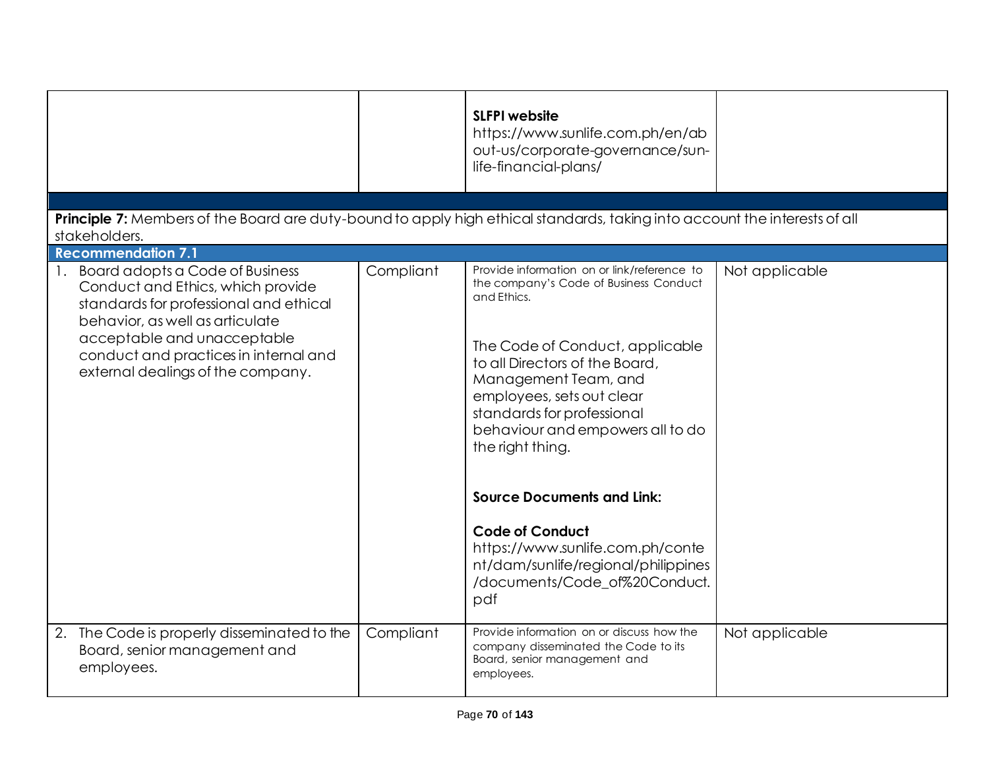|                                                                                                                                                                                                                                                                                  |           | <b>SLFPI</b> website<br>https://www.sunlife.com.ph/en/ab<br>out-us/corporate-governance/sun-<br>life-financial-plans/                                                                                                                                                                                                                                                                                                                                                                                  |                |
|----------------------------------------------------------------------------------------------------------------------------------------------------------------------------------------------------------------------------------------------------------------------------------|-----------|--------------------------------------------------------------------------------------------------------------------------------------------------------------------------------------------------------------------------------------------------------------------------------------------------------------------------------------------------------------------------------------------------------------------------------------------------------------------------------------------------------|----------------|
| Principle 7: Members of the Board are duty-bound to apply high ethical standards, taking into account the interests of all                                                                                                                                                       |           |                                                                                                                                                                                                                                                                                                                                                                                                                                                                                                        |                |
| stakeholders.                                                                                                                                                                                                                                                                    |           |                                                                                                                                                                                                                                                                                                                                                                                                                                                                                                        |                |
| <b>Recommendation 7.1</b>                                                                                                                                                                                                                                                        |           |                                                                                                                                                                                                                                                                                                                                                                                                                                                                                                        |                |
| Board adopts a Code of Business<br>$\mathbf{1}$ .<br>Conduct and Ethics, which provide<br>standards for professional and ethical<br>behavior, as well as articulate<br>acceptable and unacceptable<br>conduct and practices in internal and<br>external dealings of the company. | Compliant | Provide information on or link/reference to<br>the company's Code of Business Conduct<br>and Ethics.<br>The Code of Conduct, applicable<br>to all Directors of the Board,<br>Management Team, and<br>employees, sets out clear<br>standards for professional<br>behaviour and empowers all to do<br>the right thing.<br><b>Source Documents and Link:</b><br><b>Code of Conduct</b><br>https://www.sunlife.com.ph/conte<br>nt/dam/sunlife/regional/philippines<br>/documents/Code_of%20Conduct.<br>pdf | Not applicable |
| The Code is properly disseminated to the<br>2.<br>Board, senior management and<br>employees.                                                                                                                                                                                     | Compliant | Provide information on or discuss how the<br>company disseminated the Code to its<br>Board, senior management and<br>employees.                                                                                                                                                                                                                                                                                                                                                                        | Not applicable |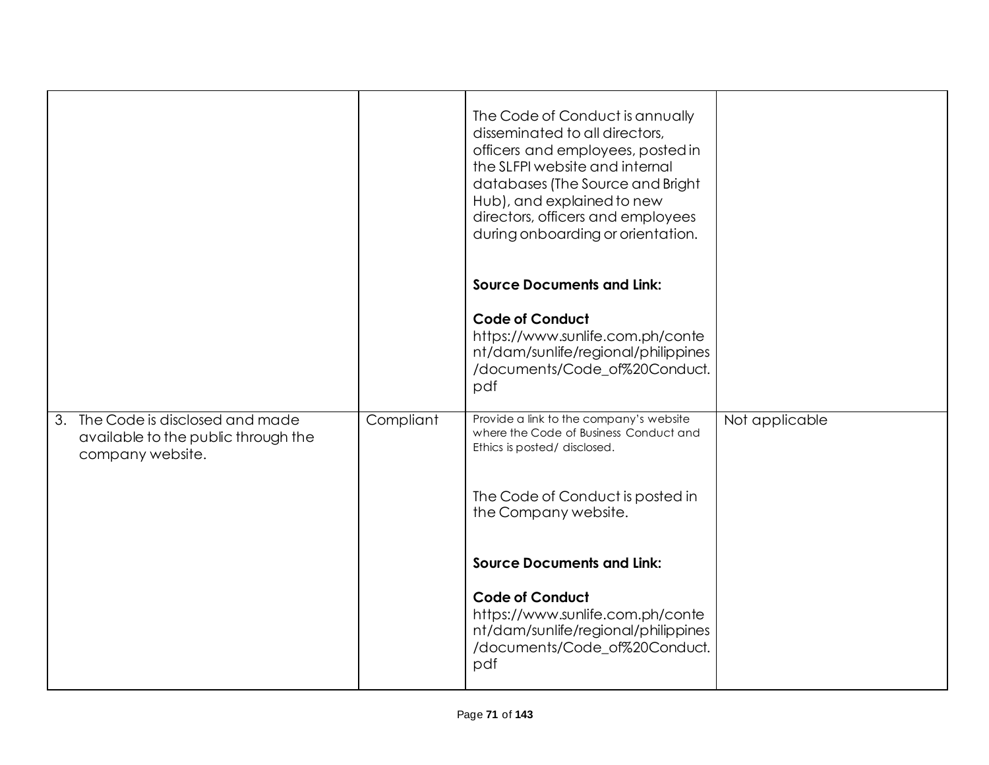|                                                                                              |           | The Code of Conduct is annually<br>disseminated to all directors,<br>officers and employees, posted in<br>the SLFPI website and internal<br>databases (The Source and Bright<br>Hub), and explained to new<br>directors, officers and employees<br>during onboarding or orientation. |                |
|----------------------------------------------------------------------------------------------|-----------|--------------------------------------------------------------------------------------------------------------------------------------------------------------------------------------------------------------------------------------------------------------------------------------|----------------|
|                                                                                              |           | <b>Source Documents and Link:</b>                                                                                                                                                                                                                                                    |                |
|                                                                                              |           | <b>Code of Conduct</b><br>https://www.sunlife.com.ph/conte<br>nt/dam/sunlife/regional/philippines<br>/documents/Code_of%20Conduct.<br>pdf                                                                                                                                            |                |
| 3. The Code is disclosed and made<br>available to the public through the<br>company website. | Compliant | Provide a link to the company's website<br>where the Code of Business Conduct and<br>Ethics is posted/ disclosed.                                                                                                                                                                    | Not applicable |
|                                                                                              |           | The Code of Conduct is posted in<br>the Company website.                                                                                                                                                                                                                             |                |
|                                                                                              |           | <b>Source Documents and Link:</b>                                                                                                                                                                                                                                                    |                |
|                                                                                              |           | <b>Code of Conduct</b><br>https://www.sunlife.com.ph/conte<br>nt/dam/sunlife/regional/philippines<br>/documents/Code_of%20Conduct.<br>pdf                                                                                                                                            |                |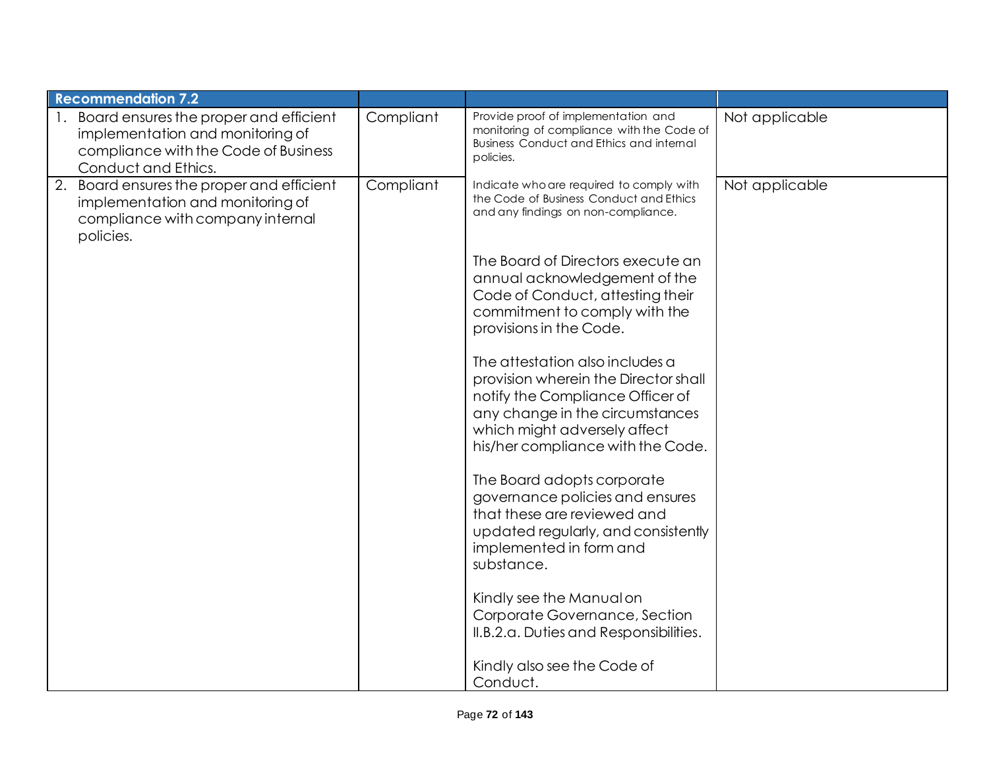| <b>Recommendation 7.2</b>                                                                                                                 |           |                                                                                                                                                                                                                     |                |
|-------------------------------------------------------------------------------------------------------------------------------------------|-----------|---------------------------------------------------------------------------------------------------------------------------------------------------------------------------------------------------------------------|----------------|
| Board ensures the proper and efficient<br>implementation and monitoring of<br>compliance with the Code of Business<br>Conduct and Ethics. | Compliant | Provide proof of implementation and<br>monitoring of compliance with the Code of<br><b>Business Conduct and Ethics and internal</b><br>policies.                                                                    | Not applicable |
| 2. Board ensures the proper and efficient<br>implementation and monitoring of<br>compliance with company internal<br>policies.            | Compliant | Indicate who are required to comply with<br>the Code of Business Conduct and Ethics<br>and any findings on non-compliance.                                                                                          | Not applicable |
|                                                                                                                                           |           | The Board of Directors execute an<br>annual acknowledgement of the<br>Code of Conduct, attesting their<br>commitment to comply with the<br>provisions in the Code.                                                  |                |
|                                                                                                                                           |           | The attestation also includes a<br>provision wherein the Director shall<br>notify the Compliance Officer of<br>any change in the circumstances<br>which might adversely affect<br>his/her compliance with the Code. |                |
|                                                                                                                                           |           | The Board adopts corporate<br>governance policies and ensures<br>that these are reviewed and<br>updated regularly, and consistently<br>implemented in form and<br>substance.                                        |                |
|                                                                                                                                           |           | Kindly see the Manual on<br>Corporate Governance, Section<br>II.B.2.a. Duties and Responsibilities.                                                                                                                 |                |
|                                                                                                                                           |           | Kindly also see the Code of<br>Conduct.                                                                                                                                                                             |                |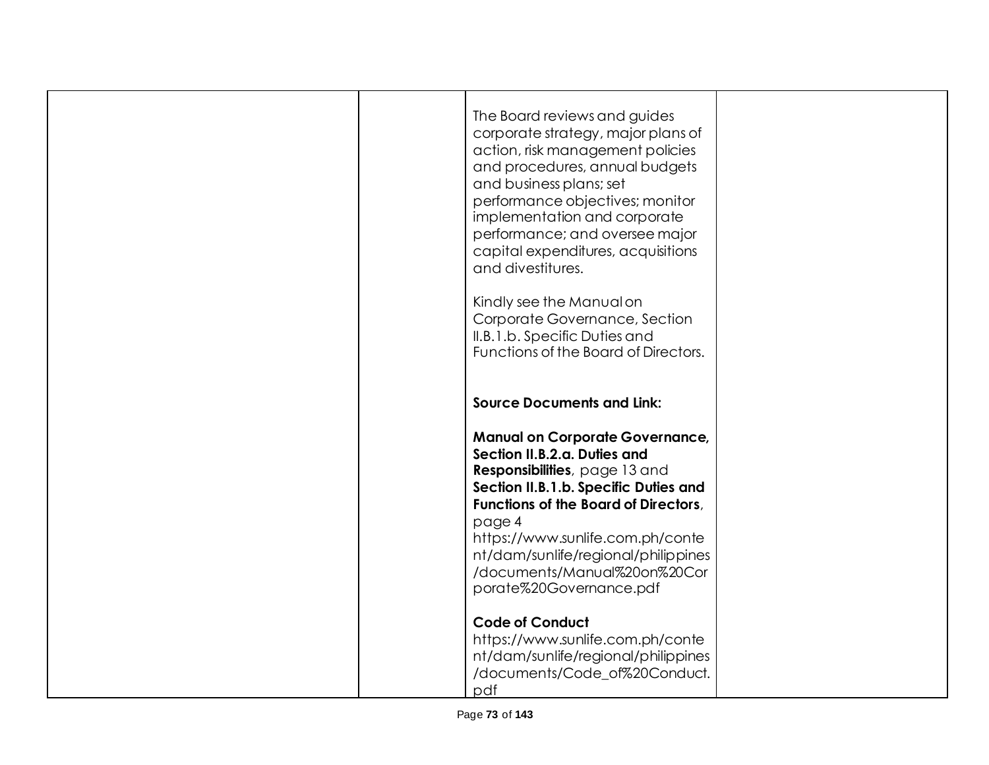|  | The Board reviews and guides<br>corporate strategy, major plans of<br>action, risk management policies<br>and procedures, annual budgets<br>and business plans; set<br>performance objectives; monitor<br>implementation and corporate<br>performance; and oversee major<br>capital expenditures, acquisitions<br>and divestitures.<br>Kindly see the Manual on<br>Corporate Governance, Section<br>II.B.1.b. Specific Duties and<br>Functions of the Board of Directors. |  |
|--|---------------------------------------------------------------------------------------------------------------------------------------------------------------------------------------------------------------------------------------------------------------------------------------------------------------------------------------------------------------------------------------------------------------------------------------------------------------------------|--|
|  | <b>Source Documents and Link:</b>                                                                                                                                                                                                                                                                                                                                                                                                                                         |  |
|  | <b>Manual on Corporate Governance,</b><br>Section II.B.2.a. Duties and<br>Responsibilities, page 13 and<br>Section II.B.1.b. Specific Duties and<br><b>Functions of the Board of Directors,</b><br>page 4<br>https://www.sunlife.com.ph/conte<br>nt/dam/sunlife/regional/philippines<br>/documents/Manual%20on%20Cor<br>porate%20Governance.pdf                                                                                                                           |  |
|  | <b>Code of Conduct</b><br>https://www.sunlife.com.ph/conte<br>nt/dam/sunlife/regional/philippines<br>/documents/Code_of%20Conduct.<br>pdf                                                                                                                                                                                                                                                                                                                                 |  |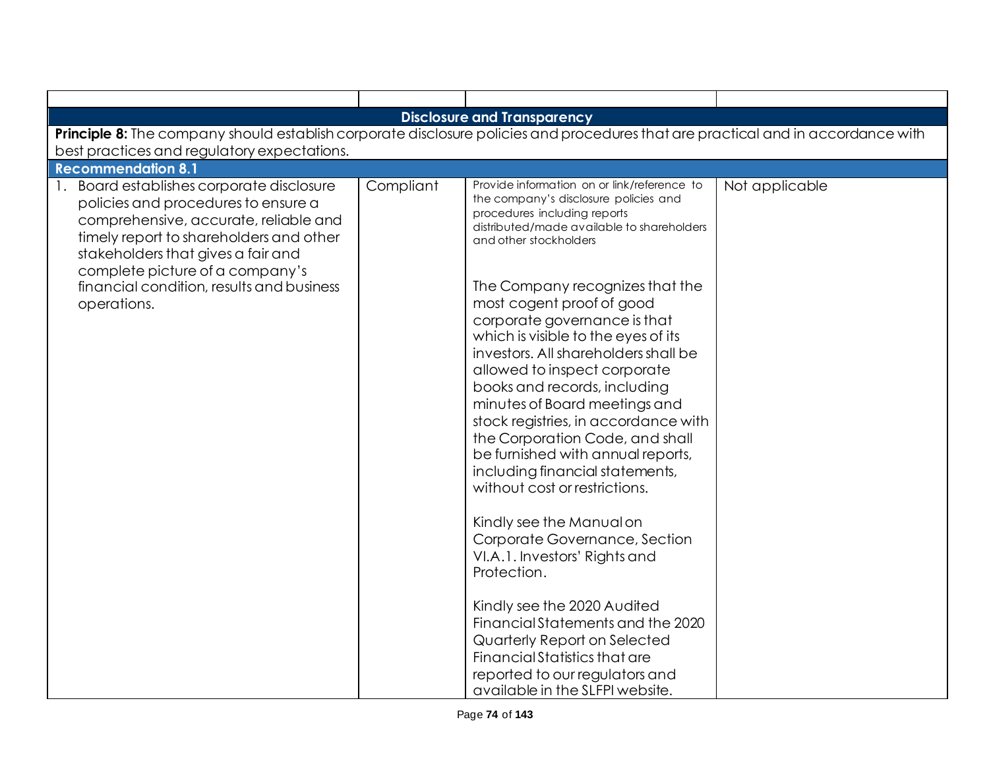| <b>Disclosure and Transparency</b>                                                                                                                                                                                                                                                                        |           |                                                                                                                                                                                                                                                                                                                                                                                                                                                                                                                                                                                                                                                                                                                                                                                                                                                                                                                                                                                         |                |  |  |
|-----------------------------------------------------------------------------------------------------------------------------------------------------------------------------------------------------------------------------------------------------------------------------------------------------------|-----------|-----------------------------------------------------------------------------------------------------------------------------------------------------------------------------------------------------------------------------------------------------------------------------------------------------------------------------------------------------------------------------------------------------------------------------------------------------------------------------------------------------------------------------------------------------------------------------------------------------------------------------------------------------------------------------------------------------------------------------------------------------------------------------------------------------------------------------------------------------------------------------------------------------------------------------------------------------------------------------------------|----------------|--|--|
| Principle 8: The company should establish corporate disclosure policies and procedures that are practical and in accordance with                                                                                                                                                                          |           |                                                                                                                                                                                                                                                                                                                                                                                                                                                                                                                                                                                                                                                                                                                                                                                                                                                                                                                                                                                         |                |  |  |
| best practices and regulatory expectations.                                                                                                                                                                                                                                                               |           |                                                                                                                                                                                                                                                                                                                                                                                                                                                                                                                                                                                                                                                                                                                                                                                                                                                                                                                                                                                         |                |  |  |
| <b>Recommendation 8.1</b>                                                                                                                                                                                                                                                                                 |           |                                                                                                                                                                                                                                                                                                                                                                                                                                                                                                                                                                                                                                                                                                                                                                                                                                                                                                                                                                                         |                |  |  |
| 1. Board establishes corporate disclosure<br>policies and procedures to ensure a<br>comprehensive, accurate, reliable and<br>timely report to shareholders and other<br>stakeholders that gives a fair and<br>complete picture of a company's<br>financial condition, results and business<br>operations. | Compliant | Provide information on or link/reference to<br>the company's disclosure policies and<br>procedures including reports<br>distributed/made available to shareholders<br>and other stockholders<br>The Company recognizes that the<br>most cogent proof of good<br>corporate governance is that<br>which is visible to the eyes of its<br>investors. All shareholders shall be<br>allowed to inspect corporate<br>books and records, including<br>minutes of Board meetings and<br>stock registries, in accordance with<br>the Corporation Code, and shall<br>be furnished with annual reports,<br>including financial statements,<br>without cost or restrictions.<br>Kindly see the Manual on<br>Corporate Governance, Section<br>VI.A.1. Investors' Rights and<br>Protection.<br>Kindly see the 2020 Audited<br>Financial Statements and the 2020<br>Quarterly Report on Selected<br>Financial Statistics that are<br>reported to our regulators and<br>available in the SLFPI website. | Not applicable |  |  |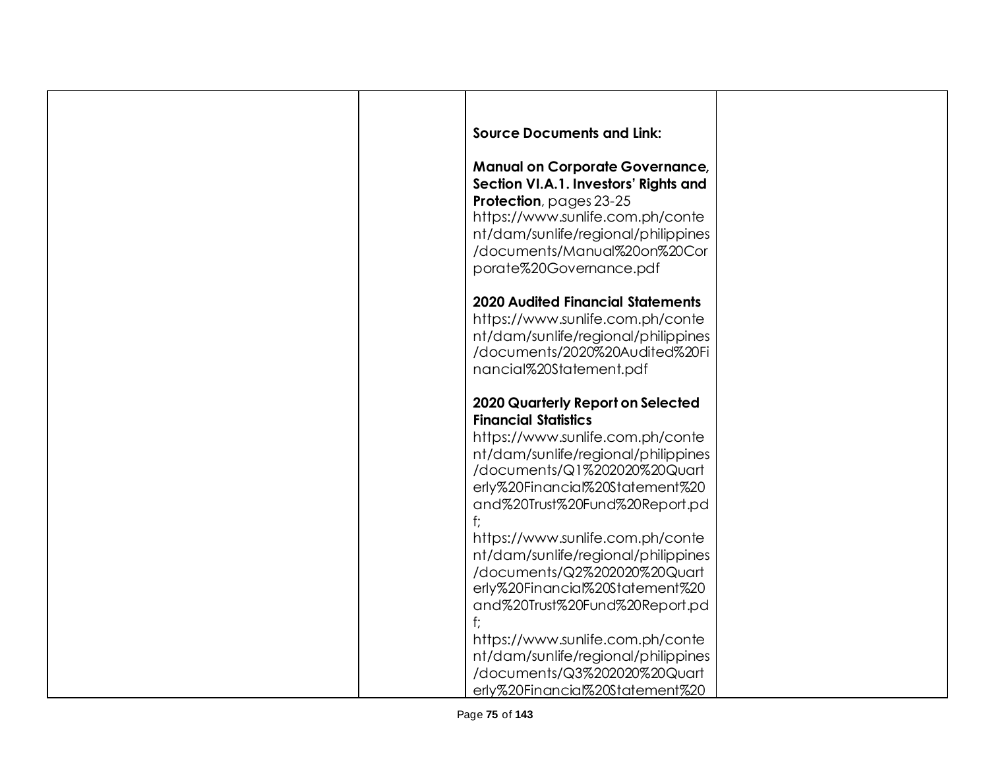| <b>Source Documents and Link:</b>                                       |  |
|-------------------------------------------------------------------------|--|
| <b>Manual on Corporate Governance,</b>                                  |  |
| Section VI.A.1. Investors' Rights and<br>Protection, pages 23-25        |  |
| https://www.sunlife.com.ph/conte                                        |  |
| nt/dam/sunlife/regional/philippines                                     |  |
| /documents/Manual%20on%20Cor<br>porate%20Governance.pdf                 |  |
|                                                                         |  |
| <b>2020 Audited Financial Statements</b>                                |  |
| https://www.sunlife.com.ph/conte                                        |  |
| nt/dam/sunlife/regional/philippines<br>/documents/2020%20Audited%20Fi   |  |
| nancial%20Statement.pdf                                                 |  |
| <b>2020 Quarterly Report on Selected</b>                                |  |
| <b>Financial Statistics</b>                                             |  |
| https://www.sunlife.com.ph/conte                                        |  |
| nt/dam/sunlife/regional/philippines                                     |  |
| /documents/Q1%202020%20Quart<br>erly%20Financial%20Statement%20         |  |
| and%20Trust%20Fund%20Report.pd                                          |  |
|                                                                         |  |
| https://www.sunlife.com.ph/conte<br>nt/dam/sunlife/regional/philippines |  |
| /documents/Q2%202020%20Quart                                            |  |
| erly%20Financial%20Statement%20                                         |  |
| and%20Trust%20Fund%20Report.pd                                          |  |
| f:<br>https://www.sunlife.com.ph/conte                                  |  |
| nt/dam/sunlife/regional/philippines                                     |  |
| /documents/Q3%202020%20Quart                                            |  |
| erly%20Financial%20Statement%20                                         |  |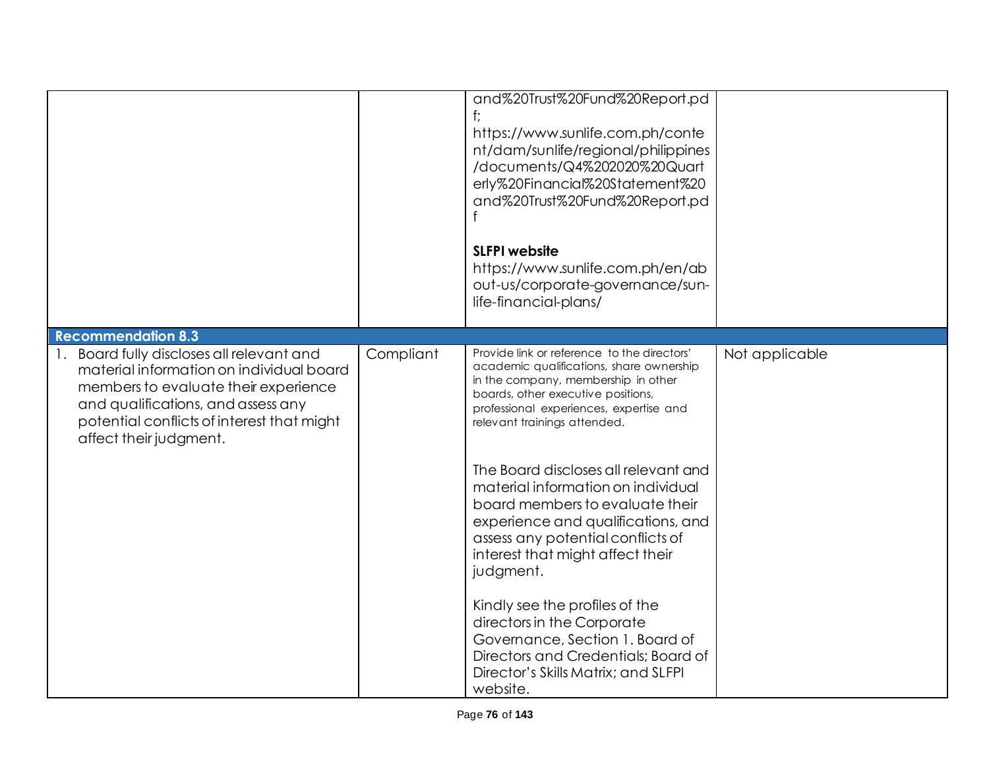|                                                                                                                                                                                                                                                                       |           | and%20Trust%20Fund%20Report.pd<br>https://www.sunlife.com.ph/conte<br>nt/dam/sunlife/regional/philippines<br>/documents/Q4%202020%20Quart<br>erly%20Financial%20Statement%20<br>and%20Trust%20Fund%20Report.pd<br><b>SLFPI</b> website<br>https://www.sunlife.com.ph/en/ab<br>out-us/corporate-governance/sun-<br>life-financial-plans/                                                                                                                                                                                                                                                                                                                                                   |                |
|-----------------------------------------------------------------------------------------------------------------------------------------------------------------------------------------------------------------------------------------------------------------------|-----------|-------------------------------------------------------------------------------------------------------------------------------------------------------------------------------------------------------------------------------------------------------------------------------------------------------------------------------------------------------------------------------------------------------------------------------------------------------------------------------------------------------------------------------------------------------------------------------------------------------------------------------------------------------------------------------------------|----------------|
| <b>Recommendation 8.3</b><br>Board fully discloses all relevant and<br>material information on individual board<br>members to evaluate their experience<br>and qualifications, and assess any<br>potential conflicts of interest that might<br>affect their judgment. | Compliant | Provide link or reference to the directors'<br>academic qualifications, share ownership<br>in the company, membership in other<br>boards, other executive positions,<br>professional experiences, expertise and<br>relevant trainings attended.<br>The Board discloses all relevant and<br>material information on individual<br>board members to evaluate their<br>experience and qualifications, and<br>assess any potential conflicts of<br>interest that might affect their<br>judgment.<br>Kindly see the profiles of the<br>directors in the Corporate<br>Governance, Section 1. Board of<br>Directors and Credentials; Board of<br>Director's Skills Matrix; and SLFPI<br>website. | Not applicable |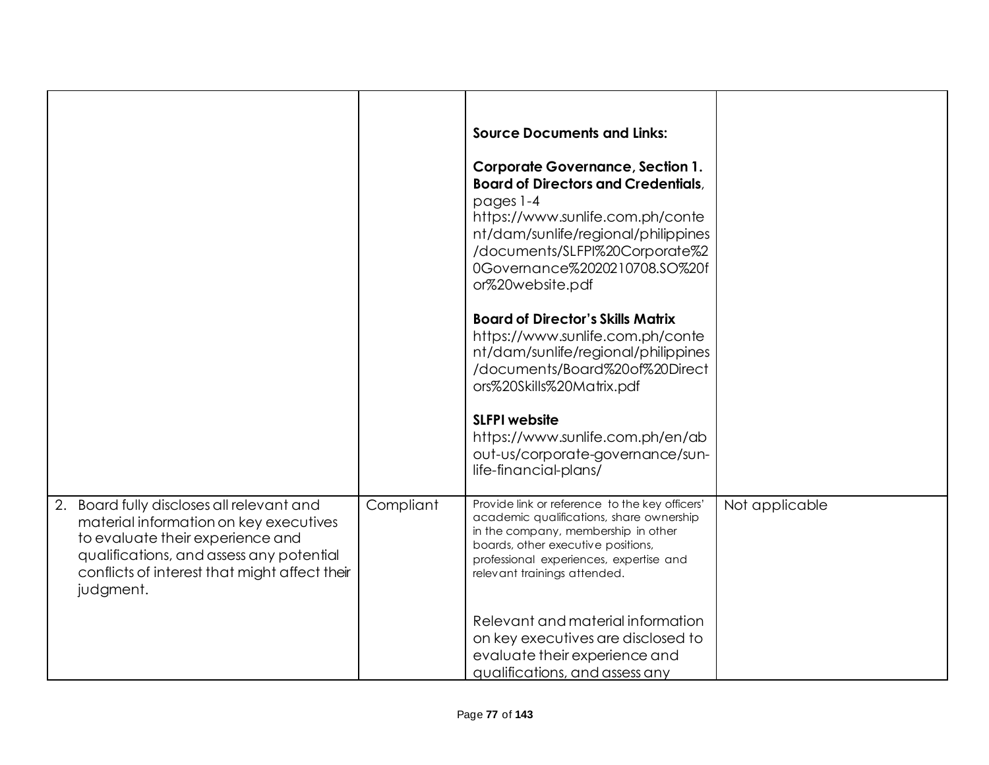|                                                                                                                                                                                                                                   |           | <b>Source Documents and Links:</b><br><b>Corporate Governance, Section 1.</b>                                                                                                                                                                      |                |
|-----------------------------------------------------------------------------------------------------------------------------------------------------------------------------------------------------------------------------------|-----------|----------------------------------------------------------------------------------------------------------------------------------------------------------------------------------------------------------------------------------------------------|----------------|
|                                                                                                                                                                                                                                   |           | <b>Board of Directors and Credentials,</b><br>pages 1-4<br>https://www.sunlife.com.ph/conte<br>nt/dam/sunlife/regional/philippines<br>/documents/SLFPI%20Corporate%2<br>0Governance%2020210708.SO%20f<br>or%20website.pdf                          |                |
|                                                                                                                                                                                                                                   |           | <b>Board of Director's Skills Matrix</b><br>https://www.sunlife.com.ph/conte<br>nt/dam/sunlife/regional/philippines<br>/documents/Board%20of%20Direct<br>ors%20Skills%20Matrix.pdf                                                                 |                |
|                                                                                                                                                                                                                                   |           | <b>SLFPI website</b><br>https://www.sunlife.com.ph/en/ab<br>out-us/corporate-governance/sun-<br>life-financial-plans/                                                                                                                              |                |
| 2. Board fully discloses all relevant and<br>material information on key executives<br>to evaluate their experience and<br>qualifications, and assess any potential<br>conflicts of interest that might affect their<br>judgment. | Compliant | Provide link or reference to the key officers'<br>academic qualifications, share ownership<br>in the company, membership in other<br>boards, other executive positions,<br>professional experiences, expertise and<br>relevant trainings attended. | Not applicable |
|                                                                                                                                                                                                                                   |           | Relevant and material information<br>on key executives are disclosed to<br>evaluate their experience and<br>qualifications, and assess any                                                                                                         |                |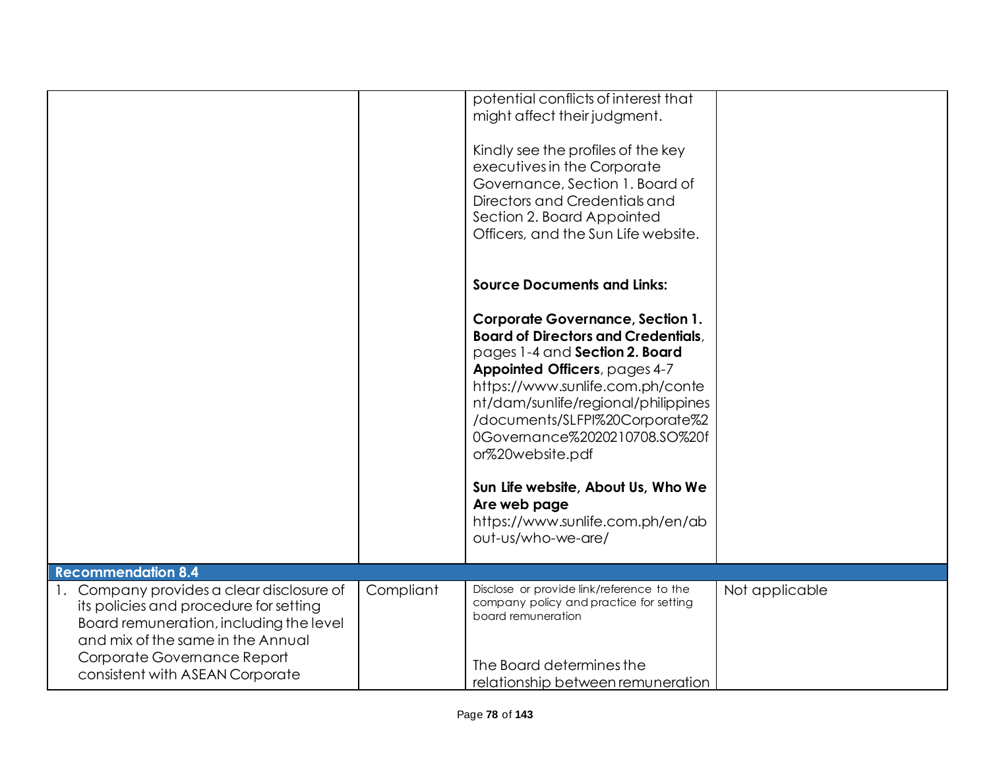|                                                                                                                                                                                                    |           | potential conflicts of interest that<br>might affect their judgment.<br>Kindly see the profiles of the key<br>executives in the Corporate<br>Governance, Section 1. Board of<br>Directors and Credentials and<br>Section 2. Board Appointed |                |
|----------------------------------------------------------------------------------------------------------------------------------------------------------------------------------------------------|-----------|---------------------------------------------------------------------------------------------------------------------------------------------------------------------------------------------------------------------------------------------|----------------|
|                                                                                                                                                                                                    |           | Officers, and the Sun Life website.<br><b>Source Documents and Links:</b><br><b>Corporate Governance, Section 1.</b><br><b>Board of Directors and Credentials,</b><br>pages 1-4 and Section 2. Board<br>Appointed Officers, pages 4-7       |                |
|                                                                                                                                                                                                    |           | https://www.sunlife.com.ph/conte<br>nt/dam/sunlife/regional/philippines<br>/documents/SLFPI%20Corporate%2<br>0Governance%2020210708.SO%20f<br>or%20website.pdf                                                                              |                |
|                                                                                                                                                                                                    |           | Sun Life website, About Us, Who We<br>Are web page<br>https://www.sunlife.com.ph/en/ab<br>out-us/who-we-are/                                                                                                                                |                |
| <b>Recommendation 8.4</b>                                                                                                                                                                          |           |                                                                                                                                                                                                                                             |                |
| 1. Company provides a clear disclosure of<br>its policies and procedure for setting<br>Board remuneration, including the level<br>and mix of the same in the Annual<br>Corporate Governance Report | Compliant | Disclose or provide link/reference to the<br>company policy and practice for setting<br>board remuneration                                                                                                                                  | Not applicable |
| consistent with ASEAN Corporate                                                                                                                                                                    |           | The Board determines the<br>relationship between remuneration                                                                                                                                                                               |                |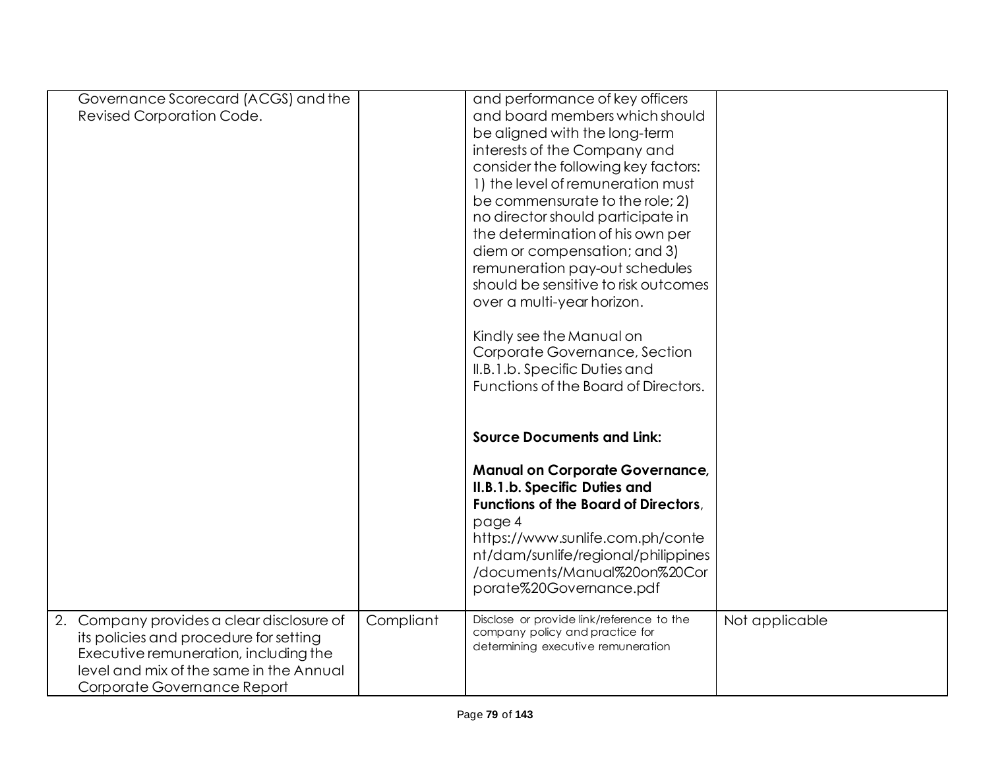| Governance Scorecard (ACGS) and the<br>Revised Corporation Code.                                                                                                                                       |           | and performance of key officers<br>and board members which should<br>be aligned with the long-term<br>interests of the Company and<br>consider the following key factors:<br>1) the level of remuneration must<br>be commensurate to the role; 2)<br>no director should participate in |                |
|--------------------------------------------------------------------------------------------------------------------------------------------------------------------------------------------------------|-----------|----------------------------------------------------------------------------------------------------------------------------------------------------------------------------------------------------------------------------------------------------------------------------------------|----------------|
|                                                                                                                                                                                                        |           | the determination of his own per<br>diem or compensation; and 3)<br>remuneration pay-out schedules<br>should be sensitive to risk outcomes<br>over a multi-year horizon.                                                                                                               |                |
|                                                                                                                                                                                                        |           | Kindly see the Manual on<br>Corporate Governance, Section<br>II.B.1.b. Specific Duties and<br>Functions of the Board of Directors.<br><b>Source Documents and Link:</b>                                                                                                                |                |
|                                                                                                                                                                                                        |           | <b>Manual on Corporate Governance,</b><br>II.B.1.b. Specific Duties and<br><b>Functions of the Board of Directors,</b><br>page 4<br>https://www.sunlife.com.ph/conte<br>nt/dam/sunlife/regional/philippines<br>/documents/Manual%20on%20Cor<br>porate%20Governance.pdf                 |                |
| 2. Company provides a clear disclosure of<br>its policies and procedure for setting<br>Executive remuneration, including the<br>level and mix of the same in the Annual<br>Corporate Governance Report | Compliant | Disclose or provide link/reference to the<br>company policy and practice for<br>determining executive remuneration                                                                                                                                                                     | Not applicable |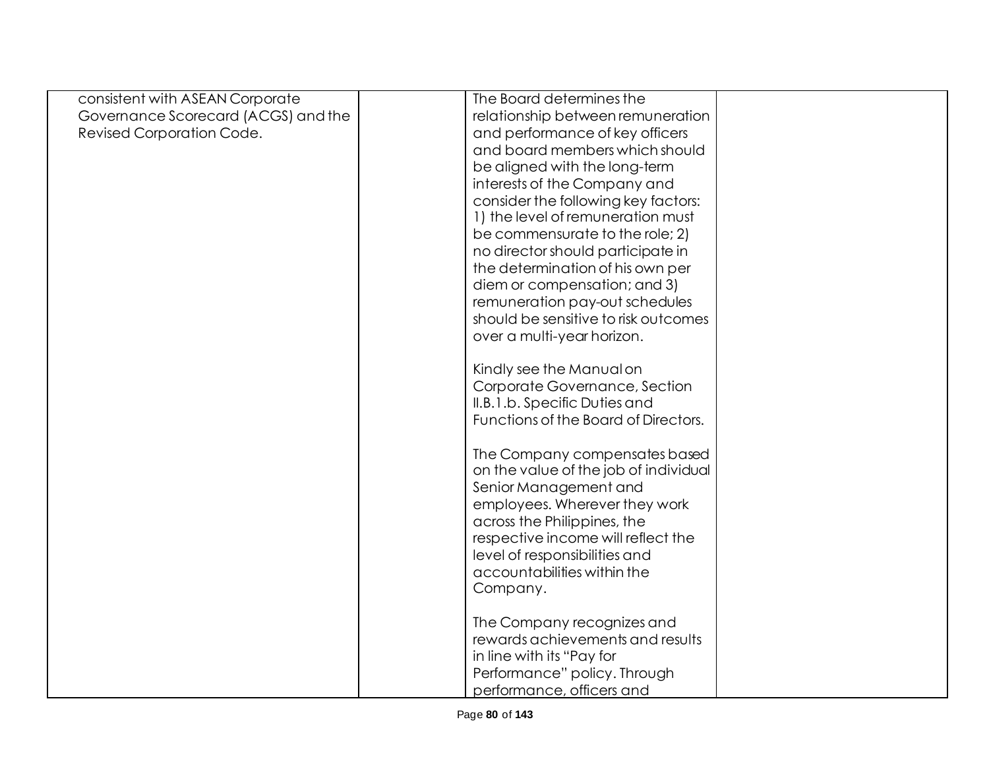| consistent with ASEAN Corporate     | The Board determines the              |  |
|-------------------------------------|---------------------------------------|--|
| Governance Scorecard (ACGS) and the | relationship between remuneration     |  |
| <b>Revised Corporation Code.</b>    | and performance of key officers       |  |
|                                     | and board members which should        |  |
|                                     | be aligned with the long-term         |  |
|                                     | interests of the Company and          |  |
|                                     | consider the following key factors:   |  |
|                                     | 1) the level of remuneration must     |  |
|                                     | be commensurate to the role; 2)       |  |
|                                     | no director should participate in     |  |
|                                     | the determination of his own per      |  |
|                                     | diem or compensation; and 3)          |  |
|                                     | remuneration pay-out schedules        |  |
|                                     | should be sensitive to risk outcomes  |  |
|                                     | over a multi-year horizon.            |  |
|                                     |                                       |  |
|                                     | Kindly see the Manual on              |  |
|                                     | Corporate Governance, Section         |  |
|                                     | II.B.1.b. Specific Duties and         |  |
|                                     | Functions of the Board of Directors.  |  |
|                                     | The Company compensates based         |  |
|                                     | on the value of the job of individual |  |
|                                     | Senior Management and                 |  |
|                                     | employees. Wherever they work         |  |
|                                     | across the Philippines, the           |  |
|                                     | respective income will reflect the    |  |
|                                     | level of responsibilities and         |  |
|                                     | accountabilities within the           |  |
|                                     | Company.                              |  |
|                                     |                                       |  |
|                                     | The Company recognizes and            |  |
|                                     | rewards achievements and results      |  |
|                                     | in line with its "Pay for             |  |
|                                     | Performance" policy. Through          |  |
|                                     | performance, officers and             |  |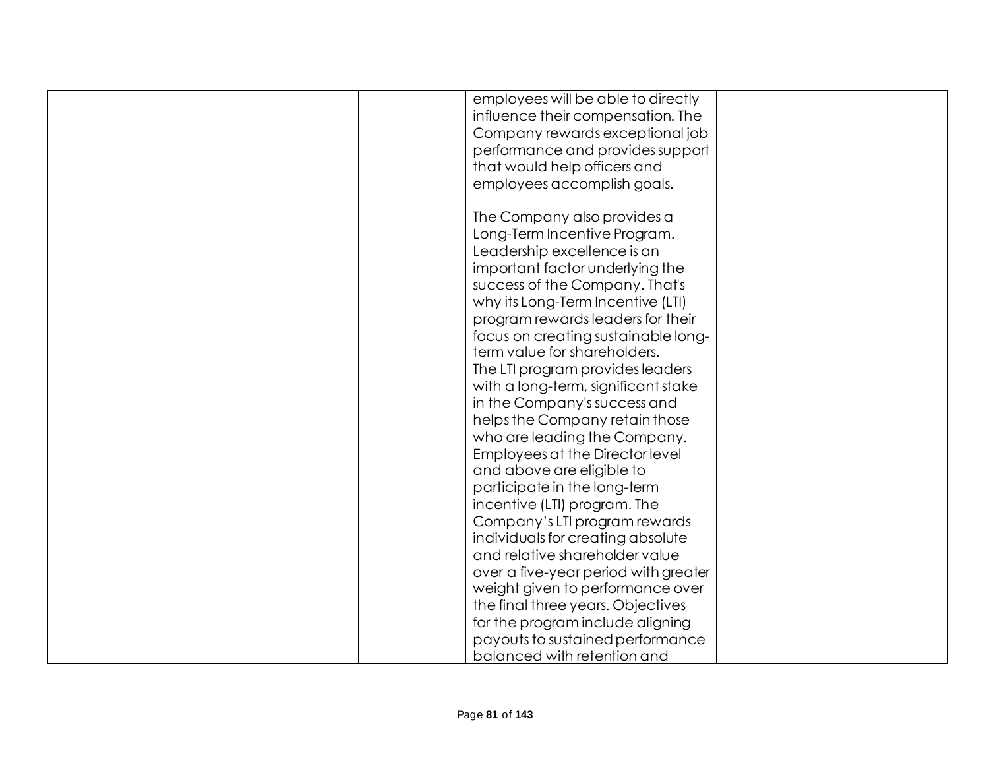| employees will be able to directly   |  |
|--------------------------------------|--|
| influence their compensation. The    |  |
| Company rewards exceptional job      |  |
| performance and provides support     |  |
| that would help officers and         |  |
| employees accomplish goals.          |  |
|                                      |  |
| The Company also provides a          |  |
| Long-Term Incentive Program.         |  |
| Leadership excellence is an          |  |
| important factor underlying the      |  |
| success of the Company. That's       |  |
| why its Long-Term Incentive (LTI)    |  |
| program rewards leaders for their    |  |
| focus on creating sustainable long-  |  |
| term value for shareholders.         |  |
| The LTI program provides leaders     |  |
| with a long-term, significant stake  |  |
| in the Company's success and         |  |
| helps the Company retain those       |  |
| who are leading the Company.         |  |
| Employees at the Director level      |  |
| and above are eligible to            |  |
| participate in the long-term         |  |
| incentive (LTI) program. The         |  |
| Company's LTI program rewards        |  |
| individuals for creating absolute    |  |
| and relative shareholder value       |  |
| over a five-year period with greater |  |
| weight given to performance over     |  |
| the final three years. Objectives    |  |
| for the program include aligning     |  |
| payouts to sustained performance     |  |
| balanced with retention and          |  |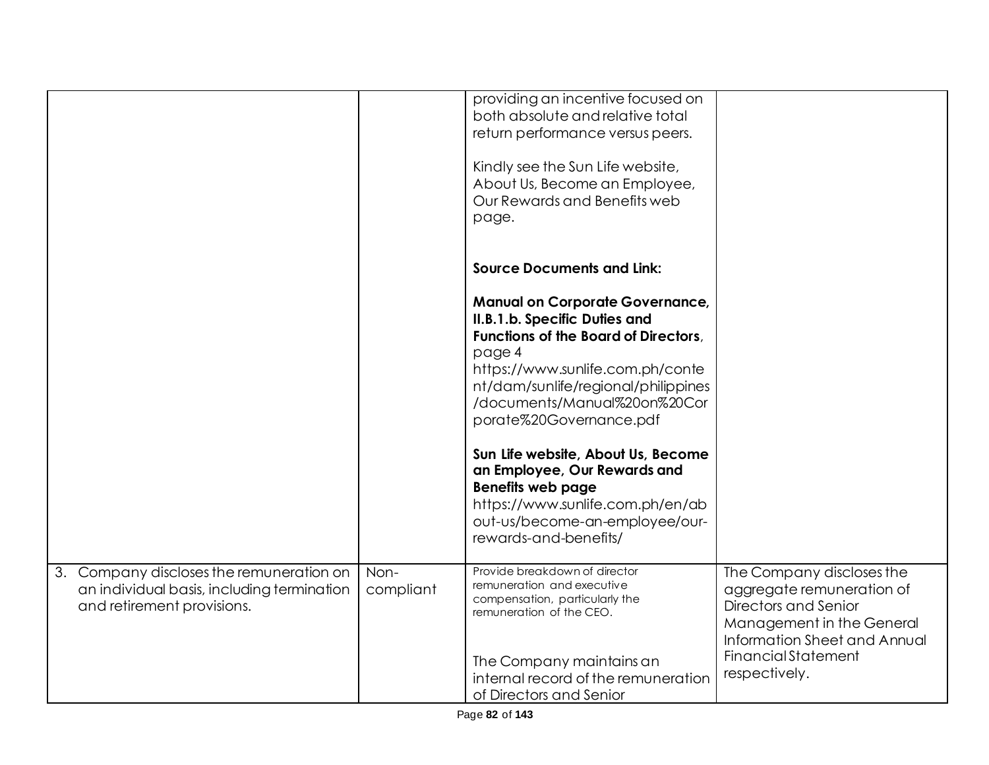|    |                                                                                                                   |                   | providing an incentive focused on<br>both absolute and relative total<br>return performance versus peers.<br>Kindly see the Sun Life website,<br>About Us, Become an Employee,<br>Our Rewards and Benefits web<br>page.                                                                                                                                                                                                                                                                                      |                                                                                                                                                                                            |
|----|-------------------------------------------------------------------------------------------------------------------|-------------------|--------------------------------------------------------------------------------------------------------------------------------------------------------------------------------------------------------------------------------------------------------------------------------------------------------------------------------------------------------------------------------------------------------------------------------------------------------------------------------------------------------------|--------------------------------------------------------------------------------------------------------------------------------------------------------------------------------------------|
|    |                                                                                                                   |                   | <b>Source Documents and Link:</b><br><b>Manual on Corporate Governance,</b><br>II.B.1.b. Specific Duties and<br><b>Functions of the Board of Directors.</b><br>page 4<br>https://www.sunlife.com.ph/conte<br>nt/dam/sunlife/regional/philippines<br>/documents/Manual%20on%20Cor<br>porate%20Governance.pdf<br>Sun Life website, About Us, Become<br>an Employee, Our Rewards and<br><b>Benefits web page</b><br>https://www.sunlife.com.ph/en/ab<br>out-us/become-an-employee/our-<br>rewards-and-benefits/ |                                                                                                                                                                                            |
| 3. | Company discloses the remuneration on<br>an individual basis, including termination<br>and retirement provisions. | Non-<br>compliant | Provide breakdown of director<br>remuneration and executive<br>compensation, particularly the<br>remuneration of the CEO.<br>The Company maintains an<br>internal record of the remuneration<br>of Directors and Senior                                                                                                                                                                                                                                                                                      | The Company discloses the<br>aggregate remuneration of<br>Directors and Senior<br>Management in the General<br>Information Sheet and Annual<br><b>Financial Statement</b><br>respectively. |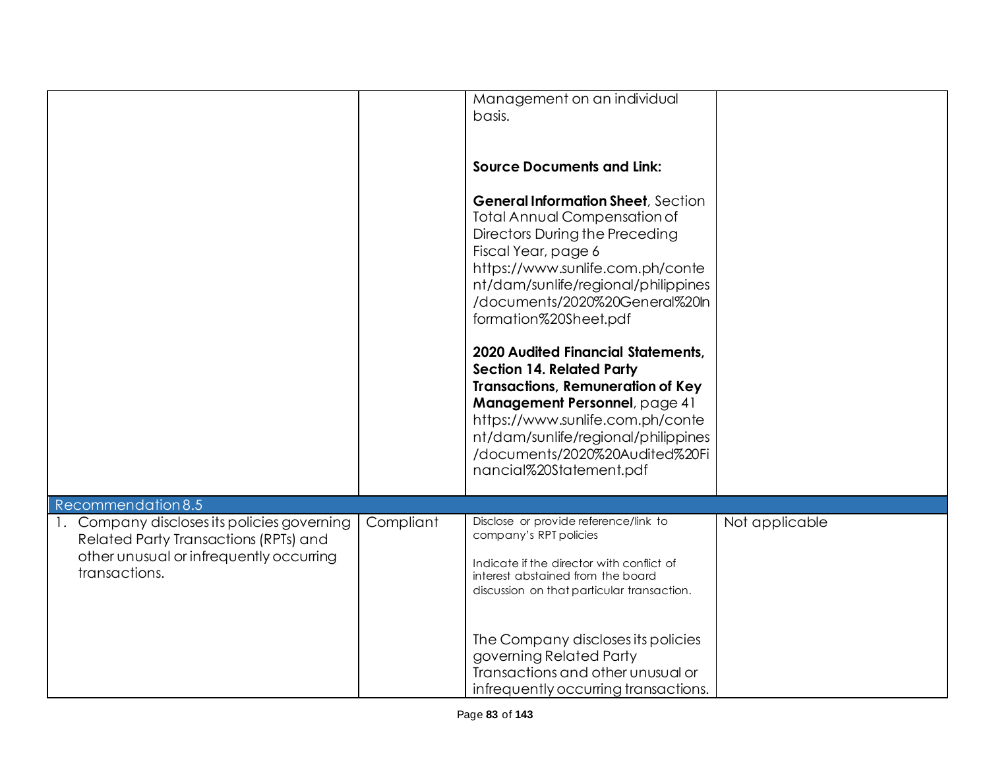|                                                                                                                                                  |           | Management on an individual                                                                                                                                                                                                                                                                                                                                                                                                                                                                                                                                       |                |
|--------------------------------------------------------------------------------------------------------------------------------------------------|-----------|-------------------------------------------------------------------------------------------------------------------------------------------------------------------------------------------------------------------------------------------------------------------------------------------------------------------------------------------------------------------------------------------------------------------------------------------------------------------------------------------------------------------------------------------------------------------|----------------|
|                                                                                                                                                  |           | basis.                                                                                                                                                                                                                                                                                                                                                                                                                                                                                                                                                            |                |
|                                                                                                                                                  |           |                                                                                                                                                                                                                                                                                                                                                                                                                                                                                                                                                                   |                |
|                                                                                                                                                  |           | <b>Source Documents and Link:</b>                                                                                                                                                                                                                                                                                                                                                                                                                                                                                                                                 |                |
|                                                                                                                                                  |           | <b>General Information Sheet, Section</b><br><b>Total Annual Compensation of</b><br><b>Directors During the Preceding</b><br>Fiscal Year, page 6<br>https://www.sunlife.com.ph/conte<br>nt/dam/sunlife/regional/philippines<br>/documents/2020%20General%20ln<br>formation%20Sheet.pdf<br><b>2020 Audited Financial Statements,</b><br><b>Section 14. Related Party</b><br><b>Transactions, Remuneration of Key</b><br>Management Personnel, page 41<br>https://www.sunlife.com.ph/conte<br>nt/dam/sunlife/regional/philippines<br>/documents/2020%20Audited%20Fi |                |
|                                                                                                                                                  |           | nancial%20Statement.pdf                                                                                                                                                                                                                                                                                                                                                                                                                                                                                                                                           |                |
| Recommendation 8.5                                                                                                                               |           |                                                                                                                                                                                                                                                                                                                                                                                                                                                                                                                                                                   |                |
| 1. Company discloses its policies governing<br>Related Party Transactions (RPTs) and<br>other unusual or infrequently occurring<br>transactions. | Compliant | Disclose or provide reference/link to<br>company's RPT policies<br>Indicate if the director with conflict of<br>interest abstained from the board<br>discussion on that particular transaction.                                                                                                                                                                                                                                                                                                                                                                   | Not applicable |
|                                                                                                                                                  |           | The Company discloses its policies<br>governing Related Party<br>Transactions and other unusual or<br>infrequently occurring transactions.                                                                                                                                                                                                                                                                                                                                                                                                                        |                |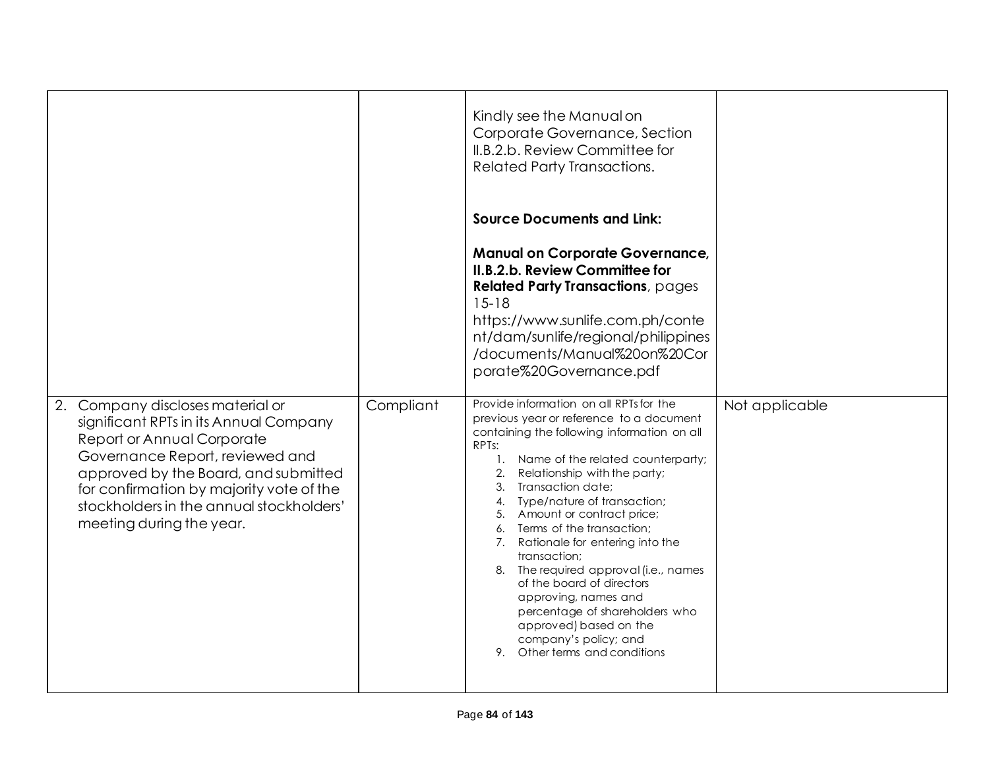|                                                                                                                                                                                                                                                                                                         |           | Kindly see the Manual on<br>Corporate Governance, Section<br>II.B.2.b. Review Committee for<br><b>Related Party Transactions.</b>                                                                                                                                                                                                                                                                                                                                                                                                                                                                                                             |                |
|---------------------------------------------------------------------------------------------------------------------------------------------------------------------------------------------------------------------------------------------------------------------------------------------------------|-----------|-----------------------------------------------------------------------------------------------------------------------------------------------------------------------------------------------------------------------------------------------------------------------------------------------------------------------------------------------------------------------------------------------------------------------------------------------------------------------------------------------------------------------------------------------------------------------------------------------------------------------------------------------|----------------|
|                                                                                                                                                                                                                                                                                                         |           | <b>Source Documents and Link:</b>                                                                                                                                                                                                                                                                                                                                                                                                                                                                                                                                                                                                             |                |
|                                                                                                                                                                                                                                                                                                         |           | <b>Manual on Corporate Governance,</b><br>II.B.2.b. Review Committee for<br><b>Related Party Transactions</b> , pages<br>$15 - 18$<br>https://www.sunlife.com.ph/conte<br>nt/dam/sunlife/regional/philippines<br>/documents/Manual%20on%20Cor<br>porate%20Governance.pdf                                                                                                                                                                                                                                                                                                                                                                      |                |
| 2. Company discloses material or<br>significant RPTs in its Annual Company<br>Report or Annual Corporate<br>Governance Report, reviewed and<br>approved by the Board, and submitted<br>for confirmation by majority vote of the<br>stockholders in the annual stockholders'<br>meeting during the year. | Compliant | Provide information on all RPTs for the<br>previous year or reference to a document<br>containing the following information on all<br>RPT <sub>s</sub> :<br>1. Name of the related counterparty;<br>2. Relationship with the party;<br>3. Transaction date:<br>Type/nature of transaction;<br>4.<br>5. Amount or contract price;<br>6. Terms of the transaction;<br>7. Rationale for entering into the<br>transaction;<br>8. The required approval (i.e., names<br>of the board of directors<br>approving, names and<br>percentage of shareholders who<br>approved) based on the<br>company's policy; and<br>Other terms and conditions<br>9. | Not applicable |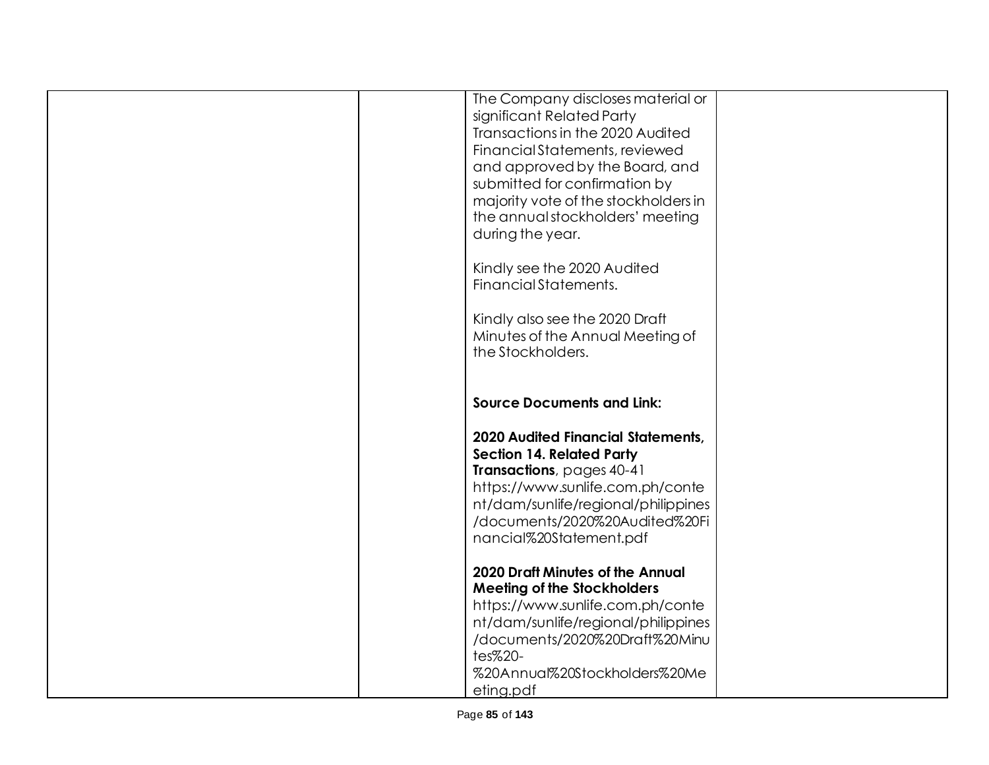| The Company discloses material or<br>significant Related Party     |  |
|--------------------------------------------------------------------|--|
| Transactions in the 2020 Audited<br>Financial Statements, reviewed |  |
| and approved by the Board, and                                     |  |
| submitted for confirmation by                                      |  |
| majority vote of the stockholders in                               |  |
| the annual stockholders' meeting                                   |  |
| during the year.                                                   |  |
| Kindly see the 2020 Audited                                        |  |
| Financial Statements.                                              |  |
| Kindly also see the 2020 Draft                                     |  |
| Minutes of the Annual Meeting of                                   |  |
| the Stockholders.                                                  |  |
|                                                                    |  |
| <b>Source Documents and Link:</b>                                  |  |
|                                                                    |  |
| <b>2020 Audited Financial Statements,</b>                          |  |
| <b>Section 14. Related Party</b>                                   |  |
| Transactions, pages 40-41                                          |  |
| https://www.sunlife.com.ph/conte                                   |  |
| nt/dam/sunlife/regional/philippines                                |  |
| /documents/2020%20Audited%20Fi                                     |  |
| nancial%20Statement.pdf                                            |  |
| <b>2020 Draft Minutes of the Annual</b>                            |  |
| <b>Meeting of the Stockholders</b>                                 |  |
| https://www.sunlife.com.ph/conte                                   |  |
| nt/dam/sunlife/regional/philippines                                |  |
| /documents/2020%20Draft%20Minu                                     |  |
| tes%20-<br>%20Annual%20Stockholders%20Me                           |  |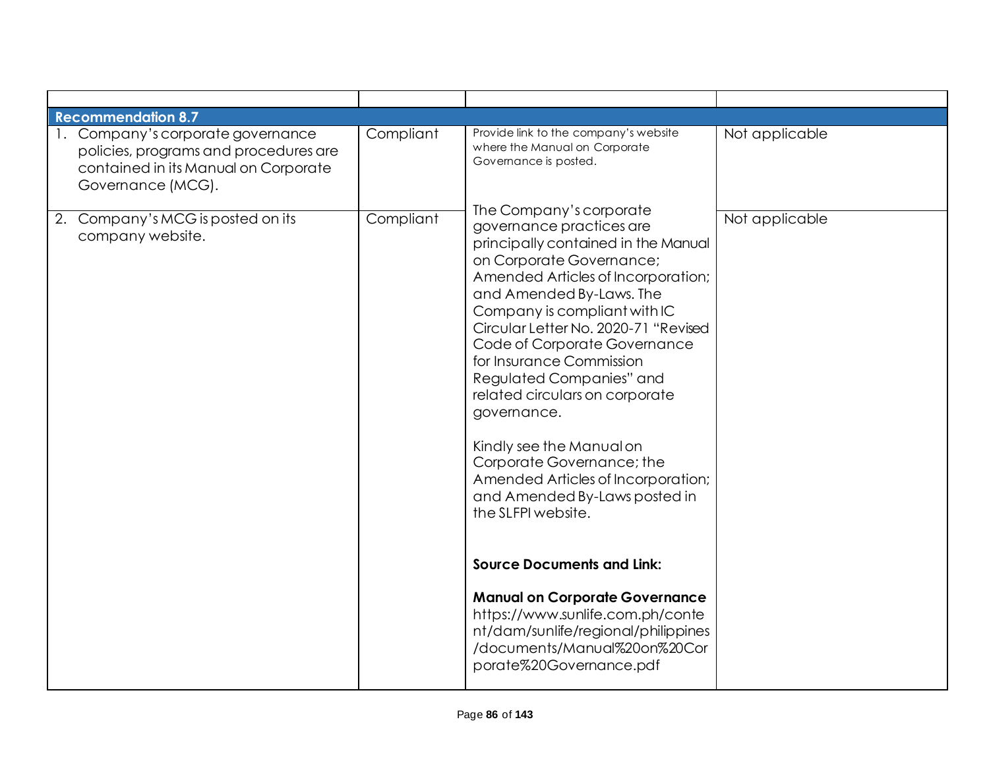| <b>Recommendation 8.7</b>                                                                                                               |           |                                                                                                                                                                                                                                                                                                                                                                                                                                                                                                                                      |                |
|-----------------------------------------------------------------------------------------------------------------------------------------|-----------|--------------------------------------------------------------------------------------------------------------------------------------------------------------------------------------------------------------------------------------------------------------------------------------------------------------------------------------------------------------------------------------------------------------------------------------------------------------------------------------------------------------------------------------|----------------|
| 1. Company's corporate governance<br>policies, programs and procedures are<br>contained in its Manual on Corporate<br>Governance (MCG). | Compliant | Provide link to the company's website<br>where the Manual on Corporate<br>Governance is posted.<br>The Company's corporate                                                                                                                                                                                                                                                                                                                                                                                                           | Not applicable |
| 2. Company's MCG is posted on its<br>company website.                                                                                   | Compliant | governance practices are<br>principally contained in the Manual<br>on Corporate Governance;<br>Amended Articles of Incorporation;<br>and Amended By-Laws. The<br>Company is compliant with IC<br>Circular Letter No. 2020-71 "Revised<br>Code of Corporate Governance<br>for Insurance Commission<br>Regulated Companies" and<br>related circulars on corporate<br>governance.<br>Kindly see the Manual on<br>Corporate Governance; the<br>Amended Articles of Incorporation;<br>and Amended By-Laws posted in<br>the SLFPI website. | Not applicable |
|                                                                                                                                         |           | <b>Source Documents and Link:</b>                                                                                                                                                                                                                                                                                                                                                                                                                                                                                                    |                |
|                                                                                                                                         |           | <b>Manual on Corporate Governance</b><br>https://www.sunlife.com.ph/conte<br>nt/dam/sunlife/regional/philippines<br>/documents/Manual%20on%20Cor<br>porate%20Governance.pdf                                                                                                                                                                                                                                                                                                                                                          |                |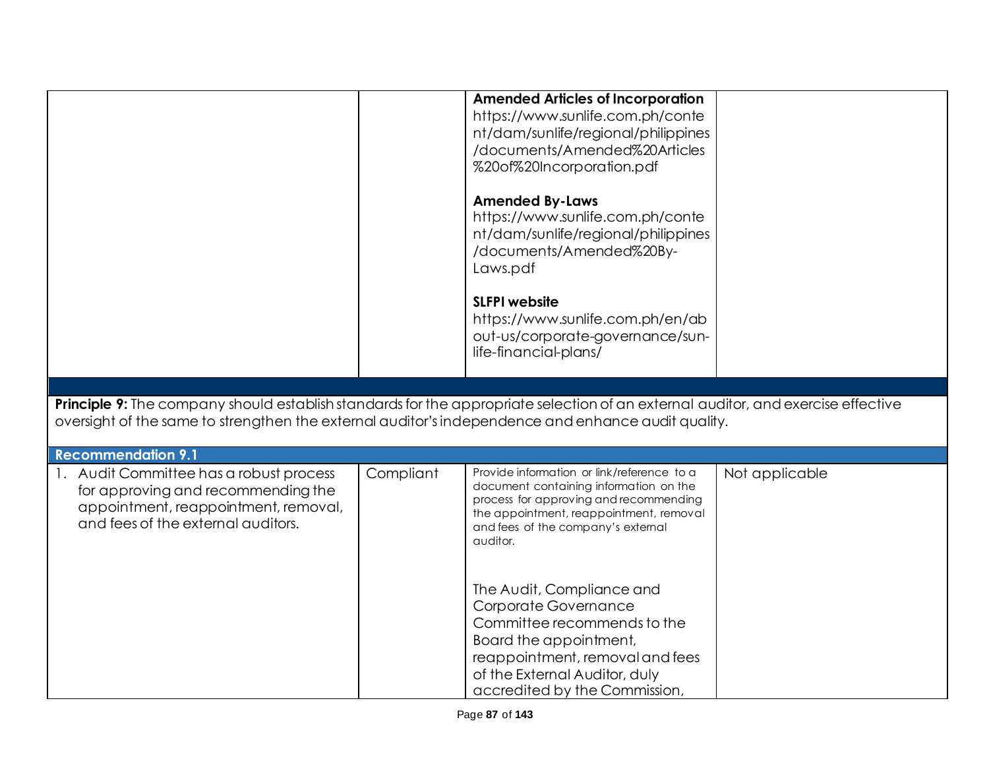|                                                                                                                                  |           | <b>Amended Articles of Incorporation</b>                                      |                |
|----------------------------------------------------------------------------------------------------------------------------------|-----------|-------------------------------------------------------------------------------|----------------|
|                                                                                                                                  |           | https://www.sunlife.com.ph/conte<br>nt/dam/sunlife/regional/philippines       |                |
|                                                                                                                                  |           | /documents/Amended%20Articles                                                 |                |
|                                                                                                                                  |           | %20of%20Incorporation.pdf                                                     |                |
|                                                                                                                                  |           |                                                                               |                |
|                                                                                                                                  |           | <b>Amended By-Laws</b>                                                        |                |
|                                                                                                                                  |           | https://www.sunlife.com.ph/conte                                              |                |
|                                                                                                                                  |           | nt/dam/sunlife/regional/philippines                                           |                |
|                                                                                                                                  |           | /documents/Amended%20By-                                                      |                |
|                                                                                                                                  |           | Laws.pdf                                                                      |                |
|                                                                                                                                  |           | <b>SLFPI</b> website                                                          |                |
|                                                                                                                                  |           | https://www.sunlife.com.ph/en/ab                                              |                |
|                                                                                                                                  |           | out-us/corporate-governance/sun-                                              |                |
|                                                                                                                                  |           | life-financial-plans/                                                         |                |
|                                                                                                                                  |           |                                                                               |                |
|                                                                                                                                  |           |                                                                               |                |
| Principle 9: The company should establish standards for the appropriate selection of an external auditor, and exercise effective |           |                                                                               |                |
| oversight of the same to strengthen the external auditor's independence and enhance audit quality.                               |           |                                                                               |                |
| <b>Recommendation 9.1</b>                                                                                                        |           |                                                                               |                |
|                                                                                                                                  |           |                                                                               |                |
|                                                                                                                                  |           | Provide information or link/reference to a                                    |                |
| 1. Audit Committee has a robust process                                                                                          | Compliant | document containing information on the                                        | Not applicable |
| for approving and recommending the<br>appointment, reappointment, removal,                                                       |           | process for approving and recommending                                        |                |
| and fees of the external auditors.                                                                                               |           | the appointment, reappointment, removal<br>and fees of the company's external |                |
|                                                                                                                                  |           | auditor.                                                                      |                |
|                                                                                                                                  |           |                                                                               |                |
|                                                                                                                                  |           |                                                                               |                |
|                                                                                                                                  |           | The Audit, Compliance and                                                     |                |
|                                                                                                                                  |           | Corporate Governance                                                          |                |
|                                                                                                                                  |           | Committee recommends to the                                                   |                |
|                                                                                                                                  |           | Board the appointment,                                                        |                |
|                                                                                                                                  |           | reappointment, removal and fees<br>of the External Auditor, duly              |                |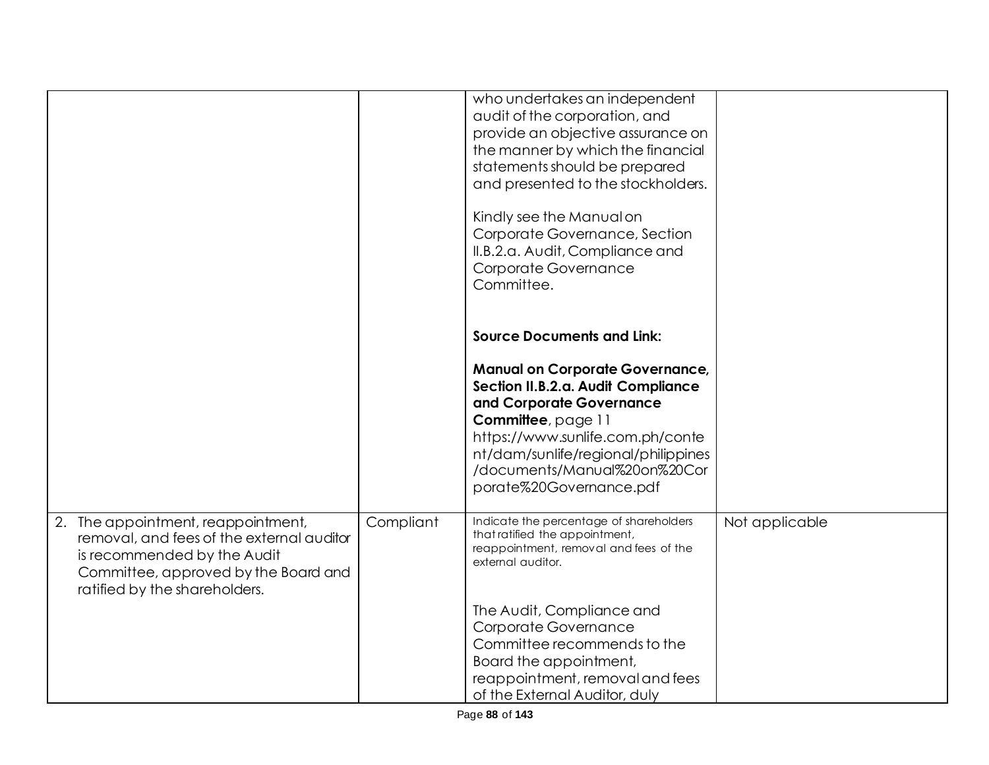|                                                                       |           | who undertakes an independent<br>audit of the corporation, and            |                |
|-----------------------------------------------------------------------|-----------|---------------------------------------------------------------------------|----------------|
|                                                                       |           | provide an objective assurance on                                         |                |
|                                                                       |           | the manner by which the financial                                         |                |
|                                                                       |           | statements should be prepared                                             |                |
|                                                                       |           | and presented to the stockholders.                                        |                |
|                                                                       |           | Kindly see the Manual on                                                  |                |
|                                                                       |           | Corporate Governance, Section                                             |                |
|                                                                       |           | II.B.2.a. Audit, Compliance and                                           |                |
|                                                                       |           | Corporate Governance                                                      |                |
|                                                                       |           | Committee.                                                                |                |
|                                                                       |           |                                                                           |                |
|                                                                       |           | <b>Source Documents and Link:</b>                                         |                |
|                                                                       |           | <b>Manual on Corporate Governance,</b>                                    |                |
|                                                                       |           | Section II.B.2.a. Audit Compliance                                        |                |
|                                                                       |           | and Corporate Governance                                                  |                |
|                                                                       |           | Committee, page 11<br>https://www.sunlife.com.ph/conte                    |                |
|                                                                       |           | nt/dam/sunlife/regional/philippines                                       |                |
|                                                                       |           | /documents/Manual%20on%20Cor                                              |                |
|                                                                       |           | porate%20Governance.pdf                                                   |                |
|                                                                       |           |                                                                           |                |
| 2. The appointment, reappointment,                                    | Compliant | Indicate the percentage of shareholders<br>that ratified the appointment, | Not applicable |
| removal, and fees of the external auditor                             |           | reappointment, removal and fees of the                                    |                |
| is recommended by the Audit                                           |           | external auditor.                                                         |                |
| Committee, approved by the Board and<br>ratified by the shareholders. |           |                                                                           |                |
|                                                                       |           |                                                                           |                |
|                                                                       |           | The Audit, Compliance and<br>Corporate Governance                         |                |
|                                                                       |           | Committee recommends to the                                               |                |
|                                                                       |           | Board the appointment,                                                    |                |
|                                                                       |           | reappointment, removal and fees                                           |                |
|                                                                       |           | of the External Auditor, duly                                             |                |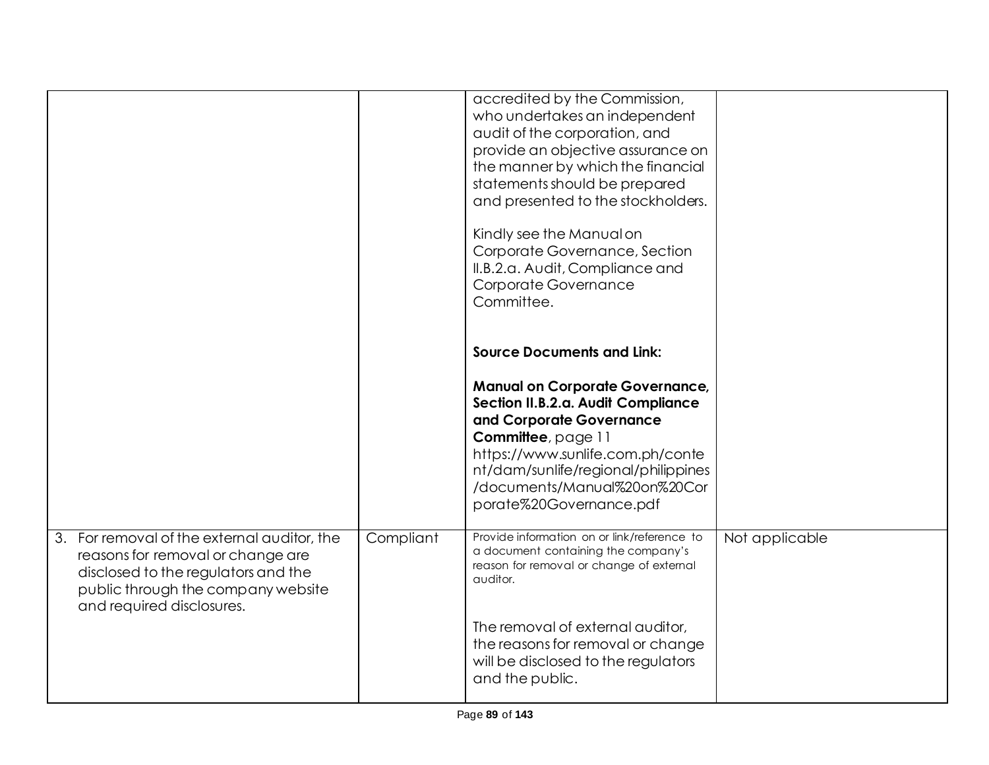|                                                                                                                                                                                            |           | accredited by the Commission,<br>who undertakes an independent<br>audit of the corporation, and<br>provide an objective assurance on<br>the manner by which the financial<br>statements should be prepared<br>and presented to the stockholders.<br>Kindly see the Manual on<br>Corporate Governance, Section<br>II.B.2.a. Audit, Compliance and<br>Corporate Governance<br>Committee. |                |
|--------------------------------------------------------------------------------------------------------------------------------------------------------------------------------------------|-----------|----------------------------------------------------------------------------------------------------------------------------------------------------------------------------------------------------------------------------------------------------------------------------------------------------------------------------------------------------------------------------------------|----------------|
|                                                                                                                                                                                            |           | <b>Source Documents and Link:</b><br><b>Manual on Corporate Governance,</b><br>Section II.B.2.a. Audit Compliance<br>and Corporate Governance<br>Committee, page 11<br>https://www.sunlife.com.ph/conte<br>nt/dam/sunlife/regional/philippines<br>/documents/Manual%20on%20Cor<br>porate%20Governance.pdf                                                                              |                |
| 3. For removal of the external auditor, the<br>reasons for removal or change are<br>disclosed to the regulators and the<br>public through the company website<br>and required disclosures. | Compliant | Provide information on or link/reference to<br>a document containing the company's<br>reason for removal or change of external<br>auditor.<br>The removal of external auditor,<br>the reasons for removal or change<br>will be disclosed to the regulators<br>and the public.                                                                                                          | Not applicable |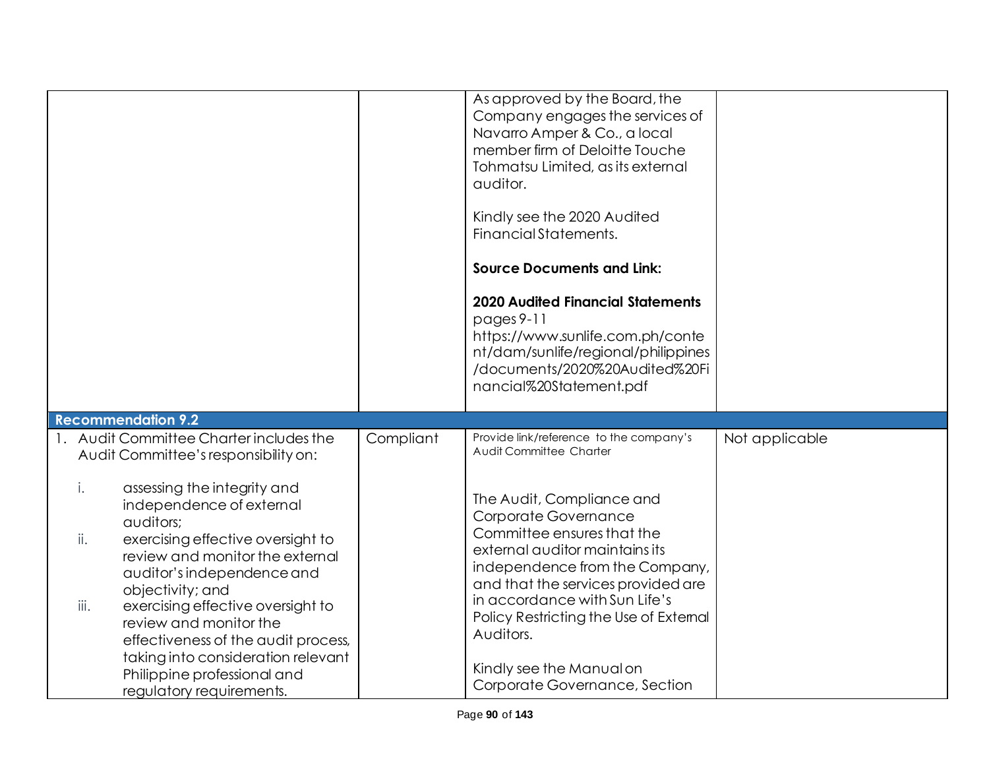|                                                                                                                                                                                                                                                                                                                                                                                                                            |           | As approved by the Board, the<br>Company engages the services of<br>Navarro Amper & Co., a local<br>member firm of Deloitte Touche<br>Tohmatsu Limited, as its external<br>auditor.<br>Kindly see the 2020 Audited<br>Financial Statements.<br><b>Source Documents and Link:</b><br><b>2020 Audited Financial Statements</b><br>$pages 9-11$<br>https://www.sunlife.com.ph/conte<br>nt/dam/sunlife/regional/philippines<br>/documents/2020%20Audited%20Fi<br>nancial%20Statement.pdf |                |
|----------------------------------------------------------------------------------------------------------------------------------------------------------------------------------------------------------------------------------------------------------------------------------------------------------------------------------------------------------------------------------------------------------------------------|-----------|--------------------------------------------------------------------------------------------------------------------------------------------------------------------------------------------------------------------------------------------------------------------------------------------------------------------------------------------------------------------------------------------------------------------------------------------------------------------------------------|----------------|
| <b>Recommendation 9.2</b><br>1. Audit Committee Charter includes the                                                                                                                                                                                                                                                                                                                                                       |           | Provide link/reference to the company's                                                                                                                                                                                                                                                                                                                                                                                                                                              |                |
| Audit Committee's responsibility on:                                                                                                                                                                                                                                                                                                                                                                                       | Compliant | Audit Committee Charter                                                                                                                                                                                                                                                                                                                                                                                                                                                              | Not applicable |
| i.<br>assessing the integrity and<br>independence of external<br>auditors;<br>ii.<br>exercising effective oversight to<br>review and monitor the external<br>auditor's independence and<br>objectivity; and<br>exercising effective oversight to<br>iii.<br>review and monitor the<br>effectiveness of the audit process,<br>taking into consideration relevant<br>Philippine professional and<br>regulatory requirements. |           | The Audit, Compliance and<br>Corporate Governance<br>Committee ensures that the<br>external auditor maintains its<br>independence from the Company,<br>and that the services provided are<br>in accordance with Sun Life's<br>Policy Restricting the Use of External<br>Auditors.<br>Kindly see the Manual on<br>Corporate Governance, Section                                                                                                                                       |                |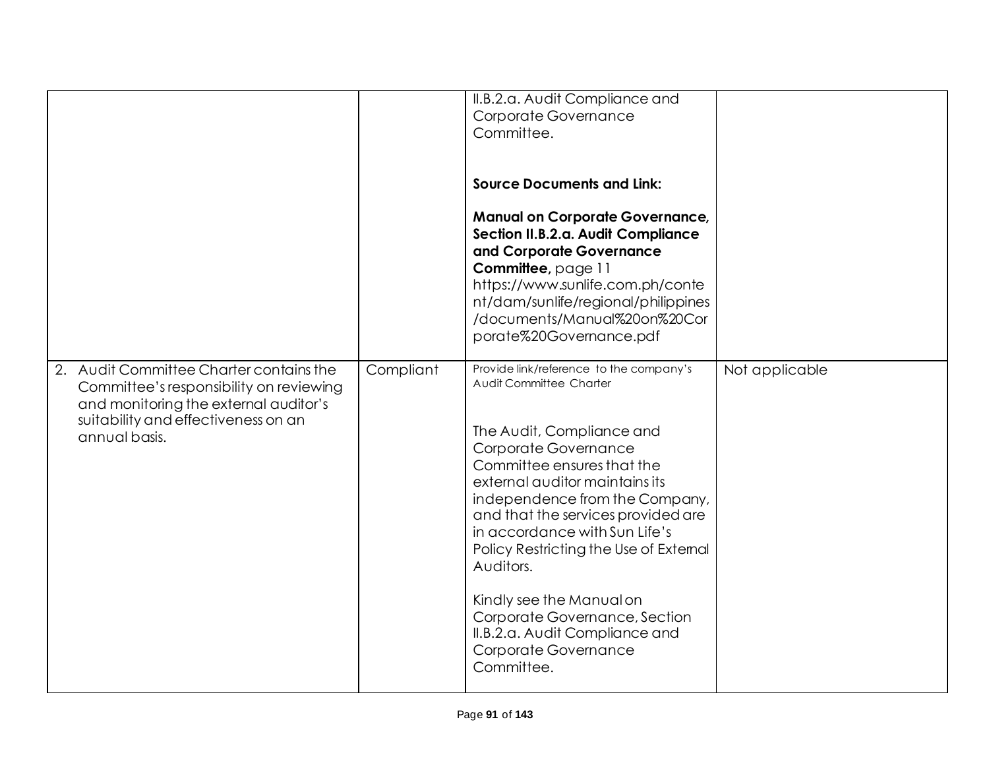|                                                                                                                                                                                     |           | II.B.2.a. Audit Compliance and<br>Corporate Governance<br>Committee.<br><b>Source Documents and Link:</b><br><b>Manual on Corporate Governance,</b><br>Section II.B.2.a. Audit Compliance<br>and Corporate Governance<br>Committee, page 11<br>https://www.sunlife.com.ph/conte<br>nt/dam/sunlife/regional/philippines<br>/documents/Manual%20on%20Cor<br>porate%20Governance.pdf                                                                                                           |                |
|-------------------------------------------------------------------------------------------------------------------------------------------------------------------------------------|-----------|---------------------------------------------------------------------------------------------------------------------------------------------------------------------------------------------------------------------------------------------------------------------------------------------------------------------------------------------------------------------------------------------------------------------------------------------------------------------------------------------|----------------|
| 2. Audit Committee Charter contains the<br>Committee's responsibility on reviewing<br>and monitoring the external auditor's<br>suitability and effectiveness on an<br>annual basis. | Compliant | Provide link/reference to the company's<br>Audit Committee Charter<br>The Audit, Compliance and<br>Corporate Governance<br>Committee ensures that the<br>external auditor maintains its<br>independence from the Company,<br>and that the services provided are<br>in accordance with Sun Life's<br>Policy Restricting the Use of Extemal<br>Auditors.<br>Kindly see the Manual on<br>Corporate Governance, Section<br>II.B.2.a. Audit Compliance and<br>Corporate Governance<br>Committee. | Not applicable |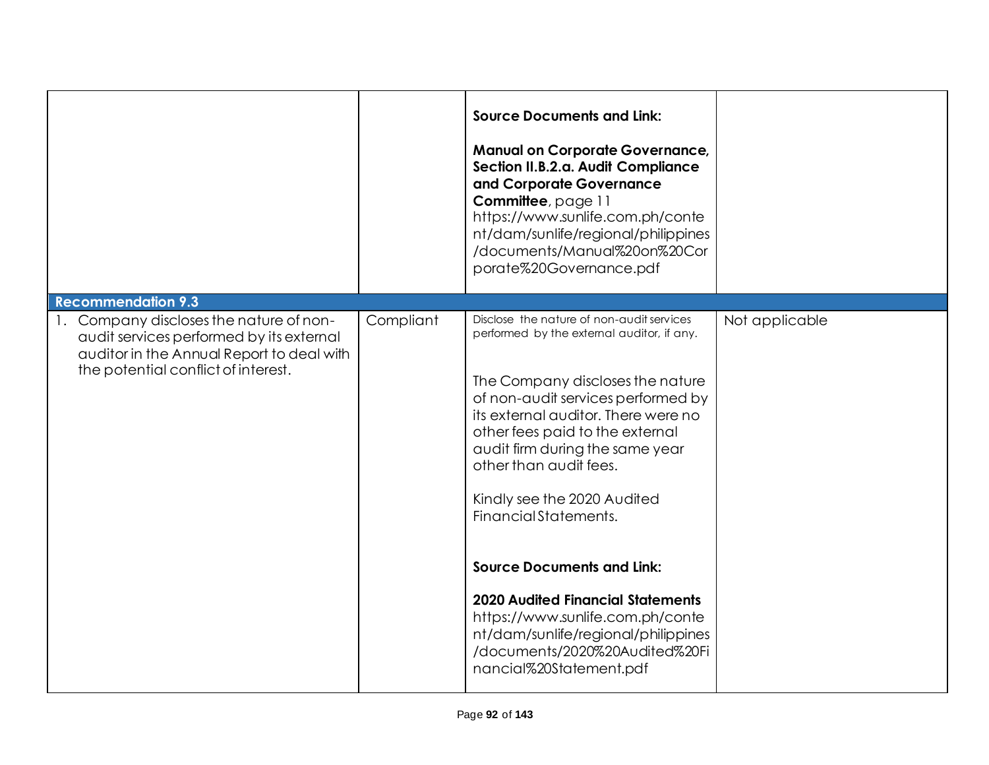|                                                                                                                                                                         |           | <b>Source Documents and Link:</b><br><b>Manual on Corporate Governance,</b><br>Section II.B.2.a. Audit Compliance<br>and Corporate Governance<br>Committee, page 11<br>https://www.sunlife.com.ph/conte<br>nt/dam/sunlife/regional/philippines<br>/documents/Manual%20on%20Cor<br>porate%20Governance.pdf                                                        |                |
|-------------------------------------------------------------------------------------------------------------------------------------------------------------------------|-----------|------------------------------------------------------------------------------------------------------------------------------------------------------------------------------------------------------------------------------------------------------------------------------------------------------------------------------------------------------------------|----------------|
| <b>Recommendation 9.3</b>                                                                                                                                               |           |                                                                                                                                                                                                                                                                                                                                                                  |                |
| 1. Company discloses the nature of non-<br>audit services performed by its external<br>auditor in the Annual Report to deal with<br>the potential conflict of interest. | Compliant | Disclose the nature of non-audit services<br>performed by the external auditor, if any.<br>The Company discloses the nature<br>of non-audit services performed by<br>its external auditor. There were no<br>other fees paid to the external<br>audit firm during the same year<br>other than audit fees.<br>Kindly see the 2020 Audited<br>Financial Statements. | Not applicable |
|                                                                                                                                                                         |           | <b>Source Documents and Link:</b>                                                                                                                                                                                                                                                                                                                                |                |
|                                                                                                                                                                         |           |                                                                                                                                                                                                                                                                                                                                                                  |                |
|                                                                                                                                                                         |           | <b>2020 Audited Financial Statements</b><br>https://www.sunlife.com.ph/conte<br>nt/dam/sunlife/regional/philippines<br>/documents/2020%20Audited%20Fi<br>nancial%20Statement.pdf                                                                                                                                                                                 |                |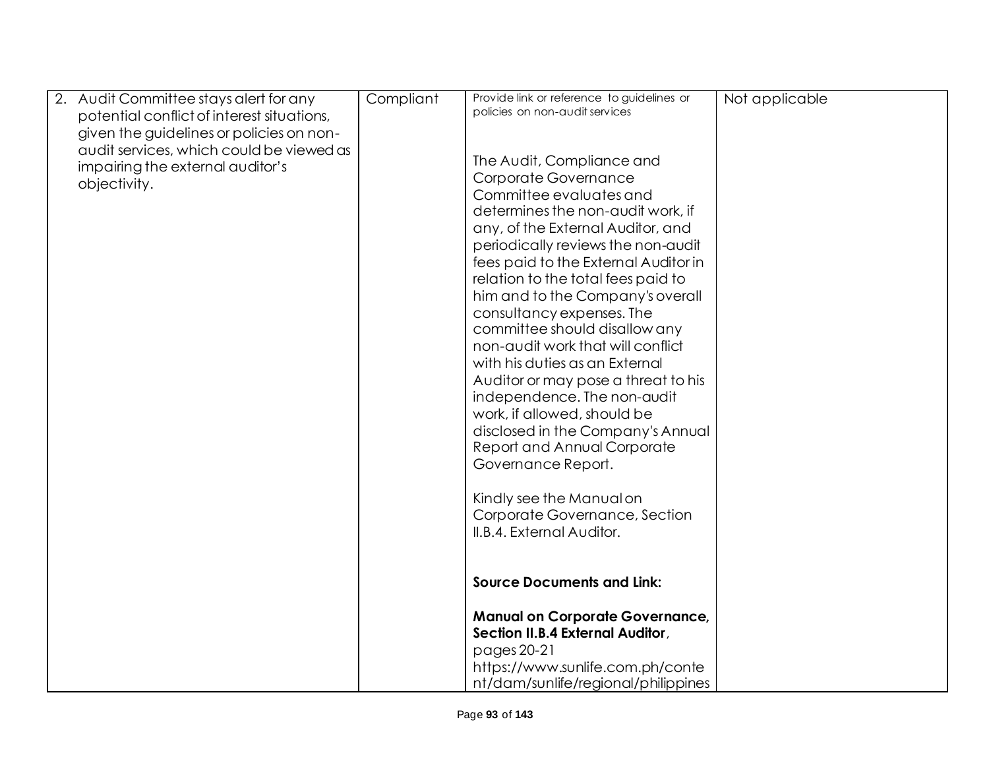|              | 2. Audit Committee stays alert for any                                                 | Compliant | Provide link or reference to guidelines or<br>policies on non-audit services | Not applicable |
|--------------|----------------------------------------------------------------------------------------|-----------|------------------------------------------------------------------------------|----------------|
|              | potential conflict of interest situations,<br>given the guidelines or policies on non- |           |                                                                              |                |
|              | audit services, which could be viewed as                                               |           |                                                                              |                |
|              | impairing the external auditor's                                                       |           | The Audit, Compliance and                                                    |                |
| objectivity. |                                                                                        |           | Corporate Governance<br>Committee evaluates and                              |                |
|              |                                                                                        |           | determines the non-audit work, if                                            |                |
|              |                                                                                        |           | any, of the External Auditor, and                                            |                |
|              |                                                                                        |           | periodically reviews the non-audit                                           |                |
|              |                                                                                        |           | fees paid to the External Auditor in                                         |                |
|              |                                                                                        |           | relation to the total fees paid to<br>him and to the Company's overall       |                |
|              |                                                                                        |           | consultancy expenses. The                                                    |                |
|              |                                                                                        |           | committee should disallow any                                                |                |
|              |                                                                                        |           | non-audit work that will conflict                                            |                |
|              |                                                                                        |           | with his duties as an External<br>Auditor or may pose a threat to his        |                |
|              |                                                                                        |           | independence. The non-audit                                                  |                |
|              |                                                                                        |           | work, if allowed, should be                                                  |                |
|              |                                                                                        |           | disclosed in the Company's Annual                                            |                |
|              |                                                                                        |           | Report and Annual Corporate                                                  |                |
|              |                                                                                        |           | Governance Report.                                                           |                |
|              |                                                                                        |           | Kindly see the Manual on                                                     |                |
|              |                                                                                        |           | Corporate Governance, Section                                                |                |
|              |                                                                                        |           | II.B.4. External Auditor.                                                    |                |
|              |                                                                                        |           |                                                                              |                |
|              |                                                                                        |           | <b>Source Documents and Link:</b>                                            |                |
|              |                                                                                        |           | <b>Manual on Corporate Governance,</b>                                       |                |
|              |                                                                                        |           | Section II.B.4 External Auditor,                                             |                |
|              |                                                                                        |           | pages 20-21                                                                  |                |
|              |                                                                                        |           | https://www.sunlife.com.ph/conte<br>nt/dam/sunlife/regional/philippines      |                |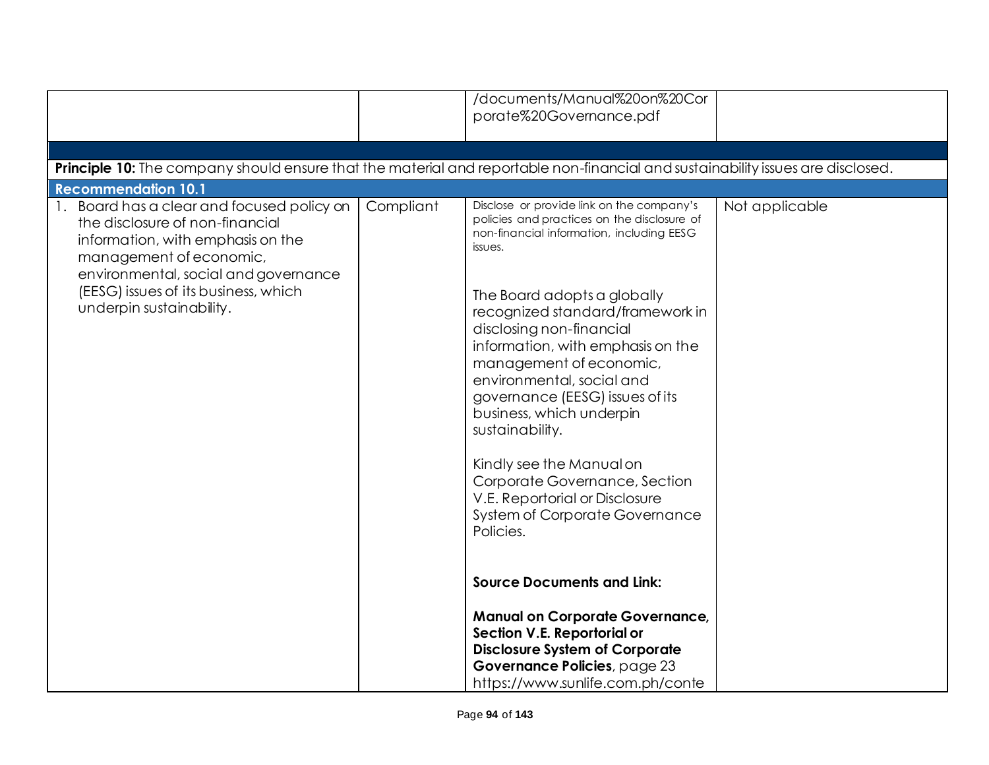|                                                                                                                                                                                                                                                        |           | /documents/Manual%20on%20Cor<br>porate%20Governance.pdf                                                                                                                                            |                |
|--------------------------------------------------------------------------------------------------------------------------------------------------------------------------------------------------------------------------------------------------------|-----------|----------------------------------------------------------------------------------------------------------------------------------------------------------------------------------------------------|----------------|
|                                                                                                                                                                                                                                                        |           |                                                                                                                                                                                                    |                |
| Principle 10: The company should ensure that the material and reportable non-financial and sustainability issues are disclosed.                                                                                                                        |           |                                                                                                                                                                                                    |                |
| <b>Recommendation 10.1</b>                                                                                                                                                                                                                             |           | Disclose or provide link on the company's                                                                                                                                                          |                |
| Board has a clear and focused policy on<br>the disclosure of non-financial<br>information, with emphasis on the<br>management of economic,<br>environmental, social and governance<br>(EESG) issues of its business, which<br>underpin sustainability. | Compliant | policies and practices on the disclosure of<br>non-financial information, including EESG<br>issues.<br>The Board adopts a globally<br>recognized standard/framework in<br>disclosing non-financial | Not applicable |
|                                                                                                                                                                                                                                                        |           | information, with emphasis on the<br>management of economic,<br>environmental, social and<br>governance (EESG) issues of its<br>business, which underpin<br>sustainability.                        |                |
|                                                                                                                                                                                                                                                        |           | Kindly see the Manual on<br>Corporate Governance, Section<br>V.E. Reportorial or Disclosure<br>System of Corporate Governance<br>Policies.                                                         |                |
|                                                                                                                                                                                                                                                        |           | <b>Source Documents and Link:</b>                                                                                                                                                                  |                |
|                                                                                                                                                                                                                                                        |           | <b>Manual on Corporate Governance,</b><br>Section V.E. Reportorial or<br><b>Disclosure System of Corporate</b><br>Governance Policies, page 23                                                     |                |
|                                                                                                                                                                                                                                                        |           | https://www.sunlife.com.ph/conte                                                                                                                                                                   |                |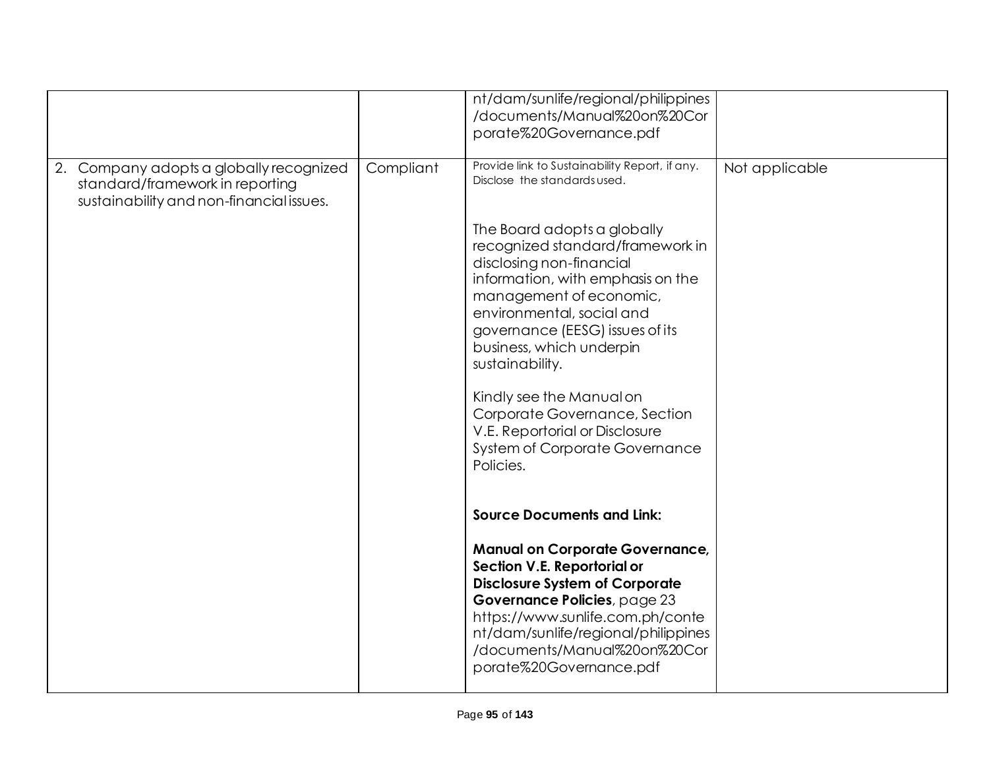|                                                                                                                        |           | nt/dam/sunlife/regional/philippines<br>/documents/Manual%20on%20Cor<br>porate%20Governance.pdf                                                                                                                                                                                       |                |
|------------------------------------------------------------------------------------------------------------------------|-----------|--------------------------------------------------------------------------------------------------------------------------------------------------------------------------------------------------------------------------------------------------------------------------------------|----------------|
| 2. Company adopts a globally recognized<br>standard/framework in reporting<br>sustainability and non-financial issues. | Compliant | Provide link to Sustainability Report, if any.<br>Disclose the standards used.                                                                                                                                                                                                       | Not applicable |
|                                                                                                                        |           | The Board adopts a globally<br>recognized standard/framework in<br>disclosing non-financial<br>information, with emphasis on the<br>management of economic,<br>environmental, social and<br>governance (EESG) issues of its<br>business, which underpin<br>sustainability.           |                |
|                                                                                                                        |           | Kindly see the Manual on<br>Corporate Governance, Section<br>V.E. Reportorial or Disclosure<br>System of Corporate Governance<br>Policies.                                                                                                                                           |                |
|                                                                                                                        |           | <b>Source Documents and Link:</b>                                                                                                                                                                                                                                                    |                |
|                                                                                                                        |           | <b>Manual on Corporate Governance,</b><br>Section V.E. Reportorial or<br><b>Disclosure System of Corporate</b><br>Governance Policies, page 23<br>https://www.sunlife.com.ph/conte<br>nt/dam/sunlife/regional/philippines<br>/documents/Manual%20on%20Cor<br>porate%20Governance.pdf |                |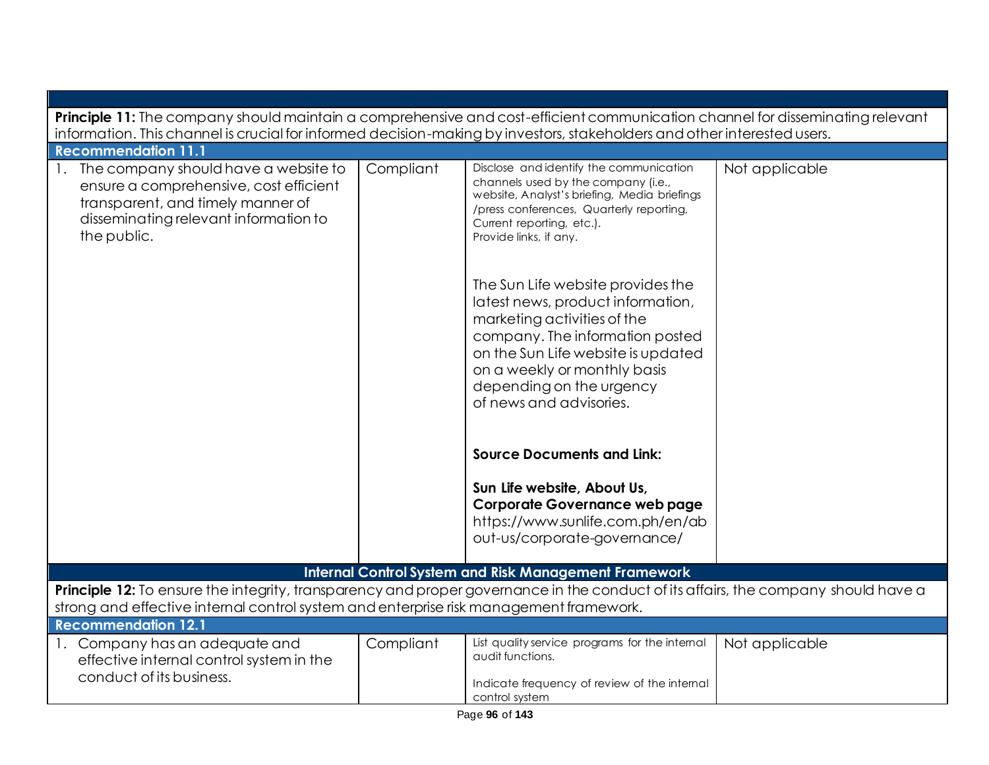| Principle 11: The company should maintain a comprehensive and cost-efficient communication channel for disseminating relevant                                                                                                |           |                                                                                                                                                                                                                                                                       |                |  |
|------------------------------------------------------------------------------------------------------------------------------------------------------------------------------------------------------------------------------|-----------|-----------------------------------------------------------------------------------------------------------------------------------------------------------------------------------------------------------------------------------------------------------------------|----------------|--|
| information. This channel is crucial for informed decision-making by investors, stakeholders and other interested users.<br><b>Recommendation 11.1</b>                                                                       |           |                                                                                                                                                                                                                                                                       |                |  |
| The company should have a website to<br>ensure a comprehensive, cost efficient<br>transparent, and timely manner of<br>disseminating relevant information to<br>the public.                                                  | Compliant | Disclose and identify the communication<br>channels used by the company (i.e.,<br>website, Analyst's briefing, Media briefings<br>/press conferences, Quarterly reporting,<br>Current reporting, etc.).<br>Provide links, if any.                                     | Not applicable |  |
|                                                                                                                                                                                                                              |           | The Sun Life website provides the<br>latest news, product information,<br>marketing activities of the<br>company. The information posted<br>on the Sun Life website is updated<br>on a weekly or monthly basis<br>depending on the urgency<br>of news and advisories. |                |  |
|                                                                                                                                                                                                                              |           | <b>Source Documents and Link:</b>                                                                                                                                                                                                                                     |                |  |
|                                                                                                                                                                                                                              |           | Sun Life website, About Us,<br><b>Corporate Governance web page</b><br>https://www.sunlife.com.ph/en/ab<br>out-us/corporate-governance/                                                                                                                               |                |  |
|                                                                                                                                                                                                                              |           | <b>Internal Control System and Risk Management Framework</b>                                                                                                                                                                                                          |                |  |
| Principle 12: To ensure the integrity, transparency and proper governance in the conduct of its affairs, the company should have a<br>strong and effective internal control system and enterprise risk management framework. |           |                                                                                                                                                                                                                                                                       |                |  |
| <b>Recommendation 12.1</b>                                                                                                                                                                                                   |           |                                                                                                                                                                                                                                                                       |                |  |
| 1. Company has an adequate and<br>effective internal control system in the<br>conduct of its business.                                                                                                                       | Compliant | List quality service programs for the internal<br>audit functions.<br>Indicate frequency of review of the internal<br>control system                                                                                                                                  | Not applicable |  |
| Page 96 of 143                                                                                                                                                                                                               |           |                                                                                                                                                                                                                                                                       |                |  |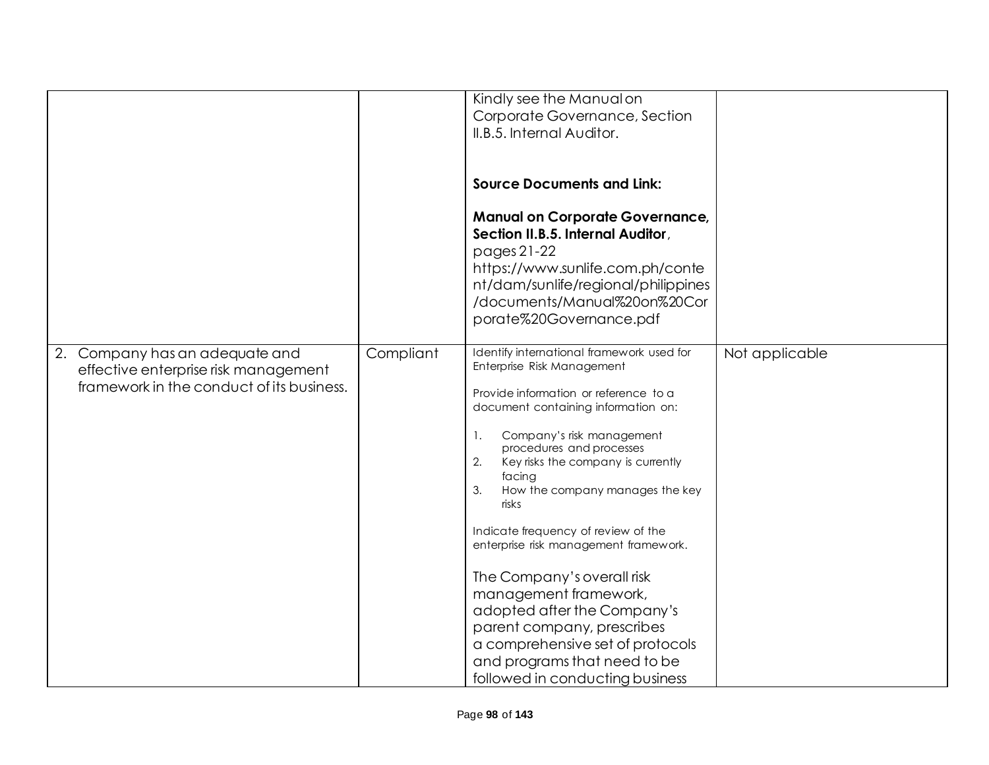|    |                                           |           | Kindly see the Manual on                  |                |
|----|-------------------------------------------|-----------|-------------------------------------------|----------------|
|    |                                           |           | Corporate Governance, Section             |                |
|    |                                           |           | II.B.5. Internal Auditor.                 |                |
|    |                                           |           |                                           |                |
|    |                                           |           |                                           |                |
|    |                                           |           |                                           |                |
|    |                                           |           | <b>Source Documents and Link:</b>         |                |
|    |                                           |           |                                           |                |
|    |                                           |           | <b>Manual on Corporate Governance,</b>    |                |
|    |                                           |           | Section II.B.5. Internal Auditor,         |                |
|    |                                           |           |                                           |                |
|    |                                           |           | pages 21-22                               |                |
|    |                                           |           | https://www.sunlife.com.ph/conte          |                |
|    |                                           |           | nt/dam/sunlife/regional/philippines       |                |
|    |                                           |           | /documents/Manual%20on%20Cor              |                |
|    |                                           |           | porate%20Governance.pdf                   |                |
|    |                                           |           |                                           |                |
|    |                                           |           |                                           |                |
| 2. | Company has an adequate and               | Compliant | Identify international framework used for | Not applicable |
|    | effective enterprise risk management      |           | Enterprise Risk Management                |                |
|    | framework in the conduct of its business. |           | Provide information or reference to a     |                |
|    |                                           |           | document containing information on:       |                |
|    |                                           |           |                                           |                |
|    |                                           |           | Company's risk management<br>1.           |                |
|    |                                           |           | procedures and processes                  |                |
|    |                                           |           | 2.<br>Key risks the company is currently  |                |
|    |                                           |           | facing                                    |                |
|    |                                           |           | How the company manages the key<br>3.     |                |
|    |                                           |           | risks                                     |                |
|    |                                           |           |                                           |                |
|    |                                           |           | Indicate frequency of review of the       |                |
|    |                                           |           | enterprise risk management framework.     |                |
|    |                                           |           |                                           |                |
|    |                                           |           | The Company's overall risk                |                |
|    |                                           |           | management framework,                     |                |
|    |                                           |           | adopted after the Company's               |                |
|    |                                           |           | parent company, prescribes                |                |
|    |                                           |           | a comprehensive set of protocols          |                |
|    |                                           |           | and programs that need to be              |                |
|    |                                           |           |                                           |                |
|    |                                           |           | followed in conducting business           |                |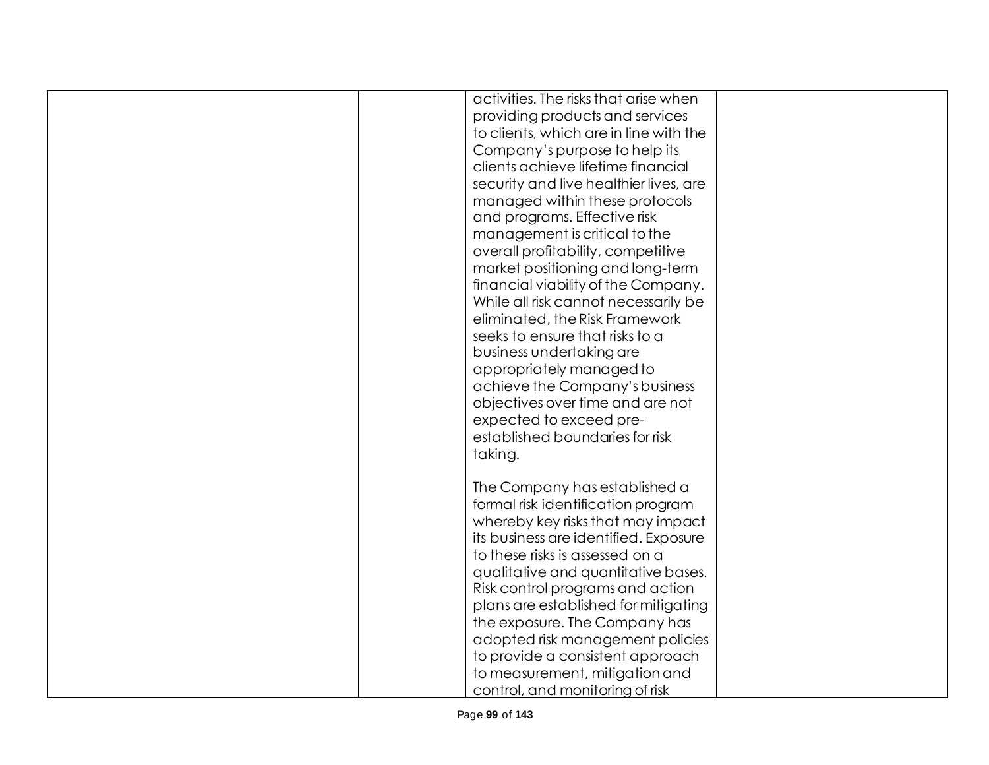| activities. The risks that arise when  |  |
|----------------------------------------|--|
|                                        |  |
| providing products and services        |  |
| to clients, which are in line with the |  |
| Company's purpose to help its          |  |
| clients achieve lifetime financial     |  |
| security and live healthier lives, are |  |
| managed within these protocols         |  |
| and programs. Effective risk           |  |
| management is critical to the          |  |
| overall profitability, competitive     |  |
| market positioning and long-term       |  |
| financial viability of the Company.    |  |
| While all risk cannot necessarily be   |  |
| eliminated, the Risk Framework         |  |
| seeks to ensure that risks to a        |  |
|                                        |  |
| business undertaking are               |  |
| appropriately managed to               |  |
| achieve the Company's business         |  |
| objectives over time and are not       |  |
| expected to exceed pre-                |  |
| established boundaries for risk        |  |
| taking.                                |  |
| The Company has established a          |  |
| formal risk identification program     |  |
| whereby key risks that may impact      |  |
| its business are identified. Exposure  |  |
| to these risks is assessed on a        |  |
| qualitative and quantitative bases.    |  |
| Risk control programs and action       |  |
|                                        |  |
| plans are established for mitigating   |  |
| the exposure. The Company has          |  |
| adopted risk management policies       |  |
| to provide a consistent approach       |  |
| to measurement, mitigation and         |  |
| control, and monitoring of risk        |  |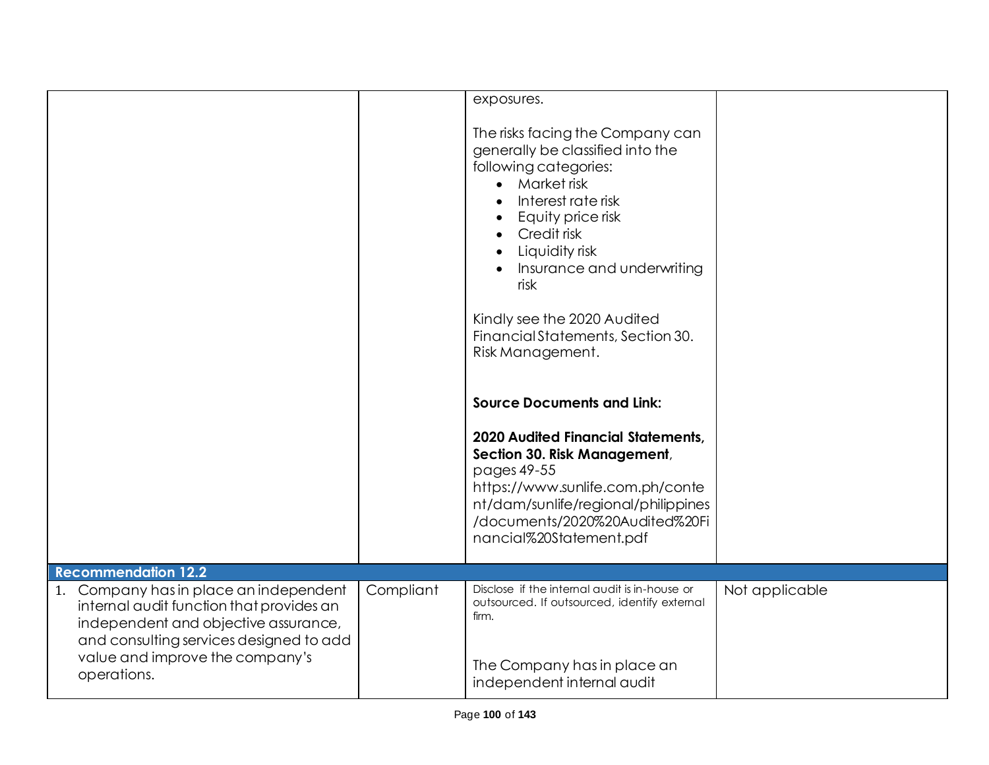|                                                                                                                                                                                                          |           | exposures.<br>The risks facing the Company can<br>generally be classified into the<br>following categories:<br>Market risk<br>$\bullet$<br>Interest rate risk<br>Equity price risk<br>Credit risk<br>Liquidity risk<br>Insurance and underwriting<br>risk<br>Kindly see the 2020 Audited<br>Financial Statements, Section 30.<br>Risk Management.<br><b>Source Documents and Link:</b><br><b>2020 Audited Financial Statements,</b><br>Section 30. Risk Management,<br>pages 49-55<br>https://www.sunlife.com.ph/conte<br>nt/dam/sunlife/regional/philippines<br>/documents/2020%20Audited%20Fi<br>nancial%20Statement.pdf |                |
|----------------------------------------------------------------------------------------------------------------------------------------------------------------------------------------------------------|-----------|----------------------------------------------------------------------------------------------------------------------------------------------------------------------------------------------------------------------------------------------------------------------------------------------------------------------------------------------------------------------------------------------------------------------------------------------------------------------------------------------------------------------------------------------------------------------------------------------------------------------------|----------------|
| <b>Recommendation 12.2</b>                                                                                                                                                                               |           |                                                                                                                                                                                                                                                                                                                                                                                                                                                                                                                                                                                                                            |                |
| 1. Company has in place an independent<br>internal audit function that provides an<br>independent and objective assurance,<br>and consulting services designed to add<br>value and improve the company's | Compliant | Disclose if the internal audit is in-house or<br>outsourced. If outsourced, identify external<br>firm.                                                                                                                                                                                                                                                                                                                                                                                                                                                                                                                     | Not applicable |
| operations.                                                                                                                                                                                              |           | The Company has in place an<br>independent internal audit                                                                                                                                                                                                                                                                                                                                                                                                                                                                                                                                                                  |                |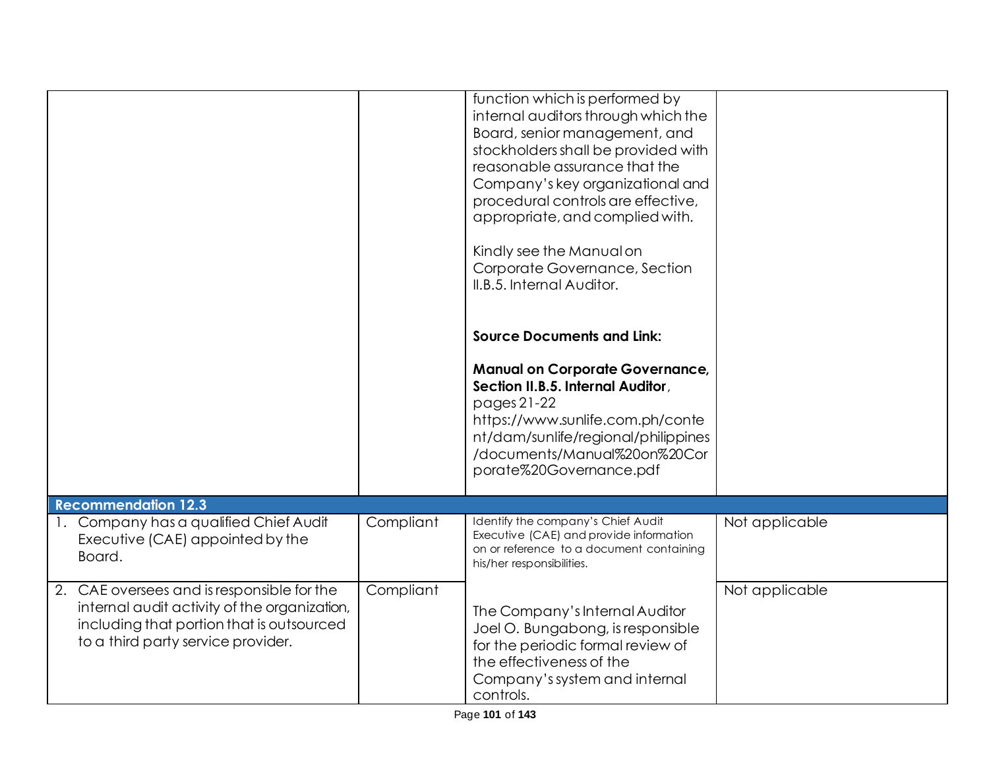|                                                                                                                                                                               |           | function which is performed by<br>internal auditors through which the<br>Board, senior management, and<br>stockholders shall be provided with<br>reasonable assurance that the<br>Company's key organizational and<br>procedural controls are effective,<br>appropriate, and complied with.<br>Kindly see the Manual on<br>Corporate Governance, Section<br>II.B.5. Internal Auditor. |                |
|-------------------------------------------------------------------------------------------------------------------------------------------------------------------------------|-----------|---------------------------------------------------------------------------------------------------------------------------------------------------------------------------------------------------------------------------------------------------------------------------------------------------------------------------------------------------------------------------------------|----------------|
|                                                                                                                                                                               |           | <b>Source Documents and Link:</b><br><b>Manual on Corporate Governance,</b><br>Section II.B.5. Internal Auditor,<br>pages 21-22<br>https://www.sunlife.com.ph/conte<br>nt/dam/sunlife/regional/philippines<br>/documents/Manual%20on%20Cor<br>porate%20Governance.pdf                                                                                                                 |                |
| <b>Recommendation 12.3</b>                                                                                                                                                    |           |                                                                                                                                                                                                                                                                                                                                                                                       |                |
| 1. Company has a qualified Chief Audit<br>Executive (CAE) appointed by the<br>Board.                                                                                          | Compliant | Identify the company's Chief Audit<br>Executive (CAE) and provide information<br>on or reference to a document containing<br>his/her responsibilities.                                                                                                                                                                                                                                | Not applicable |
| 2. CAE oversees and is responsible for the<br>internal audit activity of the organization,<br>including that portion that is outsourced<br>to a third party service provider. | Compliant | The Company's Internal Auditor<br>Joel O. Bungabong, is responsible<br>for the periodic formal review of<br>the effectiveness of the<br>Company's system and internal<br>controls.                                                                                                                                                                                                    | Not applicable |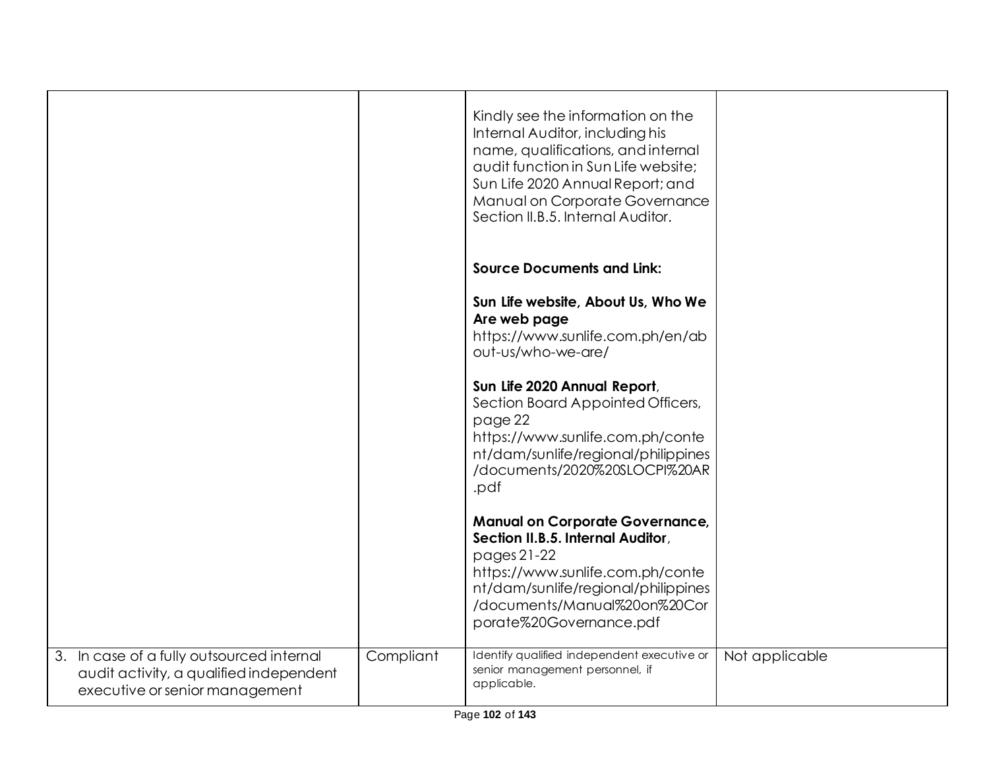|                                                                                                                        |           | Kindly see the information on the<br>Internal Auditor, including his<br>name, qualifications, and internal<br>audit function in Sun Life website;<br>Sun Life 2020 Annual Report; and<br>Manual on Corporate Governance<br>Section II.B.5. Internal Auditor. |                |
|------------------------------------------------------------------------------------------------------------------------|-----------|--------------------------------------------------------------------------------------------------------------------------------------------------------------------------------------------------------------------------------------------------------------|----------------|
|                                                                                                                        |           | <b>Source Documents and Link:</b>                                                                                                                                                                                                                            |                |
|                                                                                                                        |           | Sun Life website, About Us, Who We<br>Are web page<br>https://www.sunlife.com.ph/en/ab<br>out-us/who-we-are/                                                                                                                                                 |                |
|                                                                                                                        |           | Sun Life 2020 Annual Report,<br>Section Board Appointed Officers,<br>page 22<br>https://www.sunlife.com.ph/conte<br>nt/dam/sunlife/regional/philippines<br>/documents/2020%20SLOCPI%20AR<br>.pdf                                                             |                |
|                                                                                                                        |           | <b>Manual on Corporate Governance,</b><br>Section II.B.5. Internal Auditor,<br>pages 21-22<br>https://www.sunlife.com.ph/conte<br>nt/dam/sunlife/regional/philippines<br>/documents/Manual%20on%20Cor<br>porate%20Governance.pdf                             |                |
| 3. In case of a fully outsourced internal<br>audit activity, a qualified independent<br>executive or senior management | Compliant | Identify qualified independent executive or<br>senior management personnel, if<br>applicable.                                                                                                                                                                | Not applicable |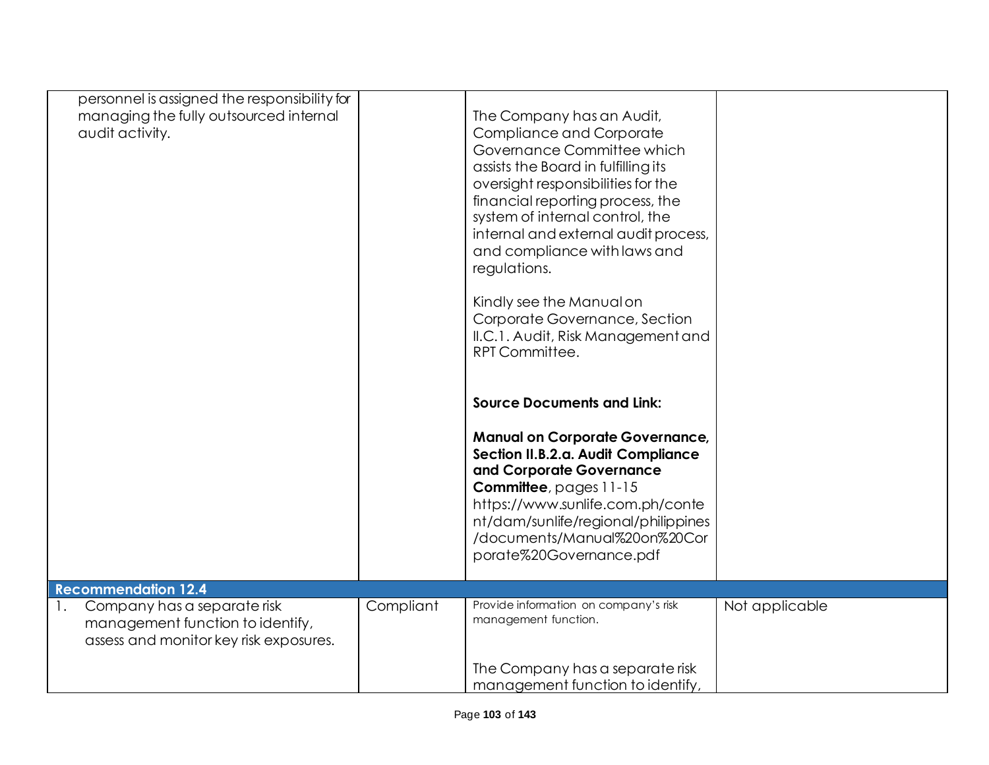| personnel is assigned the responsibility for                    |           |                                                                        |                |
|-----------------------------------------------------------------|-----------|------------------------------------------------------------------------|----------------|
| managing the fully outsourced internal                          |           | The Company has an Audit,                                              |                |
| audit activity.                                                 |           | <b>Compliance and Corporate</b>                                        |                |
|                                                                 |           | Governance Committee which                                             |                |
|                                                                 |           | assists the Board in fulfilling its                                    |                |
|                                                                 |           | oversight responsibilities for the<br>financial reporting process, the |                |
|                                                                 |           | system of internal control, the                                        |                |
|                                                                 |           | internal and external audit process,                                   |                |
|                                                                 |           | and compliance with laws and                                           |                |
|                                                                 |           | regulations.                                                           |                |
|                                                                 |           | Kindly see the Manual on                                               |                |
|                                                                 |           | Corporate Governance, Section                                          |                |
|                                                                 |           | II.C.1. Audit, Risk Management and                                     |                |
|                                                                 |           | RPT Committee.                                                         |                |
|                                                                 |           |                                                                        |                |
|                                                                 |           | <b>Source Documents and Link:</b>                                      |                |
|                                                                 |           | <b>Manual on Corporate Governance,</b>                                 |                |
|                                                                 |           | Section II.B.2.a. Audit Compliance                                     |                |
|                                                                 |           | and Corporate Governance                                               |                |
|                                                                 |           | <b>Committee</b> , pages 11-15<br>https://www.sunlife.com.ph/conte     |                |
|                                                                 |           | nt/dam/sunlife/regional/philippines                                    |                |
|                                                                 |           | /documents/Manual%20on%20Cor                                           |                |
|                                                                 |           | porate%20Governance.pdf                                                |                |
|                                                                 |           |                                                                        |                |
| <b>Recommendation 12.4</b><br>$\mathbf{1}$ .                    |           | Provide information on company's risk                                  |                |
| Company has a separate risk<br>management function to identify, | Compliant | management function.                                                   | Not applicable |
| assess and monitor key risk exposures.                          |           |                                                                        |                |
|                                                                 |           |                                                                        |                |
|                                                                 |           | The Company has a separate risk                                        |                |
|                                                                 |           | management function to identify,                                       |                |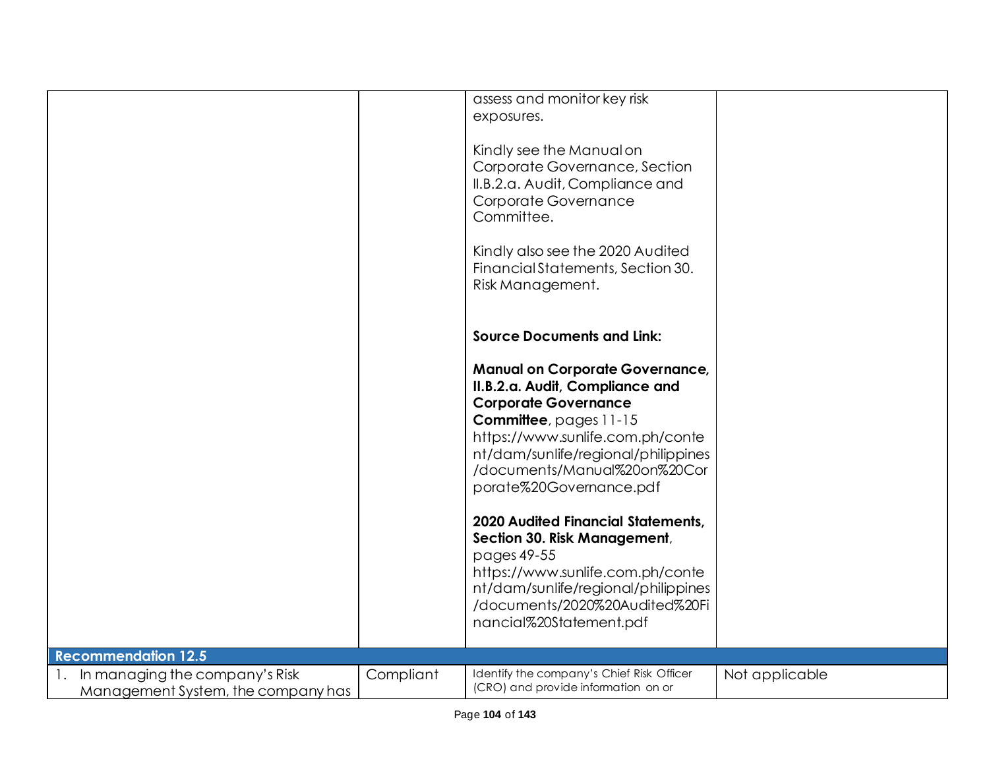|                                                                      |           | assess and monitor key risk<br>exposures.<br>Kindly see the Manual on<br>Corporate Governance, Section<br>II.B.2.a. Audit, Compliance and<br>Corporate Governance<br>Committee.<br>Kindly also see the 2020 Audited<br>Financial Statements, Section 30.<br>Risk Management.<br><b>Source Documents and Link:</b><br><b>Manual on Corporate Governance,</b><br>II.B.2.a. Audit, Compliance and<br><b>Corporate Governance</b><br><b>Committee</b> , pages 11-15<br>https://www.sunlife.com.ph/conte<br>nt/dam/sunlife/regional/philippines<br>/documents/Manual%20on%20Cor<br>porate%20Governance.pdf<br>2020 Audited Financial Statements,<br>Section 30. Risk Management,<br>pages 49-55<br>https://www.sunlife.com.ph/conte<br>nt/dam/sunlife/regional/philippines<br>/documents/2020%20Audited%20Fi<br>nancial%20Statement.pdf |                |
|----------------------------------------------------------------------|-----------|------------------------------------------------------------------------------------------------------------------------------------------------------------------------------------------------------------------------------------------------------------------------------------------------------------------------------------------------------------------------------------------------------------------------------------------------------------------------------------------------------------------------------------------------------------------------------------------------------------------------------------------------------------------------------------------------------------------------------------------------------------------------------------------------------------------------------------|----------------|
| <b>Recommendation 12.5</b>                                           |           |                                                                                                                                                                                                                                                                                                                                                                                                                                                                                                                                                                                                                                                                                                                                                                                                                                    |                |
| In managing the company's Risk<br>Management System, the company has | Compliant | Identify the company's Chief Risk Officer<br>(CRO) and provide information on or                                                                                                                                                                                                                                                                                                                                                                                                                                                                                                                                                                                                                                                                                                                                                   | Not applicable |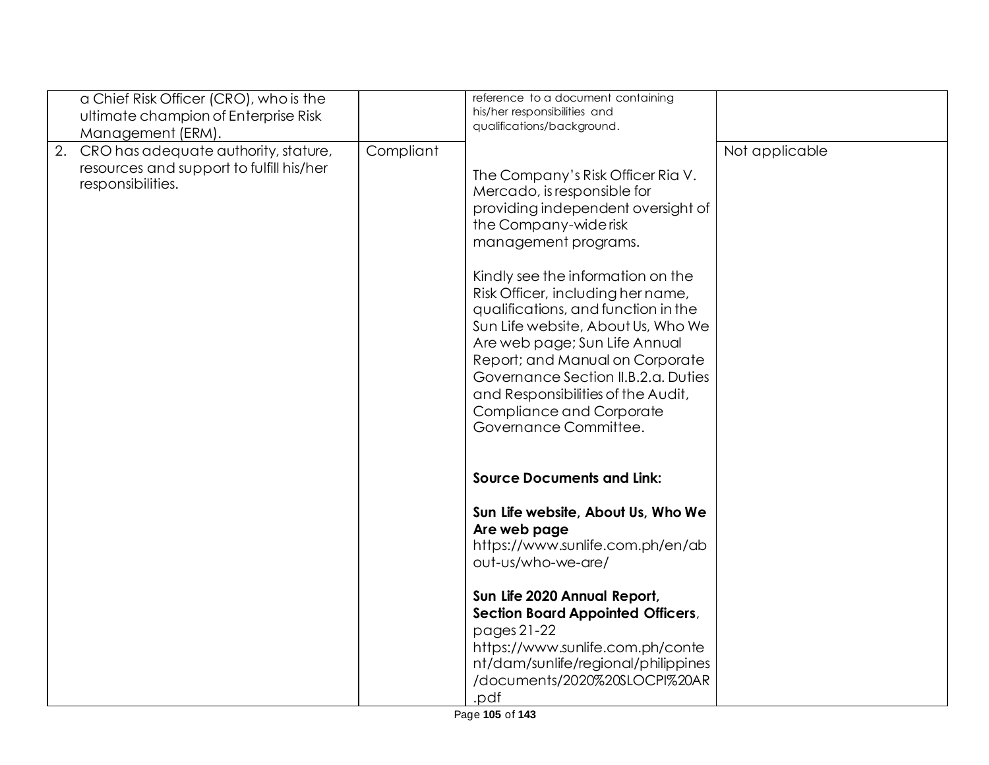|    | a Chief Risk Officer (CRO), who is the<br>ultimate champion of Enterprise Risk<br>Management (ERM).   |           | reference to a document containing<br>his/her responsibilities and<br>qualifications/background.                                                                                                                                                                                                                                                                                                                                                                                                                            |                |
|----|-------------------------------------------------------------------------------------------------------|-----------|-----------------------------------------------------------------------------------------------------------------------------------------------------------------------------------------------------------------------------------------------------------------------------------------------------------------------------------------------------------------------------------------------------------------------------------------------------------------------------------------------------------------------------|----------------|
| 2. | CRO has adequate authority, stature,<br>resources and support to fulfill his/her<br>responsibilities. | Compliant | The Company's Risk Officer Ria V.<br>Mercado, is responsible for<br>providing independent oversight of<br>the Company-wide risk<br>management programs.<br>Kindly see the information on the<br>Risk Officer, including her name,<br>qualifications, and function in the<br>Sun Life website, About Us, Who We<br>Are web page; Sun Life Annual<br>Report; and Manual on Corporate<br>Governance Section II.B.2.a. Duties<br>and Responsibilities of the Audit,<br><b>Compliance and Corporate</b><br>Governance Committee. | Not applicable |
|    |                                                                                                       |           | <b>Source Documents and Link:</b><br>Sun Life website, About Us, Who We<br>Are web page<br>https://www.sunlife.com.ph/en/ab<br>out-us/who-we-are/<br>Sun Life 2020 Annual Report,<br><b>Section Board Appointed Officers,</b><br>pages 21-22<br>https://www.sunlife.com.ph/conte<br>nt/dam/sunlife/regional/philippines<br>/documents/2020%20SLOCPI%20AR<br>.pdf                                                                                                                                                            |                |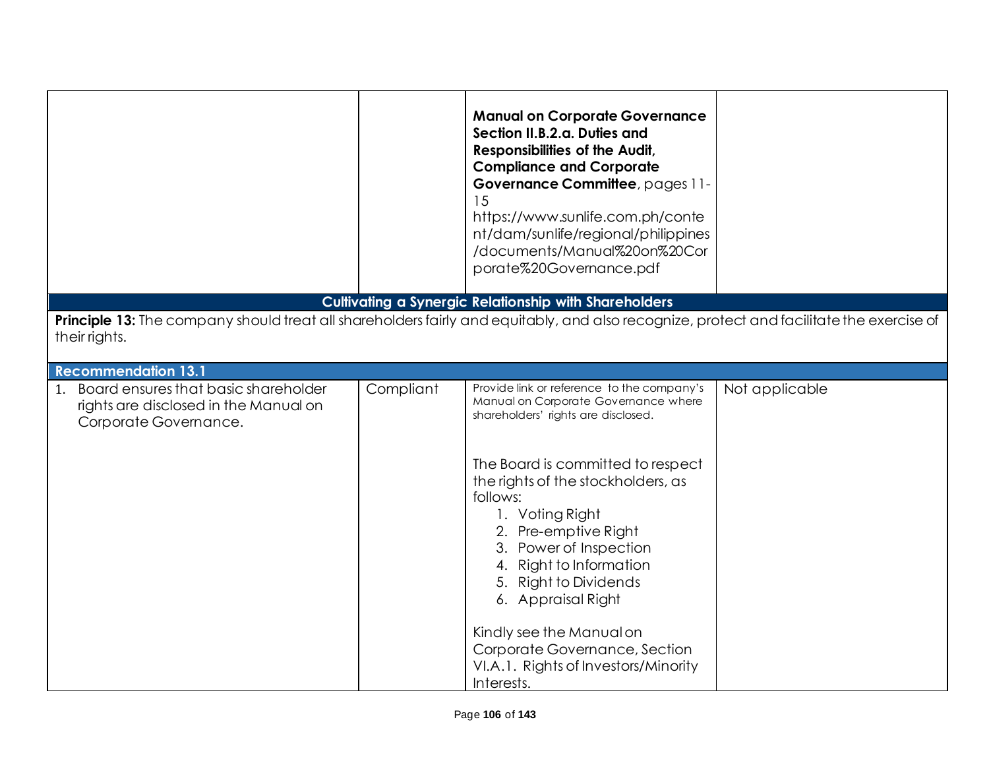|                                                                                                                                                           |           | <b>Manual on Corporate Governance</b><br>Section II.B.2.a. Duties and<br>Responsibilities of the Audit,<br><b>Compliance and Corporate</b><br>Governance Committee, pages 11-<br>15<br>https://www.sunlife.com.ph/conte<br>nt/dam/sunlife/regional/philippines<br>/documents/Manual%20on%20Cor<br>porate%20Governance.pdf                                                                                                                                                          |                |
|-----------------------------------------------------------------------------------------------------------------------------------------------------------|-----------|------------------------------------------------------------------------------------------------------------------------------------------------------------------------------------------------------------------------------------------------------------------------------------------------------------------------------------------------------------------------------------------------------------------------------------------------------------------------------------|----------------|
|                                                                                                                                                           |           | <b>Cultivating a Synergic Relationship with Shareholders</b>                                                                                                                                                                                                                                                                                                                                                                                                                       |                |
| Principle 13: The company should treat all shareholders fairly and equitably, and also recognize, protect and facilitate the exercise of<br>their rights. |           |                                                                                                                                                                                                                                                                                                                                                                                                                                                                                    |                |
| <b>Recommendation 13.1</b>                                                                                                                                |           |                                                                                                                                                                                                                                                                                                                                                                                                                                                                                    |                |
| Board ensures that basic shareholder<br>1.<br>rights are disclosed in the Manual on<br>Corporate Governance.                                              | Compliant | Provide link or reference to the company's<br>Manual on Corporate Governance where<br>shareholders' rights are disclosed.<br>The Board is committed to respect<br>the rights of the stockholders, as<br>follows:<br>1. Voting Right<br>2. Pre-emptive Right<br>3. Power of Inspection<br>4. Right to Information<br>5. Right to Dividends<br>6. Appraisal Right<br>Kindly see the Manual on<br>Corporate Governance, Section<br>VI.A.1. Rights of Investors/Minority<br>Interests. | Not applicable |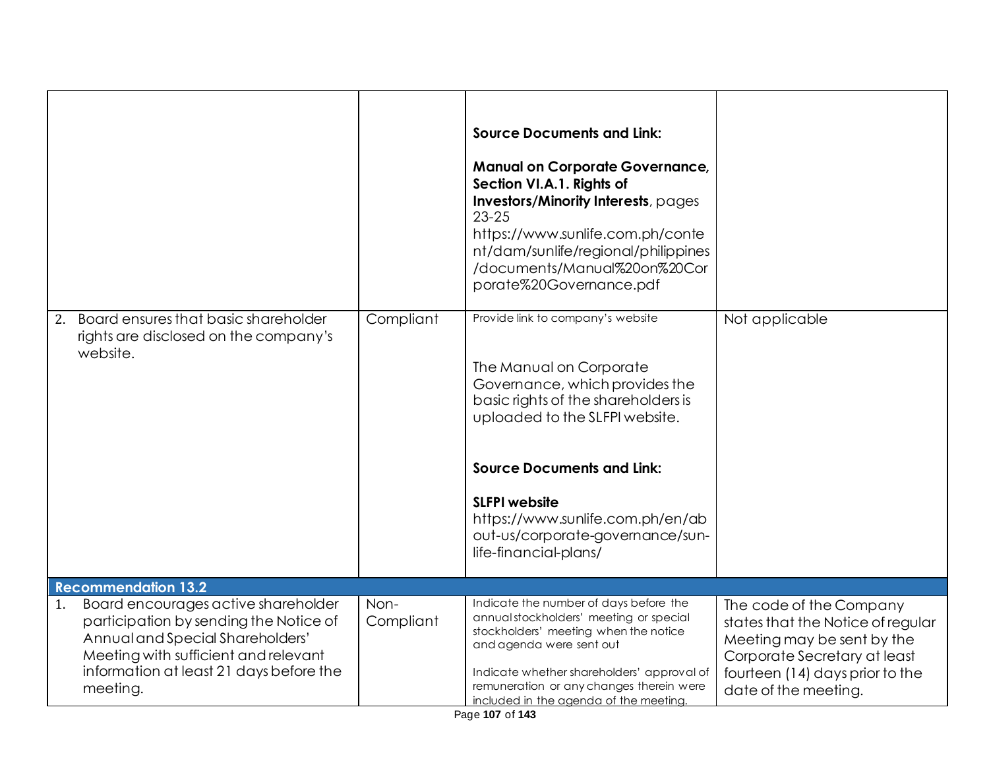|                                                                                                                                                                                                                                                      |                   | <b>Source Documents and Link:</b><br><b>Manual on Corporate Governance,</b><br>Section VI.A.1. Rights of<br>Investors/Minority Interests, pages<br>$23 - 25$<br>https://www.sunlife.com.ph/conte<br>nt/dam/sunlife/regional/philippines<br>/documents/Manual%20on%20Cor<br>porate%20Governance.pdf                                    |                                                                                                                                                                                       |
|------------------------------------------------------------------------------------------------------------------------------------------------------------------------------------------------------------------------------------------------------|-------------------|---------------------------------------------------------------------------------------------------------------------------------------------------------------------------------------------------------------------------------------------------------------------------------------------------------------------------------------|---------------------------------------------------------------------------------------------------------------------------------------------------------------------------------------|
| Board ensures that basic shareholder<br>2.<br>rights are disclosed on the company's<br>website.                                                                                                                                                      | Compliant         | Provide link to company's website<br>The Manual on Corporate<br>Governance, which provides the<br>basic rights of the shareholders is<br>uploaded to the SLFPI website.<br><b>Source Documents and Link:</b><br><b>SLFPI</b> website<br>https://www.sunlife.com.ph/en/ab<br>out-us/corporate-governance/sun-<br>life-financial-plans/ | Not applicable                                                                                                                                                                        |
| <b>Recommendation 13.2</b><br>Board encourages active shareholder<br>1.<br>participation by sending the Notice of<br>Annual and Special Shareholders'<br>Meeting with sufficient and relevant<br>information at least 21 days before the<br>meeting. | Non-<br>Compliant | Indicate the number of days before the<br>annual stockholders' meeting or special<br>stockholders' meeting when the notice<br>and agenda were sent out<br>Indicate whether shareholders' approval of<br>remuneration or any changes therein were<br>included in the agenda of the meeting.                                            | The code of the Company<br>states that the Notice of regular<br>Meeting may be sent by the<br>Corporate Secretary at least<br>fourteen (14) days prior to the<br>date of the meeting. |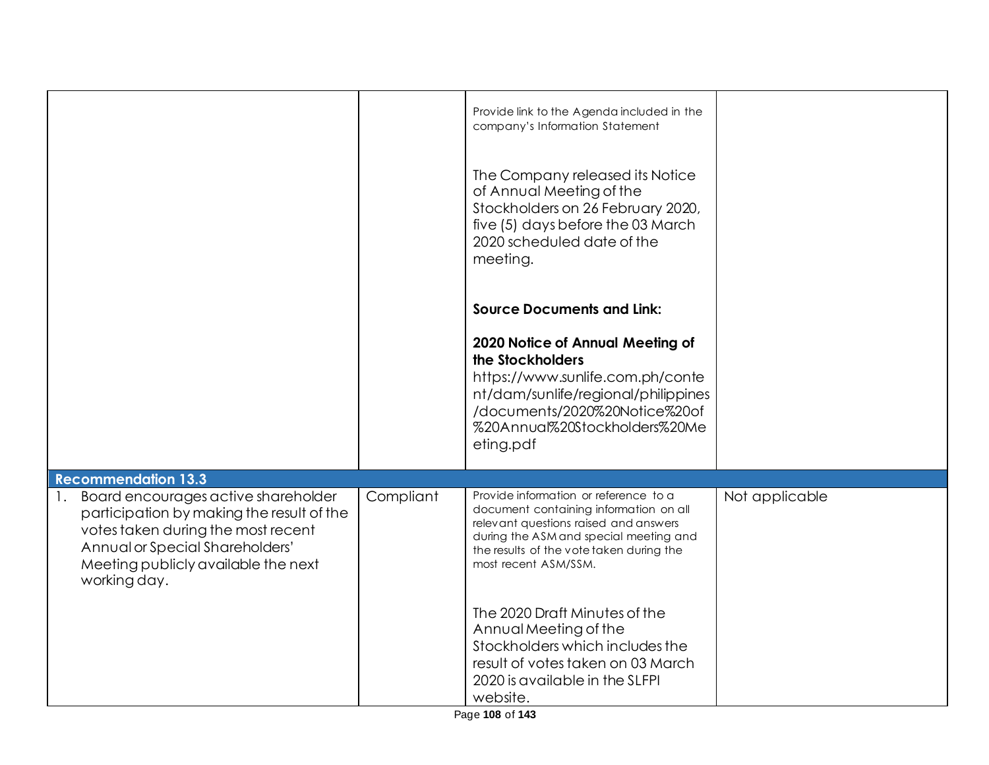|                                                                                                                                                                                                                                  |           | Provide link to the Agenda included in the<br>company's Information Statement<br>The Company released its Notice<br>of Annual Meeting of the<br>Stockholders on 26 February 2020,<br>five (5) days before the 03 March<br>2020 scheduled date of the<br>meeting. |                |
|----------------------------------------------------------------------------------------------------------------------------------------------------------------------------------------------------------------------------------|-----------|------------------------------------------------------------------------------------------------------------------------------------------------------------------------------------------------------------------------------------------------------------------|----------------|
|                                                                                                                                                                                                                                  |           | <b>Source Documents and Link:</b>                                                                                                                                                                                                                                |                |
|                                                                                                                                                                                                                                  |           | 2020 Notice of Annual Meeting of<br>the Stockholders<br>https://www.sunlife.com.ph/conte<br>nt/dam/sunlife/regional/philippines<br>/documents/2020%20Notice%20of<br>%20Annual%20Stockholders%20Me<br>eting.pdf                                                   |                |
| <b>Recommendation 13.3</b>                                                                                                                                                                                                       |           |                                                                                                                                                                                                                                                                  |                |
| Board encourages active shareholder<br>$\mathbf{L}$<br>participation by making the result of the<br>votes taken during the most recent<br>Annual or Special Shareholders'<br>Meeting publicly available the next<br>working day. | Compliant | Provide information or reference to a<br>document containing information on all<br>relevant questions raised and answers<br>during the ASM and special meeting and<br>the results of the vote taken during the<br>most recent ASM/SSM.                           | Not applicable |
|                                                                                                                                                                                                                                  |           | The 2020 Draft Minutes of the<br>Annual Meeting of the<br>Stockholders which includes the<br>result of votes taken on 03 March<br>2020 is available in the SLFPI<br>website.                                                                                     |                |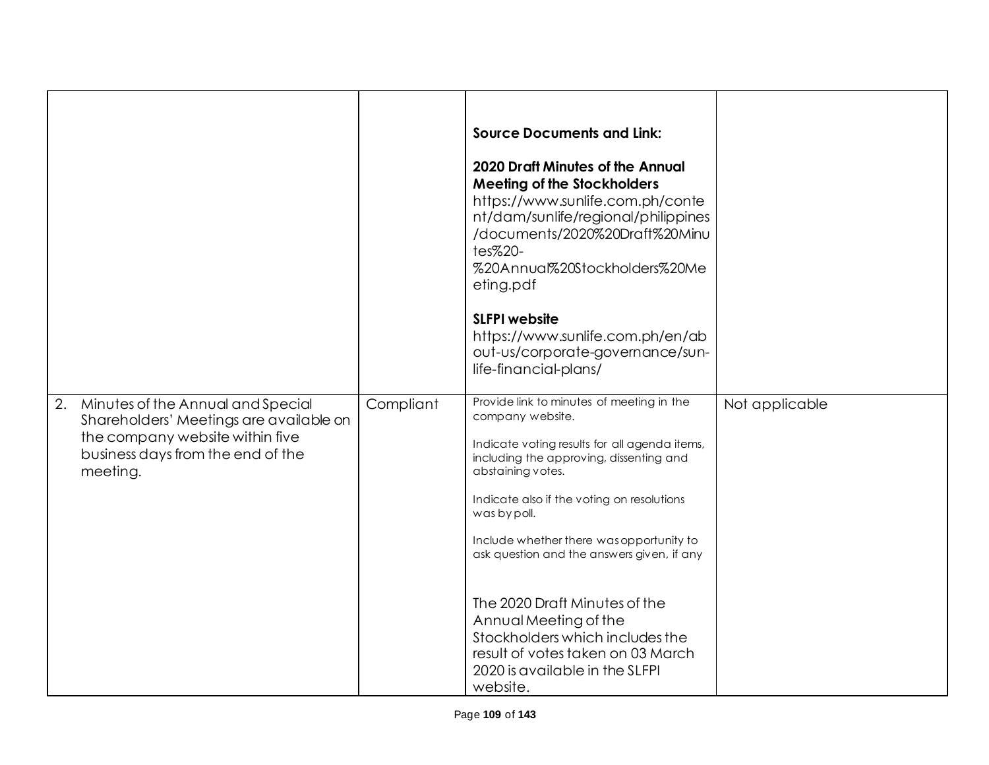|                                                                                                                                                                        |           | <b>Source Documents and Link:</b><br><b>2020 Draft Minutes of the Annual</b><br><b>Meeting of the Stockholders</b><br>https://www.sunlife.com.ph/conte<br>nt/dam/sunlife/regional/philippines<br>/documents/2020%20Draft%20Minu<br>tes%20-<br>%20Annual%20Stockholders%20Me<br>eting.pdf<br><b>SLFPI</b> website<br>https://www.sunlife.com.ph/en/ab<br>out-us/corporate-governance/sun-<br>life-financial-plans/                                                                                                      |                |
|------------------------------------------------------------------------------------------------------------------------------------------------------------------------|-----------|------------------------------------------------------------------------------------------------------------------------------------------------------------------------------------------------------------------------------------------------------------------------------------------------------------------------------------------------------------------------------------------------------------------------------------------------------------------------------------------------------------------------|----------------|
| 2.<br>Minutes of the Annual and Special<br>Shareholders' Meetings are available on<br>the company website within five<br>business days from the end of the<br>meeting. | Compliant | Provide link to minutes of meeting in the<br>company website.<br>Indicate voting results for all agenda items,<br>including the approving, dissenting and<br>abstaining votes.<br>Indicate also if the voting on resolutions<br>was by poll.<br>Include whether there was opportunity to<br>ask question and the answers given, if any<br>The 2020 Draft Minutes of the<br>Annual Meeting of the<br>Stockholders which includes the<br>result of votes taken on 03 March<br>2020 is available in the SLFPI<br>website. | Not applicable |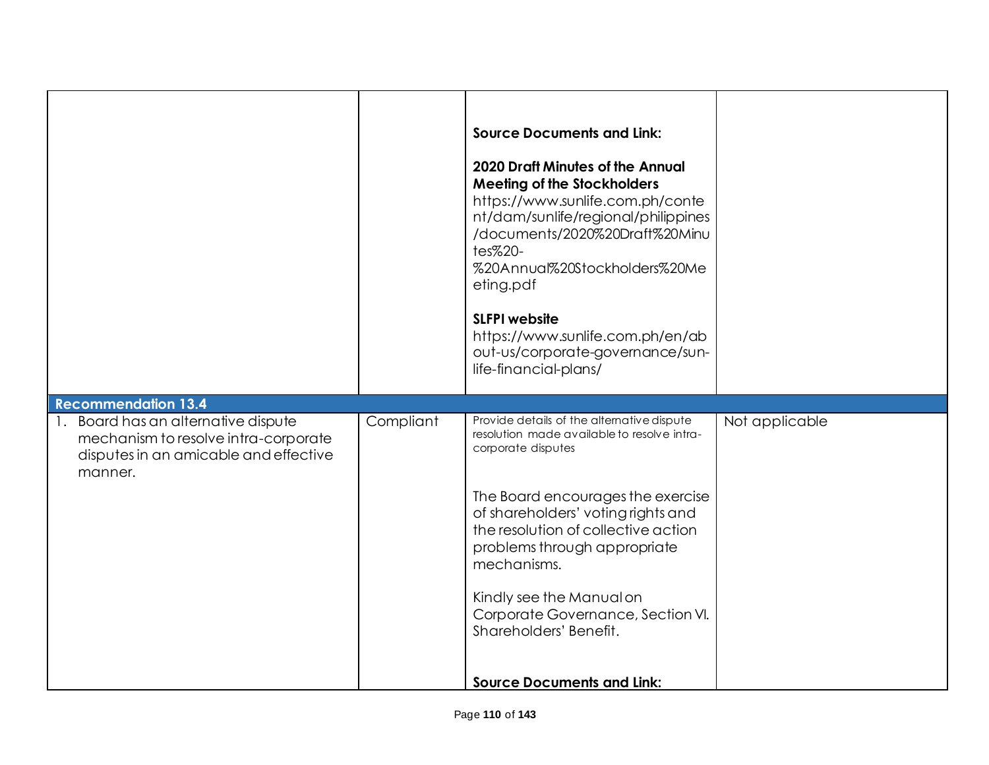|                                                                                                                                 |           | <b>Source Documents and Link:</b><br>2020 Draft Minutes of the Annual<br><b>Meeting of the Stockholders</b><br>https://www.sunlife.com.ph/conte<br>nt/dam/sunlife/regional/philippines<br>/documents/2020%20Draft%20Minu<br>tes%20-<br>%20Annual%20Stockholders%20Me<br>eting.pdf<br><b>SLFPI website</b><br>https://www.sunlife.com.ph/en/ab<br>out-us/corporate-governance/sun-<br>life-financial-plans/ |                |
|---------------------------------------------------------------------------------------------------------------------------------|-----------|------------------------------------------------------------------------------------------------------------------------------------------------------------------------------------------------------------------------------------------------------------------------------------------------------------------------------------------------------------------------------------------------------------|----------------|
| <b>Recommendation 13.4</b>                                                                                                      |           |                                                                                                                                                                                                                                                                                                                                                                                                            |                |
| 1. Board has an alternative dispute<br>mechanism to resolve intra-corporate<br>disputes in an amicable and effective<br>manner. | Compliant | Provide details of the alternative dispute<br>resolution made available to resolve intra-<br>corporate disputes                                                                                                                                                                                                                                                                                            | Not applicable |
|                                                                                                                                 |           | The Board encourages the exercise<br>of shareholders' voting rights and<br>the resolution of collective action<br>problems through appropriate<br>mechanisms.                                                                                                                                                                                                                                              |                |
|                                                                                                                                 |           | Kindly see the Manual on                                                                                                                                                                                                                                                                                                                                                                                   |                |
|                                                                                                                                 |           | Corporate Governance, Section VI.<br>Shareholders' Benefit.                                                                                                                                                                                                                                                                                                                                                |                |
|                                                                                                                                 |           | <b>Source Documents and Link:</b>                                                                                                                                                                                                                                                                                                                                                                          |                |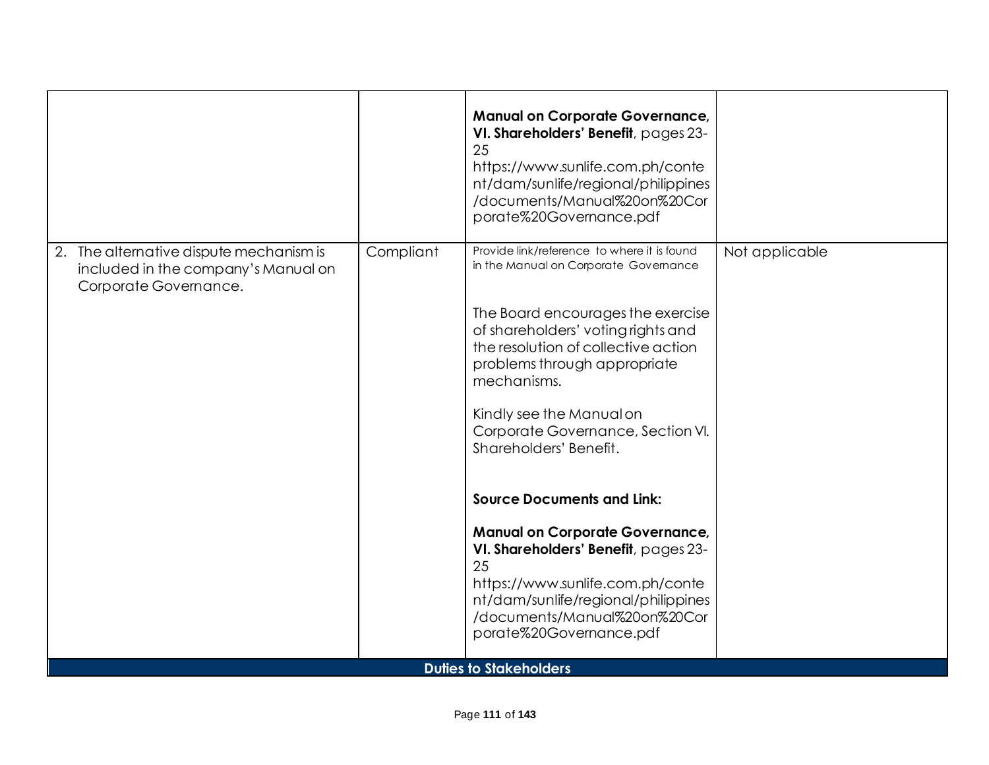|                                                                                                         |           | <b>Manual on Corporate Governance,</b><br>VI. Shareholders' Benefit, pages 23-<br>25<br>https://www.sunlife.com.ph/conte<br>nt/dam/sunlife/regional/philippines<br>/documents/Manual%20on%20Cor<br>porate%20Governance.pdf                                                                                                                                                                                                                                                                                                                                                                                          |                |
|---------------------------------------------------------------------------------------------------------|-----------|---------------------------------------------------------------------------------------------------------------------------------------------------------------------------------------------------------------------------------------------------------------------------------------------------------------------------------------------------------------------------------------------------------------------------------------------------------------------------------------------------------------------------------------------------------------------------------------------------------------------|----------------|
| 2. The alternative dispute mechanism is<br>included in the company's Manual on<br>Corporate Governance. | Compliant | Provide link/reference to where it is found<br>in the Manual on Corporate Governance<br>The Board encourages the exercise<br>of shareholders' voting rights and<br>the resolution of collective action<br>problems through appropriate<br>mechanisms.<br>Kindly see the Manual on<br>Corporate Governance, Section VI.<br>Shareholders' Benefit.<br><b>Source Documents and Link:</b><br><b>Manual on Corporate Governance,</b><br>VI. Shareholders' Benefit, pages 23-<br>25<br>https://www.sunlife.com.ph/conte<br>nt/dam/sunlife/regional/philippines<br>/documents/Manual%20on%20Cor<br>porate%20Governance.pdf | Not applicable |
|                                                                                                         |           | <b>Duties to Stakeholders</b>                                                                                                                                                                                                                                                                                                                                                                                                                                                                                                                                                                                       |                |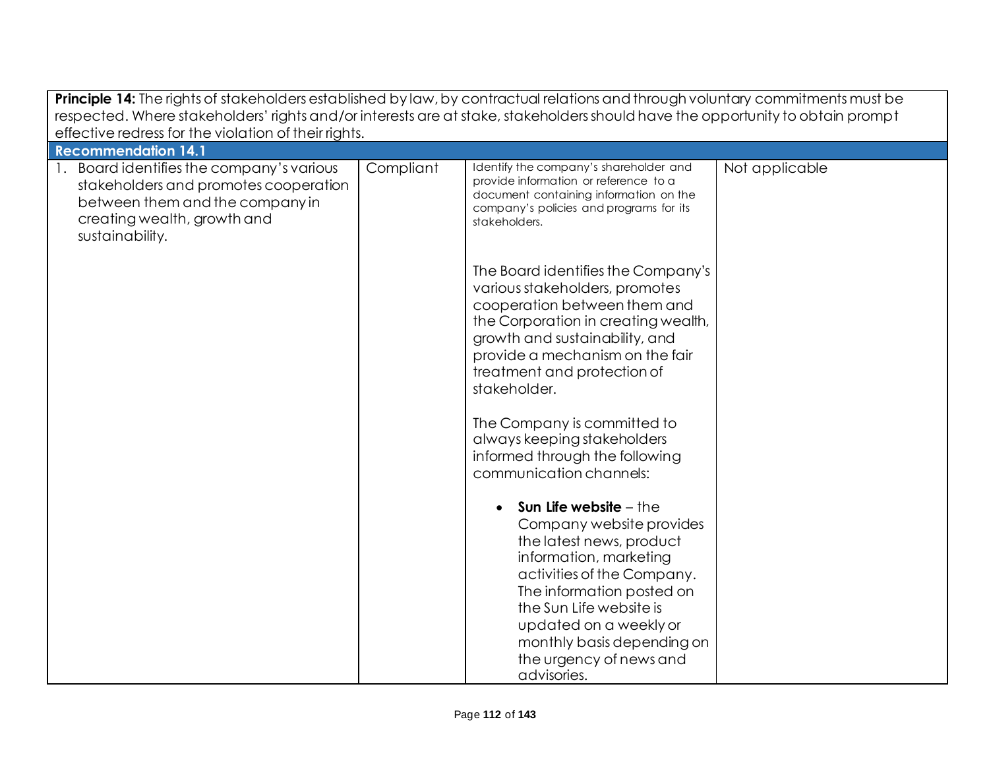| Principle 14: The rights of stakeholders established by law, by contractual relations and through voluntary commitments must be                                      |           |                                                                                                                                                                                                                                                                                                                 |                |  |
|----------------------------------------------------------------------------------------------------------------------------------------------------------------------|-----------|-----------------------------------------------------------------------------------------------------------------------------------------------------------------------------------------------------------------------------------------------------------------------------------------------------------------|----------------|--|
| respected. Where stakeholders' rights and/or interests are at stake, stakeholders should have the opportunity to obtain prompt                                       |           |                                                                                                                                                                                                                                                                                                                 |                |  |
| effective redress for the violation of their rights.                                                                                                                 |           |                                                                                                                                                                                                                                                                                                                 |                |  |
| <b>Recommendation 14.1</b>                                                                                                                                           |           |                                                                                                                                                                                                                                                                                                                 |                |  |
| Board identifies the company's various<br>stakeholders and promotes cooperation<br>between them and the company in<br>creating wealth, growth and<br>sustainability. | Compliant | Identify the company's shareholder and<br>provide information or reference to a<br>document containing information on the<br>company's policies and programs for its<br>stakeholders.                                                                                                                           | Not applicable |  |
|                                                                                                                                                                      |           | The Board identifies the Company's<br>various stakeholders, promotes<br>cooperation between them and<br>the Corporation in creating wealth,<br>growth and sustainability, and<br>provide a mechanism on the fair<br>treatment and protection of<br>stakeholder.                                                 |                |  |
|                                                                                                                                                                      |           | The Company is committed to<br>always keeping stakeholders<br>informed through the following<br>communication channels:                                                                                                                                                                                         |                |  |
|                                                                                                                                                                      |           | Sun Life website $-$ the<br>$\bullet$<br>Company website provides<br>the latest news, product<br>information, marketing<br>activities of the Company.<br>The information posted on<br>the Sun Life website is<br>updated on a weekly or<br>monthly basis depending on<br>the urgency of news and<br>advisories. |                |  |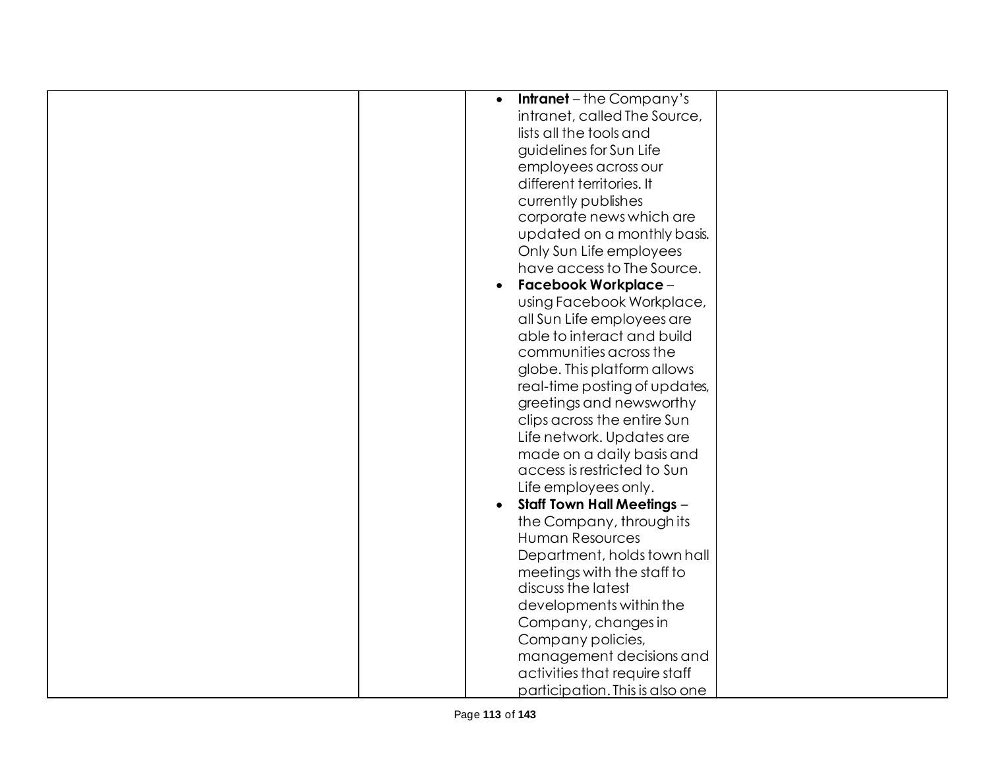| <b>Intranet</b> – the Company's<br>$\bullet$ |
|----------------------------------------------|
| intranet, called The Source,                 |
| lists all the tools and                      |
| guidelines for Sun Life                      |
| employees across our                         |
| different territories. It                    |
| currently publishes                          |
| corporate news which are                     |
| updated on a monthly basis.                  |
| Only Sun Life employees                      |
| have access to The Source.                   |
| <b>Facebook Workplace -</b>                  |
| using Facebook Workplace,                    |
| all Sun Life employees are                   |
| able to interact and build                   |
| communities across the                       |
|                                              |
| globe. This platform allows                  |
| real-time posting of updates,                |
| greetings and newsworthy                     |
| clips across the entire Sun                  |
| Life network. Updates are                    |
| made on a daily basis and                    |
| access is restricted to Sun                  |
| Life employees only.                         |
| <b>Staff Town Hall Meetings -</b>            |
| the Company, through its                     |
| Human Resources                              |
| Department, holds town hall                  |
| meetings with the staff to                   |
| discuss the latest                           |
| developments within the                      |
| Company, changes in                          |
| Company policies,                            |
| management decisions and                     |
| activities that require staff                |
| participation. This is also one              |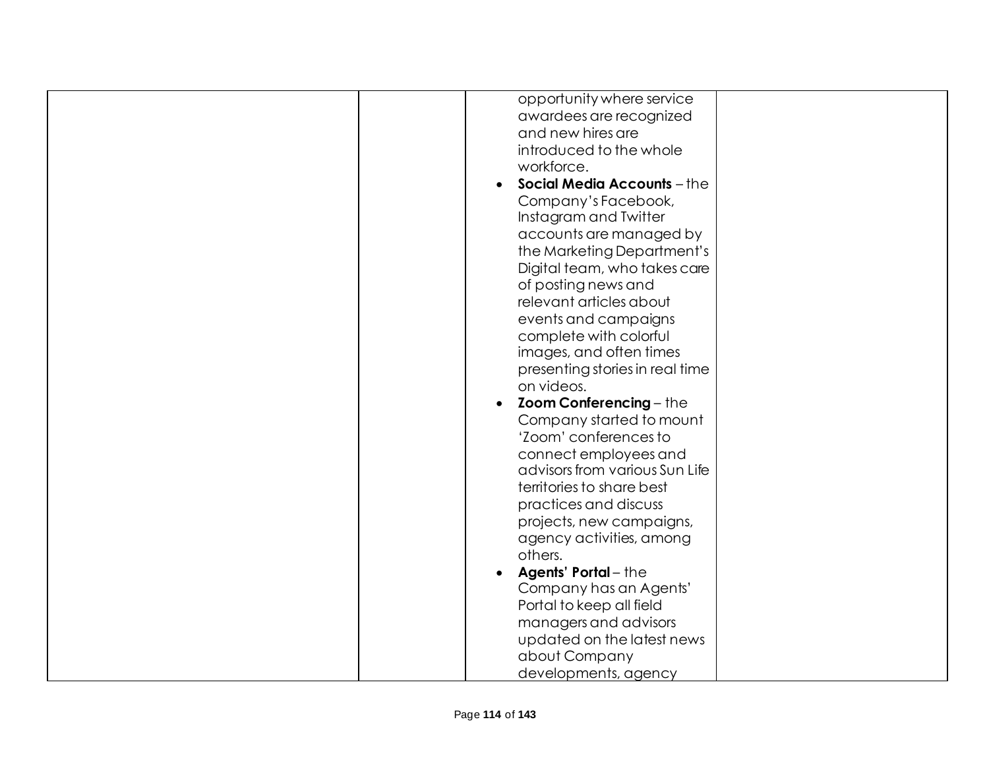| opportunity where service                                                                    |
|----------------------------------------------------------------------------------------------|
| awardees are recognized                                                                      |
| and new hires are                                                                            |
| introduced to the whole                                                                      |
| workforce.                                                                                   |
| Social Media Accounts - the                                                                  |
| Company's Facebook,                                                                          |
| Instagram and Twitter                                                                        |
| accounts are managed by                                                                      |
| the Marketing Department's                                                                   |
| Digital team, who takes care                                                                 |
| of posting news and                                                                          |
| relevant articles about                                                                      |
| events and campaigns                                                                         |
| complete with colorful                                                                       |
| images, and often times                                                                      |
| presenting stories in real time                                                              |
| on videos.                                                                                   |
|                                                                                              |
| <b>Zoom Conferencing - the</b><br>$\bullet$                                                  |
| Company started to mount                                                                     |
| 'Zoom' conferences to                                                                        |
| connect employees and                                                                        |
| advisors from various Sun Life                                                               |
| territories to share best                                                                    |
| practices and discuss                                                                        |
| projects, new campaigns,                                                                     |
| agency activities, among                                                                     |
| others.                                                                                      |
| <b>Agents' Portal</b> – the                                                                  |
| Company has an Agents'                                                                       |
| Portal to keep all field                                                                     |
|                                                                                              |
|                                                                                              |
|                                                                                              |
|                                                                                              |
| managers and advisors<br>updated on the latest news<br>about Company<br>developments, agency |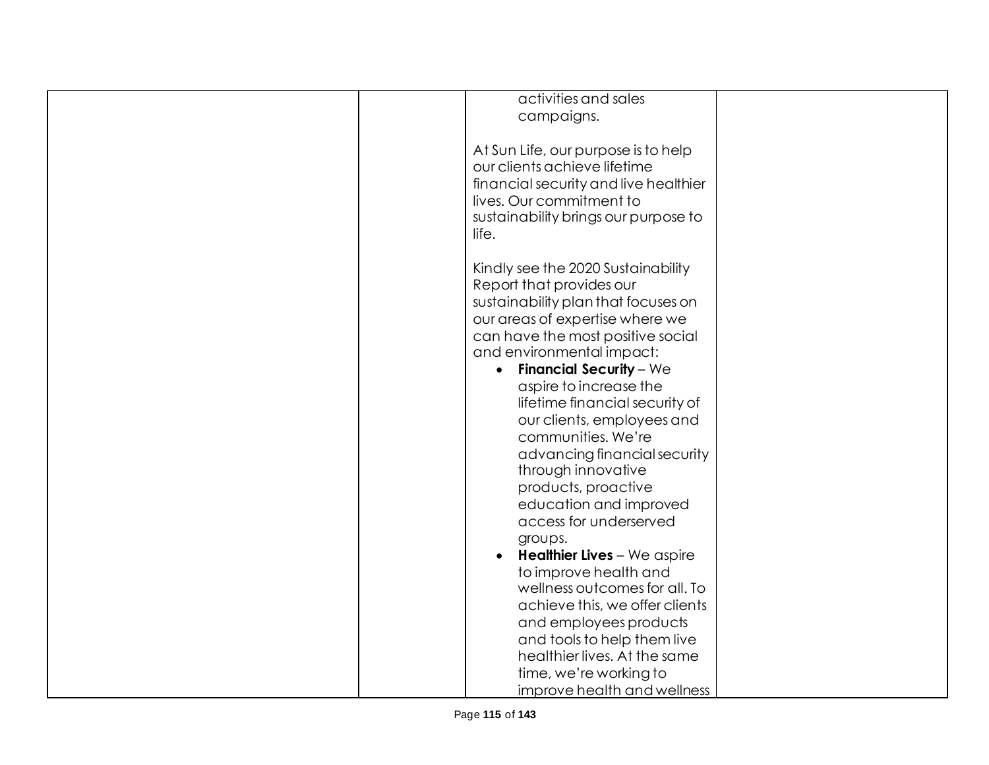| activities and sales                          |
|-----------------------------------------------|
| campaigns.                                    |
|                                               |
| At Sun Life, our purpose is to help           |
| our clients achieve lifetime                  |
| financial security and live healthier         |
| lives. Our commitment to                      |
| sustainability brings our purpose to          |
| life.                                         |
|                                               |
| Kindly see the 2020 Sustainability            |
| Report that provides our                      |
| sustainability plan that focuses on           |
| our areas of expertise where we               |
| can have the most positive social             |
| and environmental impact:                     |
| <b>Financial Security - We</b><br>$\bullet$   |
| aspire to increase the                        |
| lifetime financial security of                |
| our clients, employees and                    |
| communities. We're                            |
| advancing financial security                  |
| through innovative                            |
| products, proactive<br>education and improved |
| access for underserved                        |
| groups.                                       |
| Healthier Lives - We aspire                   |
| to improve health and                         |
| wellness outcomes for all. To                 |
| achieve this, we offer clients                |
| and employees products                        |
| and tools to help them live                   |
| healthier lives. At the same                  |
| time, we're working to                        |
| improve health and wellness                   |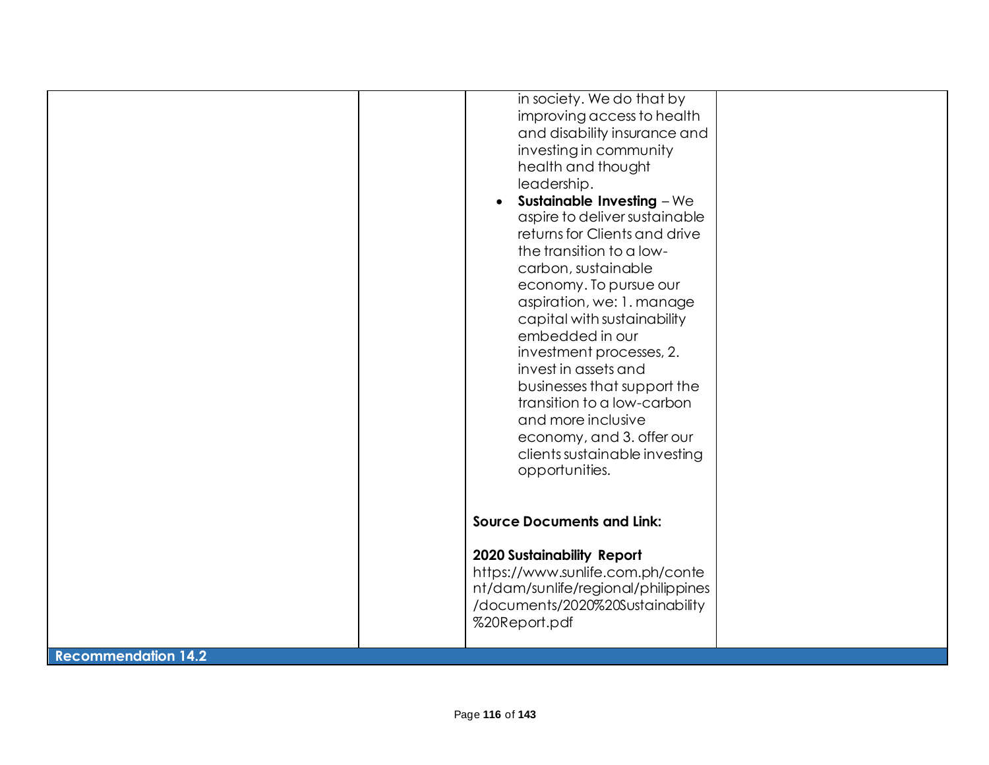|                            | in society. We do that by<br>improving access to health<br>and disability insurance and<br>investing in community<br>health and thought<br>leadership.<br><b>Sustainable Investing - We</b><br>$\bullet$<br>aspire to deliver sustainable<br>returns for Clients and drive<br>the transition to a low-<br>carbon, sustainable<br>economy. To pursue our<br>aspiration, we: 1. manage<br>capital with sustainability<br>embedded in our<br>investment processes, 2.<br>invest in assets and<br>businesses that support the<br>transition to a low-carbon<br>and more inclusive<br>economy, and 3. offer our<br>clients sustainable investing<br>opportunities. |
|----------------------------|---------------------------------------------------------------------------------------------------------------------------------------------------------------------------------------------------------------------------------------------------------------------------------------------------------------------------------------------------------------------------------------------------------------------------------------------------------------------------------------------------------------------------------------------------------------------------------------------------------------------------------------------------------------|
|                            | <b>Source Documents and Link:</b><br><b>2020 Sustainability Report</b><br>https://www.sunlife.com.ph/conte<br>nt/dam/sunlife/regional/philippines<br>/documents/2020%20Sustainability<br>%20Report.pdf                                                                                                                                                                                                                                                                                                                                                                                                                                                        |
| <b>Recommendation 14.2</b> |                                                                                                                                                                                                                                                                                                                                                                                                                                                                                                                                                                                                                                                               |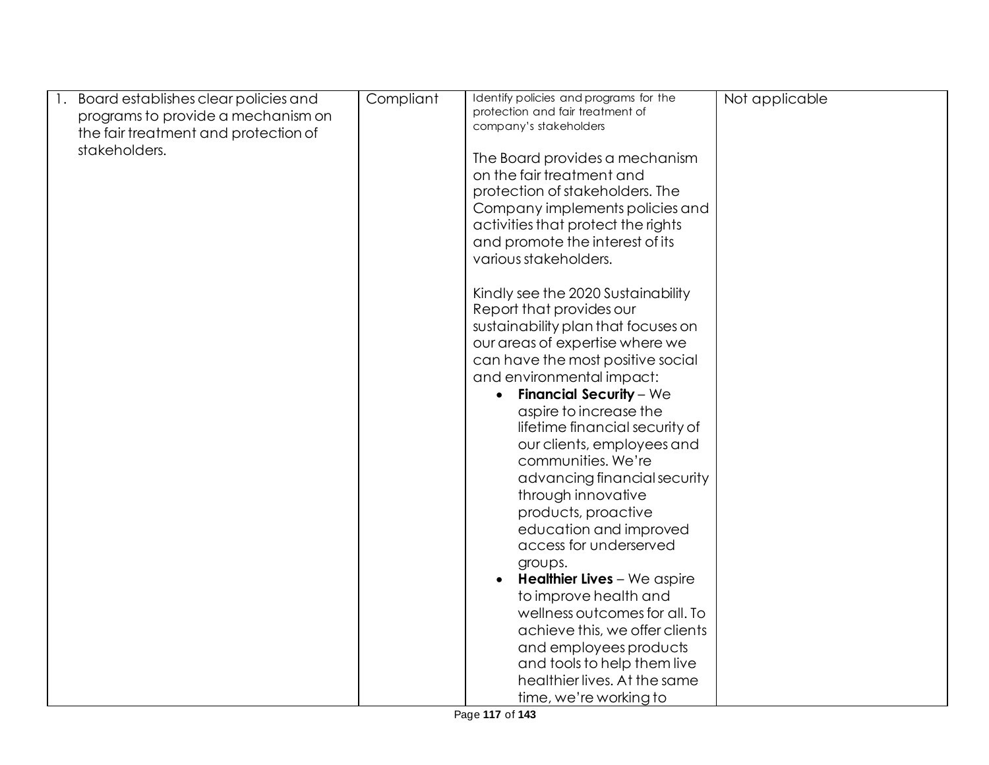| Board establishes clear policies and<br> 1. | Compliant | Identify policies and programs for the | Not applicable |
|---------------------------------------------|-----------|----------------------------------------|----------------|
| programs to provide a mechanism on          |           | protection and fair treatment of       |                |
| the fair treatment and protection of        |           | company's stakeholders                 |                |
| stakeholders.                               |           |                                        |                |
|                                             |           | The Board provides a mechanism         |                |
|                                             |           | on the fair treatment and              |                |
|                                             |           | protection of stakeholders. The        |                |
|                                             |           | Company implements policies and        |                |
|                                             |           | activities that protect the rights     |                |
|                                             |           |                                        |                |
|                                             |           | and promote the interest of its        |                |
|                                             |           | various stakeholders.                  |                |
|                                             |           |                                        |                |
|                                             |           | Kindly see the 2020 Sustainability     |                |
|                                             |           | Report that provides our               |                |
|                                             |           | sustainability plan that focuses on    |                |
|                                             |           | our areas of expertise where we        |                |
|                                             |           | can have the most positive social      |                |
|                                             |           | and environmental impact:              |                |
|                                             |           | <b>Financial Security - We</b>         |                |
|                                             |           |                                        |                |
|                                             |           | aspire to increase the                 |                |
|                                             |           | lifetime financial security of         |                |
|                                             |           | our clients, employees and             |                |
|                                             |           | communities. We're                     |                |
|                                             |           | advancing financial security           |                |
|                                             |           | through innovative                     |                |
|                                             |           | products, proactive                    |                |
|                                             |           | education and improved                 |                |
|                                             |           | access for underserved                 |                |
|                                             |           | groups.                                |                |
|                                             |           | <b>Healthier Lives</b> - We aspire     |                |
|                                             |           |                                        |                |
|                                             |           | to improve health and                  |                |
|                                             |           | wellness outcomes for all. To          |                |
|                                             |           | achieve this, we offer clients         |                |
|                                             |           | and employees products                 |                |
|                                             |           | and tools to help them live            |                |
|                                             |           | healthier lives. At the same           |                |
|                                             |           | time, we're working to                 |                |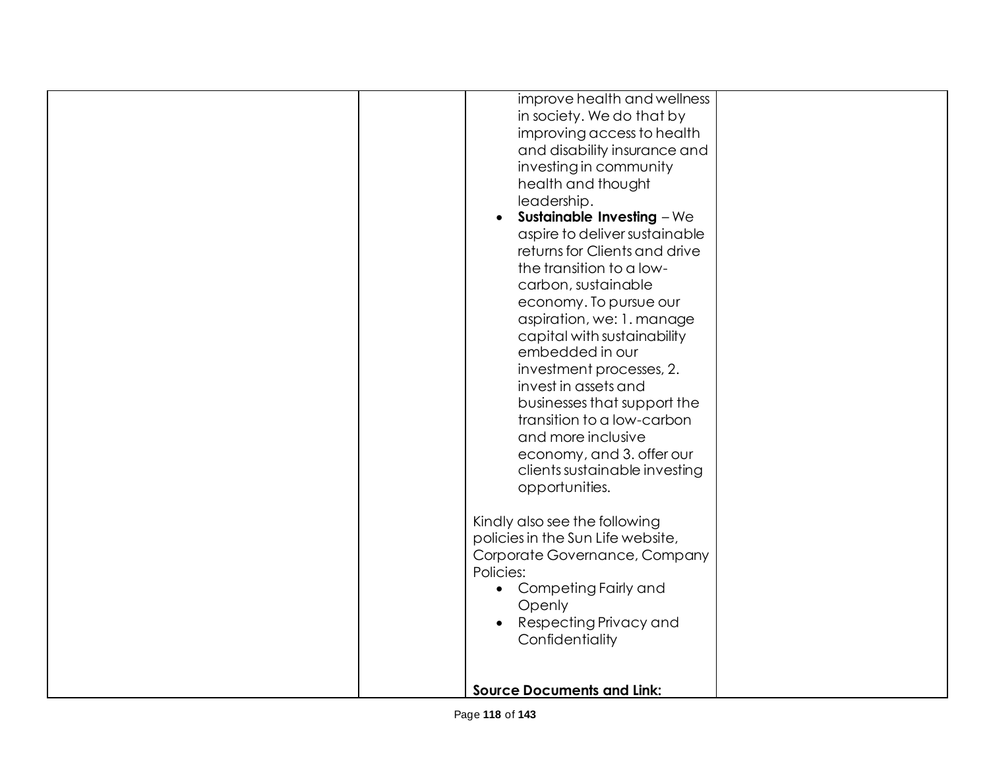| improve health and wellness<br>in society. We do that by<br>improving access to health<br>and disability insurance and<br>investing in community<br>health and thought<br>leadership.<br>Sustainable Investing $-We$<br>$\bullet$<br>aspire to deliver sustainable<br>returns for Clients and drive<br>the transition to a low-<br>carbon, sustainable<br>economy. To pursue our<br>aspiration, we: 1. manage<br>capital with sustainability<br>embedded in our<br>investment processes, 2.<br>invest in assets and<br>businesses that support the<br>transition to a low-carbon<br>and more inclusive<br>economy, and 3. offer our<br>clients sustainable investing<br>opportunities.<br>Kindly also see the following<br>policies in the Sun Life website,<br>Corporate Governance, Company<br>Policies:<br>• Competing Fairly and<br>Openly<br>Respecting Privacy and<br>$\bullet$ |  |
|---------------------------------------------------------------------------------------------------------------------------------------------------------------------------------------------------------------------------------------------------------------------------------------------------------------------------------------------------------------------------------------------------------------------------------------------------------------------------------------------------------------------------------------------------------------------------------------------------------------------------------------------------------------------------------------------------------------------------------------------------------------------------------------------------------------------------------------------------------------------------------------|--|
| Confidentiality<br><b>Source Documents and Link:</b>                                                                                                                                                                                                                                                                                                                                                                                                                                                                                                                                                                                                                                                                                                                                                                                                                                  |  |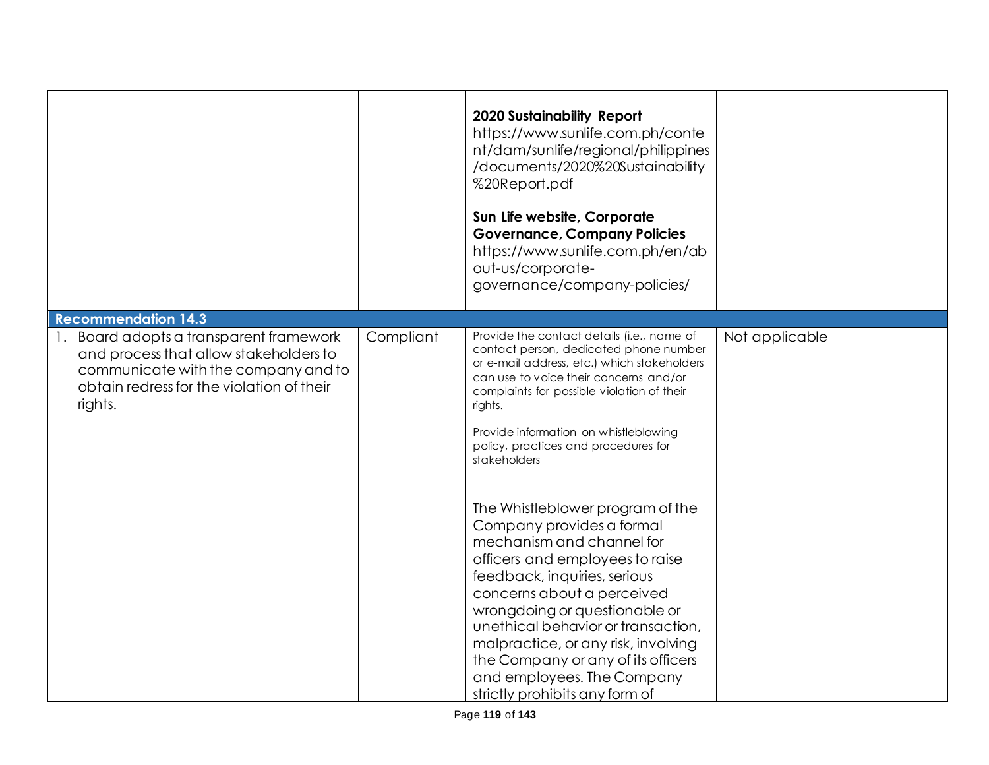|                                                                                                                                                                                  |           | <b>2020 Sustainability Report</b><br>https://www.sunlife.com.ph/conte<br>nt/dam/sunlife/regional/philippines<br>/documents/2020%20Sustainability<br>%20Report.pdf<br>Sun Life website, Corporate<br><b>Governance, Company Policies</b><br>https://www.sunlife.com.ph/en/ab<br>out-us/corporate-<br>governance/company-policies/                                                                                                                                                                                                                                                                                                                                                                                                                           |                |
|----------------------------------------------------------------------------------------------------------------------------------------------------------------------------------|-----------|------------------------------------------------------------------------------------------------------------------------------------------------------------------------------------------------------------------------------------------------------------------------------------------------------------------------------------------------------------------------------------------------------------------------------------------------------------------------------------------------------------------------------------------------------------------------------------------------------------------------------------------------------------------------------------------------------------------------------------------------------------|----------------|
| <b>Recommendation 14.3</b>                                                                                                                                                       |           |                                                                                                                                                                                                                                                                                                                                                                                                                                                                                                                                                                                                                                                                                                                                                            |                |
| 1. Board adopts a transparent framework<br>and process that allow stakeholders to<br>communicate with the company and to<br>obtain redress for the violation of their<br>rights. | Compliant | Provide the contact details (i.e., name of<br>contact person, dedicated phone number<br>or e-mail address, etc.) which stakeholders<br>can use to voice their concerns and/or<br>complaints for possible violation of their<br>rights.<br>Provide information on whistleblowing<br>policy, practices and procedures for<br>stakeholders<br>The Whistleblower program of the<br>Company provides a formal<br>mechanism and channel for<br>officers and employees to raise<br>feedback, inquiries, serious<br>concerns about a perceived<br>wrongdoing or questionable or<br>unethical behavior or transaction,<br>malpractice, or any risk, involving<br>the Company or any of its officers<br>and employees. The Company<br>strictly prohibits any form of | Not applicable |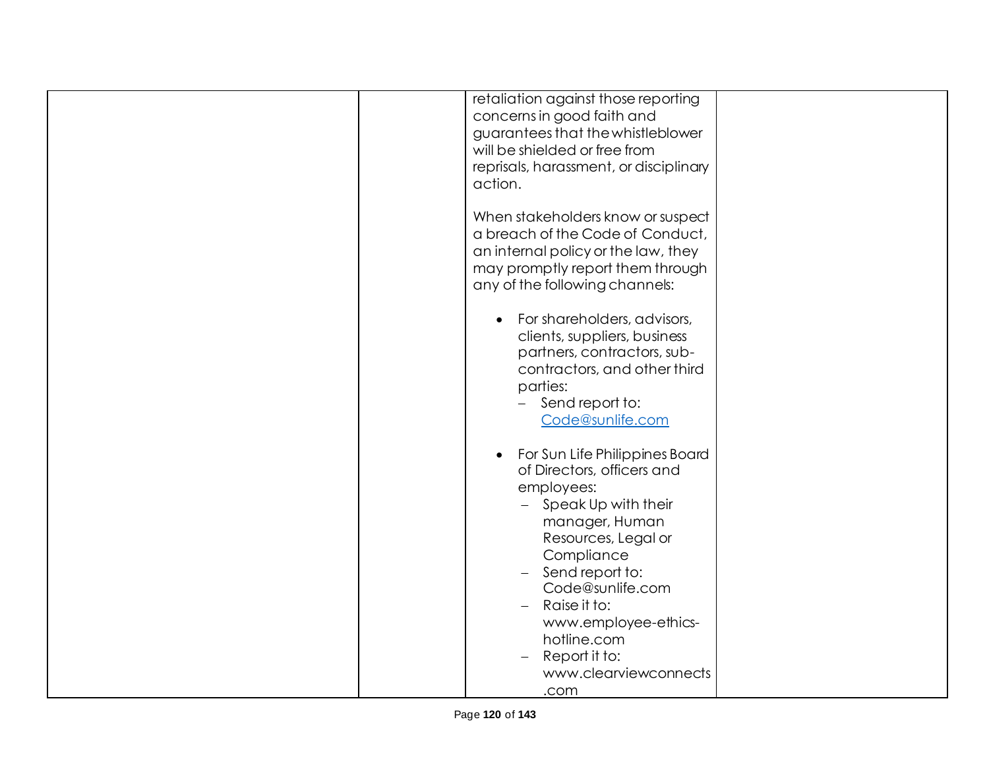|  | retaliation against those reporting      |  |
|--|------------------------------------------|--|
|  | concerns in good faith and               |  |
|  | guarantees that the whistleblower        |  |
|  | will be shielded or free from            |  |
|  |                                          |  |
|  | reprisals, harassment, or disciplinary   |  |
|  | action.                                  |  |
|  |                                          |  |
|  | When stakeholders know or suspect        |  |
|  | a breach of the Code of Conduct,         |  |
|  | an internal policy or the law, they      |  |
|  | may promptly report them through         |  |
|  |                                          |  |
|  | any of the following channels:           |  |
|  |                                          |  |
|  | For shareholders, advisors,<br>$\bullet$ |  |
|  | clients, suppliers, business             |  |
|  | partners, contractors, sub-              |  |
|  | contractors, and other third             |  |
|  | parties:                                 |  |
|  | Send report to:                          |  |
|  |                                          |  |
|  | Code@sunlife.com                         |  |
|  |                                          |  |
|  | For Sun Life Philippines Board           |  |
|  | of Directors, officers and               |  |
|  | employees:                               |  |
|  | Speak Up with their                      |  |
|  | manager, Human                           |  |
|  | Resources, Legal or                      |  |
|  |                                          |  |
|  | Compliance                               |  |
|  | Send report to:<br>$\equiv$              |  |
|  | Code@sunlife.com                         |  |
|  | Raise it to:<br>$\overline{\phantom{0}}$ |  |
|  | www.employee-ethics-                     |  |
|  | hotline.com                              |  |
|  | Report it to:                            |  |
|  | www.clearviewconnects                    |  |
|  |                                          |  |
|  | .com                                     |  |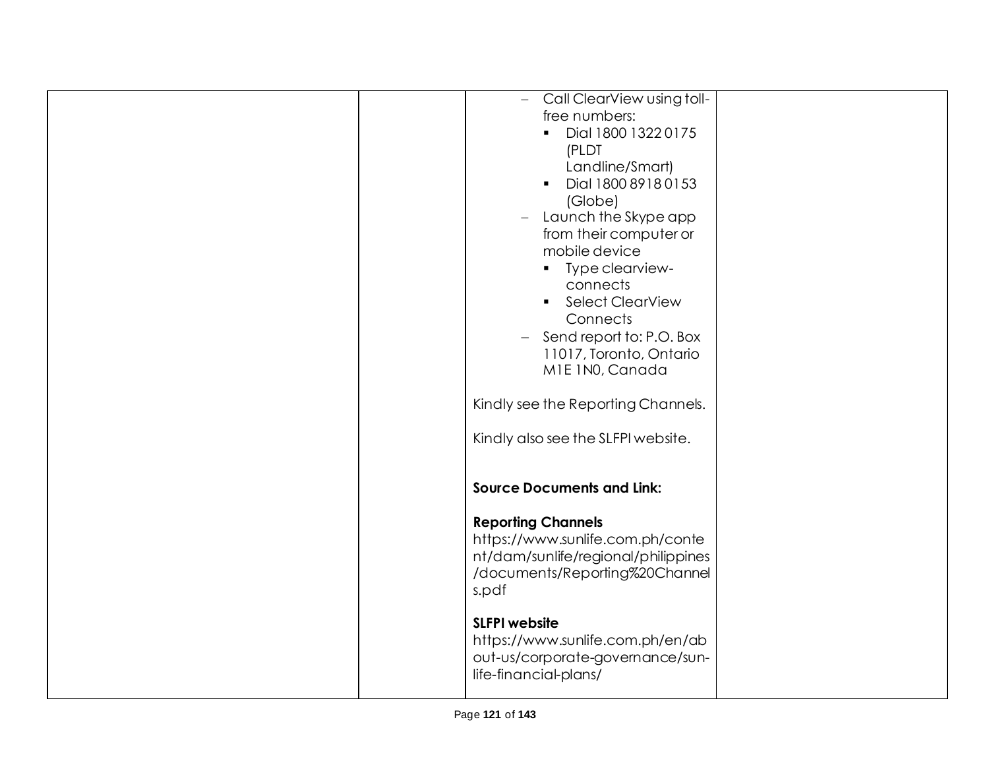| Call ClearView using toll-<br>$\overline{\phantom{0}}$ |  |
|--------------------------------------------------------|--|
| free numbers:                                          |  |
| Dial 1800 1322 0175<br>$\blacksquare$                  |  |
| (PLDT                                                  |  |
| Landline/Smart)                                        |  |
| Dial 1800 8918 0153                                    |  |
| (Globe)                                                |  |
| Launch the Skype app<br>$-$                            |  |
| from their computer or                                 |  |
| mobile device                                          |  |
| Type clearview-<br>$\blacksquare$                      |  |
| connects                                               |  |
|                                                        |  |
| • Select ClearView                                     |  |
| Connects                                               |  |
| Send report to: P.O. Box<br>$\equiv$                   |  |
| 11017, Toronto, Ontario                                |  |
| M1E 1N0, Canada                                        |  |
|                                                        |  |
| Kindly see the Reporting Channels.                     |  |
|                                                        |  |
| Kindly also see the SLFPI website.                     |  |
|                                                        |  |
|                                                        |  |
| <b>Source Documents and Link:</b>                      |  |
|                                                        |  |
| <b>Reporting Channels</b>                              |  |
| https://www.sunlife.com.ph/conte                       |  |
| nt/dam/sunlife/regional/philippines                    |  |
| /documents/Reporting%20Channel                         |  |
| s.pdf                                                  |  |
|                                                        |  |
| <b>SLFPI</b> website                                   |  |
| https://www.sunlife.com.ph/en/ab                       |  |
| out-us/corporate-governance/sun-                       |  |
| life-financial-plans/                                  |  |
|                                                        |  |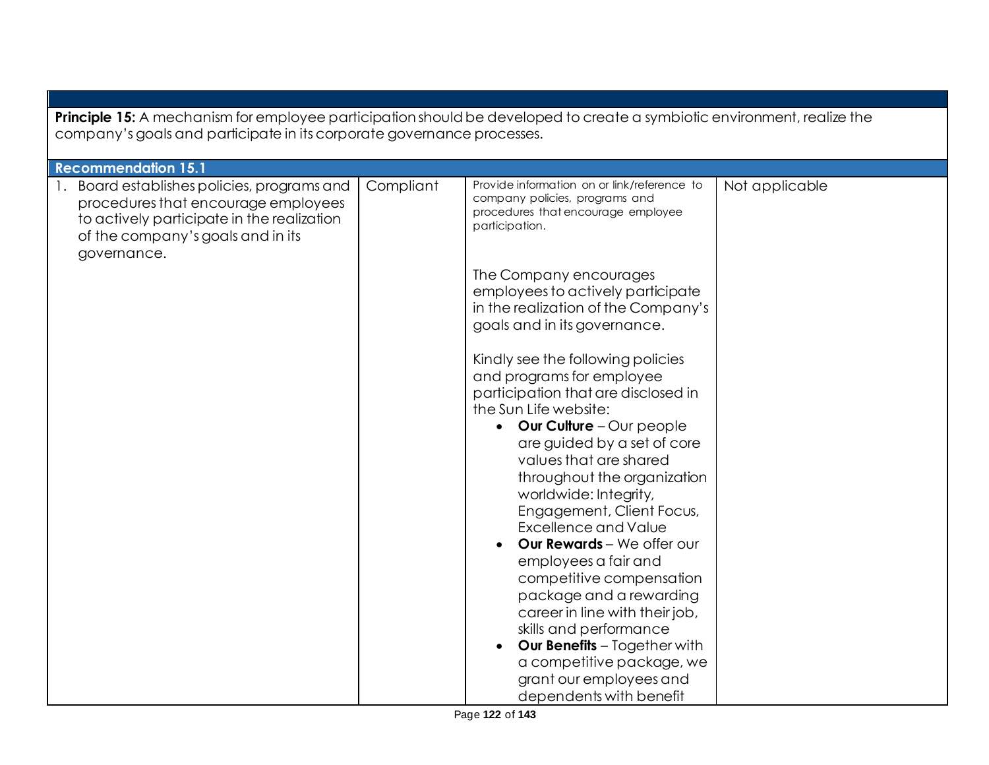| <b>Principle 15:</b> A mechanism for employee participation should be developed to create a symbiotic environment, realize the<br>company's goals and participate in its corporate governance processes. |           |                                                                                                                                                                                                                                                                                                                                                                                                                                                                                                                                                                                                                                                                                                                                                                                                                                                                                                                                                            |                |  |
|----------------------------------------------------------------------------------------------------------------------------------------------------------------------------------------------------------|-----------|------------------------------------------------------------------------------------------------------------------------------------------------------------------------------------------------------------------------------------------------------------------------------------------------------------------------------------------------------------------------------------------------------------------------------------------------------------------------------------------------------------------------------------------------------------------------------------------------------------------------------------------------------------------------------------------------------------------------------------------------------------------------------------------------------------------------------------------------------------------------------------------------------------------------------------------------------------|----------------|--|
| <b>Recommendation 15.1</b>                                                                                                                                                                               |           |                                                                                                                                                                                                                                                                                                                                                                                                                                                                                                                                                                                                                                                                                                                                                                                                                                                                                                                                                            |                |  |
| 1. Board establishes policies, programs and<br>procedures that encourage employees<br>to actively participate in the realization<br>of the company's goals and in its<br>governance.                     | Compliant | Provide information on or link/reference to<br>company policies, programs and<br>procedures that encourage employee<br>participation.<br>The Company encourages<br>employees to actively participate<br>in the realization of the Company's<br>goals and in its governance.<br>Kindly see the following policies<br>and programs for employee<br>participation that are disclosed in<br>the Sun Life website:<br><b>Our Culture</b> - Our people<br>$\bullet$<br>are guided by a set of core<br>values that are shared<br>throughout the organization<br>worldwide: Integrity,<br>Engagement, Client Focus,<br><b>Excellence and Value</b><br>Our Rewards - We offer our<br>employees a fair and<br>competitive compensation<br>package and a rewarding<br>career in line with their job,<br>skills and performance<br><b>Our Benefits</b> - Together with<br>$\bullet$<br>a competitive package, we<br>grant our employees and<br>dependents with benefit | Not applicable |  |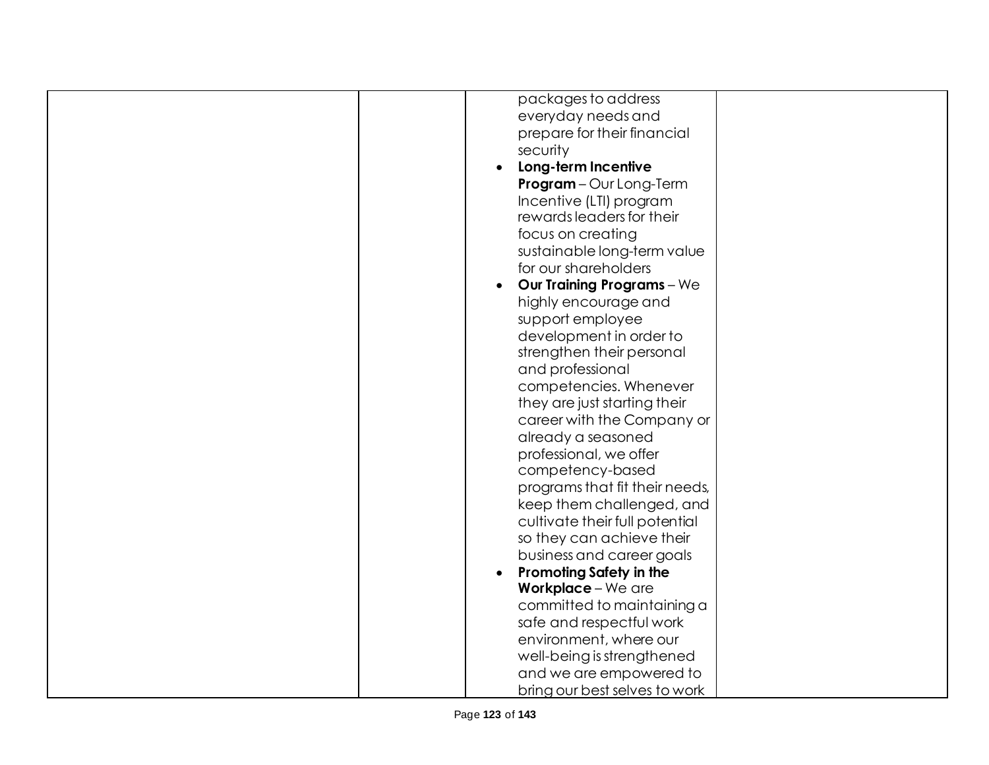| packages to address               |
|-----------------------------------|
| everyday needs and                |
| prepare for their financial       |
| security                          |
| Long-term Incentive               |
| Program-Our Long-Term             |
| Incentive (LTI) program           |
| rewards leaders for their         |
| focus on creating                 |
| sustainable long-term value       |
| for our shareholders              |
| <b>Our Training Programs</b> - We |
| highly encourage and              |
| support employee                  |
| development in order to           |
| strengthen their personal         |
| and professional                  |
| competencies. Whenever            |
| they are just starting their      |
| career with the Company or        |
| already a seasoned                |
| professional, we offer            |
| competency-based                  |
| programs that fit their needs,    |
| keep them challenged, and         |
| cultivate their full potential    |
| so they can achieve their         |
| business and career goals         |
| <b>Promoting Safety in the</b>    |
| Workplace - We are                |
| committed to maintaining a        |
| safe and respectful work          |
| environment, where our            |
| well-being is strengthened        |
| and we are empowered to           |
| bring our best selves to work     |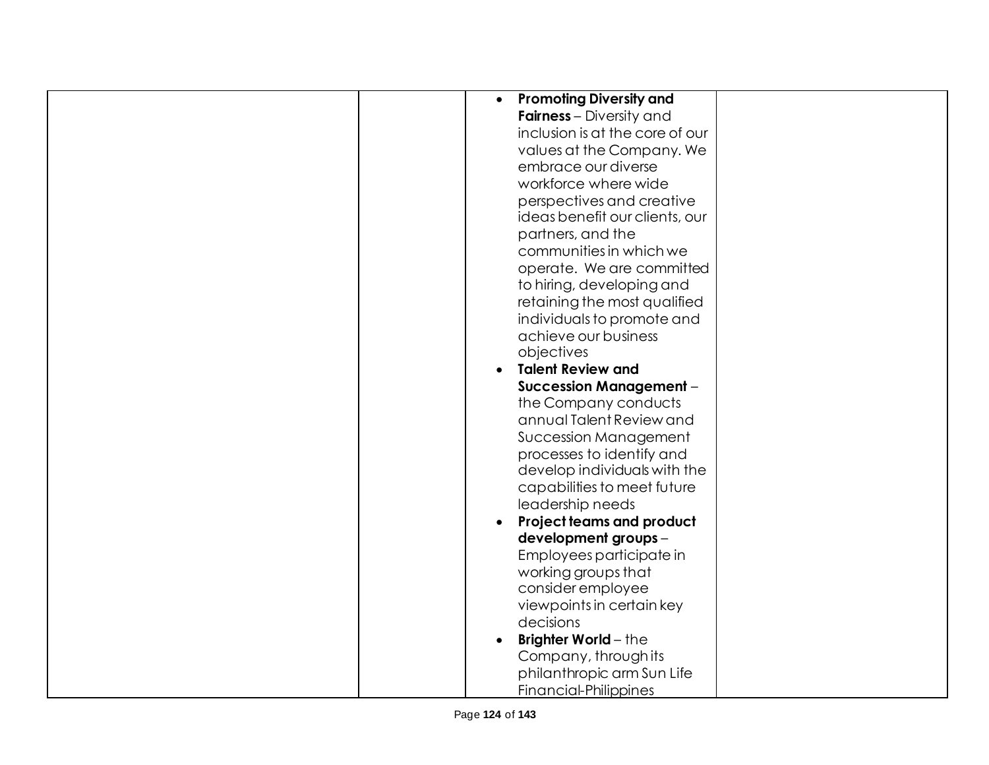| <b>Promoting Diversity and</b><br>$\bullet$ |  |
|---------------------------------------------|--|
| <b>Fairness</b> – Diversity and             |  |
| inclusion is at the core of our             |  |
| values at the Company. We                   |  |
| embrace our diverse                         |  |
| workforce where wide                        |  |
| perspectives and creative                   |  |
| ideas benefit our clients, our              |  |
| partners, and the                           |  |
| communities in which we                     |  |
| operate. We are committed                   |  |
| to hiring, developing and                   |  |
| retaining the most qualified                |  |
| individuals to promote and                  |  |
| achieve our business                        |  |
| objectives                                  |  |
| <b>Talent Review and</b><br>$\bullet$       |  |
| <b>Succession Management -</b>              |  |
|                                             |  |
| the Company conducts                        |  |
| annual Talent Review and                    |  |
| Succession Management                       |  |
| processes to identify and                   |  |
| develop individuals with the                |  |
| capabilities to meet future                 |  |
| leadership needs                            |  |
| <b>Project teams and product</b>            |  |
| development groups -                        |  |
| Employees participate in                    |  |
| working groups that                         |  |
| consider employee                           |  |
| viewpoints in certain key                   |  |
| decisions                                   |  |
| <b>Brighter World-the</b>                   |  |
| Company, through its                        |  |
| philanthropic arm Sun Life                  |  |
| <b>Financial-Philippines</b>                |  |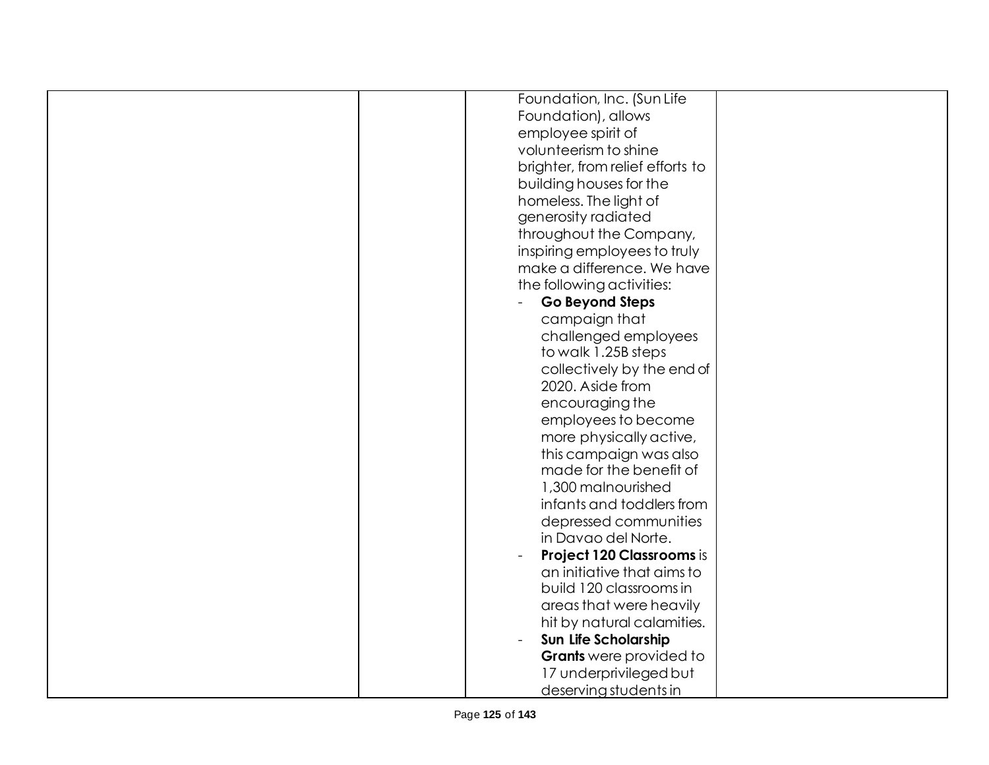| Foundation, Inc. (Sun Life                     |  |
|------------------------------------------------|--|
| Foundation), allows                            |  |
| employee spirit of                             |  |
| volunteerism to shine                          |  |
| brighter, from relief efforts to               |  |
| building houses for the                        |  |
| homeless. The light of                         |  |
| generosity radiated                            |  |
| throughout the Company,                        |  |
| inspiring employees to truly                   |  |
| make a difference. We have                     |  |
| the following activities:                      |  |
| Go Beyond Steps                                |  |
| campaign that                                  |  |
| challenged employees                           |  |
| to walk 1.25B steps                            |  |
|                                                |  |
| collectively by the end of<br>2020. Aside from |  |
|                                                |  |
| encouraging the                                |  |
| employees to become                            |  |
| more physically active,                        |  |
| this campaign was also                         |  |
| made for the benefit of                        |  |
| 1,300 malnourished                             |  |
| infants and toddlers from                      |  |
| depressed communities                          |  |
| in Davao del Norte.                            |  |
| <b>Project 120 Classrooms is</b>               |  |
| an initiative that aims to                     |  |
| build 120 classrooms in                        |  |
| areas that were heavily                        |  |
| hit by natural calamities.                     |  |
| Sun Life Scholarship                           |  |
| <b>Grants</b> were provided to                 |  |
| 17 underprivileged but                         |  |
| deserving students in                          |  |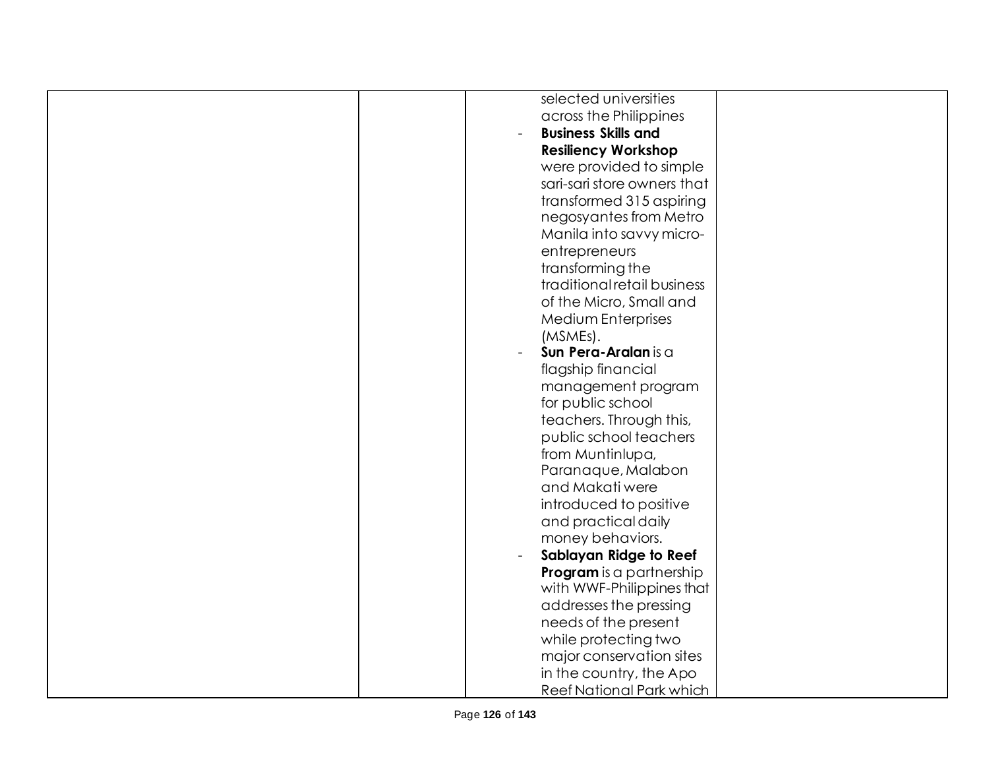| selected universities       |
|-----------------------------|
| across the Philippines      |
| <b>Business Skills and</b>  |
| <b>Resiliency Workshop</b>  |
| were provided to simple     |
| sari-sari store owners that |
| transformed 315 aspiring    |
| negosyantes from Metro      |
| Manila into savvy micro-    |
| entrepreneurs               |
| transforming the            |
| traditional retail business |
| of the Micro, Small and     |
| Medium Enterprises          |
| (MSMEs).                    |
| Sun Pera-Aralan is a        |
| flagship financial          |
| management program          |
| for public school           |
| teachers. Through this,     |
| public school teachers      |
| from Muntinlupa,            |
| Paranaque, Malabon          |
| and Makati were             |
| introduced to positive      |
| and practical daily         |
| money behaviors.            |
| Sablayan Ridge to Reef      |
| Program is a partnership    |
| with WWF-Philippines that   |
| addresses the pressing      |
| needs of the present        |
| while protecting two        |
| major conservation sites    |
| in the country, the Apo     |
| Reef National Park which    |
|                             |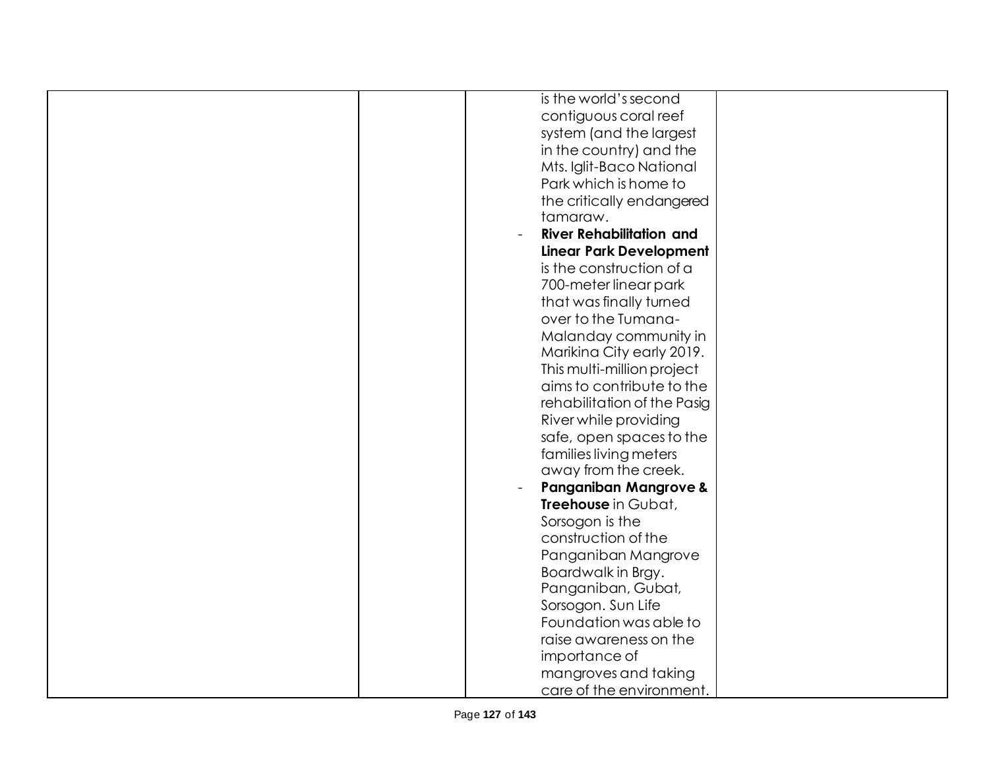| is the world's second            |
|----------------------------------|
| contiguous coral reef            |
| system (and the largest          |
| in the country) and the          |
| Mts. Iglit-Baco National         |
| Park which is home to            |
| the critically endangered        |
| tamaraw.                         |
|                                  |
| <b>River Rehabilitation and</b>  |
| <b>Linear Park Development</b>   |
| is the construction of a         |
| 700-meter linear park            |
| that was finally turned          |
| over to the Tumana-              |
| Malanday community in            |
| Marikina City early 2019.        |
| This multi-million project       |
| aims to contribute to the        |
| rehabilitation of the Pasig      |
| River while providing            |
| safe, open spaces to the         |
| families living meters           |
| away from the creek.             |
| <b>Panganiban Mangrove &amp;</b> |
| Treehouse in Gubat,              |
| Sorsogon is the                  |
| construction of the              |
|                                  |
| Panganiban Mangrove              |
| Boardwalk in Brgy.               |
| Panganiban, Gubat,               |
| Sorsogon. Sun Life               |
| Foundation was able to           |
| raise awareness on the           |
| importance of                    |
| mangroves and taking             |
| care of the environment.         |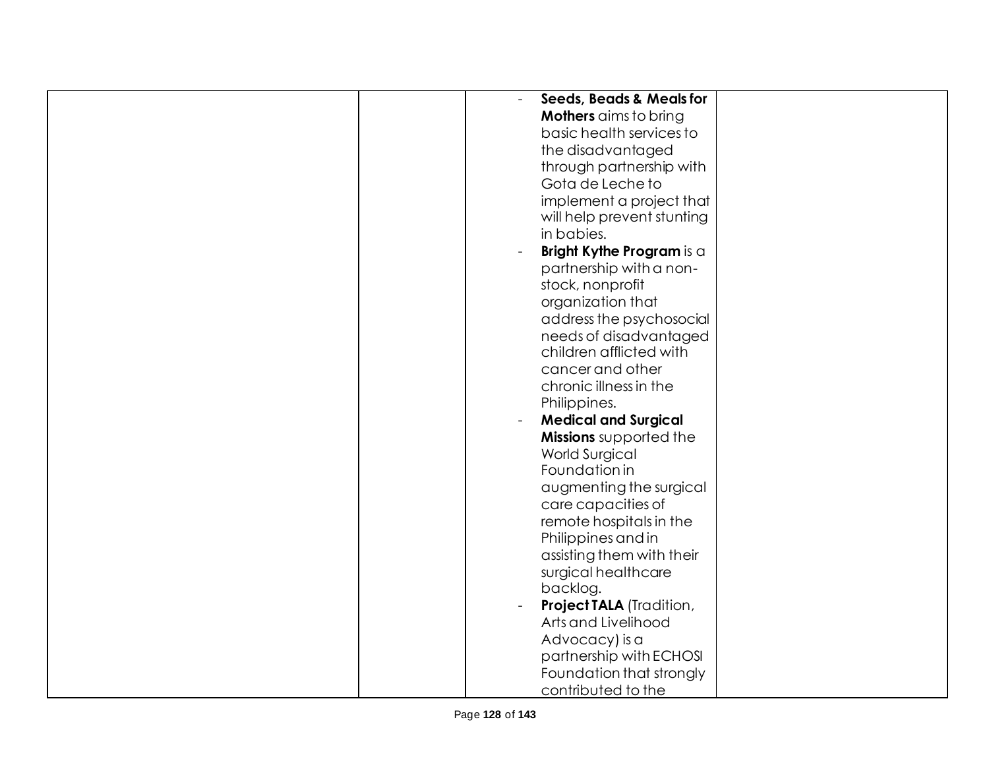| <b>Seeds, Beads &amp; Meals for</b><br>$\blacksquare$ |
|-------------------------------------------------------|
| <b>Mothers</b> aims to bring                          |
|                                                       |
| basic health services to                              |
| the disadvantaged                                     |
| through partnership with                              |
| Gota de Leche to                                      |
| implement a project that                              |
| will help prevent stunting                            |
| in babies.                                            |
| Bright Kythe Program is a                             |
| partnership with a non-                               |
| stock, nonprofit                                      |
|                                                       |
| organization that                                     |
| address the psychosocial                              |
| needs of disadvantaged                                |
| children afflicted with                               |
| cancer and other                                      |
| chronic illness in the                                |
| Philippines.                                          |
| <b>Medical and Surgical</b>                           |
| Missions supported the                                |
| <b>World Surgical</b>                                 |
| Foundation in                                         |
| augmenting the surgical                               |
|                                                       |
| care capacities of                                    |
| remote hospitals in the                               |
| Philippines and in                                    |
| assisting them with their                             |
| surgical healthcare                                   |
| backlog.                                              |
| <b>Project TALA (Tradition,</b>                       |
| Arts and Livelihood                                   |
| Advocacy) is a                                        |
| partnership with ECHOSI                               |
| Foundation that strongly                              |
| contributed to the                                    |
|                                                       |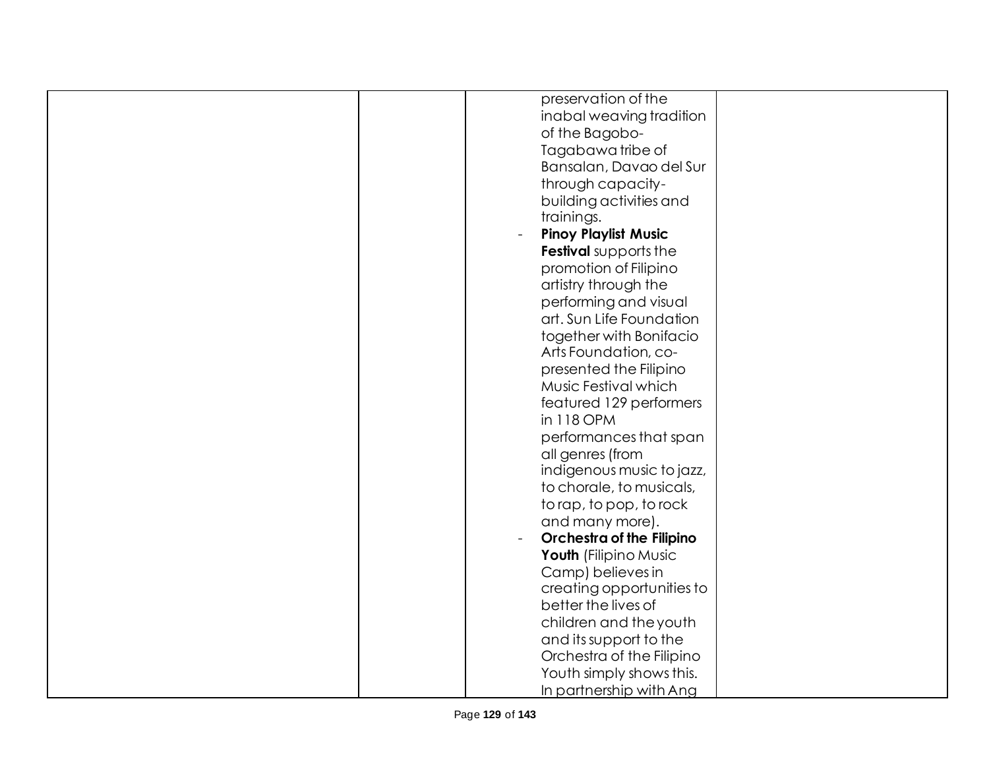| preservation of the         |
|-----------------------------|
| inabal weaving tradition    |
| of the Bagobo-              |
| Tagabawa tribe of           |
| Bansalan, Davao del Sur     |
| through capacity-           |
| building activities and     |
| trainings.                  |
|                             |
| <b>Pinoy Playlist Music</b> |
| Festival supports the       |
| promotion of Filipino       |
| artistry through the        |
| performing and visual       |
| art. Sun Life Foundation    |
| together with Bonifacio     |
| Arts Foundation, co-        |
| presented the Filipino      |
| Music Festival which        |
|                             |
| featured 129 performers     |
| in 118 OPM                  |
| performances that span      |
| all genres (from            |
| indigenous music to jazz,   |
| to chorale, to musicals,    |
| to rap, to pop, to rock     |
| and many more).             |
| Orchestra of the Filipino   |
| Youth (Filipino Music       |
| Camp) believes in           |
| creating opportunities to   |
|                             |
| better the lives of         |
| children and the youth      |
| and its support to the      |
| Orchestra of the Filipino   |
| Youth simply shows this.    |
| In partnership with Ang     |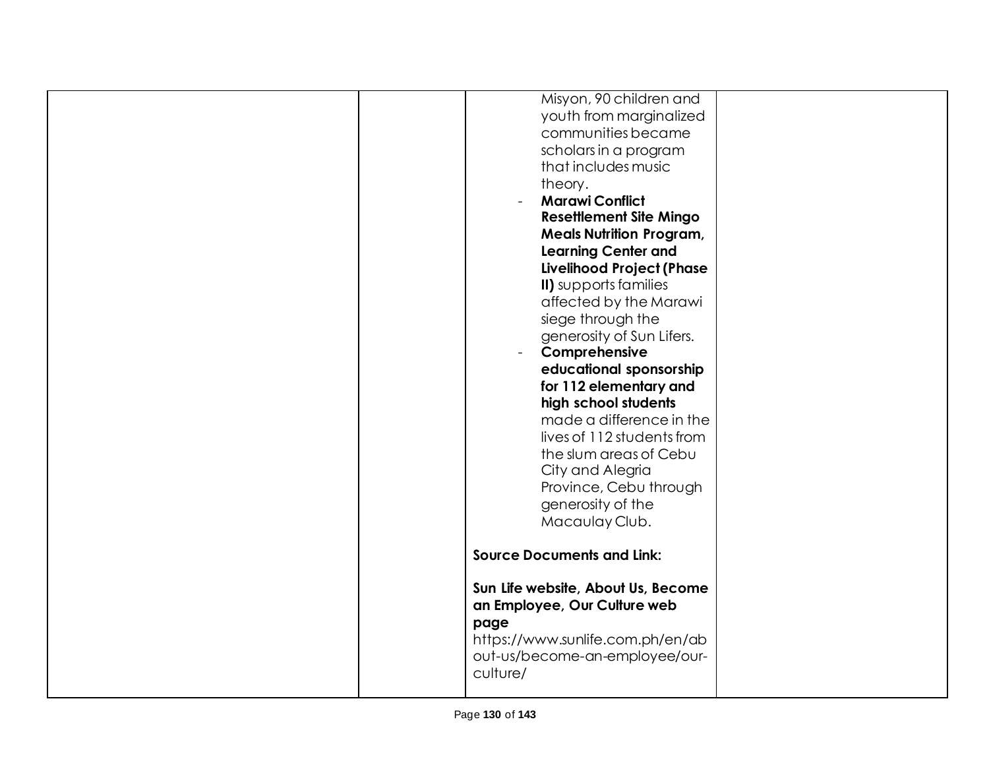| Misyon, 90 children and            |  |
|------------------------------------|--|
| youth from marginalized            |  |
| communities became                 |  |
| scholars in a program              |  |
| that includes music                |  |
|                                    |  |
| theory.                            |  |
| <b>Marawi Conflict</b>             |  |
| <b>Resettlement Site Mingo</b>     |  |
| <b>Meals Nutrition Program,</b>    |  |
| <b>Learning Center and</b>         |  |
| Livelihood Project (Phase          |  |
| II) supports families              |  |
| affected by the Marawi             |  |
| siege through the                  |  |
| generosity of Sun Lifers.          |  |
| Comprehensive                      |  |
| educational sponsorship            |  |
| for 112 elementary and             |  |
| high school students               |  |
| made a difference in the           |  |
| lives of 112 students from         |  |
|                                    |  |
| the slum areas of Cebu             |  |
| City and Alegria                   |  |
| Province, Cebu through             |  |
| generosity of the                  |  |
| Macaulay Club.                     |  |
|                                    |  |
| <b>Source Documents and Link:</b>  |  |
|                                    |  |
| Sun Life website, About Us, Become |  |
| an Employee, Our Culture web       |  |
| page                               |  |
| https://www.sunlife.com.ph/en/ab   |  |
| out-us/become-an-employee/our-     |  |
| culture/                           |  |
|                                    |  |
|                                    |  |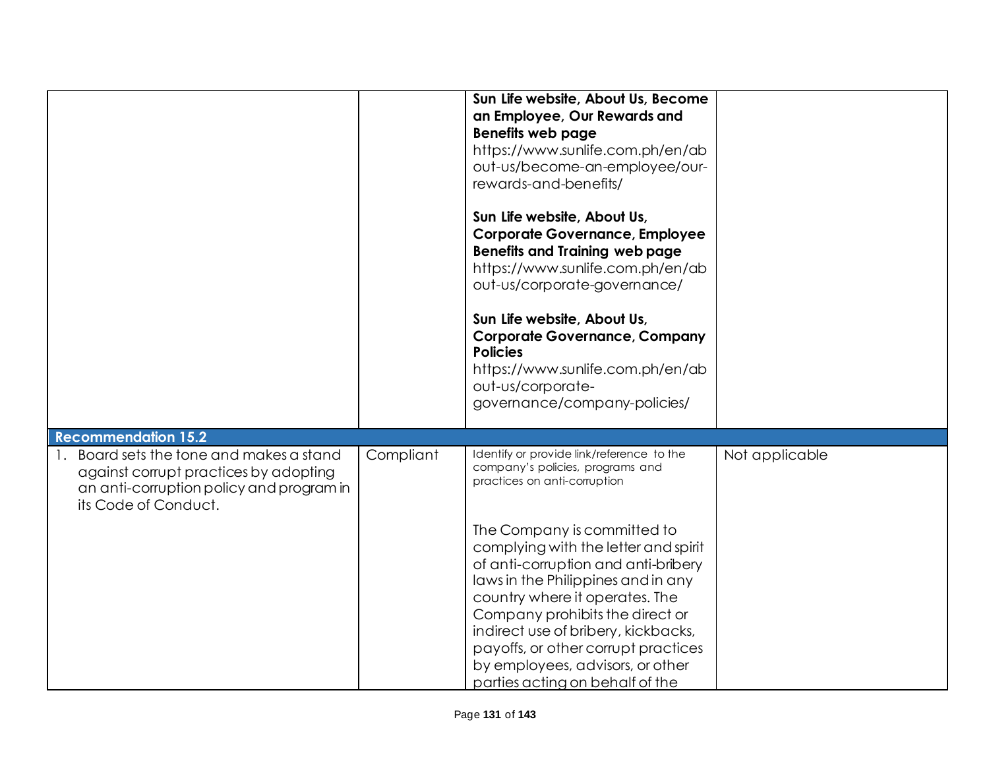|                                                                                                                                                       |           | Sun Life website, About Us, Become<br>an Employee, Our Rewards and<br><b>Benefits web page</b><br>https://www.sunlife.com.ph/en/ab<br>out-us/become-an-employee/our-<br>rewards-and-benefits/<br>Sun Life website, About Us,<br><b>Corporate Governance, Employee</b><br><b>Benefits and Training web page</b><br>https://www.sunlife.com.ph/en/ab<br>out-us/corporate-governance/<br>Sun Life website, About Us,<br><b>Corporate Governance, Company</b><br><b>Policies</b><br>https://www.sunlife.com.ph/en/ab<br>out-us/corporate-<br>governance/company-policies/ |                |
|-------------------------------------------------------------------------------------------------------------------------------------------------------|-----------|-----------------------------------------------------------------------------------------------------------------------------------------------------------------------------------------------------------------------------------------------------------------------------------------------------------------------------------------------------------------------------------------------------------------------------------------------------------------------------------------------------------------------------------------------------------------------|----------------|
| <b>Recommendation 15.2</b>                                                                                                                            |           |                                                                                                                                                                                                                                                                                                                                                                                                                                                                                                                                                                       |                |
| 1. Board sets the tone and makes a stand<br>against corrupt practices by adopting<br>an anti-corruption policy and program in<br>its Code of Conduct. | Compliant | Identify or provide link/reference to the<br>company's policies, programs and<br>practices on anti-corruption<br>The Company is committed to<br>complying with the letter and spirit                                                                                                                                                                                                                                                                                                                                                                                  | Not applicable |
|                                                                                                                                                       |           | of anti-corruption and anti-bribery                                                                                                                                                                                                                                                                                                                                                                                                                                                                                                                                   |                |
|                                                                                                                                                       |           | laws in the Philippines and in any<br>country where it operates. The                                                                                                                                                                                                                                                                                                                                                                                                                                                                                                  |                |
|                                                                                                                                                       |           | Company prohibits the direct or                                                                                                                                                                                                                                                                                                                                                                                                                                                                                                                                       |                |
|                                                                                                                                                       |           | indirect use of bribery, kickbacks,<br>payoffs, or other corrupt practices                                                                                                                                                                                                                                                                                                                                                                                                                                                                                            |                |
|                                                                                                                                                       |           | by employees, advisors, or other                                                                                                                                                                                                                                                                                                                                                                                                                                                                                                                                      |                |
|                                                                                                                                                       |           | parties acting on behalf of the                                                                                                                                                                                                                                                                                                                                                                                                                                                                                                                                       |                |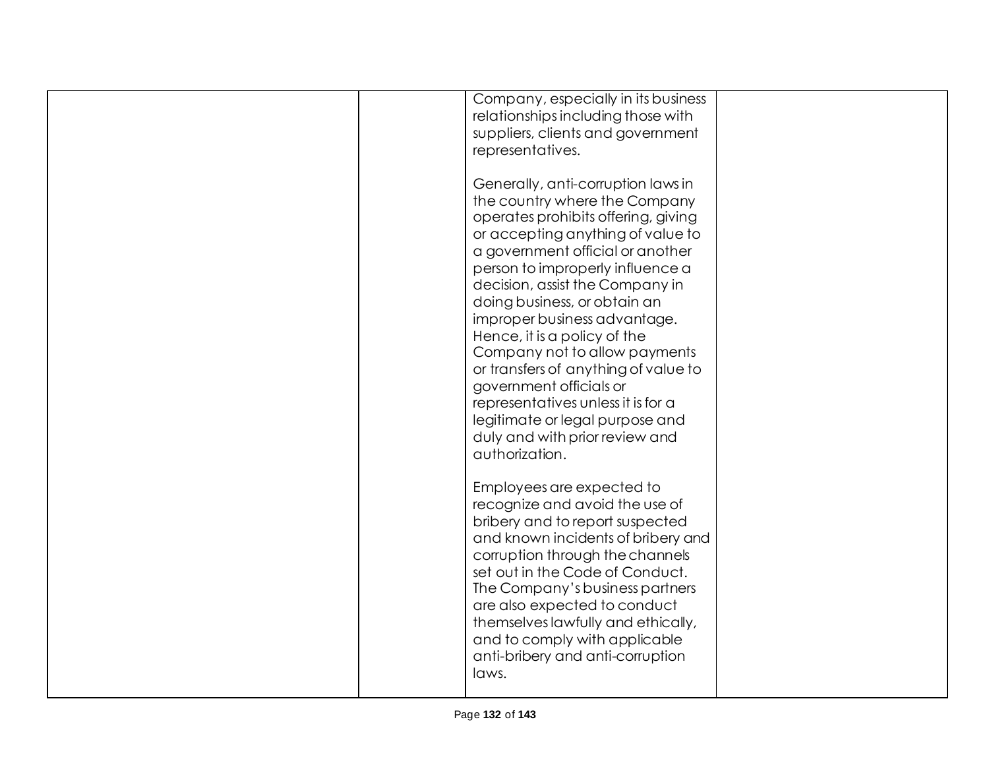| Company, especially in its business<br>relationships including those with<br>suppliers, clients and government<br>representatives.                                                                                                                                                                                                                                                                                                                                                                                                                                                          |  |
|---------------------------------------------------------------------------------------------------------------------------------------------------------------------------------------------------------------------------------------------------------------------------------------------------------------------------------------------------------------------------------------------------------------------------------------------------------------------------------------------------------------------------------------------------------------------------------------------|--|
| Generally, anti-corruption laws in<br>the country where the Company<br>operates prohibits offering, giving<br>or accepting anything of value to<br>a government official or another<br>person to improperly influence a<br>decision, assist the Company in<br>doing business, or obtain an<br>improper business advantage.<br>Hence, it is a policy of the<br>Company not to allow payments<br>or transfers of anything of value to<br>government officials or<br>representatives unless it is for a<br>legitimate or legal purpose and<br>duly and with prior review and<br>authorization. |  |
| Employees are expected to<br>recognize and avoid the use of<br>bribery and to report suspected<br>and known incidents of bribery and<br>corruption through the channels<br>set out in the Code of Conduct.<br>The Company's business partners<br>are also expected to conduct<br>themselves lawfully and ethically,<br>and to comply with applicable<br>anti-bribery and anti-corruption<br>laws.                                                                                                                                                                                           |  |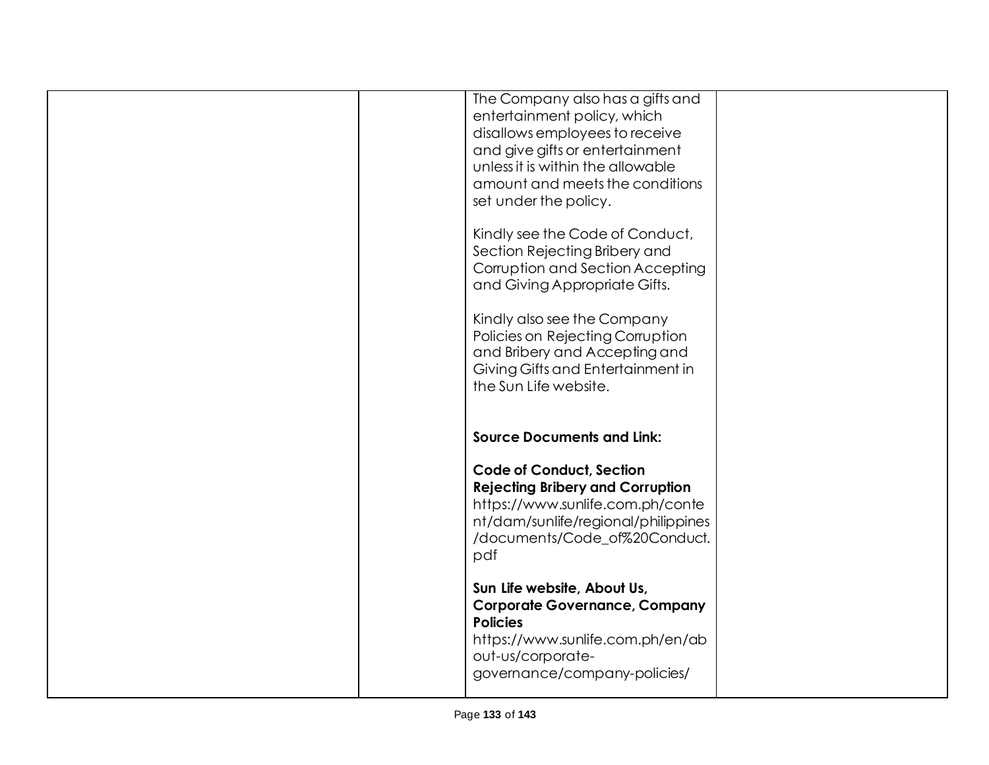| Sun Life website, About Us,<br><b>Corporate Governance, Company</b>                                                                                                                                                                   |  |
|---------------------------------------------------------------------------------------------------------------------------------------------------------------------------------------------------------------------------------------|--|
| <b>Code of Conduct, Section</b><br><b>Rejecting Bribery and Corruption</b><br>https://www.sunlife.com.ph/conte<br>nt/dam/sunlife/regional/philippines<br>/documents/Code_of%20Conduct.<br>pdf                                         |  |
| <b>Source Documents and Link:</b>                                                                                                                                                                                                     |  |
| Kindly also see the Company<br>Policies on Rejecting Corruption<br>and Bribery and Accepting and<br>Giving Gifts and Entertainment in<br>the Sun Life website.                                                                        |  |
| Kindly see the Code of Conduct,<br>Section Rejecting Bribery and<br>Corruption and Section Accepting<br>and Giving Appropriate Gifts.                                                                                                 |  |
| The Company also has a gifts and<br>entertainment policy, which<br>disallows employees to receive<br>and give gifts or entertainment<br>unless it is within the allowable<br>amount and meets the conditions<br>set under the policy. |  |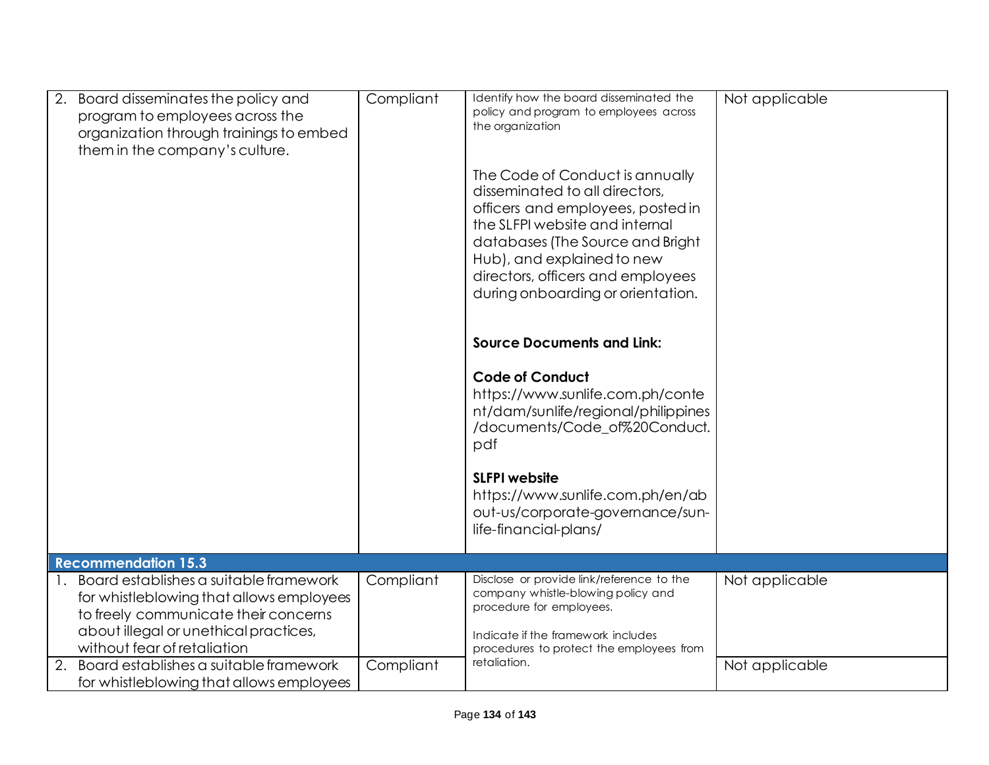| Board disseminates the policy and<br>2.<br>program to employees across the<br>organization through trainings to embed<br>them in the company's culture.                                               | Compliant | Identify how the board disseminated the<br>policy and program to employees across<br>the organization<br>The Code of Conduct is annually<br>disseminated to all directors,<br>officers and employees, posted in<br>the SLFPI website and internal<br>databases (The Source and Bright<br>Hub), and explained to new<br>directors, officers and employees<br>during onboarding or orientation.<br><b>Source Documents and Link:</b><br><b>Code of Conduct</b><br>https://www.sunlife.com.ph/conte<br>nt/dam/sunlife/regional/philippines | Not applicable |
|-------------------------------------------------------------------------------------------------------------------------------------------------------------------------------------------------------|-----------|-----------------------------------------------------------------------------------------------------------------------------------------------------------------------------------------------------------------------------------------------------------------------------------------------------------------------------------------------------------------------------------------------------------------------------------------------------------------------------------------------------------------------------------------|----------------|
|                                                                                                                                                                                                       |           | /documents/Code_of%20Conduct.<br>pdf<br><b>SLFPI website</b><br>https://www.sunlife.com.ph/en/ab<br>out-us/corporate-governance/sun-<br>life-financial-plans/                                                                                                                                                                                                                                                                                                                                                                           |                |
| <b>Recommendation 15.3</b>                                                                                                                                                                            |           |                                                                                                                                                                                                                                                                                                                                                                                                                                                                                                                                         |                |
| 1. Board establishes a suitable framework<br>for whistleblowing that allows employees<br>to freely communicate their concerns<br>about illegal or unethical practices,<br>without fear of retaliation | Compliant | Disclose or provide link/reference to the<br>company whistle-blowing policy and<br>procedure for employees.<br>Indicate if the framework includes<br>procedures to protect the employees from                                                                                                                                                                                                                                                                                                                                           | Not applicable |
| 2. Board establishes a suitable framework<br>for whistleblowing that allows employees                                                                                                                 | Compliant | retaliation.                                                                                                                                                                                                                                                                                                                                                                                                                                                                                                                            | Not applicable |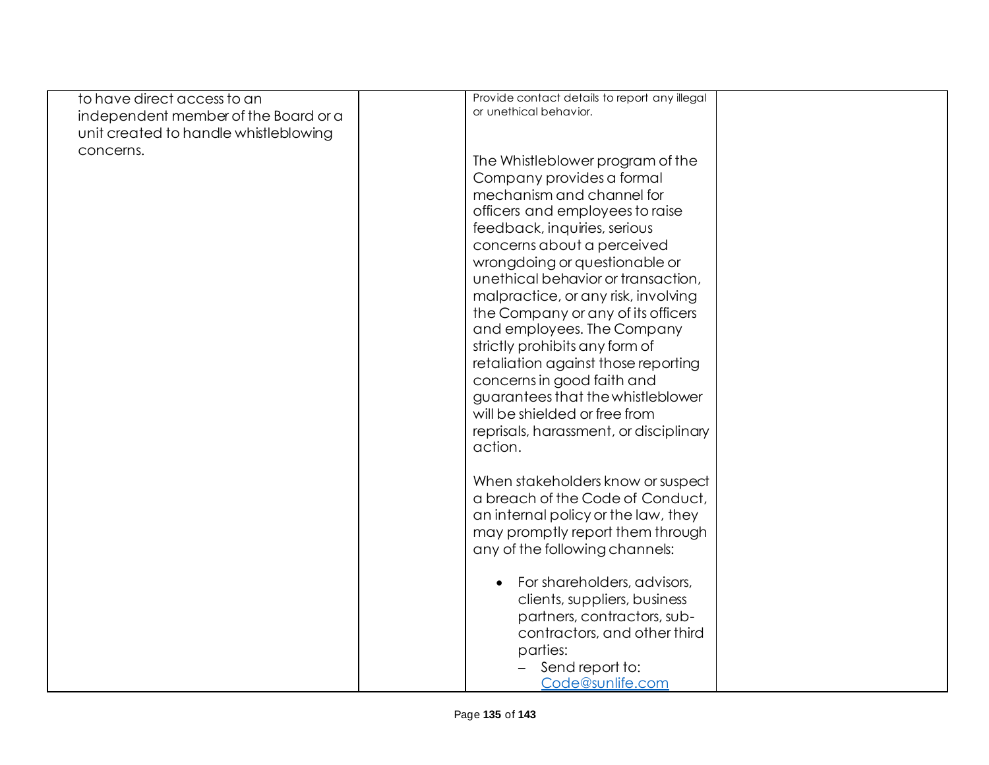| to have direct access to an           | Provide contact details to report any illegal |  |
|---------------------------------------|-----------------------------------------------|--|
| independent member of the Board or a  | or unethical behavior.                        |  |
| unit created to handle whistleblowing |                                               |  |
| concerns.                             |                                               |  |
|                                       | The Whistleblower program of the              |  |
|                                       | Company provides a formal                     |  |
|                                       | mechanism and channel for                     |  |
|                                       | officers and employees to raise               |  |
|                                       | feedback, inquiries, serious                  |  |
|                                       | concerns about a perceived                    |  |
|                                       | wrongdoing or questionable or                 |  |
|                                       | unethical behavior or transaction,            |  |
|                                       | malpractice, or any risk, involving           |  |
|                                       | the Company or any of its officers            |  |
|                                       | and employees. The Company                    |  |
|                                       | strictly prohibits any form of                |  |
|                                       | retaliation against those reporting           |  |
|                                       | concerns in good faith and                    |  |
|                                       | guarantees that the whistleblower             |  |
|                                       | will be shielded or free from                 |  |
|                                       | reprisals, harassment, or disciplinary        |  |
|                                       | action.                                       |  |
|                                       |                                               |  |
|                                       | When stakeholders know or suspect             |  |
|                                       | a breach of the Code of Conduct,              |  |
|                                       | an internal policy or the law, they           |  |
|                                       | may promptly report them through              |  |
|                                       | any of the following channels:                |  |
|                                       |                                               |  |
|                                       | For shareholders, advisors,                   |  |
|                                       | clients, suppliers, business                  |  |
|                                       | partners, contractors, sub-                   |  |
|                                       | contractors, and other third                  |  |
|                                       | parties:                                      |  |
|                                       | Send report to:                               |  |
|                                       | Code@sunlife.com                              |  |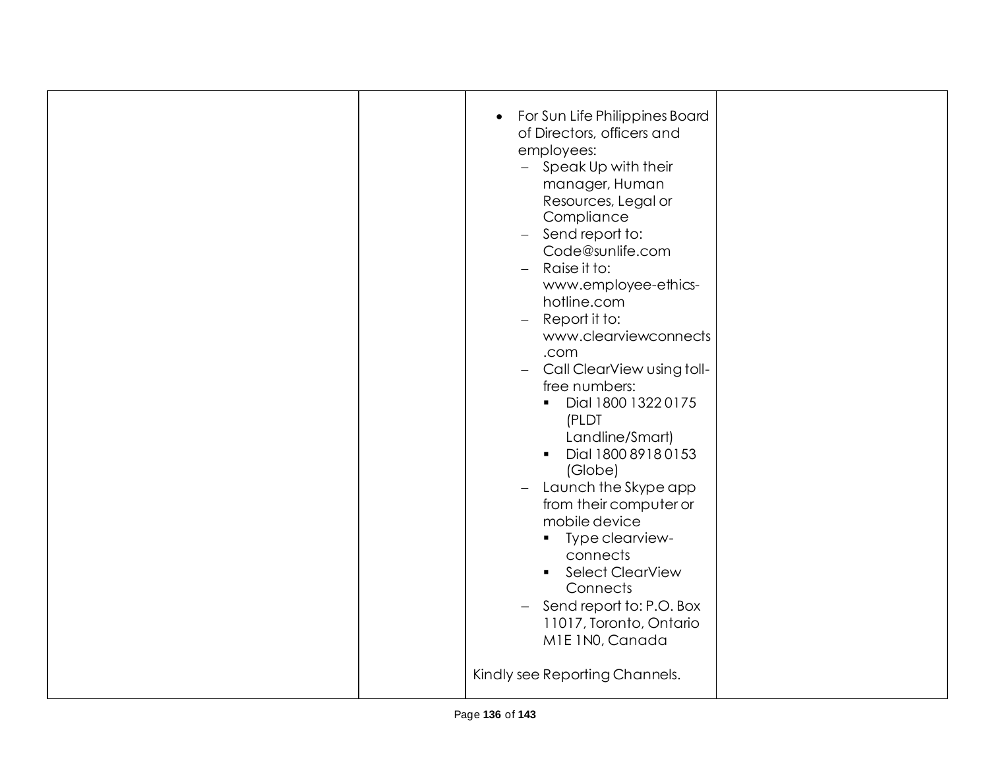| For Sun Life Philippines Board<br>$\bullet$<br>of Directors, officers and<br>employees:<br>- Speak Up with their<br>manager, Human<br>Resources, Legal or<br>Compliance<br>Send report to:<br>$\equiv$<br>Code@sunlife.com<br>Raise it to:<br>$\qquad \qquad -$<br>www.employee-ethics-<br>hotline.com<br>Report it to:<br>$\overline{\phantom{0}}$<br>www.clearviewconnects<br>.com<br>Call ClearView using toll-<br>$\overline{\phantom{0}}$<br>free numbers:<br>Dial 1800 1322 0175<br>$\blacksquare$<br>(PLDT<br>Landline/Smart)<br>Dial 1800 8918 0153<br>$\blacksquare$<br>(Globe)<br>Launch the Skype app<br>from their computer or<br>mobile device<br>Type clearview-<br>$\mathbf{u}$<br>connects<br><b>Select ClearView</b><br>$\blacksquare$<br>Connects<br>Send report to: P.O. Box<br>$\overline{\phantom{0}}$<br>11017, Toronto, Ontario<br>M1E 1N0, Canada<br>Kindly see Reporting Channels. |  |
|-------------------------------------------------------------------------------------------------------------------------------------------------------------------------------------------------------------------------------------------------------------------------------------------------------------------------------------------------------------------------------------------------------------------------------------------------------------------------------------------------------------------------------------------------------------------------------------------------------------------------------------------------------------------------------------------------------------------------------------------------------------------------------------------------------------------------------------------------------------------------------------------------------------|--|
|                                                                                                                                                                                                                                                                                                                                                                                                                                                                                                                                                                                                                                                                                                                                                                                                                                                                                                             |  |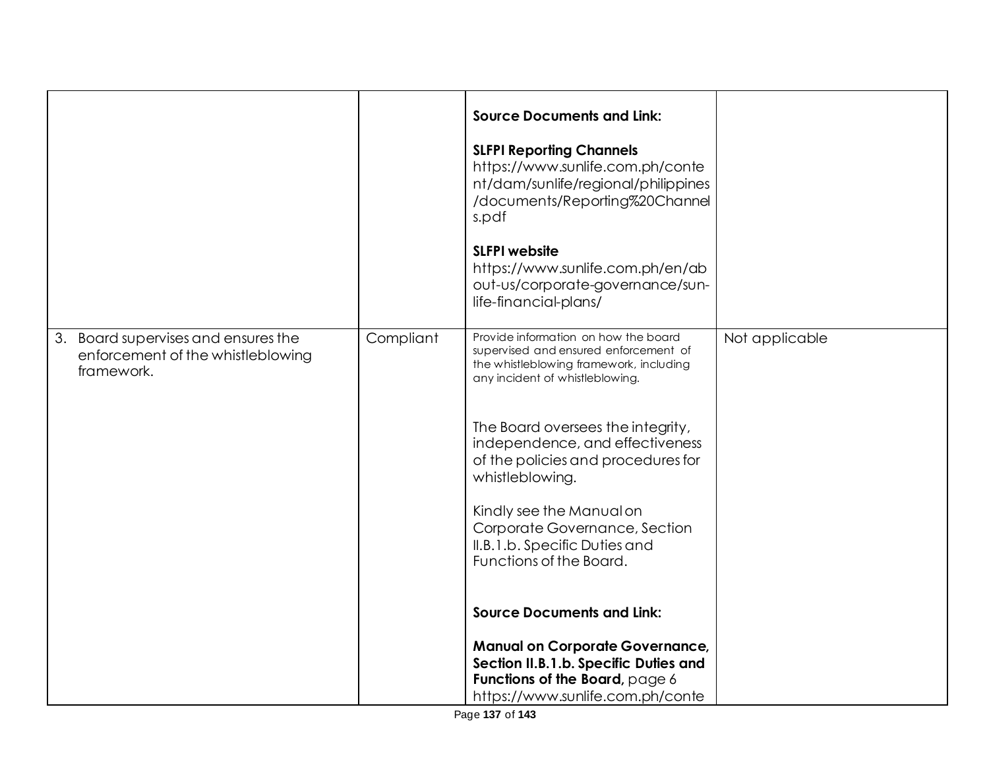|                                                                                        |           | <b>Source Documents and Link:</b><br><b>SLFPI Reporting Channels</b><br>https://www.sunlife.com.ph/conte<br>nt/dam/sunlife/regional/philippines<br>/documents/Reporting%20Channel<br>s.pdf<br><b>SLFPI</b> website<br>https://www.sunlife.com.ph/en/ab<br>out-us/corporate-governance/sun-<br>life-financial-plans/                                                                                                                                        |                |
|----------------------------------------------------------------------------------------|-----------|------------------------------------------------------------------------------------------------------------------------------------------------------------------------------------------------------------------------------------------------------------------------------------------------------------------------------------------------------------------------------------------------------------------------------------------------------------|----------------|
| 3. Board supervises and ensures the<br>enforcement of the whistleblowing<br>framework. | Compliant | Provide information on how the board<br>supervised and ensured enforcement of<br>the whistleblowing framework, including<br>any incident of whistleblowing.<br>The Board oversees the integrity,<br>independence, and effectiveness<br>of the policies and procedures for<br>whistleblowing.<br>Kindly see the Manual on<br>Corporate Governance, Section<br>II.B.1.b. Specific Duties and<br>Functions of the Board.<br><b>Source Documents and Link:</b> | Not applicable |
|                                                                                        |           | <b>Manual on Corporate Governance,</b><br>Section II.B.1.b. Specific Duties and<br>Functions of the Board, page 6<br>https://www.sunlife.com.ph/conte                                                                                                                                                                                                                                                                                                      |                |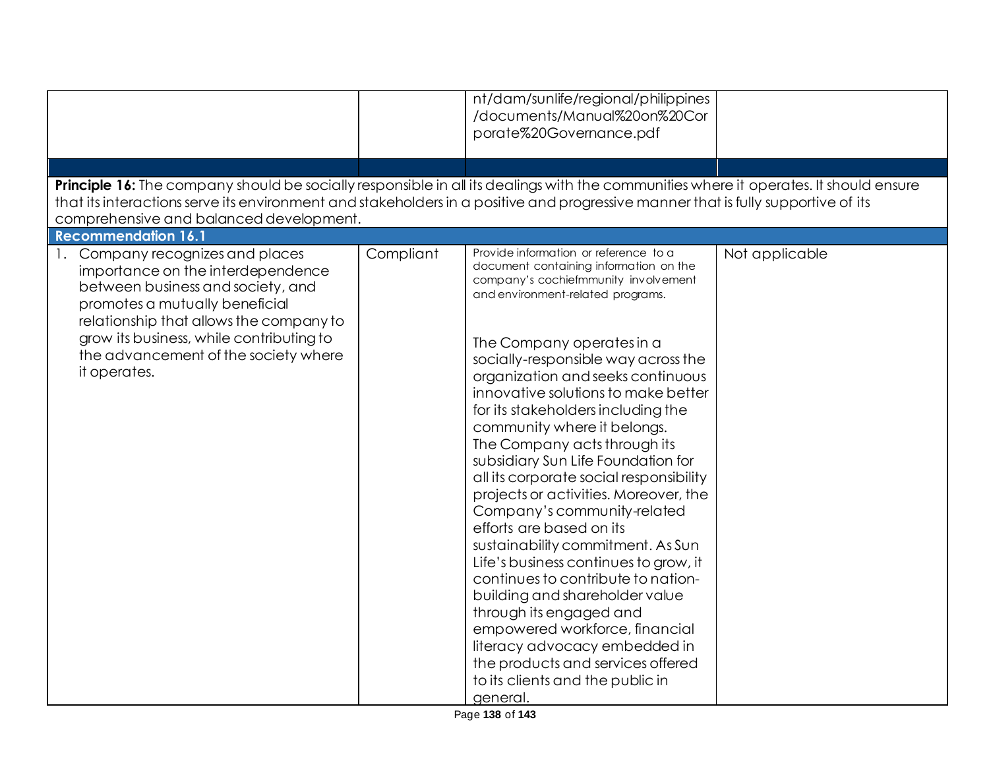| Principle 16: The company should be socially responsible in all its dealings with the communities where it operates. It should ensure<br>that its interactions serve its environment and stakeholders in a positive and progressive manner that is fully supportive of its<br>comprehensive and balanced development. |           | nt/dam/sunlife/regional/philippines<br>/documents/Manual%20on%20Cor<br>porate%20Governance.pdf                                                                                                                                                                                                                                                                                                                                                                                                                                                                                                                                                                                                                                                                                                                                                                                                         |                |
|-----------------------------------------------------------------------------------------------------------------------------------------------------------------------------------------------------------------------------------------------------------------------------------------------------------------------|-----------|--------------------------------------------------------------------------------------------------------------------------------------------------------------------------------------------------------------------------------------------------------------------------------------------------------------------------------------------------------------------------------------------------------------------------------------------------------------------------------------------------------------------------------------------------------------------------------------------------------------------------------------------------------------------------------------------------------------------------------------------------------------------------------------------------------------------------------------------------------------------------------------------------------|----------------|
| <b>Recommendation 16.1</b><br>Company recognizes and places                                                                                                                                                                                                                                                           | Compliant | Provide information or reference to a                                                                                                                                                                                                                                                                                                                                                                                                                                                                                                                                                                                                                                                                                                                                                                                                                                                                  | Not applicable |
| importance on the interdependence<br>between business and society, and<br>promotes a mutually beneficial<br>relationship that allows the company to<br>grow its business, while contributing to<br>the advancement of the society where<br>it operates.                                                               |           | document containing information on the<br>company's cochiefmmunity involvement<br>and environment-related programs.<br>The Company operates in a<br>socially-responsible way across the<br>organization and seeks continuous<br>innovative solutions to make better<br>for its stakeholders including the<br>community where it belongs.<br>The Company acts through its<br>subsidiary Sun Life Foundation for<br>all its corporate social responsibility<br>projects or activities. Moreover, the<br>Company's community-related<br>efforts are based on its<br>sustainability commitment. As Sun<br>Life's business continues to grow, it<br>continues to contribute to nation-<br>building and shareholder value<br>through its engaged and<br>empowered workforce, financial<br>literacy advocacy embedded in<br>the products and services offered<br>to its clients and the public in<br>general. |                |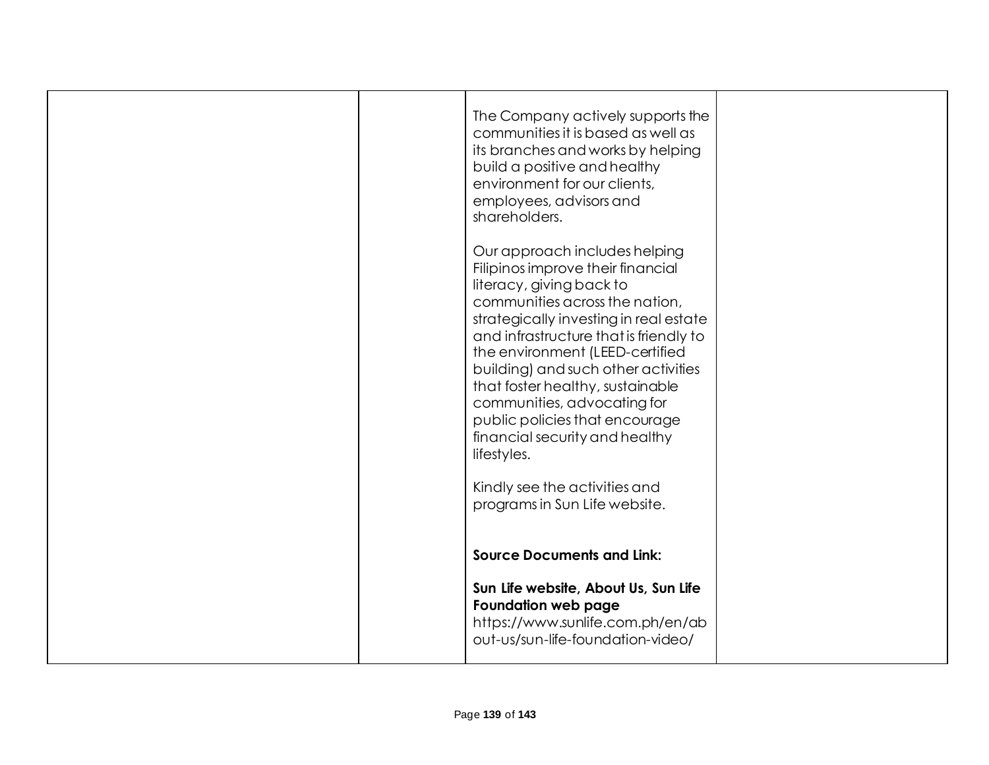|  | The Company actively supports the<br>communities it is based as well as<br>its branches and works by helping<br>build a positive and healthy<br>environment for our clients,<br>employees, advisors and<br>shareholders.                                                                                                                                                                                                                             |  |
|--|------------------------------------------------------------------------------------------------------------------------------------------------------------------------------------------------------------------------------------------------------------------------------------------------------------------------------------------------------------------------------------------------------------------------------------------------------|--|
|  | Our approach includes helping<br>Filipinos improve their financial<br>literacy, giving back to<br>communities across the nation,<br>strategically investing in real estate<br>and infrastructure that is friendly to<br>the environment (LEED-certified<br>building) and such other activities<br>that foster healthy, sustainable<br>communities, advocating for<br>public policies that encourage<br>financial security and healthy<br>lifestyles. |  |
|  | Kindly see the activities and<br>programs in Sun Life website.<br><b>Source Documents and Link:</b>                                                                                                                                                                                                                                                                                                                                                  |  |
|  | Sun Life website, About Us, Sun Life<br><b>Foundation web page</b><br>https://www.sunlife.com.ph/en/ab<br>out-us/sun-life-foundation-video/                                                                                                                                                                                                                                                                                                          |  |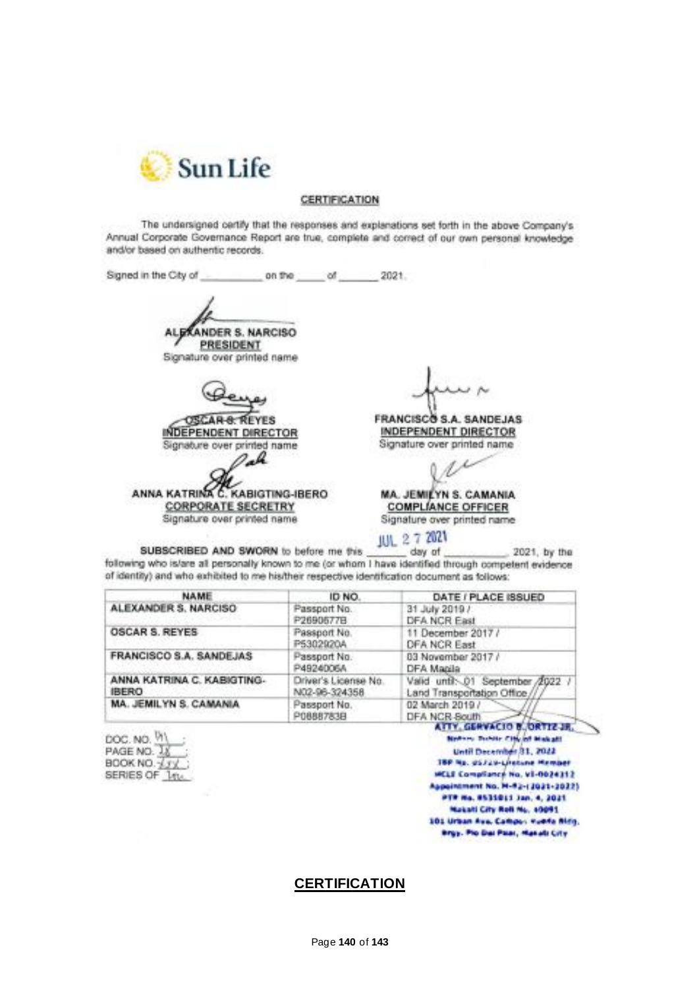

## CERTIFICATION

The undersigned certify that the responses and explanations set forth in the above Company's Annual Corporate Governance Report are true, complete and correct of our own personal knowledge and/or based on authentic records.

**EXANDER S. NARCISO PRESIDENT** Signature over printed name **FRANCISCO S.A. SANDEJAS SCAR-8: REYES** INDEPENDENT DIRECTOR **INDEPENDENT DIRECTOR** Signature over printed name Signature over printed name Pah ANNA KATRINA C. KABIGTING-IBERO **MA. JEMILYN S. CAMANIA CORPORATE SECRETRY COMPLIANCE OFFICER** Signature over printed name Signature over printed name JUL 2 7 2021

SUBSCRIBED AND SWORN to before me this day of 2021, by the following who is/are all personally known to me (or whom I have identified through competent evidence of identity) and who exhibited to me his/their respective identification document as follows:

| <b>NAME</b>                                | ID NO.                                | DATE / PLACE ISSUED                                              |
|--------------------------------------------|---------------------------------------|------------------------------------------------------------------|
| ALEXANDER S. NARCISO                       | Passport No.<br>P2690577B             | 31 July 2019 /<br>DFA NCR East                                   |
| OSCAR S. REYES                             | Passport No.<br>P5302920A             | 11 December 2017 /<br><b>DFA NCR East</b>                        |
| <b>FRANCISCO S.A. SANDEJAS</b>             | Passport No.<br>P4924006A             | 03 November 2017 /<br>DFA Manila                                 |
| ANNA KATRINA C. KABIGTING-<br><b>IBERO</b> | Driver's License No.<br>N02-96-324358 | Valid until: 01 September /2022 /<br>Land Transportation Office. |
| MA. JEMILYN S. CAMANIA                     | Passport No.<br>P0888783B             | 02 March 2019 /<br>DFA NCR South                                 |

DOC. NO. VI PAGE NO. 18 BOOK NO. 13 SERIES OF 1tv.

ATTY, GERVACIO B. ORTIZ JR. Notice, Subscribing of Makatt Until December 31, 2022 180 Ns. 05729-Literane Member MELE Compliance No. V1-0024312 Appointment No. M-92-(2021-2022) PTR No. 8531011 Jan. 4, 2021 Maketi City Roll No. 10091 101 Urban Ave. Campus Hunda Milly. ergy. Plo Dai Palar, Hanalz City

## **CERTIFICATION**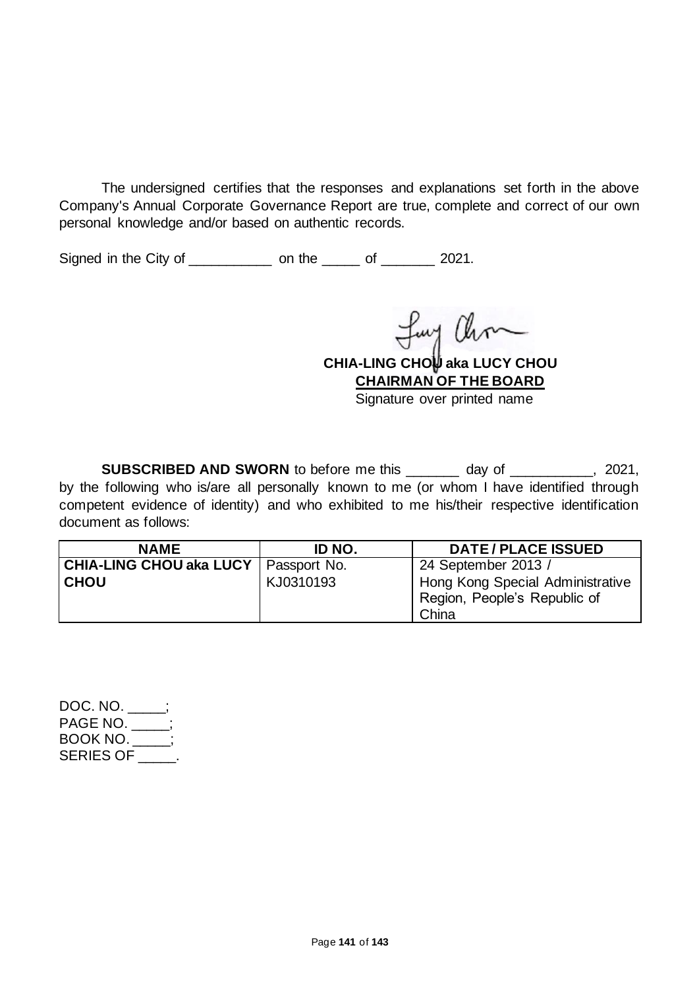The undersigned certifies that the responses and explanations set forth in the above Company's Annual Corporate Governance Report are true, complete and correct of our own personal knowledge and/or based on authentic records.

Signed in the City of \_\_\_\_\_\_\_\_\_\_\_\_\_ on the \_\_\_\_\_\_ of \_\_\_\_\_\_\_ 2021.

Luy Ohm

**CHIA-LING CHOU aka LUCY CHOU CHAIRMAN OF THE BOARD**

Signature over printed name

**SUBSCRIBED AND SWORN** to before me this day of the same of the second of the second of the second of the second of the second of the second of the second of the second of the second of the second of the second of the seco by the following who is/are all personally known to me (or whom I have identified through competent evidence of identity) and who exhibited to me his/their respective identification document as follows:

| <b>NAME</b>             | ID NO.       | <b>DATE/PLACE ISSUED</b>         |
|-------------------------|--------------|----------------------------------|
| CHIA-LING CHOU aka LUCY | Passport No. | 24 September 2013 /              |
| <b>CHOU</b>             | KJ0310193    | Hong Kong Special Administrative |
|                         |              | Region, People's Republic of     |
|                         |              | China                            |

DOC. NO. \_\_\_\_\_; PAGE NO. \_\_\_\_\_; BOOK NO. \_\_\_\_\_; SERIES OF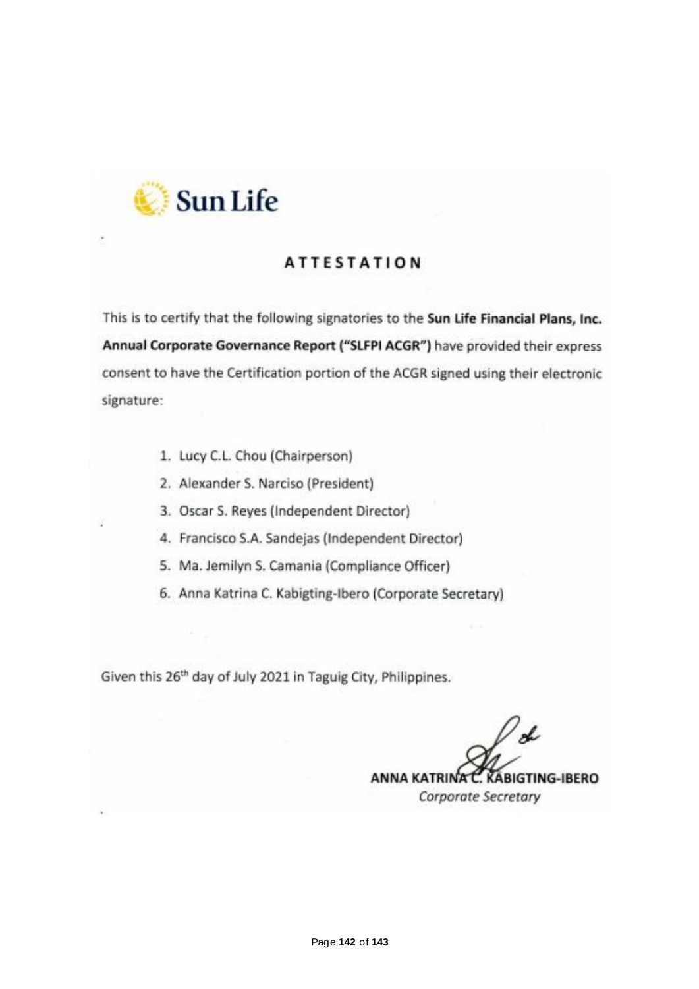

## **ATTESTATION**

This is to certify that the following signatories to the Sun Life Financial Plans, Inc. Annual Corporate Governance Report ("SLFPI ACGR") have provided their express consent to have the Certification portion of the ACGR signed using their electronic signature:

- 1. Lucy C.L. Chou (Chairperson)
- 2. Alexander S. Narciso (President)
- 3. Oscar S. Reyes (Independent Director)
- 4. Francisco S.A. Sandejas (Independent Director)
- 5. Ma. Jemilyn S. Camania (Compliance Officer)
- 6. Anna Katrina C. Kabigting-Ibero (Corporate Secretary)

Given this 26<sup>th</sup> day of July 2021 in Taguig City, Philippines.

's ANNA KATRINA C. KABIGTING-IBERO Corporate Secretary